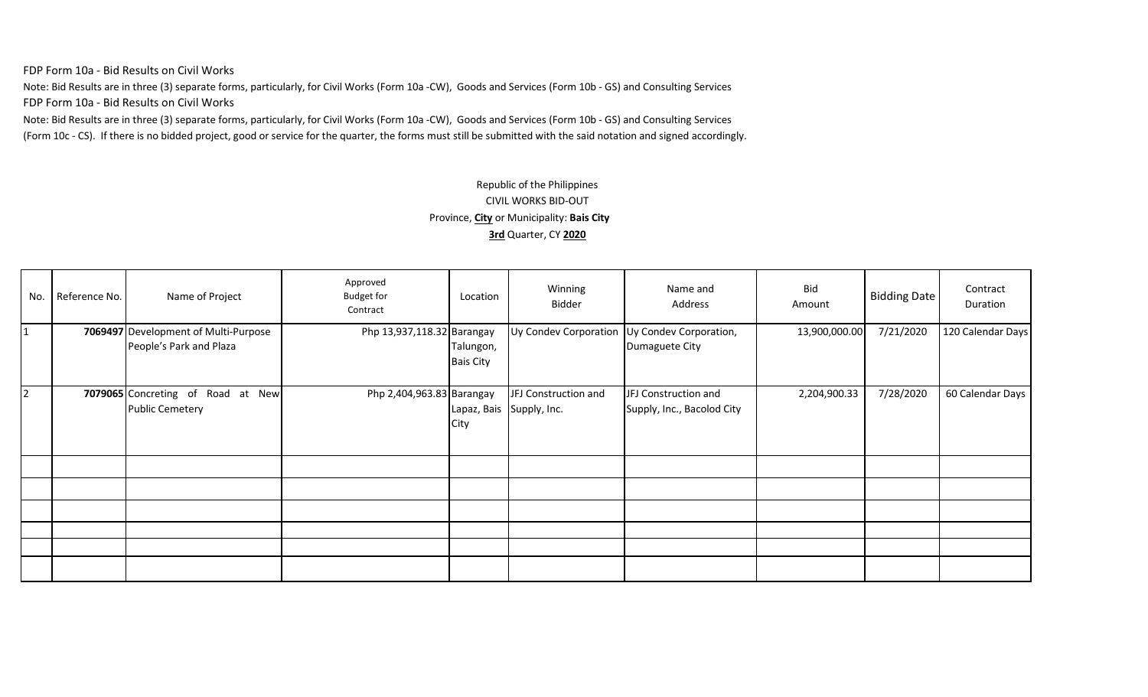FDP Form 10a - Bid Results on Civil Works

Note: Bid Results are in three (3) separate forms, particularly, for Civil Works (Form 10a -CW), Goods and Services (Form 10b - GS) and Consulting Services FDP Form 10a - Bid Results on Civil Works

Note: Bid Results are in three (3) separate forms, particularly, for Civil Works (Form 10a -CW), Goods and Services (Form 10b - GS) and Consulting Services (Form 10c - CS). If there is no bidded project, good or service for the quarter, the forms must still be submitted with the said notation and signed accordingly.

## Republic of the Philippines CIVIL WORKS BID-OUT Province, **City** or Municipality: **Bais City 3rd** Quarter, CY **2020**

| No.          | Reference No. | Name of Project                                                 | Approved<br><b>Budget for</b><br>Contract | Location                         | Winning<br>Bidder    | Name and<br>Address                                            | Bid<br>Amount | Bidding Date | Contract<br>Duration |
|--------------|---------------|-----------------------------------------------------------------|-------------------------------------------|----------------------------------|----------------------|----------------------------------------------------------------|---------------|--------------|----------------------|
| $\mathbf{1}$ |               | 7069497 Development of Multi-Purpose<br>People's Park and Plaza | Php 13,937,118.32 Barangay                | Talungon,<br><b>Bais City</b>    |                      | Uy Condev Corporation Uy Condev Corporation,<br>Dumaguete City | 13,900,000.00 | 7/21/2020    | 120 Calendar Days    |
| 2            |               | 7079065 Concreting of Road at New<br><b>Public Cemetery</b>     | Php 2,404,963.83 Barangay                 | Lapaz, Bais Supply, Inc.<br>City | JFJ Construction and | JFJ Construction and<br>Supply, Inc., Bacolod City             | 2,204,900.33  | 7/28/2020    | 60 Calendar Days     |
|              |               |                                                                 |                                           |                                  |                      |                                                                |               |              |                      |
|              |               |                                                                 |                                           |                                  |                      |                                                                |               |              |                      |
|              |               |                                                                 |                                           |                                  |                      |                                                                |               |              |                      |
|              |               |                                                                 |                                           |                                  |                      |                                                                |               |              |                      |
|              |               |                                                                 |                                           |                                  |                      |                                                                |               |              |                      |
|              |               |                                                                 |                                           |                                  |                      |                                                                |               |              |                      |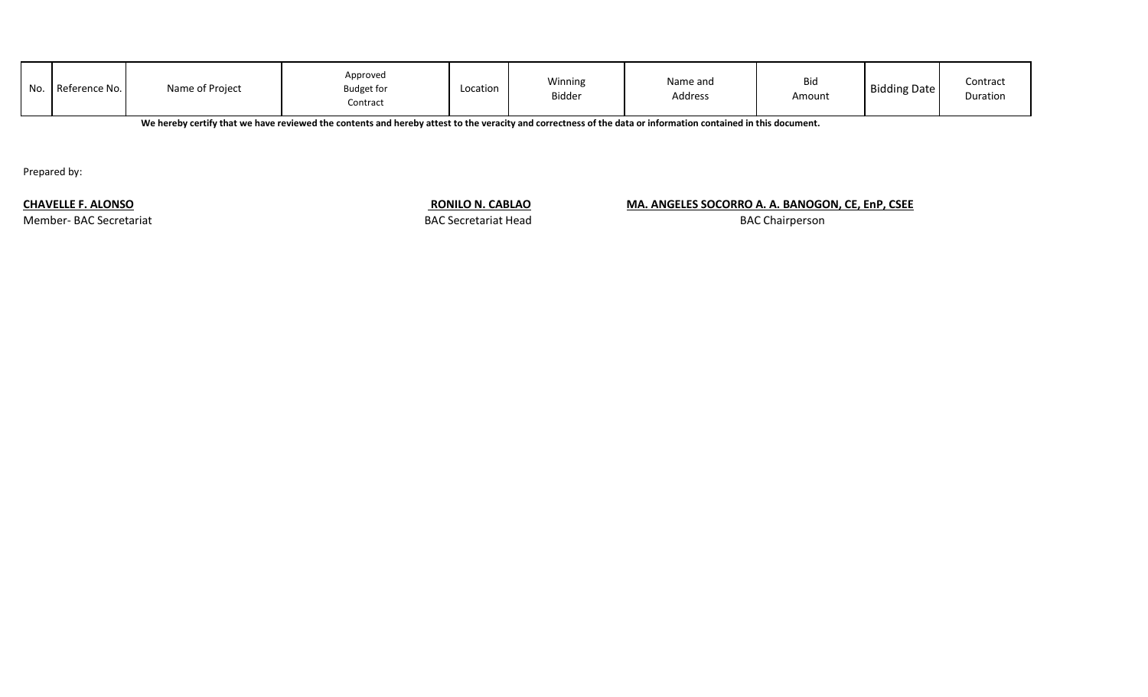| No. | Reference No. | Name of Project | Approved<br><b>Budget for</b><br>Contract | Location | Winning<br>Bidder | Name and<br>Address | <b>Bid</b><br>Amount | <b>Bidding Date</b> | Contract<br>Duration |
|-----|---------------|-----------------|-------------------------------------------|----------|-------------------|---------------------|----------------------|---------------------|----------------------|
|-----|---------------|-----------------|-------------------------------------------|----------|-------------------|---------------------|----------------------|---------------------|----------------------|

**We hereby certify that we have reviewed the contents and hereby attest to the veracity and correctness of the data or information contained in this document.**

Prepared by:

Member- BAC Secretariat BAC Secretariat Head

## **CHAVELLE F. ALONSO RONILO N. CABLAO MA. ANGELES SOCORRO A. A. BANOGON, CE, EnP, CSEE**

BAC Chairperson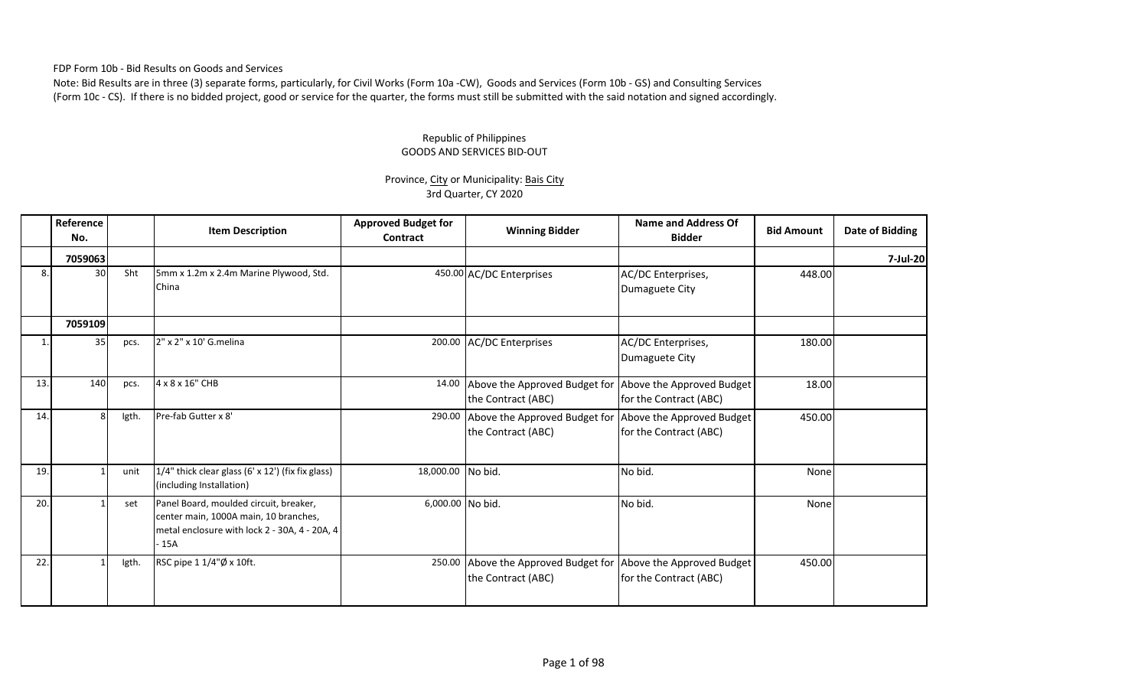FDP Form 10b - Bid Results on Goods and Services

Note: Bid Results are in three (3) separate forms, particularly, for Civil Works (Form 10a -CW), Goods and Services (Form 10b - GS) and Consulting Services (Form 10c - CS). If there is no bidded project, good or service for the quarter, the forms must still be submitted with the said notation and signed accordingly.

## Republic of Philippines GOODS AND SERVICES BID-OUT

## Province, City or Municipality: Bais City 3rd Quarter, CY 2020

|     | Reference<br>No. |       | <b>Item Description</b>                                                                                                                 | <b>Approved Budget for</b><br>Contract | <b>Winning Bidder</b>                               | <b>Name and Address Of</b><br><b>Bidder</b>         | <b>Bid Amount</b> | Date of Bidding |
|-----|------------------|-------|-----------------------------------------------------------------------------------------------------------------------------------------|----------------------------------------|-----------------------------------------------------|-----------------------------------------------------|-------------------|-----------------|
|     | 7059063          |       |                                                                                                                                         |                                        |                                                     |                                                     |                   | 7-Jul-20        |
| 8.  | 30               | Sht   | 5mm x 1.2m x 2.4m Marine Plywood, Std.<br>China                                                                                         |                                        | 450.00 AC/DC Enterprises                            | AC/DC Enterprises,<br>Dumaguete City                | 448.00            |                 |
|     | 7059109          |       |                                                                                                                                         |                                        |                                                     |                                                     |                   |                 |
|     | 35               | pcs.  | 2" x 2" x 10' G.melina                                                                                                                  |                                        | 200.00 AC/DC Enterprises                            | AC/DC Enterprises,<br>Dumaguete City                | 180.00            |                 |
| 13. | 140              | pcs.  | 4 x 8 x 16" CHB                                                                                                                         | 14.00                                  | Above the Approved Budget for<br>the Contract (ABC) | Above the Approved Budget<br>for the Contract (ABC) | 18.00             |                 |
| 14. | 8                | Igth. | Pre-fab Gutter x 8'                                                                                                                     | 290.00                                 | Above the Approved Budget for<br>the Contract (ABC) | Above the Approved Budget<br>for the Contract (ABC) | 450.00            |                 |
| 19. |                  | unit  | 1/4" thick clear glass (6' x 12') (fix fix glass)<br>(including Installation)                                                           | 18,000.00                              | No bid.                                             | No bid.                                             | None              |                 |
| 20. |                  | set   | Panel Board, moulded circuit, breaker,<br>center main, 1000A main, 10 branches,<br>metal enclosure with lock 2 - 30A, 4 - 20A, 4<br>15A | 6,000.00 No bid.                       |                                                     | No bid.                                             | None              |                 |
| 22. |                  | Igth. | RSC pipe 1 1/4"Ø x 10ft.                                                                                                                | 250.00                                 | Above the Approved Budget for<br>the Contract (ABC) | Above the Approved Budget<br>for the Contract (ABC) | 450.00            |                 |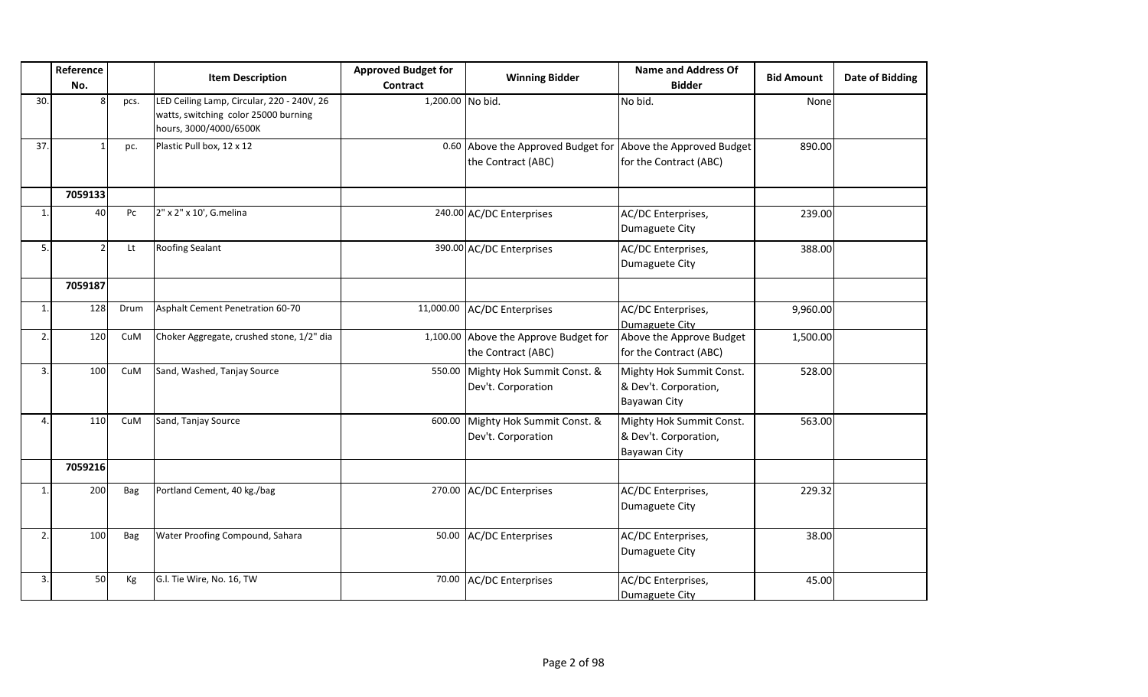|     | Reference<br>No. |      | <b>Item Description</b>                                                                                      | <b>Approved Budget for</b><br><b>Contract</b> | <b>Winning Bidder</b>                                       | <b>Name and Address Of</b><br><b>Bidder</b>                       | <b>Bid Amount</b> | <b>Date of Bidding</b> |
|-----|------------------|------|--------------------------------------------------------------------------------------------------------------|-----------------------------------------------|-------------------------------------------------------------|-------------------------------------------------------------------|-------------------|------------------------|
| 30. | $\mathbf{8}$     | pcs. | LED Ceiling Lamp, Circular, 220 - 240V, 26<br>watts, switching color 25000 burning<br>hours, 3000/4000/6500K | 1,200.00 No bid.                              |                                                             | No bid.                                                           | None              |                        |
| 37. |                  | pc.  | Plastic Pull box, 12 x 12                                                                                    |                                               | 0.60 Above the Approved Budget for<br>the Contract (ABC)    | Above the Approved Budget<br>for the Contract (ABC)               | 890.00            |                        |
|     | 7059133          |      |                                                                                                              |                                               |                                                             |                                                                   |                   |                        |
| -1  | 40               | Pc   | 2" x 2" x 10', G.melina                                                                                      |                                               | 240.00 AC/DC Enterprises                                    | AC/DC Enterprises,<br>Dumaguete City                              | 239.00            |                        |
| 5.  | $\overline{2}$   | Lt   | <b>Roofing Sealant</b>                                                                                       |                                               | 390.00 AC/DC Enterprises                                    | AC/DC Enterprises,<br>Dumaguete City                              | 388.00            |                        |
|     | 7059187          |      |                                                                                                              |                                               |                                                             |                                                                   |                   |                        |
|     | 128              | Drum | Asphalt Cement Penetration 60-70                                                                             | 11,000.00                                     | <b>AC/DC Enterprises</b>                                    | AC/DC Enterprises,<br>Dumaguete City                              | 9,960.00          |                        |
| 2.  | 120              | CuM  | Choker Aggregate, crushed stone, 1/2" dia                                                                    |                                               | 1,100.00 Above the Approve Budget for<br>the Contract (ABC) | Above the Approve Budget<br>for the Contract (ABC)                | 1,500.00          |                        |
| 3.  | 100              | CuM  | Sand, Washed, Tanjay Source                                                                                  |                                               | 550.00 Mighty Hok Summit Const. &<br>Dev't. Corporation     | Mighty Hok Summit Const.<br>& Dev't. Corporation,<br>Bayawan City | 528.00            |                        |
| 4   | 110              | CuM  | Sand, Tanjay Source                                                                                          | 600.00                                        | Mighty Hok Summit Const. &<br>Dev't. Corporation            | Mighty Hok Summit Const.<br>& Dev't. Corporation,<br>Bayawan City | 563.00            |                        |
|     | 7059216          |      |                                                                                                              |                                               |                                                             |                                                                   |                   |                        |
|     | 200              | Bag  | Portland Cement, 40 kg./bag                                                                                  |                                               | 270.00 AC/DC Enterprises                                    | AC/DC Enterprises,<br>Dumaguete City                              | 229.32            |                        |
| 2.  | 100              | Bag  | Water Proofing Compound, Sahara                                                                              |                                               | 50.00 AC/DC Enterprises                                     | AC/DC Enterprises,<br>Dumaguete City                              | 38.00             |                        |
| 3.  | 50               | Kg   | G.l. Tie Wire, No. 16, TW                                                                                    | 70.00                                         | <b>AC/DC Enterprises</b>                                    | AC/DC Enterprises,<br>Dumaguete City                              | 45.00             |                        |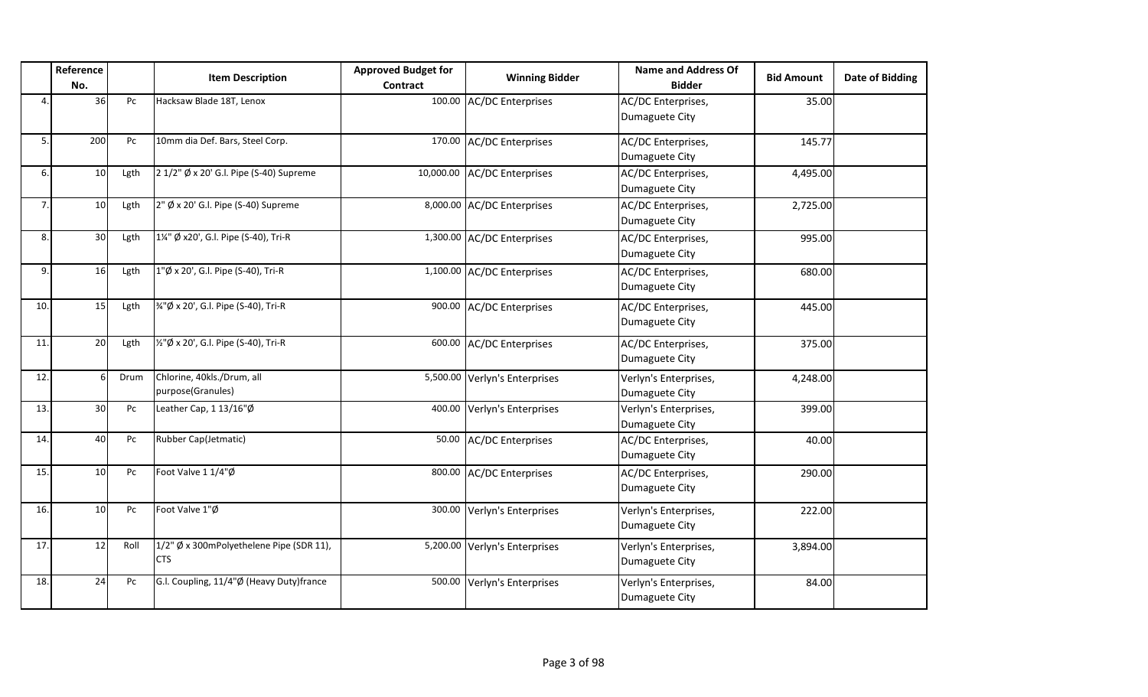|     | Reference<br>No. |      | <b>Item Description</b>                                | <b>Approved Budget for</b><br><b>Contract</b> | <b>Winning Bidder</b>         | <b>Name and Address Of</b><br><b>Bidder</b> | <b>Bid Amount</b> | Date of Bidding |
|-----|------------------|------|--------------------------------------------------------|-----------------------------------------------|-------------------------------|---------------------------------------------|-------------------|-----------------|
| 4.  | 36               | Pc   | Hacksaw Blade 18T, Lenox                               | 100.00                                        | <b>AC/DC Enterprises</b>      | AC/DC Enterprises,<br>Dumaguete City        | 35.00             |                 |
| 5.  | 200              | Pc   | 10mm dia Def. Bars, Steel Corp.                        |                                               | 170.00 AC/DC Enterprises      | AC/DC Enterprises,<br>Dumaguete City        | 145.77            |                 |
| 6.  | 10               | Lgth | 2 1/2" Ø x 20' G.I. Pipe (S-40) Supreme                | 10,000.00                                     | <b>AC/DC Enterprises</b>      | AC/DC Enterprises,<br>Dumaguete City        | 4,495.00          |                 |
| 7.  | 10               | Lgth | 2" Ø x 20' G.l. Pipe (S-40) Supreme                    | 8,000.00                                      | <b>AC/DC</b> Enterprises      | AC/DC Enterprises,<br>Dumaguete City        | 2,725.00          |                 |
| 8.  | 30               | Lgth | 1¼" Ø x20', G.I. Pipe (S-40), Tri-R                    |                                               | 1,300.00 AC/DC Enterprises    | AC/DC Enterprises,<br>Dumaguete City        | 995.00            |                 |
| 9.  | 16               | Lgth | 1"Ø x 20', G.I. Pipe (S-40), Tri-R                     |                                               | 1,100.00 AC/DC Enterprises    | AC/DC Enterprises,<br>Dumaguete City        | 680.00            |                 |
| 10. | 15               | Lgth | %"Ø x 20', G.I. Pipe (S-40), Tri-R                     | 900.00                                        | <b>AC/DC Enterprises</b>      | AC/DC Enterprises,<br>Dumaguete City        | 445.00            |                 |
| 11. | 20               | Lgth | 1/2"Ø x 20', G.I. Pipe (S-40), Tri-R                   | 600.00                                        | <b>AC/DC Enterprises</b>      | AC/DC Enterprises,<br>Dumaguete City        | 375.00            |                 |
| 12. | F                | Drum | Chlorine, 40kls./Drum, all<br>purpose(Granules)        |                                               | 5,500.00 Verlyn's Enterprises | Verlyn's Enterprises,<br>Dumaguete City     | 4,248.00          |                 |
| 13. | 30               | Pc   | Leather Cap, 1 13/16"Ø                                 | 400.00                                        | Verlyn's Enterprises          | Verlyn's Enterprises,<br>Dumaguete City     | 399.00            |                 |
| 14. | 40               | Pc   | Rubber Cap(Jetmatic)                                   | 50.00                                         | <b>AC/DC Enterprises</b>      | AC/DC Enterprises,<br>Dumaguete City        | 40.00             |                 |
| 15. | 10               | Pc   | Foot Valve 1 1/4"Ø                                     | 800.00                                        | <b>AC/DC</b> Enterprises      | AC/DC Enterprises,<br>Dumaguete City        | 290.00            |                 |
| 16. | 10               | Pc   | Foot Valve 1"Ø                                         | 300.00                                        | Verlyn's Enterprises          | Verlyn's Enterprises,<br>Dumaguete City     | 222.00            |                 |
| 17. | 12               | Roll | 1/2" Ø x 300mPolyethelene Pipe (SDR 11),<br><b>CTS</b> |                                               | 5,200.00 Verlyn's Enterprises | Verlyn's Enterprises,<br>Dumaguete City     | 3,894.00          |                 |
| 18. | 24               | Pc   | G.I. Coupling, 11/4"Ø (Heavy Duty)france               |                                               | 500.00 Verlyn's Enterprises   | Verlyn's Enterprises,<br>Dumaguete City     | 84.00             |                 |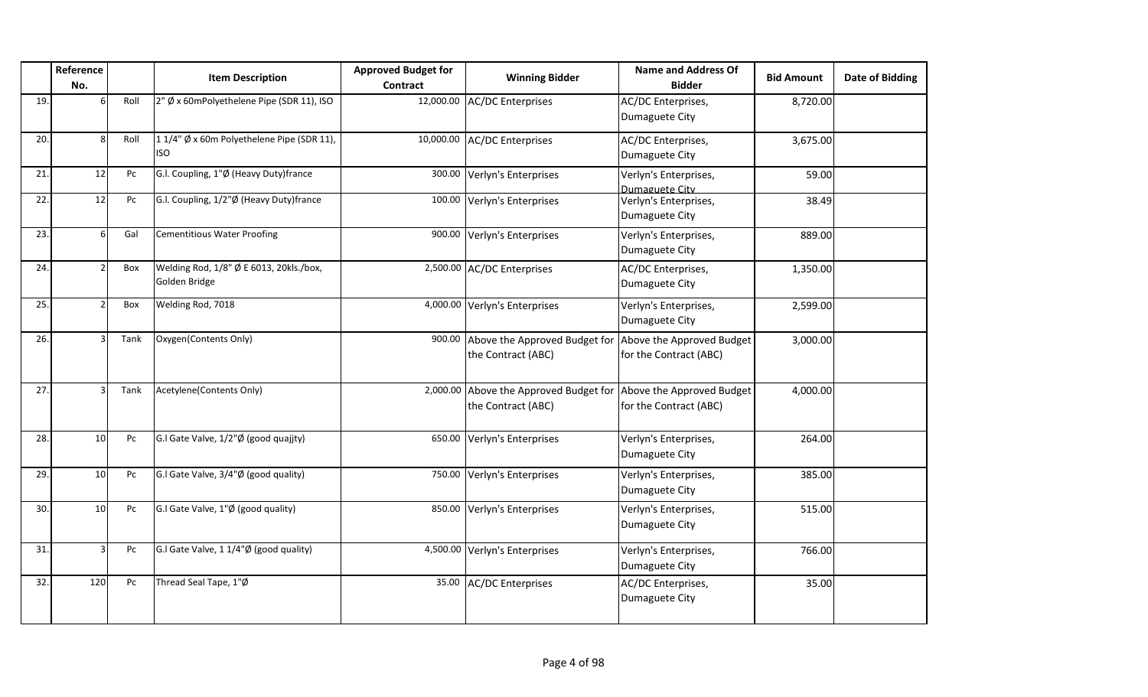|     | Reference<br>No. |      | <b>Item Description</b>                                  | <b>Approved Budget for</b><br><b>Contract</b> | <b>Winning Bidder</b>                                                         | <b>Name and Address Of</b><br><b>Bidder</b>         | <b>Bid Amount</b> | <b>Date of Bidding</b> |
|-----|------------------|------|----------------------------------------------------------|-----------------------------------------------|-------------------------------------------------------------------------------|-----------------------------------------------------|-------------------|------------------------|
| 19. | 6                | Roll | 2" Ø x 60mPolyethelene Pipe (SDR 11), ISO                | 12,000.00                                     | <b>AC/DC Enterprises</b>                                                      | AC/DC Enterprises,<br>Dumaguete City                | 8,720.00          |                        |
| 20. | 8                | Roll | 11/4" Ø x 60m Polyethelene Pipe (SDR 11),<br><b>ISO</b>  | 10,000.00                                     | <b>AC/DC Enterprises</b>                                                      | AC/DC Enterprises,<br>Dumaguete City                | 3,675.00          |                        |
| 21. | 12               | Pc   | G.I. Coupling, 1"Ø (Heavy Duty)france                    | 300.00                                        | Verlyn's Enterprises                                                          | Verlyn's Enterprises,<br>Dumaguete City             | 59.00             |                        |
| 22. | 12               | Pc   | G.I. Coupling, 1/2"Ø (Heavy Duty)france                  | 100.00                                        | Verlyn's Enterprises                                                          | Verlyn's Enterprises,<br>Dumaguete City             | 38.49             |                        |
| 23. | 6                | Gal  | <b>Cementitious Water Proofing</b>                       | 900.00                                        | Verlyn's Enterprises                                                          | Verlyn's Enterprises,<br>Dumaguete City             | 889.00            |                        |
| 24. |                  | Box  | Welding Rod, 1/8" Ø E 6013, 20kls./box,<br>Golden Bridge |                                               | 2,500.00 AC/DC Enterprises                                                    | AC/DC Enterprises,<br>Dumaguete City                | 1,350.00          |                        |
| 25. |                  | Box  | Welding Rod, 7018                                        |                                               | 4,000.00 Verlyn's Enterprises                                                 | Verlyn's Enterprises,<br>Dumaguete City             | 2,599.00          |                        |
| 26. |                  | Tank | Oxygen(Contents Only)                                    | 900.00                                        | Above the Approved Budget for<br>the Contract (ABC)                           | Above the Approved Budget<br>for the Contract (ABC) | 3,000.00          |                        |
| 27. |                  | Tank | Acetylene(Contents Only)                                 | 2,000.00                                      | Above the Approved Budget for Above the Approved Budget<br>the Contract (ABC) | for the Contract (ABC)                              | 4,000.00          |                        |
| 28. | 10               | Pc   | G.I Gate Valve, 1/2"Ø (good quajjty)                     | 650.00                                        | Verlyn's Enterprises                                                          | Verlyn's Enterprises,<br>Dumaguete City             | 264.00            |                        |
| 29. | 10               | Pc   | G.I Gate Valve, 3/4"Ø (good quality)                     | 750.00                                        | Verlyn's Enterprises                                                          | Verlyn's Enterprises,<br>Dumaguete City             | 385.00            |                        |
| 30. | 10               | Pc   | G.I Gate Valve, 1"Ø (good quality)                       | 850.00                                        | Verlyn's Enterprises                                                          | Verlyn's Enterprises,<br>Dumaguete City             | 515.00            |                        |
| 31. | q                | Pc   | G.I Gate Valve, 1 1/4"Ø (good quality)                   |                                               | 4,500.00 Verlyn's Enterprises                                                 | Verlyn's Enterprises,<br>Dumaguete City             | 766.00            |                        |
| 32. | 120              | Pc   | Thread Seal Tape, 1"Ø                                    | 35.00                                         | <b>AC/DC Enterprises</b>                                                      | AC/DC Enterprises,<br>Dumaguete City                | 35.00             |                        |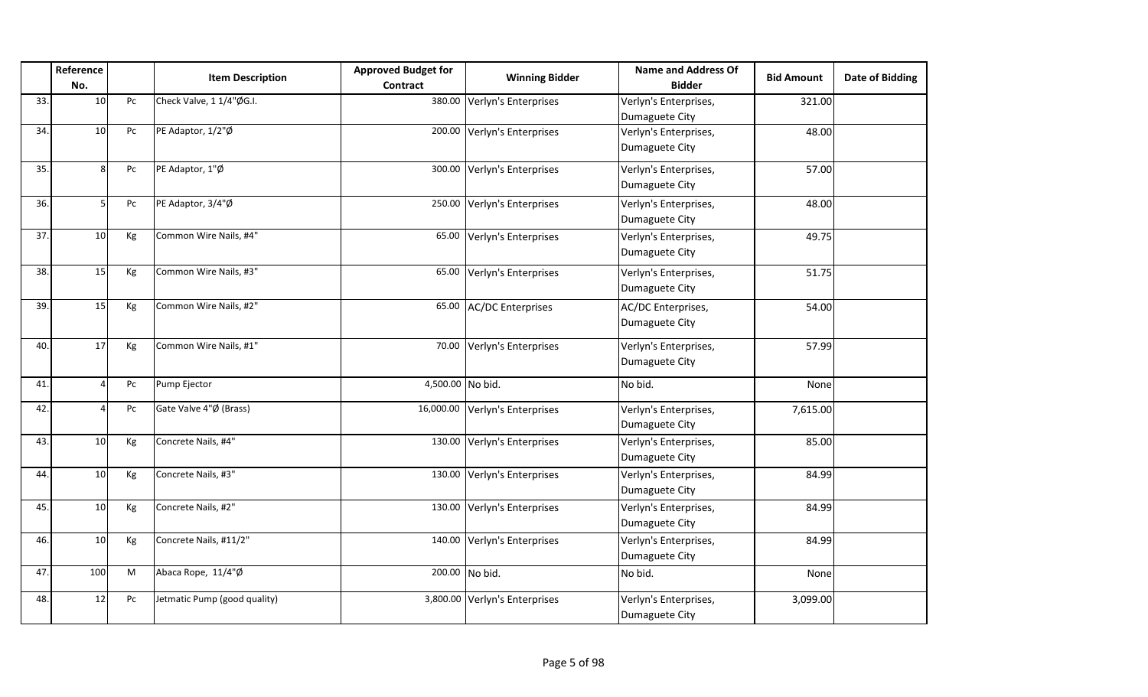|     | Reference<br>No. |                        | <b>Item Description</b>      | <b>Approved Budget for</b><br>Contract | <b>Winning Bidder</b>         | Name and Address Of<br><b>Bidder</b>    | <b>Bid Amount</b> | <b>Date of Bidding</b> |
|-----|------------------|------------------------|------------------------------|----------------------------------------|-------------------------------|-----------------------------------------|-------------------|------------------------|
| 33. | 10 <sup>1</sup>  | ${\sf P}{\sf C}$       | Check Valve, 1 1/4"ØG.I.     |                                        | 380.00 Verlyn's Enterprises   | Verlyn's Enterprises,<br>Dumaguete City | 321.00            |                        |
| 34. | 10 <sup>1</sup>  | Pc                     | PE Adaptor, 1/2"Ø            |                                        | 200.00 Verlyn's Enterprises   | Verlyn's Enterprises,<br>Dumaguete City | 48.00             |                        |
| 35. | 8                | Pc                     | PE Adaptor, 1"Ø              |                                        | 300.00 Verlyn's Enterprises   | Verlyn's Enterprises,<br>Dumaguete City | 57.00             |                        |
| 36. |                  | $\mathsf{P}\mathsf{C}$ | PE Adaptor, 3/4"Ø            |                                        | 250.00 Verlyn's Enterprises   | Verlyn's Enterprises,<br>Dumaguete City | 48.00             |                        |
| 37. | 10 <sup>1</sup>  | Kg                     | Common Wire Nails, #4"       |                                        | 65.00 Verlyn's Enterprises    | Verlyn's Enterprises,<br>Dumaguete City | 49.75             |                        |
| 38. | 15               | Кg                     | Common Wire Nails, #3"       |                                        | 65.00 Verlyn's Enterprises    | Verlyn's Enterprises,<br>Dumaguete City | 51.75             |                        |
| 39. | 15               | Кg                     | Common Wire Nails, #2"       |                                        | 65.00 AC/DC Enterprises       | AC/DC Enterprises,<br>Dumaguete City    | 54.00             |                        |
| 40. | 17               | Kg                     | Common Wire Nails, #1"       |                                        | 70.00 Verlyn's Enterprises    | Verlyn's Enterprises,<br>Dumaguete City | 57.99             |                        |
| 41. | $\Delta$         | Pc                     | Pump Ejector                 | 4,500.00 No bid.                       |                               | No bid.                                 | None              |                        |
| 42. |                  | $\mathsf{P}\mathsf{C}$ | Gate Valve 4"Ø (Brass)       | 16,000.00                              | Verlyn's Enterprises          | Verlyn's Enterprises,<br>Dumaguete City | 7,615.00          |                        |
| 43. | 10               | Кg                     | Concrete Nails, #4"          |                                        | 130.00 Verlyn's Enterprises   | Verlyn's Enterprises,<br>Dumaguete City | 85.00             |                        |
| 44. | 10 <sup>1</sup>  | Kg                     | Concrete Nails, #3"          |                                        | 130.00 Verlyn's Enterprises   | Verlyn's Enterprises,<br>Dumaguete City | 84.99             |                        |
| 45. | 10               | Kg                     | Concrete Nails, #2"          |                                        | 130.00 Verlyn's Enterprises   | Verlyn's Enterprises,<br>Dumaguete City | 84.99             |                        |
| 46. | 10               | Kg                     | Concrete Nails, #11/2"       |                                        | 140.00 Verlyn's Enterprises   | Verlyn's Enterprises,<br>Dumaguete City | 84.99             |                        |
| 47. | 100              | M                      | Abaca Rope, 11/4"Ø           |                                        | 200.00 No bid.                | No bid.                                 | None              |                        |
| 48. | 12               | $\mathsf{P}\mathsf{C}$ | Jetmatic Pump (good quality) |                                        | 3,800.00 Verlyn's Enterprises | Verlyn's Enterprises,<br>Dumaguete City | 3,099.00          |                        |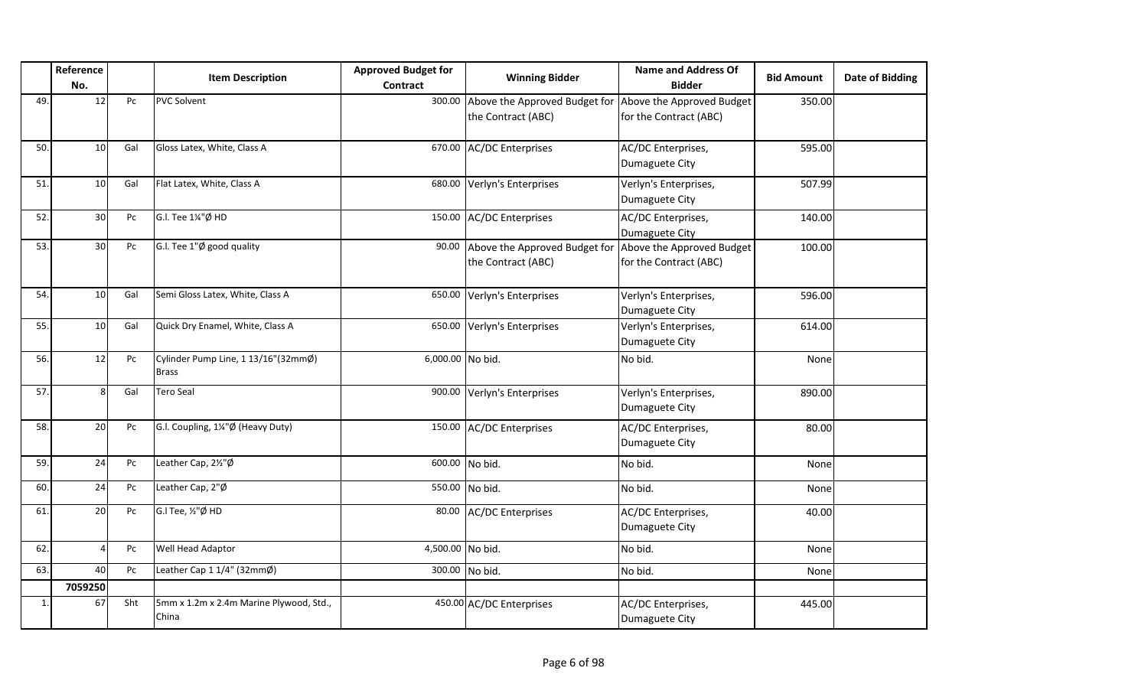|     | Reference<br>No. |     | <b>Item Description</b>                             | <b>Approved Budget for</b><br><b>Contract</b> | <b>Winning Bidder</b>                               | <b>Name and Address Of</b><br><b>Bidder</b>         | <b>Bid Amount</b> | <b>Date of Bidding</b> |
|-----|------------------|-----|-----------------------------------------------------|-----------------------------------------------|-----------------------------------------------------|-----------------------------------------------------|-------------------|------------------------|
| 49. | 12               | Pc  | <b>PVC Solvent</b>                                  | 300.00                                        | Above the Approved Budget for<br>the Contract (ABC) | Above the Approved Budget<br>for the Contract (ABC) | 350.00            |                        |
| 50. | 10               | Gal | Gloss Latex, White, Class A                         |                                               | 670.00 AC/DC Enterprises                            | AC/DC Enterprises,<br>Dumaguete City                | 595.00            |                        |
| 51. | 10               | Gal | Flat Latex, White, Class A                          | 680.00                                        | Verlyn's Enterprises                                | Verlyn's Enterprises,<br>Dumaguete City             | 507.99            |                        |
| 52. | 30               | Pc  | G.l. Tee 1¼"Ø HD                                    | 150.00                                        | <b>AC/DC Enterprises</b>                            | AC/DC Enterprises,<br>Dumaguete City                | 140.00            |                        |
| 53. | 30               | Pc  | G.I. Tee 1"Ø good quality                           | 90.00                                         | Above the Approved Budget for<br>the Contract (ABC) | Above the Approved Budget<br>for the Contract (ABC) | 100.00            |                        |
| 54. | 10               | Gal | Semi Gloss Latex, White, Class A                    | 650.00                                        | Verlyn's Enterprises                                | Verlyn's Enterprises,<br>Dumaguete City             | 596.00            |                        |
| 55. | 10               | Gal | Quick Dry Enamel, White, Class A                    | 650.00                                        | Verlyn's Enterprises                                | Verlyn's Enterprises,<br>Dumaguete City             | 614.00            |                        |
| 56. | 12               | Pc  | Cylinder Pump Line, 1 13/16"(32mmØ)<br><b>Brass</b> | 6,000.00 No bid.                              |                                                     | No bid.                                             | None              |                        |
| 57. | 8                | Gal | <b>Tero Seal</b>                                    | 900.00                                        | Verlyn's Enterprises                                | Verlyn's Enterprises,<br>Dumaguete City             | 890.00            |                        |
| 58. | 20               | Pc  | G.I. Coupling, 1¼"Ø (Heavy Duty)                    |                                               | 150.00 AC/DC Enterprises                            | AC/DC Enterprises,<br>Dumaguete City                | 80.00             |                        |
| 59. | 24               | Pc  | Leather Cap, 2½"Ø                                   |                                               | 600.00 No bid.                                      | No bid.                                             | None              |                        |
| 60. | 24               | Pc  | Leather Cap, 2"Ø                                    |                                               | 550.00 No bid.                                      | No bid.                                             | None              |                        |
| 61  | 20               | Pc  | G.I Tee, 1/2"Ø HD                                   | 80.00                                         | <b>AC/DC</b> Enterprises                            | AC/DC Enterprises,<br>Dumaguete City                | 40.00             |                        |
| 62. | 4                | Pc  | Well Head Adaptor                                   | 4,500.00 No bid.                              |                                                     | No bid.                                             | None              |                        |
| 63. | 40               | Pc  | Leather Cap 1 1/4" (32mmØ)                          | 300.00                                        | No bid.                                             | No bid.                                             | None              |                        |
|     | 7059250          |     |                                                     |                                               |                                                     |                                                     |                   |                        |
| 1.  | 67               | Sht | 5mm x 1.2m x 2.4m Marine Plywood, Std.,<br>China    |                                               | 450.00 AC/DC Enterprises                            | AC/DC Enterprises,<br>Dumaguete City                | 445.00            |                        |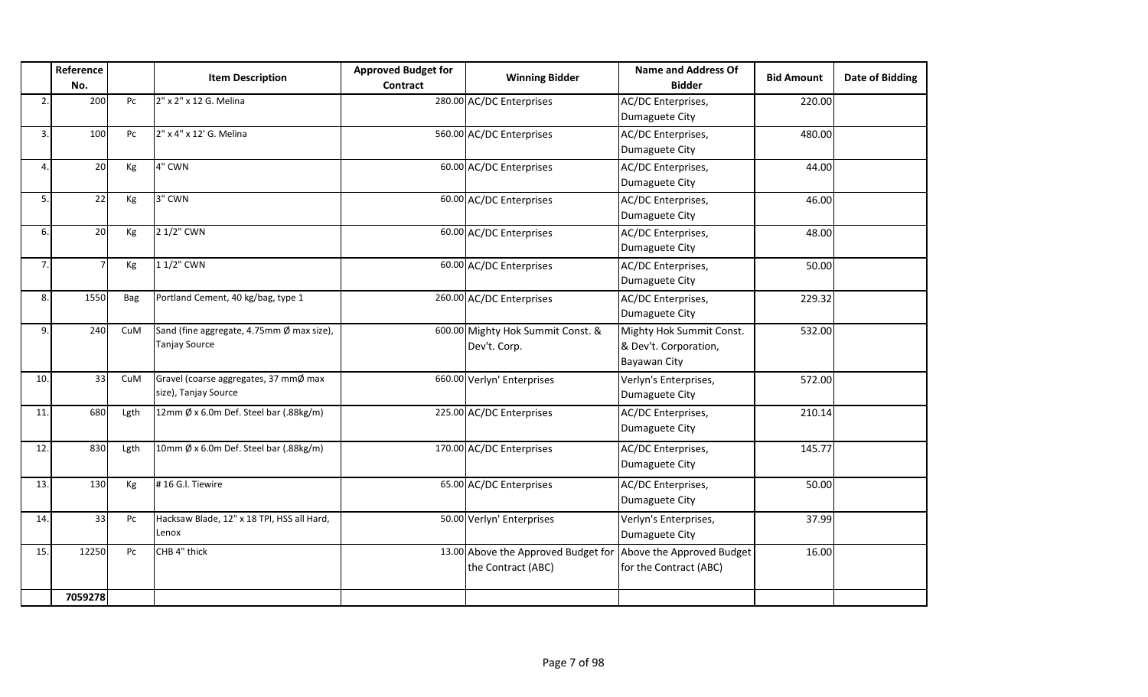|                | Reference<br>No. |                        | <b>Item Description</b>                                           | <b>Approved Budget for</b><br><b>Contract</b> | <b>Winning Bidder</b>                                     | <b>Name and Address Of</b><br><b>Bidder</b>                       | <b>Bid Amount</b> | Date of Bidding |
|----------------|------------------|------------------------|-------------------------------------------------------------------|-----------------------------------------------|-----------------------------------------------------------|-------------------------------------------------------------------|-------------------|-----------------|
| $\mathfrak{p}$ | 200              | Pc                     | 2" x 2" x 12 G. Melina                                            |                                               | 280.00 AC/DC Enterprises                                  | AC/DC Enterprises,<br>Dumaguete City                              | 220.00            |                 |
| 3.             | 100              | Pc                     | 2" x 4" x 12' G. Melina                                           |                                               | 560.00 AC/DC Enterprises                                  | AC/DC Enterprises,<br>Dumaguete City                              | 480.00            |                 |
| Δ              | 20               | Kg                     | 4" CWN                                                            |                                               | 60.00 AC/DC Enterprises                                   | AC/DC Enterprises,<br>Dumaguete City                              | 44.00             |                 |
| 5.             | 22               | Kg                     | 3" CWN                                                            |                                               | 60.00 AC/DC Enterprises                                   | AC/DC Enterprises,<br>Dumaguete City                              | 46.00             |                 |
| 6.             | 20               | Kg                     | 2 1/2" CWN                                                        |                                               | 60.00 AC/DC Enterprises                                   | AC/DC Enterprises,<br>Dumaguete City                              | 48.00             |                 |
| 7.             | $\overline{7}$   | Kg                     | 1 1/2" CWN                                                        |                                               | 60.00 AC/DC Enterprises                                   | AC/DC Enterprises,<br>Dumaguete City                              | 50.00             |                 |
| 8.             | 1550             | Bag                    | Portland Cement, 40 kg/bag, type 1                                |                                               | 260.00 AC/DC Enterprises                                  | AC/DC Enterprises,<br>Dumaguete City                              | 229.32            |                 |
| 9.             | 240              | CuM                    | Sand (fine aggregate, 4.75mm Ø max size),<br><b>Tanjay Source</b> |                                               | 600.00 Mighty Hok Summit Const. &<br>Dev't. Corp.         | Mighty Hok Summit Const.<br>& Dev't. Corporation,<br>Bayawan City | 532.00            |                 |
| 10.            | 33               | CuM                    | Gravel (coarse aggregates, 37 mmØ max<br>size), Tanjay Source     |                                               | 660.00 Verlyn' Enterprises                                | Verlyn's Enterprises,<br>Dumaguete City                           | 572.00            |                 |
| 11             | 680              | Lgth                   | 12mm Ø x 6.0m Def. Steel bar (.88kg/m)                            |                                               | 225.00 AC/DC Enterprises                                  | AC/DC Enterprises,<br>Dumaguete City                              | 210.14            |                 |
| 12.            | 830              | Lgth                   | 10mm Ø x 6.0m Def. Steel bar (.88kg/m)                            |                                               | 170.00 AC/DC Enterprises                                  | AC/DC Enterprises,<br>Dumaguete City                              | 145.77            |                 |
| 13.            | 130              | Kg                     | #16 G.I. Tiewire                                                  |                                               | 65.00 AC/DC Enterprises                                   | AC/DC Enterprises,<br>Dumaguete City                              | 50.00             |                 |
| 14.            | 33               | $\mathsf{P}\mathsf{C}$ | Hacksaw Blade, 12" x 18 TPI, HSS all Hard,<br>Lenox               |                                               | 50.00 Verlyn' Enterprises                                 | Verlyn's Enterprises,<br>Dumaguete City                           | 37.99             |                 |
| 15.            | 12250            | Pc                     | CHB 4" thick                                                      |                                               | 13.00 Above the Approved Budget for<br>the Contract (ABC) | Above the Approved Budget<br>for the Contract (ABC)               | 16.00             |                 |
|                | 7059278          |                        |                                                                   |                                               |                                                           |                                                                   |                   |                 |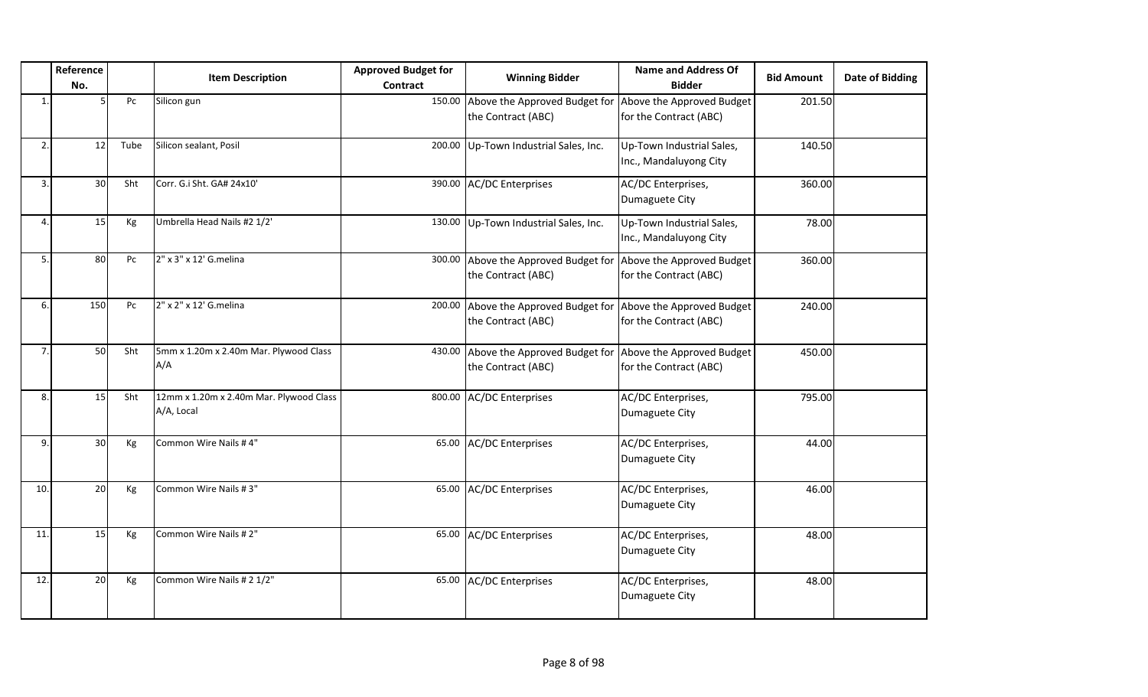|     | Reference<br>No. |      | <b>Item Description</b>                               | <b>Approved Budget for</b><br>Contract | <b>Winning Bidder</b>                                                                | <b>Name and Address Of</b><br><b>Bidder</b>         | <b>Bid Amount</b> | <b>Date of Bidding</b> |
|-----|------------------|------|-------------------------------------------------------|----------------------------------------|--------------------------------------------------------------------------------------|-----------------------------------------------------|-------------------|------------------------|
| 1   |                  | Pc   | Silicon gun                                           |                                        | 150.00 Above the Approved Budget for<br>the Contract (ABC)                           | Above the Approved Budget<br>for the Contract (ABC) | 201.50            |                        |
| 2.  | 12 <sup>1</sup>  | Tube | Silicon sealant, Posil                                |                                        | 200.00 Up-Town Industrial Sales, Inc.                                                | Up-Town Industrial Sales,<br>Inc., Mandaluyong City | 140.50            |                        |
| 3.  | 30               | Sht  | Corr. G.i Sht. GA# 24x10'                             |                                        | 390.00 AC/DC Enterprises                                                             | AC/DC Enterprises,<br>Dumaguete City                | 360.00            |                        |
| 4   | 15               | Кg   | Umbrella Head Nails #2 1/2'                           |                                        | 130.00 Up-Town Industrial Sales, Inc.                                                | Up-Town Industrial Sales,<br>Inc., Mandaluyong City | 78.00             |                        |
| 5.  | 80               | Pc   | 2" x 3" x 12' G.melina                                |                                        | 300.00 Above the Approved Budget for Above the Approved Budget<br>the Contract (ABC) | for the Contract (ABC)                              | 360.00            |                        |
| 6.  | 150              | Pc   | 2" x 2" x 12' G.melina                                |                                        | 200.00 Above the Approved Budget for Above the Approved Budget<br>the Contract (ABC) | for the Contract (ABC)                              | 240.00            |                        |
| 7   | 50               | Sht  | 5mm x 1.20m x 2.40m Mar. Plywood Class<br>A/A         |                                        | 430.00 Above the Approved Budget for Above the Approved Budget<br>the Contract (ABC) | for the Contract (ABC)                              | 450.00            |                        |
| 8.  | 15               | Sht  | 12mm x 1.20m x 2.40m Mar. Plywood Class<br>A/A, Local |                                        | 800.00 AC/DC Enterprises                                                             | AC/DC Enterprises,<br>Dumaguete City                | 795.00            |                        |
| 9.  | 30 <sup>1</sup>  | Kg   | Common Wire Nails #4"                                 |                                        | 65.00 AC/DC Enterprises                                                              | AC/DC Enterprises,<br>Dumaguete City                | 44.00             |                        |
| 10. | 20               | Kg   | Common Wire Nails #3"                                 |                                        | 65.00 AC/DC Enterprises                                                              | AC/DC Enterprises,<br>Dumaguete City                | 46.00             |                        |
| 11. | 15               | Kg   | Common Wire Nails # 2"                                |                                        | 65.00 AC/DC Enterprises                                                              | AC/DC Enterprises,<br>Dumaguete City                | 48.00             |                        |
| 12. | 20               | Кg   | Common Wire Nails # 2 1/2"                            |                                        | 65.00 AC/DC Enterprises                                                              | AC/DC Enterprises,<br>Dumaguete City                | 48.00             |                        |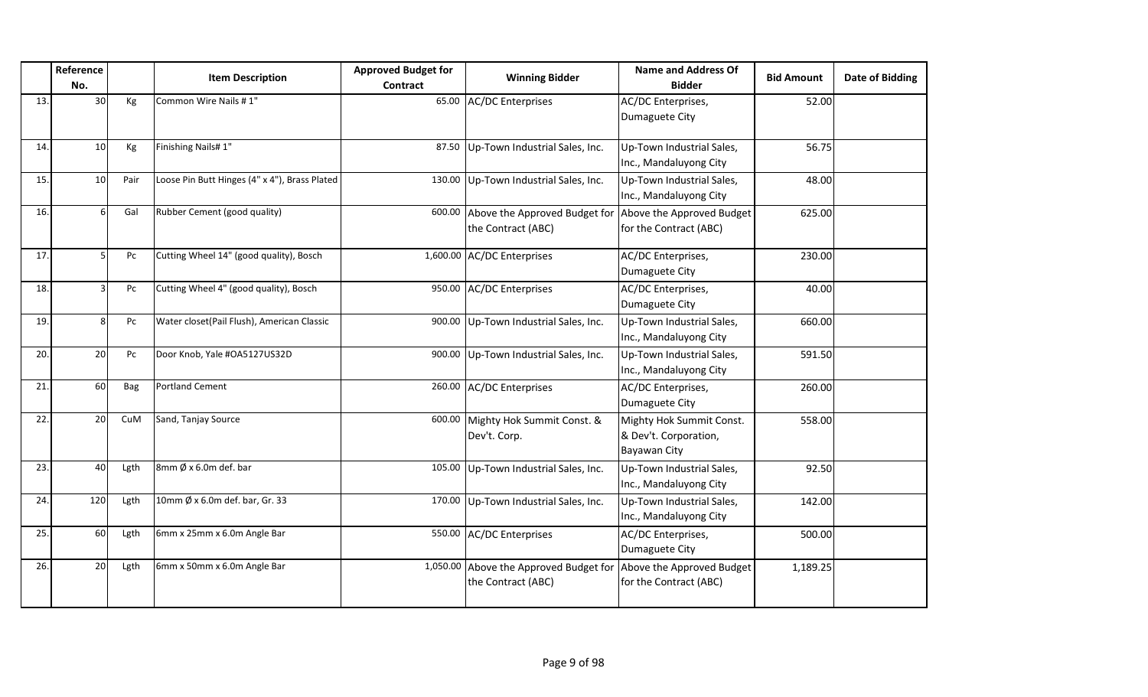|     | Reference<br>No. |      | <b>Item Description</b>                       | <b>Approved Budget for</b><br><b>Contract</b> | <b>Winning Bidder</b>                                                         | <b>Name and Address Of</b><br><b>Bidder</b>                       | <b>Bid Amount</b> | <b>Date of Bidding</b> |
|-----|------------------|------|-----------------------------------------------|-----------------------------------------------|-------------------------------------------------------------------------------|-------------------------------------------------------------------|-------------------|------------------------|
| 13. | 30               | Kg   | Common Wire Nails #1"                         | 65.00                                         | <b>AC/DC Enterprises</b>                                                      | AC/DC Enterprises,<br>Dumaguete City                              | 52.00             |                        |
| 14. | 10               | Kg   | Finishing Nails#1"                            | 87.50                                         | Up-Town Industrial Sales, Inc.                                                | Up-Town Industrial Sales,<br>Inc., Mandaluyong City               | 56.75             |                        |
| 15. | 10               | Pair | Loose Pin Butt Hinges (4" x 4"), Brass Plated | 130.00                                        | Up-Town Industrial Sales, Inc.                                                | Up-Town Industrial Sales,<br>Inc., Mandaluyong City               | 48.00             |                        |
| 16. | 6                | Gal  | Rubber Cement (good quality)                  | 600.00                                        | Above the Approved Budget for Above the Approved Budget<br>the Contract (ABC) | for the Contract (ABC)                                            | 625.00            |                        |
| 17. | 5                | Pc   | Cutting Wheel 14" (good quality), Bosch       |                                               | 1,600.00 AC/DC Enterprises                                                    | AC/DC Enterprises,<br>Dumaguete City                              | 230.00            |                        |
| 18. |                  | Pc   | Cutting Wheel 4" (good quality), Bosch        |                                               | 950.00 AC/DC Enterprises                                                      | AC/DC Enterprises,<br>Dumaguete City                              | 40.00             |                        |
| 19. | 8                | Pc   | Water closet(Pail Flush), American Classic    | 900.00                                        | Up-Town Industrial Sales, Inc.                                                | Up-Town Industrial Sales,<br>Inc., Mandaluyong City               | 660.00            |                        |
| 20. | 20               | Pc   | Door Knob, Yale #OA5127US32D                  | 900.00                                        | Up-Town Industrial Sales, Inc.                                                | Up-Town Industrial Sales,<br>Inc., Mandaluyong City               | 591.50            |                        |
| 21. | 60               | Bag  | <b>Portland Cement</b>                        | 260.00                                        | <b>AC/DC Enterprises</b>                                                      | AC/DC Enterprises,<br>Dumaguete City                              | 260.00            |                        |
| 22. | 20               | CuM  | Sand, Tanjay Source                           | 600.00                                        | Mighty Hok Summit Const. &<br>Dev't. Corp.                                    | Mighty Hok Summit Const.<br>& Dev't. Corporation,<br>Bayawan City | 558.00            |                        |
| 23. | 40               | Lgth | 8mm $\emptyset$ x 6.0m def. bar               | 105.00                                        | Up-Town Industrial Sales, Inc.                                                | Up-Town Industrial Sales,<br>Inc., Mandaluyong City               | 92.50             |                        |
| 24. | 120              | Lgth | 10mm Ø x 6.0m def. bar, Gr. 33                | 170.00                                        | Up-Town Industrial Sales, Inc.                                                | Up-Town Industrial Sales,<br>Inc., Mandaluyong City               | 142.00            |                        |
| 25. | 60               | Lgth | 6mm x 25mm x 6.0m Angle Bar                   | 550.00                                        | <b>AC/DC Enterprises</b>                                                      | AC/DC Enterprises,<br>Dumaguete City                              | 500.00            |                        |
| 26. | 20               | Lgth | 6mm x 50mm x 6.0m Angle Bar                   |                                               | 1,050.00 Above the Approved Budget for<br>the Contract (ABC)                  | Above the Approved Budget<br>for the Contract (ABC)               | 1,189.25          |                        |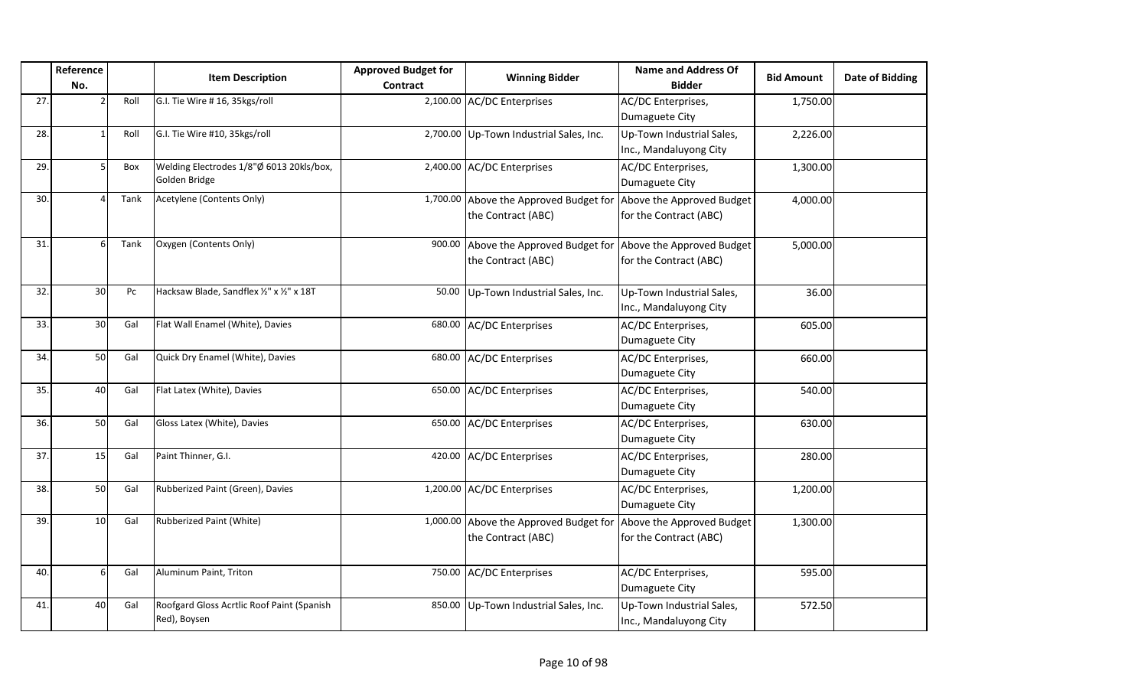|     | Reference       |      | <b>Item Description</b>                                    | <b>Approved Budget for</b> | <b>Winning Bidder</b>                                                                  | Name and Address Of                                 | <b>Bid Amount</b> | <b>Date of Bidding</b> |
|-----|-----------------|------|------------------------------------------------------------|----------------------------|----------------------------------------------------------------------------------------|-----------------------------------------------------|-------------------|------------------------|
|     | No.             |      |                                                            | Contract                   |                                                                                        | <b>Bidder</b>                                       |                   |                        |
| 27. |                 | Roll | G.I. Tie Wire # 16, 35kgs/roll                             |                            | 2,100.00 AC/DC Enterprises                                                             | AC/DC Enterprises,<br>Dumaguete City                | 1,750.00          |                        |
| 28. |                 | Roll | G.I. Tie Wire #10, 35kgs/roll                              |                            | 2,700.00 Up-Town Industrial Sales, Inc.                                                | Up-Town Industrial Sales,<br>Inc., Mandaluyong City | 2,226.00          |                        |
| 29. | 5               | Box  | Welding Electrodes 1/8"Ø 6013 20kls/box,<br>Golden Bridge  |                            | 2,400.00 AC/DC Enterprises                                                             | AC/DC Enterprises,<br>Dumaguete City                | 1,300.00          |                        |
| 30. |                 | Tank | Acetylene (Contents Only)                                  |                            | 1,700.00 Above the Approved Budget for Above the Approved Budget<br>the Contract (ABC) | for the Contract (ABC)                              | 4,000.00          |                        |
| 31. | 6               | Tank | Oxygen (Contents Only)                                     | 900.00                     | Above the Approved Budget for<br>the Contract (ABC)                                    | Above the Approved Budget<br>for the Contract (ABC) | 5,000.00          |                        |
| 32. | 30 <sup>1</sup> | Pc   | Hacksaw Blade, Sandflex 1/2" x 1/2" x 18T                  |                            | 50.00 Up-Town Industrial Sales, Inc.                                                   | Up-Town Industrial Sales,<br>Inc., Mandaluyong City | 36.00             |                        |
| 33. | 30              | Gal  | Flat Wall Enamel (White), Davies                           |                            | 680.00 AC/DC Enterprises                                                               | AC/DC Enterprises,<br>Dumaguete City                | 605.00            |                        |
| 34. | 50              | Gal  | Quick Dry Enamel (White), Davies                           | 680.00                     | <b>AC/DC Enterprises</b>                                                               | AC/DC Enterprises,<br>Dumaguete City                | 660.00            |                        |
| 35. | 40              | Gal  | Flat Latex (White), Davies                                 |                            | 650.00 AC/DC Enterprises                                                               | AC/DC Enterprises,<br>Dumaguete City                | 540.00            |                        |
| 36. | 50              | Gal  | Gloss Latex (White), Davies                                |                            | 650.00 AC/DC Enterprises                                                               | AC/DC Enterprises,<br>Dumaguete City                | 630.00            |                        |
| 37. | 15              | Gal  | Paint Thinner, G.I.                                        |                            | 420.00 AC/DC Enterprises                                                               | AC/DC Enterprises,<br>Dumaguete City                | 280.00            |                        |
| 38. | 50              | Gal  | Rubberized Paint (Green), Davies                           |                            | 1,200.00 AC/DC Enterprises                                                             | AC/DC Enterprises,<br>Dumaguete City                | 1,200.00          |                        |
| 39. | 10              | Gal  | Rubberized Paint (White)                                   |                            | 1,000.00 Above the Approved Budget for<br>the Contract (ABC)                           | Above the Approved Budget<br>for the Contract (ABC) | 1,300.00          |                        |
| 40. | 6               | Gal  | Aluminum Paint, Triton                                     | 750.00                     | <b>AC/DC Enterprises</b>                                                               | AC/DC Enterprises,<br>Dumaguete City                | 595.00            |                        |
| 41. | 40              | Gal  | Roofgard Gloss Acrtlic Roof Paint (Spanish<br>Red), Boysen |                            | 850.00 Up-Town Industrial Sales, Inc.                                                  | Up-Town Industrial Sales,<br>Inc., Mandaluyong City | 572.50            |                        |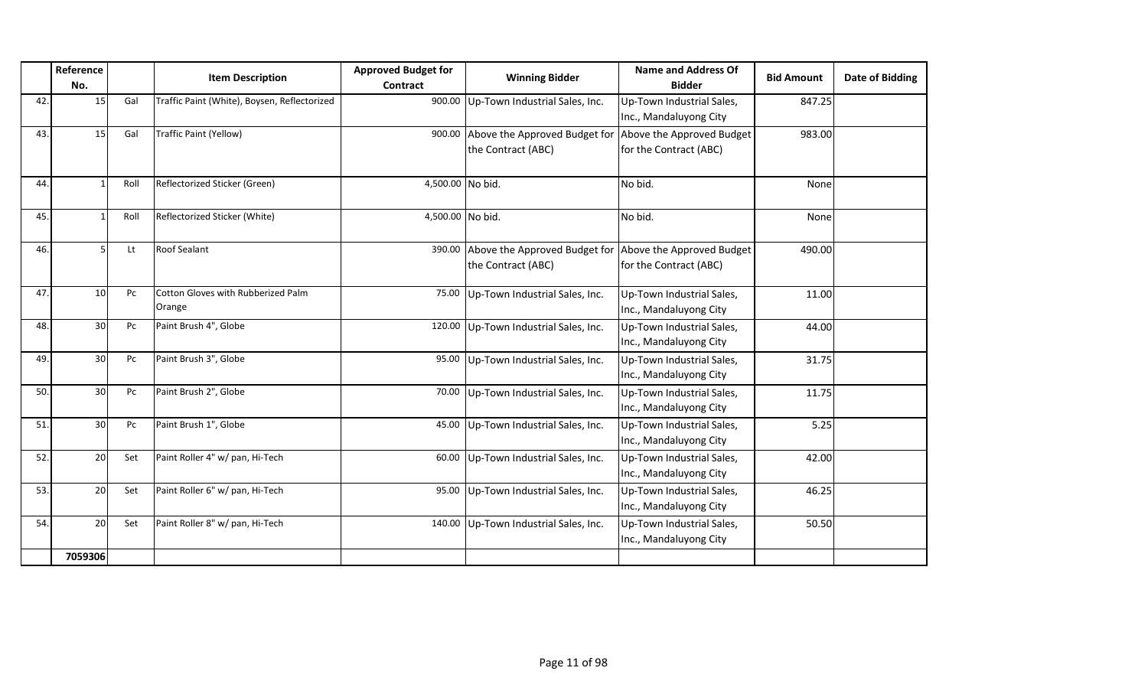|     | Reference       |      | <b>Item Description</b>                      | <b>Approved Budget for</b> | <b>Winning Bidder</b>                                      | <b>Name and Address Of</b>                          | <b>Bid Amount</b> | Date of Bidding |
|-----|-----------------|------|----------------------------------------------|----------------------------|------------------------------------------------------------|-----------------------------------------------------|-------------------|-----------------|
|     | No.             |      |                                              | Contract                   |                                                            | <b>Bidder</b>                                       |                   |                 |
| 42. | 15              | Gal  | Traffic Paint (White), Boysen, Reflectorized |                            | 900.00 Up-Town Industrial Sales, Inc.                      | Up-Town Industrial Sales,<br>Inc., Mandaluyong City | 847.25            |                 |
| 43. | 15              | Gal  | Traffic Paint (Yellow)                       |                            | 900.00 Above the Approved Budget for<br>the Contract (ABC) | Above the Approved Budget<br>for the Contract (ABC) | 983.00            |                 |
| 44. |                 | Roll | Reflectorized Sticker (Green)                | 4,500.00 No bid.           |                                                            | No bid.                                             | None              |                 |
| 45. |                 | Roll | Reflectorized Sticker (White)                | 4,500.00 No bid.           |                                                            | No bid.                                             | None              |                 |
| 46. |                 | Lt   | <b>Roof Sealant</b>                          |                            | 390.00 Above the Approved Budget for<br>the Contract (ABC) | Above the Approved Budget<br>for the Contract (ABC) | 490.00            |                 |
| 47. | 10 <sup>1</sup> | Pc   | Cotton Gloves with Rubberized Palm<br>Orange |                            | 75.00 Up-Town Industrial Sales, Inc.                       | Up-Town Industrial Sales,<br>Inc., Mandaluyong City | 11.00             |                 |
| 48. | 30              | Pc   | Paint Brush 4", Globe                        |                            | 120.00 Up-Town Industrial Sales, Inc.                      | Up-Town Industrial Sales,<br>Inc., Mandaluyong City | 44.00             |                 |
| 49. | 30 <sup>1</sup> | Pc   | Paint Brush 3", Globe                        | 95.00                      | Up-Town Industrial Sales, Inc.                             | Up-Town Industrial Sales,<br>Inc., Mandaluyong City | 31.75             |                 |
| 50. | 30              | Pc   | Paint Brush 2", Globe                        |                            | 70.00 Up-Town Industrial Sales, Inc.                       | Up-Town Industrial Sales,<br>Inc., Mandaluyong City | 11.75             |                 |
| 51. | 30 <sup>1</sup> | Pc   | Paint Brush 1", Globe                        |                            | 45.00 Up-Town Industrial Sales, Inc.                       | Up-Town Industrial Sales,<br>Inc., Mandaluyong City | 5.25              |                 |
| 52. | 20              | Set  | Paint Roller 4" w/ pan, Hi-Tech              | 60.00                      | Up-Town Industrial Sales, Inc.                             | Up-Town Industrial Sales,<br>Inc., Mandaluyong City | 42.00             |                 |
| 53. | 20 <sup>1</sup> | Set  | Paint Roller 6" w/ pan, Hi-Tech              |                            | 95.00 Up-Town Industrial Sales, Inc.                       | Up-Town Industrial Sales,<br>Inc., Mandaluyong City | 46.25             |                 |
| 54. | 20              | Set  | Paint Roller 8" w/ pan, Hi-Tech              | 140.00                     | Up-Town Industrial Sales, Inc.                             | Up-Town Industrial Sales,<br>Inc., Mandaluyong City | 50.50             |                 |
|     | 7059306         |      |                                              |                            |                                                            |                                                     |                   |                 |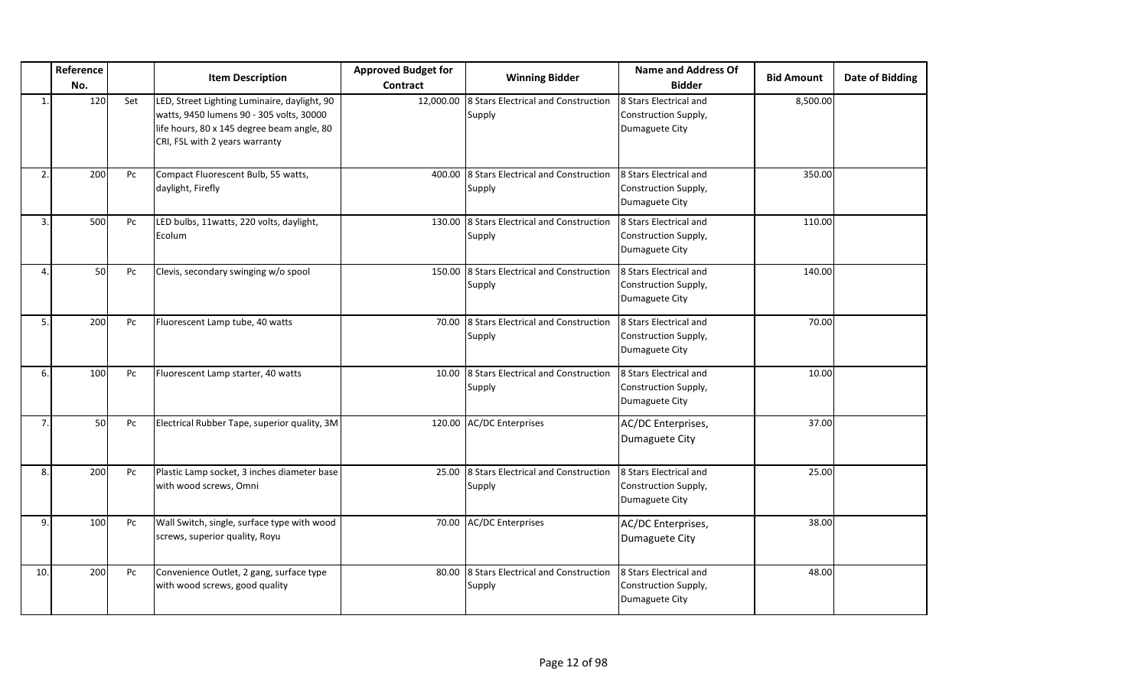|                | Reference<br>No. |     | <b>Item Description</b>                                                                                                                                                  | <b>Approved Budget for</b><br><b>Contract</b> | <b>Winning Bidder</b>                         | <b>Name and Address Of</b><br><b>Bidder</b>                      | <b>Bid Amount</b> | Date of Bidding |
|----------------|------------------|-----|--------------------------------------------------------------------------------------------------------------------------------------------------------------------------|-----------------------------------------------|-----------------------------------------------|------------------------------------------------------------------|-------------------|-----------------|
| $\mathbf{1}$   | 120              | Set | LED, Street Lighting Luminaire, daylight, 90<br>watts, 9450 lumens 90 - 305 volts, 30000<br>life hours, 80 x 145 degree beam angle, 80<br>CRI, FSL with 2 years warranty | 12,000.00                                     | 8 Stars Electrical and Construction<br>Supply | 8 Stars Electrical and<br>Construction Supply,<br>Dumaguete City | 8,500.00          |                 |
| 2.             | 200              | Pc  | Compact Fluorescent Bulb, 55 watts,<br>daylight, Firefly                                                                                                                 | 400.00                                        | 8 Stars Electrical and Construction<br>Supply | 8 Stars Electrical and<br>Construction Supply,<br>Dumaguete City | 350.00            |                 |
| 3.             | 500              | Pc  | LED bulbs, 11watts, 220 volts, daylight,<br>Ecolum                                                                                                                       | 130.00                                        | 8 Stars Electrical and Construction<br>Supply | 8 Stars Electrical and<br>Construction Supply,<br>Dumaguete City | 110.00            |                 |
| $\overline{4}$ | 50               | Pc  | Clevis, secondary swinging w/o spool                                                                                                                                     | 150.00                                        | 8 Stars Electrical and Construction<br>Supply | 8 Stars Electrical and<br>Construction Supply,<br>Dumaguete City | 140.00            |                 |
| 5.             | 200              | Pc  | Fluorescent Lamp tube, 40 watts                                                                                                                                          | 70.00                                         | 8 Stars Electrical and Construction<br>Supply | 8 Stars Electrical and<br>Construction Supply,<br>Dumaguete City | 70.00             |                 |
| 6.             | 100              | Pc  | Fluorescent Lamp starter, 40 watts                                                                                                                                       | 10.00                                         | 8 Stars Electrical and Construction<br>Supply | 8 Stars Electrical and<br>Construction Supply,<br>Dumaguete City | 10.00             |                 |
| $\overline{7}$ | 50               | Pc  | Electrical Rubber Tape, superior quality, 3M                                                                                                                             | 120.00                                        | <b>AC/DC Enterprises</b>                      | AC/DC Enterprises,<br>Dumaguete City                             | 37.00             |                 |
| 8.             | 200              | Pc  | Plastic Lamp socket, 3 inches diameter base<br>with wood screws, Omni                                                                                                    | 25.00                                         | 8 Stars Electrical and Construction<br>Supply | 8 Stars Electrical and<br>Construction Supply,<br>Dumaguete City | 25.00             |                 |
| 9.             | 100              | Pc  | Wall Switch, single, surface type with wood<br>screws, superior quality, Royu                                                                                            |                                               | 70.00 AC/DC Enterprises                       | AC/DC Enterprises,<br>Dumaguete City                             | 38.00             |                 |
| 10.            | 200              | Pc  | Convenience Outlet, 2 gang, surface type<br>with wood screws, good quality                                                                                               | 80.00                                         | 8 Stars Electrical and Construction<br>Supply | 8 Stars Electrical and<br>Construction Supply,<br>Dumaguete City | 48.00             |                 |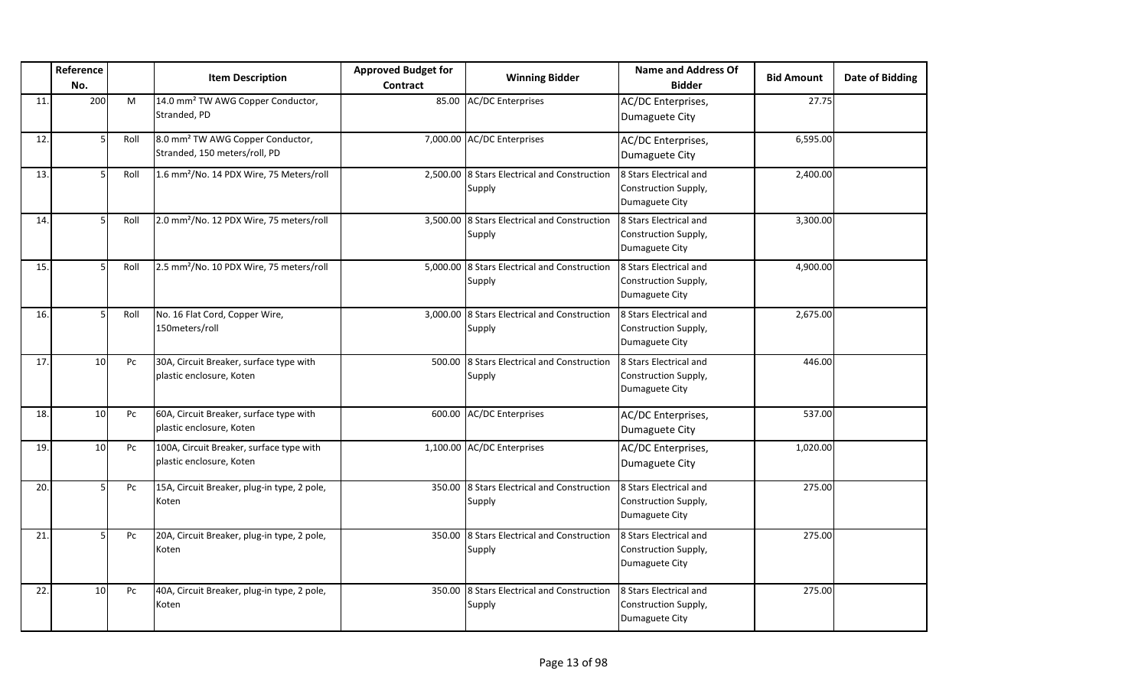|     | Reference<br>No. |      | <b>Item Description</b>                                                       | <b>Approved Budget for</b><br>Contract | <b>Winning Bidder</b>                                  | Name and Address Of<br><b>Bidder</b>                                    | <b>Bid Amount</b> | <b>Date of Bidding</b> |
|-----|------------------|------|-------------------------------------------------------------------------------|----------------------------------------|--------------------------------------------------------|-------------------------------------------------------------------------|-------------------|------------------------|
| 11. | 200              | M    | 14.0 mm <sup>2</sup> TW AWG Copper Conductor,<br>Stranded, PD                 |                                        | 85.00 AC/DC Enterprises                                | AC/DC Enterprises,<br>Dumaguete City                                    | 27.75             |                        |
| 12. |                  | Roll | 8.0 mm <sup>2</sup> TW AWG Copper Conductor,<br>Stranded, 150 meters/roll, PD |                                        | 7,000.00 AC/DC Enterprises                             | AC/DC Enterprises,<br>Dumaguete City                                    | 6,595.00          |                        |
| 13. |                  | Roll | 1.6 mm <sup>2</sup> /No. 14 PDX Wire, 75 Meters/roll                          |                                        | 2,500.00 8 Stars Electrical and Construction<br>Supply | 8 Stars Electrical and<br>Construction Supply,<br>Dumaguete City        | 2,400.00          |                        |
| 14. |                  | Roll | 2.0 mm <sup>2</sup> /No. 12 PDX Wire, 75 meters/roll                          |                                        | 3,500.00 8 Stars Electrical and Construction<br>Supply | 8 Stars Electrical and<br>Construction Supply,<br>Dumaguete City        | 3,300.00          |                        |
| 15. |                  | Roll | 2.5 mm <sup>2</sup> /No. 10 PDX Wire, 75 meters/roll                          |                                        | 5,000.00 8 Stars Electrical and Construction<br>Supply | 8 Stars Electrical and<br>Construction Supply,<br>Dumaguete City        | 4,900.00          |                        |
| 16. |                  | Roll | No. 16 Flat Cord, Copper Wire,<br>150meters/roll                              |                                        | 3,000.00 8 Stars Electrical and Construction<br>Supply | <b>8 Stars Electrical and</b><br>Construction Supply,<br>Dumaguete City | 2,675.00          |                        |
| 17. | 10 <sup>1</sup>  | Pc   | 30A, Circuit Breaker, surface type with<br>plastic enclosure, Koten           |                                        | 500.00 8 Stars Electrical and Construction<br>Supply   | 8 Stars Electrical and<br>Construction Supply,<br>Dumaguete City        | 446.00            |                        |
| 18. | 10 <sup>1</sup>  | Pc   | 60A, Circuit Breaker, surface type with<br>plastic enclosure, Koten           |                                        | 600.00 AC/DC Enterprises                               | AC/DC Enterprises,<br>Dumaguete City                                    | 537.00            |                        |
| 19. | 10               | Pc   | 100A, Circuit Breaker, surface type with<br>plastic enclosure, Koten          |                                        | 1,100.00 AC/DC Enterprises                             | AC/DC Enterprises,<br>Dumaguete City                                    | 1,020.00          |                        |
| 20. | 5                | Pc   | 15A, Circuit Breaker, plug-in type, 2 pole,<br>Koten                          |                                        | 350.00 8 Stars Electrical and Construction<br>Supply   | 8 Stars Electrical and<br>Construction Supply,<br>Dumaguete City        | 275.00            |                        |
| 21. |                  | Pc   | 20A, Circuit Breaker, plug-in type, 2 pole,<br>Koten                          |                                        | 350.00 8 Stars Electrical and Construction<br>Supply   | 8 Stars Electrical and<br>Construction Supply,<br>Dumaguete City        | 275.00            |                        |
| 22. | 10 <sup>1</sup>  | Pc   | 40A, Circuit Breaker, plug-in type, 2 pole,<br>Koten                          |                                        | 350.00 8 Stars Electrical and Construction<br>Supply   | 8 Stars Electrical and<br>Construction Supply,<br>Dumaguete City        | 275.00            |                        |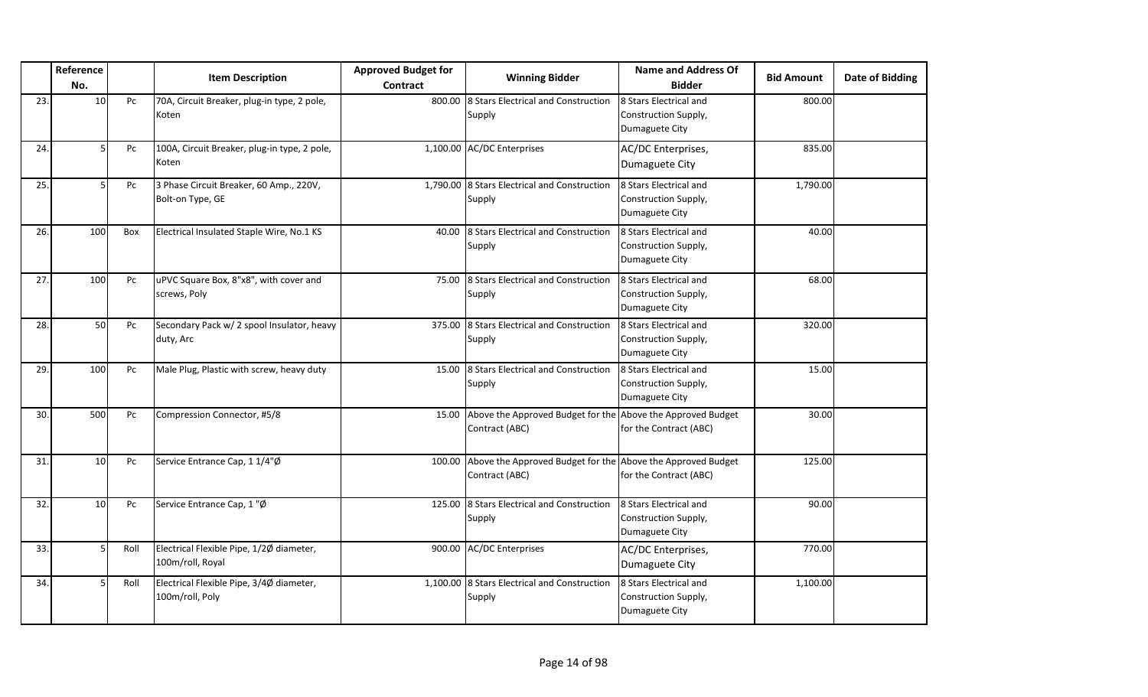|     | Reference<br>No. |      | <b>Item Description</b>                                      | <b>Approved Budget for</b><br><b>Contract</b> | <b>Winning Bidder</b>                                                         | <b>Name and Address Of</b><br><b>Bidder</b>                             | <b>Bid Amount</b> | <b>Date of Bidding</b> |
|-----|------------------|------|--------------------------------------------------------------|-----------------------------------------------|-------------------------------------------------------------------------------|-------------------------------------------------------------------------|-------------------|------------------------|
| 23. | 10               | Pc   | 70A, Circuit Breaker, plug-in type, 2 pole,<br>Koten         | 800.00                                        | 8 Stars Electrical and Construction<br>Supply                                 | 8 Stars Electrical and<br>Construction Supply,<br>Dumaguete City        | 800.00            |                        |
| 24. | 5                | Pc   | 100A, Circuit Breaker, plug-in type, 2 pole,<br>Koten        |                                               | 1,100.00 AC/DC Enterprises                                                    | AC/DC Enterprises,<br>Dumaguete City                                    | 835.00            |                        |
| 25. | 5                | Pc   | 3 Phase Circuit Breaker, 60 Amp., 220V,<br>Bolt-on Type, GE  |                                               | 1,790.00 8 Stars Electrical and Construction<br>Supply                        | 8 Stars Electrical and<br>Construction Supply,<br>Dumaguete City        | 1,790.00          |                        |
| 26. | 100              | Box  | Electrical Insulated Staple Wire, No.1 KS                    | 40.00                                         | 8 Stars Electrical and Construction<br>Supply                                 | 8 Stars Electrical and<br>Construction Supply,<br>Dumaguete City        | 40.00             |                        |
| 27. | 100              | Pc   | uPVC Square Box, 8"x8", with cover and<br>screws, Poly       | 75.00                                         | 8 Stars Electrical and Construction<br>Supply                                 | 8 Stars Electrical and<br>Construction Supply,<br>Dumaguete City        | 68.00             |                        |
| 28. | 50               | Pc   | Secondary Pack w/ 2 spool Insulator, heavy<br>duty, Arc      |                                               | 375.00 8 Stars Electrical and Construction<br>Supply                          | <b>8 Stars Electrical and</b><br>Construction Supply,<br>Dumaguete City | 320.00            |                        |
| 29. | 100              | Pc   | Male Plug, Plastic with screw, heavy duty                    | 15.00                                         | 8 Stars Electrical and Construction<br>Supply                                 | 8 Stars Electrical and<br>Construction Supply,<br>Dumaguete City        | 15.00             |                        |
| 30. | 500              | Pc   | Compression Connector, #5/8                                  | 15.00                                         | Above the Approved Budget for the Above the Approved Budget<br>Contract (ABC) | for the Contract (ABC)                                                  | 30.00             |                        |
| 31. | 10               | Pc   | Service Entrance Cap, 1 1/4"Ø                                | 100.00                                        | Above the Approved Budget for the Above the Approved Budget<br>Contract (ABC) | for the Contract (ABC)                                                  | 125.00            |                        |
| 32. | 10               | Pc   | Service Entrance Cap, 1"Ø                                    |                                               | 125.00 8 Stars Electrical and Construction<br>Supply                          | 8 Stars Electrical and<br>Construction Supply,<br>Dumaguete City        | 90.00             |                        |
| 33. | -5               | Roll | Electrical Flexible Pipe, 1/2Ø diameter,<br>100m/roll, Royal |                                               | 900.00 AC/DC Enterprises                                                      | AC/DC Enterprises,<br>Dumaguete City                                    | 770.00            |                        |
| 34. | 5                | Roll | Electrical Flexible Pipe, 3/4Ø diameter,<br>100m/roll, Poly  |                                               | 1,100.00 8 Stars Electrical and Construction<br>Supply                        | 8 Stars Electrical and<br>Construction Supply,<br>Dumaguete City        | 1,100.00          |                        |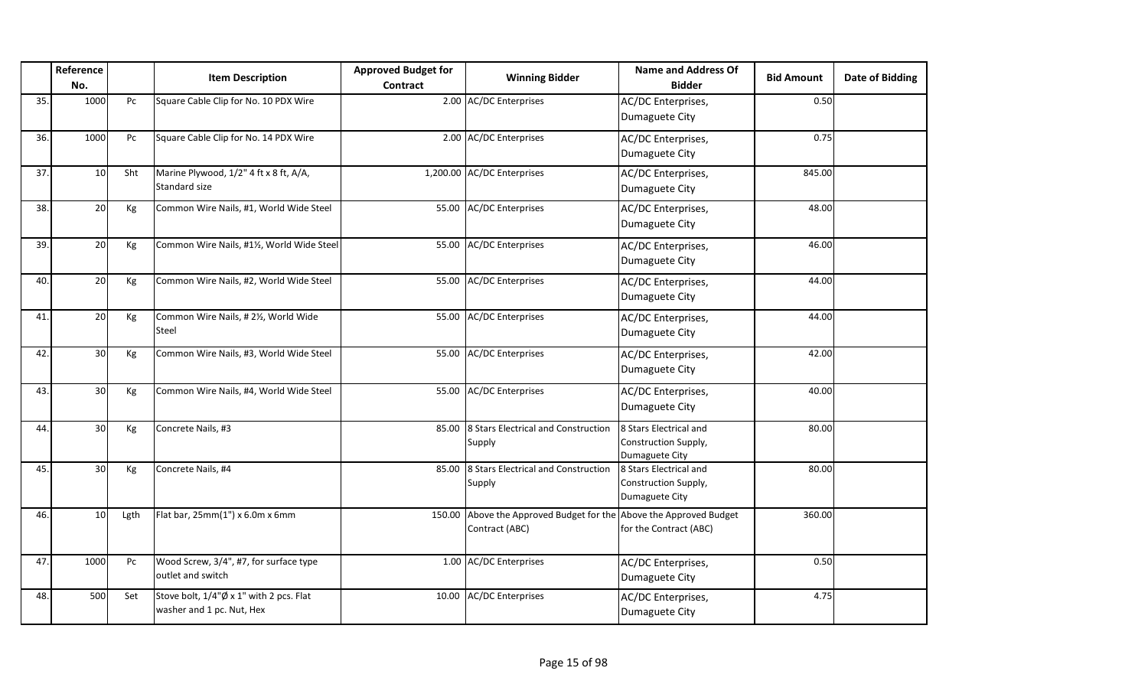|     | Reference       |      | <b>Item Description</b>                                              | <b>Approved Budget for</b> | <b>Winning Bidder</b>                                                         | <b>Name and Address Of</b>                                       | <b>Bid Amount</b> | Date of Bidding |
|-----|-----------------|------|----------------------------------------------------------------------|----------------------------|-------------------------------------------------------------------------------|------------------------------------------------------------------|-------------------|-----------------|
|     | No.             |      |                                                                      | Contract                   |                                                                               | <b>Bidder</b>                                                    |                   |                 |
| 35. | 1000            | Pc   | Square Cable Clip for No. 10 PDX Wire                                |                            | 2.00 AC/DC Enterprises                                                        | AC/DC Enterprises,<br>Dumaguete City                             | 0.50              |                 |
| 36. | 1000            | Pc   | Square Cable Clip for No. 14 PDX Wire                                |                            | 2.00 AC/DC Enterprises                                                        | AC/DC Enterprises,<br>Dumaguete City                             | 0.75              |                 |
| 37. | 10              | Sht  | Marine Plywood, 1/2" 4 ft x 8 ft, A/A,<br>Standard size              |                            | 1,200.00 AC/DC Enterprises                                                    | AC/DC Enterprises,<br>Dumaguete City                             | 845.00            |                 |
| 38. | 20              | Kg   | Common Wire Nails, #1, World Wide Steel                              |                            | 55.00 AC/DC Enterprises                                                       | AC/DC Enterprises,<br>Dumaguete City                             | 48.00             |                 |
| 39. | 20              | Kg   | Common Wire Nails, #1½, World Wide Steel                             |                            | 55.00 AC/DC Enterprises                                                       | AC/DC Enterprises,<br>Dumaguete City                             | 46.00             |                 |
| 40. | 20              | Kg   | Common Wire Nails, #2, World Wide Steel                              |                            | 55.00 AC/DC Enterprises                                                       | AC/DC Enterprises,<br>Dumaguete City                             | 44.00             |                 |
| 41. | 20              | Кg   | Common Wire Nails, #21/2, World Wide<br>Steel                        | 55.00                      | <b>AC/DC Enterprises</b>                                                      | AC/DC Enterprises,<br>Dumaguete City                             | 44.00             |                 |
| 42. | 30 <sup>1</sup> | Kg   | Common Wire Nails, #3, World Wide Steel                              |                            | 55.00 AC/DC Enterprises                                                       | AC/DC Enterprises,<br>Dumaguete City                             | 42.00             |                 |
| 43. | 30              | Kg   | Common Wire Nails, #4, World Wide Steel                              |                            | 55.00 AC/DC Enterprises                                                       | AC/DC Enterprises,<br>Dumaguete City                             | 40.00             |                 |
| 44. | 30 <sup>1</sup> | Kg   | Concrete Nails, #3                                                   | 85.00                      | 8 Stars Electrical and Construction<br>Supply                                 | 8 Stars Electrical and<br>Construction Supply,<br>Dumaguete City | 80.00             |                 |
| 45. | 30 <sup>1</sup> | Kg   | Concrete Nails, #4                                                   | 85.00                      | 8 Stars Electrical and Construction<br>Supply                                 | 8 Stars Electrical and<br>Construction Supply,<br>Dumaguete City | 80.00             |                 |
| 46. | 10              | Lgth | Flat bar, 25mm(1") x 6.0m x 6mm                                      | 150.00                     | Above the Approved Budget for the Above the Approved Budget<br>Contract (ABC) | for the Contract (ABC)                                           | 360.00            |                 |
| 47. | 1000            | Pc   | Wood Screw, 3/4", #7, for surface type<br>outlet and switch          |                            | 1.00 AC/DC Enterprises                                                        | AC/DC Enterprises,<br>Dumaguete City                             | 0.50              |                 |
| 48. | 500             | Set  | Stove bolt, 1/4"Ø x 1" with 2 pcs. Flat<br>washer and 1 pc. Nut, Hex |                            | 10.00 AC/DC Enterprises                                                       | AC/DC Enterprises,<br>Dumaguete City                             | 4.75              |                 |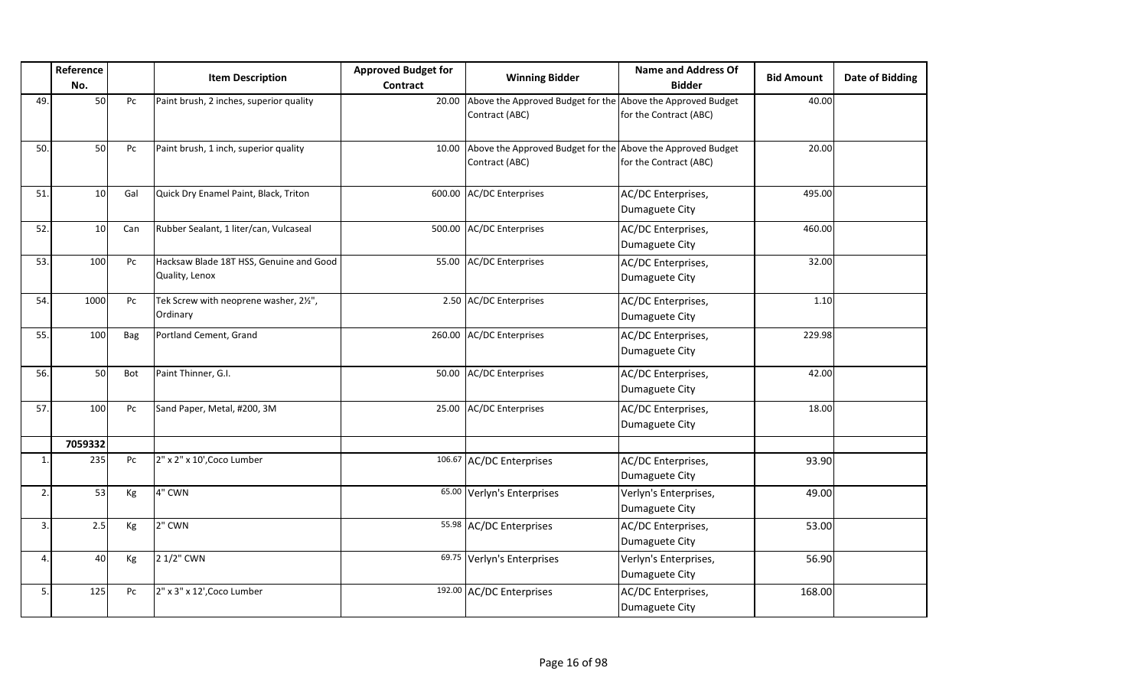|     | Reference<br>No. |     | <b>Item Description</b>                                   | <b>Approved Budget for</b><br><b>Contract</b> | <b>Winning Bidder</b>                                                         | <b>Name and Address Of</b><br><b>Bidder</b> | <b>Bid Amount</b> | <b>Date of Bidding</b> |
|-----|------------------|-----|-----------------------------------------------------------|-----------------------------------------------|-------------------------------------------------------------------------------|---------------------------------------------|-------------------|------------------------|
| 49. | 50               | Pc  | Paint brush, 2 inches, superior quality                   | 20.00                                         | Above the Approved Budget for the Above the Approved Budget<br>Contract (ABC) | for the Contract (ABC)                      | 40.00             |                        |
| 50. | 50               | Pc  | Paint brush, 1 inch, superior quality                     | 10.00                                         | Above the Approved Budget for the Above the Approved Budget<br>Contract (ABC) | for the Contract (ABC)                      | 20.00             |                        |
| 51. | 10 <sup>1</sup>  | Gal | Quick Dry Enamel Paint, Black, Triton                     | 600.00                                        | <b>AC/DC Enterprises</b>                                                      | AC/DC Enterprises,<br>Dumaguete City        | 495.00            |                        |
| 52. | 10               | Can | Rubber Sealant, 1 liter/can, Vulcaseal                    |                                               | 500.00 AC/DC Enterprises                                                      | AC/DC Enterprises,<br>Dumaguete City        | 460.00            |                        |
| 53. | 100              | Pc  | Hacksaw Blade 18T HSS, Genuine and Good<br>Quality, Lenox |                                               | 55.00 AC/DC Enterprises                                                       | AC/DC Enterprises,<br>Dumaguete City        | 32.00             |                        |
| 54. | 1000             | Pc  | Tek Screw with neoprene washer, 21/2",<br>Ordinary        |                                               | 2.50 AC/DC Enterprises                                                        | AC/DC Enterprises,<br>Dumaguete City        | 1.10              |                        |
| 55. | 100              | Bag | Portland Cement, Grand                                    |                                               | 260.00 AC/DC Enterprises                                                      | AC/DC Enterprises,<br>Dumaguete City        | 229.98            |                        |
| 56. | 50               | Bot | Paint Thinner, G.I.                                       | 50.00                                         | <b>AC/DC Enterprises</b>                                                      | AC/DC Enterprises,<br>Dumaguete City        | 42.00             |                        |
| 57. | 100              | Pc  | Sand Paper, Metal, #200, 3M                               | 25.00                                         | <b>AC/DC Enterprises</b>                                                      | AC/DC Enterprises,<br>Dumaguete City        | 18.00             |                        |
|     | 7059332          |     |                                                           |                                               |                                                                               |                                             |                   |                        |
| 1.  | 235              | Pc  | 2" x 2" x 10', Coco Lumber                                |                                               | 106.67 AC/DC Enterprises                                                      | AC/DC Enterprises,<br>Dumaguete City        | 93.90             |                        |
| 2.  | 53               | Кg  | 4" CWN                                                    |                                               | 65.00 Verlyn's Enterprises                                                    | Verlyn's Enterprises,<br>Dumaguete City     | 49.00             |                        |
| 3.  | 2.5              | Kg  | 2" CWN                                                    |                                               | 55.98 AC/DC Enterprises                                                       | AC/DC Enterprises,<br>Dumaguete City        | 53.00             |                        |
| 4.  | 40               | Kg  | 2 1/2" CWN                                                |                                               | 69.75 Verlyn's Enterprises                                                    | Verlyn's Enterprises,<br>Dumaguete City     | 56.90             |                        |
| 5.  | 125              | Pc  | 2" x 3" x 12', Coco Lumber                                |                                               | 192.00 AC/DC Enterprises                                                      | AC/DC Enterprises,<br>Dumaguete City        | 168.00            |                        |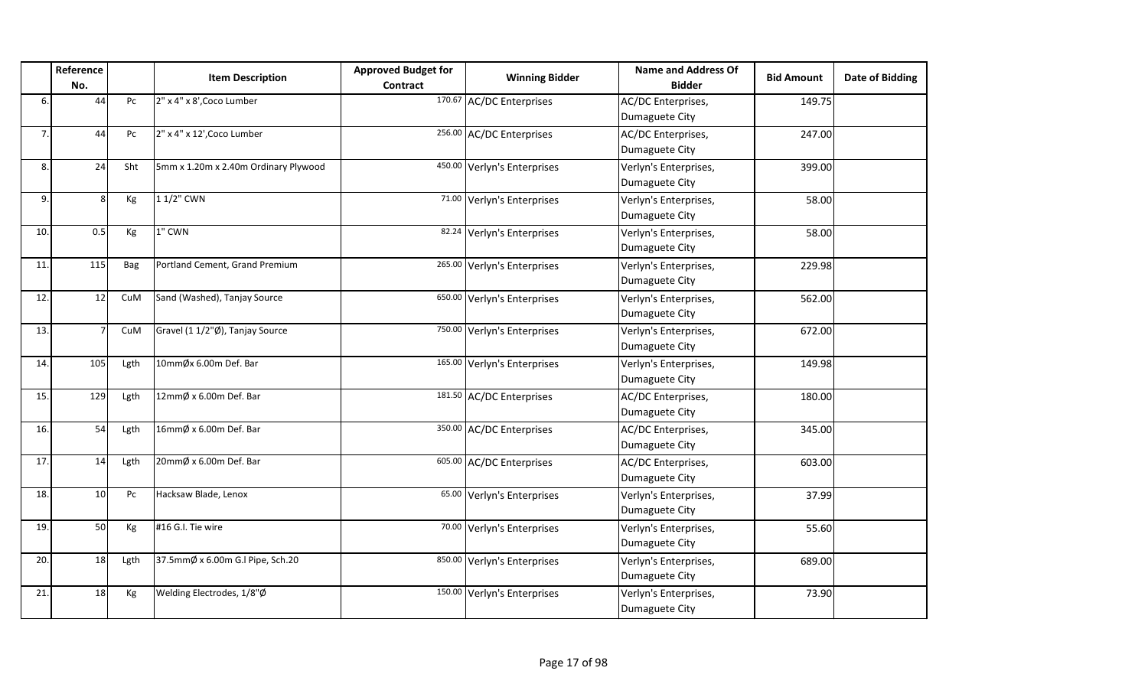|     | Reference<br>No.  |      | <b>Item Description</b>              | <b>Approved Budget for</b><br><b>Contract</b> | <b>Winning Bidder</b>       | <b>Name and Address Of</b><br><b>Bidder</b> | <b>Bid Amount</b> | <b>Date of Bidding</b> |
|-----|-------------------|------|--------------------------------------|-----------------------------------------------|-----------------------------|---------------------------------------------|-------------------|------------------------|
| 6.  | 44                | Pc   | 2" x 4" x 8', Coco Lumber            |                                               | 170.67 AC/DC Enterprises    | AC/DC Enterprises,<br>Dumaguete City        | 149.75            |                        |
| 7.  | 44                | Pc   | 2" x 4" x 12', Coco Lumber           |                                               | 256.00 AC/DC Enterprises    | AC/DC Enterprises,<br>Dumaguete City        | 247.00            |                        |
| 8.  | 24                | Sht  | 5mm x 1.20m x 2.40m Ordinary Plywood |                                               | 450.00 Verlyn's Enterprises | Verlyn's Enterprises,<br>Dumaguete City     | 399.00            |                        |
| 9.  | $\lvert 8 \rvert$ | Kg   | 1 1/2" CWN                           |                                               | 71.00 Verlyn's Enterprises  | Verlyn's Enterprises,<br>Dumaguete City     | 58.00             |                        |
| 10. | 0.5               | Kg   | 1" CWN                               |                                               | 82.24 Verlyn's Enterprises  | Verlyn's Enterprises,<br>Dumaguete City     | 58.00             |                        |
| 11. | 115               | Bag  | Portland Cement, Grand Premium       |                                               | 265.00 Verlyn's Enterprises | Verlyn's Enterprises,<br>Dumaguete City     | 229.98            |                        |
| 12. | 12                | CuM  | Sand (Washed), Tanjay Source         |                                               | 650.00 Verlyn's Enterprises | Verlyn's Enterprises,<br>Dumaguete City     | 562.00            |                        |
| 13. | $\overline{7}$    | CuM  | Gravel (1 1/2"Ø), Tanjay Source      |                                               | 750.00 Verlyn's Enterprises | Verlyn's Enterprises,<br>Dumaguete City     | 672.00            |                        |
| 14. | 105               | Lgth | 10mmØx 6.00m Def. Bar                |                                               | 165.00 Verlyn's Enterprises | Verlyn's Enterprises,<br>Dumaguete City     | 149.98            |                        |
| 15. | 129               | Lgth | 12mmØ x 6.00m Def. Bar               |                                               | 181.50 AC/DC Enterprises    | AC/DC Enterprises,<br>Dumaguete City        | 180.00            |                        |
| 16. | 54                | Lgth | 16mmØ x 6.00m Def. Bar               |                                               | 350.00 AC/DC Enterprises    | AC/DC Enterprises,<br>Dumaguete City        | 345.00            |                        |
| 17. | 14                | Lgth | 20mmØ x 6.00m Def. Bar               |                                               | 605.00 AC/DC Enterprises    | AC/DC Enterprises,<br>Dumaguete City        | 603.00            |                        |
| 18. | 10                | Pc   | Hacksaw Blade, Lenox                 |                                               | 65.00 Verlyn's Enterprises  | Verlyn's Enterprises,<br>Dumaguete City     | 37.99             |                        |
| 19. | 50                | Кg   | #16 G.I. Tie wire                    | 70.00                                         | Verlyn's Enterprises        | Verlyn's Enterprises,<br>Dumaguete City     | 55.60             |                        |
| 20. | 18                | Lgth | 37.5mmØ x 6.00m G.I Pipe, Sch.20     |                                               | 850.00 Verlyn's Enterprises | Verlyn's Enterprises,<br>Dumaguete City     | 689.00            |                        |
| 21. | 18                | Kg   | Welding Electrodes, 1/8"Ø            |                                               | 150.00 Verlyn's Enterprises | Verlyn's Enterprises,<br>Dumaguete City     | 73.90             |                        |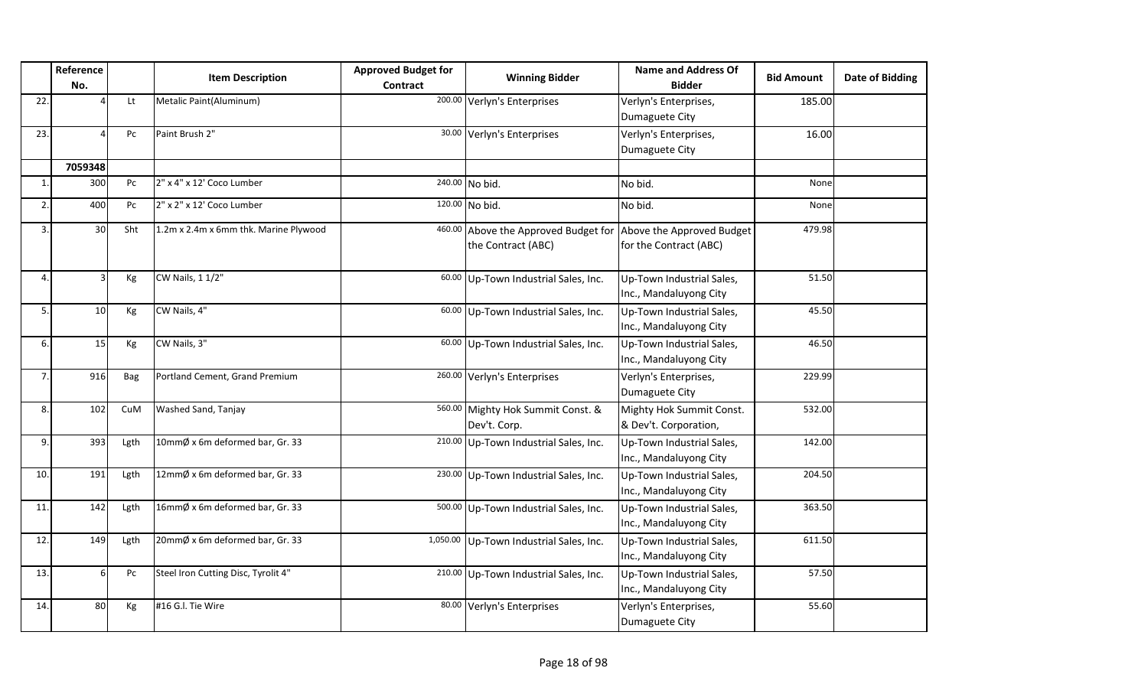|                       | Reference |      | <b>Item Description</b>               | <b>Approved Budget for</b> | <b>Winning Bidder</b>                                   | <b>Name and Address Of</b>                          | <b>Bid Amount</b> | Date of Bidding |
|-----------------------|-----------|------|---------------------------------------|----------------------------|---------------------------------------------------------|-----------------------------------------------------|-------------------|-----------------|
|                       | No.       |      |                                       | Contract                   |                                                         | <b>Bidder</b>                                       |                   |                 |
| 22                    |           | Lt   | Metalic Paint(Aluminum)               |                            | 200.00 Verlyn's Enterprises                             | Verlyn's Enterprises,                               | 185.00            |                 |
|                       |           |      |                                       |                            |                                                         | Dumaguete City                                      |                   |                 |
| 23                    |           | Pc   | Paint Brush 2"                        |                            | 30.00 Verlyn's Enterprises                              | Verlyn's Enterprises,                               | 16.00             |                 |
|                       |           |      |                                       |                            |                                                         | Dumaguete City                                      |                   |                 |
|                       | 7059348   |      |                                       |                            |                                                         |                                                     |                   |                 |
| $\mathbf{1}$          | 300       | Pc   | 2" x 4" x 12' Coco Lumber             |                            | 240.00 No bid.                                          | No bid.                                             | None              |                 |
| $\overline{z}$        | 400       | Pc   | 2" x 2" x 12' Coco Lumber             |                            | 120.00 No bid.                                          | No bid.                                             | None              |                 |
| 3                     | 30        | Sht  | 1.2m x 2.4m x 6mm thk. Marine Plywood | 460.00                     | Above the Approved Budget for Above the Approved Budget |                                                     | 479.98            |                 |
|                       |           |      |                                       |                            | the Contract (ABC)                                      | for the Contract (ABC)                              |                   |                 |
|                       |           |      |                                       |                            |                                                         |                                                     |                   |                 |
| $\boldsymbol{\Delta}$ |           | Kg   | CW Nails, 1 1/2"                      |                            | 60.00 Up-Town Industrial Sales, Inc.                    | Up-Town Industrial Sales,<br>Inc., Mandaluyong City | 51.50             |                 |
| 5                     | 10        | Kg   | CW Nails, 4"                          |                            | 60.00 Up-Town Industrial Sales, Inc.                    | Up-Town Industrial Sales,                           | 45.50             |                 |
|                       |           |      |                                       |                            |                                                         | Inc., Mandaluyong City                              |                   |                 |
| 6                     | 15        | Кg   | CW Nails, 3"                          |                            | 60.00 Up-Town Industrial Sales, Inc.                    | Up-Town Industrial Sales,                           | 46.50             |                 |
|                       |           |      |                                       |                            |                                                         | Inc., Mandaluyong City                              |                   |                 |
| $\overline{7}$        | 916       | Bag  | Portland Cement, Grand Premium        |                            | 260.00 Verlyn's Enterprises                             | Verlyn's Enterprises,                               | 229.99            |                 |
|                       |           |      |                                       |                            |                                                         | Dumaguete City                                      |                   |                 |
| 8                     | 102       | CuM  | Washed Sand, Tanjay                   |                            | 560.00 Mighty Hok Summit Const. &                       | Mighty Hok Summit Const.                            | 532.00            |                 |
|                       |           |      |                                       |                            | Dev't. Corp.                                            | & Dev't. Corporation,                               |                   |                 |
| 9                     | 393       | Lgth | 10mmØ x 6m deformed bar, Gr. 33       |                            | 210.00 Up-Town Industrial Sales, Inc.                   | Up-Town Industrial Sales,                           | 142.00            |                 |
|                       |           |      |                                       |                            |                                                         | Inc., Mandaluyong City                              |                   |                 |
| 10                    | 191       | Lgth | 12mmØ x 6m deformed bar, Gr. 33       |                            | 230.00 Up-Town Industrial Sales, Inc.                   | Up-Town Industrial Sales,                           | 204.50            |                 |
|                       |           |      |                                       |                            |                                                         | Inc., Mandaluyong City                              |                   |                 |
| 11                    | 142       | Lgth | 16mmØ x 6m deformed bar, Gr. 33       |                            | 500.00 Up-Town Industrial Sales, Inc.                   | Up-Town Industrial Sales,                           | 363.50            |                 |
|                       |           |      |                                       |                            |                                                         | Inc., Mandaluyong City                              |                   |                 |
| 12                    | 149       | Lgth | 20mmØ x 6m deformed bar, Gr. 33       |                            | 1,050.00 Up-Town Industrial Sales, Inc.                 | Up-Town Industrial Sales,                           | 611.50            |                 |
|                       |           |      |                                       |                            |                                                         | Inc., Mandaluyong City                              |                   |                 |
| 13                    | 6         | Pc   | Steel Iron Cutting Disc, Tyrolit 4"   |                            | 210.00 Up-Town Industrial Sales, Inc.                   | Up-Town Industrial Sales,                           | 57.50             |                 |
|                       |           |      |                                       |                            |                                                         | Inc., Mandaluyong City                              |                   |                 |
| 14                    | 80        | Kg   | #16 G.I. Tie Wire                     |                            | 80.00 Verlyn's Enterprises                              | Verlyn's Enterprises,                               | 55.60             |                 |
|                       |           |      |                                       |                            |                                                         | Dumaguete City                                      |                   |                 |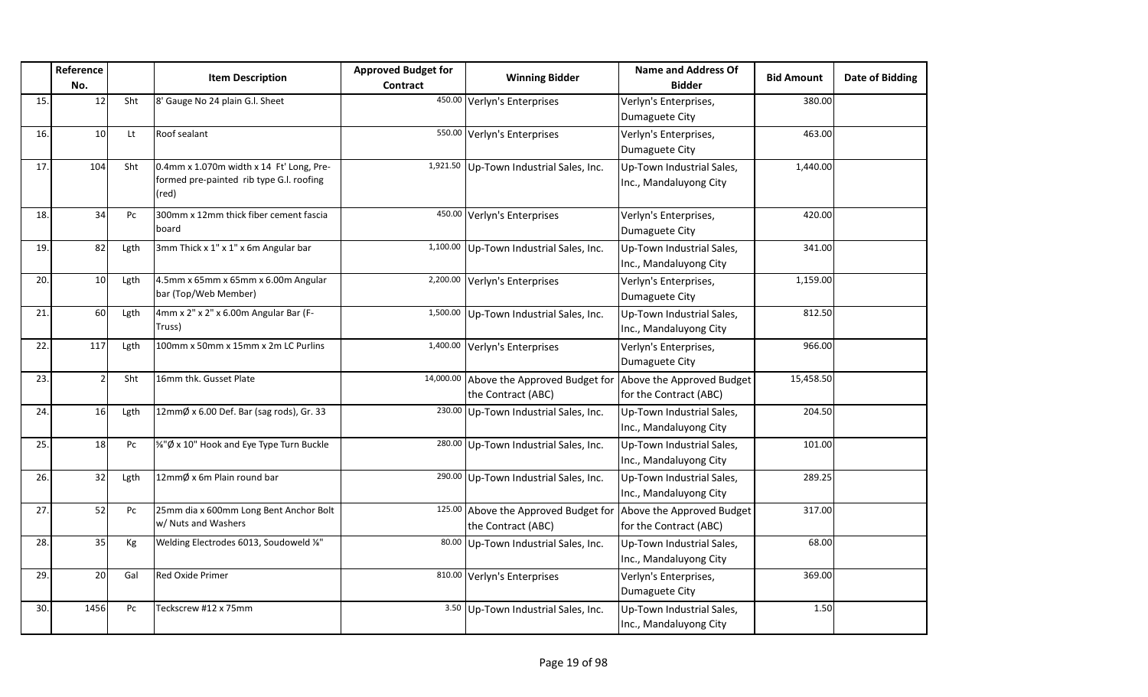|     | Reference       |      | <b>Item Description</b>                                                                       | <b>Approved Budget for</b> | <b>Winning Bidder</b>                                                                | <b>Name and Address Of</b>                          | <b>Bid Amount</b> | <b>Date of Bidding</b> |
|-----|-----------------|------|-----------------------------------------------------------------------------------------------|----------------------------|--------------------------------------------------------------------------------------|-----------------------------------------------------|-------------------|------------------------|
|     | No.             |      |                                                                                               | Contract                   |                                                                                      | <b>Bidder</b>                                       |                   |                        |
| 15. | 12              | Sht  | 8' Gauge No 24 plain G.l. Sheet                                                               |                            | 450.00 Verlyn's Enterprises                                                          | Verlyn's Enterprises,<br>Dumaguete City             | 380.00            |                        |
| 16. | 10 <sup>1</sup> | Lt   | Roof sealant                                                                                  |                            | 550.00 Verlyn's Enterprises                                                          | Verlyn's Enterprises,<br>Dumaguete City             | 463.00            |                        |
| 17. | 104             | Sht  | 0.4mm x 1.070m width x 14 Ft' Long, Pre-<br>formed pre-painted rib type G.I. roofing<br>(red) |                            | 1,921.50 Up-Town Industrial Sales, Inc.                                              | Up-Town Industrial Sales,<br>Inc., Mandaluyong City | 1,440.00          |                        |
| 18. | 34              | Pc   | 300mm x 12mm thick fiber cement fascia<br>board                                               |                            | 450.00 Verlyn's Enterprises                                                          | Verlyn's Enterprises,<br>Dumaguete City             | 420.00            |                        |
| 19. | 82              | Lgth | 3mm Thick x 1" x 1" x 6m Angular bar                                                          |                            | 1,100.00 Up-Town Industrial Sales, Inc.                                              | Up-Town Industrial Sales,<br>Inc., Mandaluyong City | 341.00            |                        |
| 20. | 10 <sup>1</sup> | Lgth | 4.5mm x 65mm x 65mm x 6.00m Angular<br>bar (Top/Web Member)                                   |                            | 2,200.00 Verlyn's Enterprises                                                        | Verlyn's Enterprises,<br>Dumaguete City             | 1,159.00          |                        |
| 21. | 60              | Lgth | 4mm x 2" x 2" x 6.00m Angular Bar (F-<br>Truss)                                               |                            | 1,500.00 Up-Town Industrial Sales, Inc.                                              | Up-Town Industrial Sales,<br>Inc., Mandaluyong City | 812.50            |                        |
| 22. | 117             | Lgth | 100mm x 50mm x 15mm x 2m LC Purlins                                                           |                            | 1,400.00 Verlyn's Enterprises                                                        | Verlyn's Enterprises,<br>Dumaguete City             | 966.00            |                        |
| 23. | $\mathfrak{p}$  | Sht  | 16mm thk. Gusset Plate                                                                        | 14,000.00                  | Above the Approved Budget for Above the Approved Budget<br>the Contract (ABC)        | for the Contract (ABC)                              | 15,458.50         |                        |
| 24. | 16              | Lgth | 12mmØ x 6.00 Def. Bar (sag rods), Gr. 33                                                      |                            | 230.00 Up-Town Industrial Sales, Inc.                                                | Up-Town Industrial Sales,<br>Inc., Mandaluyong City | 204.50            |                        |
| 25. | 18              | Pc   | %"Ø x 10" Hook and Eye Type Turn Buckle                                                       |                            | 280.00 Up-Town Industrial Sales, Inc.                                                | Up-Town Industrial Sales,<br>Inc., Mandaluyong City | 101.00            |                        |
| 26. | 32              | Lgth | 12mmØ x 6m Plain round bar                                                                    |                            | 290.00 Up-Town Industrial Sales, Inc.                                                | Up-Town Industrial Sales,<br>Inc., Mandaluyong City | 289.25            |                        |
| 27. | 52              | Pc   | 25mm dia x 600mm Long Bent Anchor Bolt<br>w/ Nuts and Washers                                 |                            | 125.00 Above the Approved Budget for Above the Approved Budget<br>the Contract (ABC) | for the Contract (ABC)                              | 317.00            |                        |
| 28. | 35              | Kg   | Welding Electrodes 6013, Soudoweld %"                                                         |                            | 80.00 Up-Town Industrial Sales, Inc.                                                 | Up-Town Industrial Sales,<br>Inc., Mandaluyong City | 68.00             |                        |
| 29. | 20              | Gal  | Red Oxide Primer                                                                              |                            | 810.00 Verlyn's Enterprises                                                          | Verlyn's Enterprises,<br>Dumaguete City             | 369.00            |                        |
| 30. | 1456            | Pc   | Teckscrew #12 x 75mm                                                                          |                            | 3.50 Up-Town Industrial Sales, Inc.                                                  | Up-Town Industrial Sales,<br>Inc., Mandaluyong City | 1.50              |                        |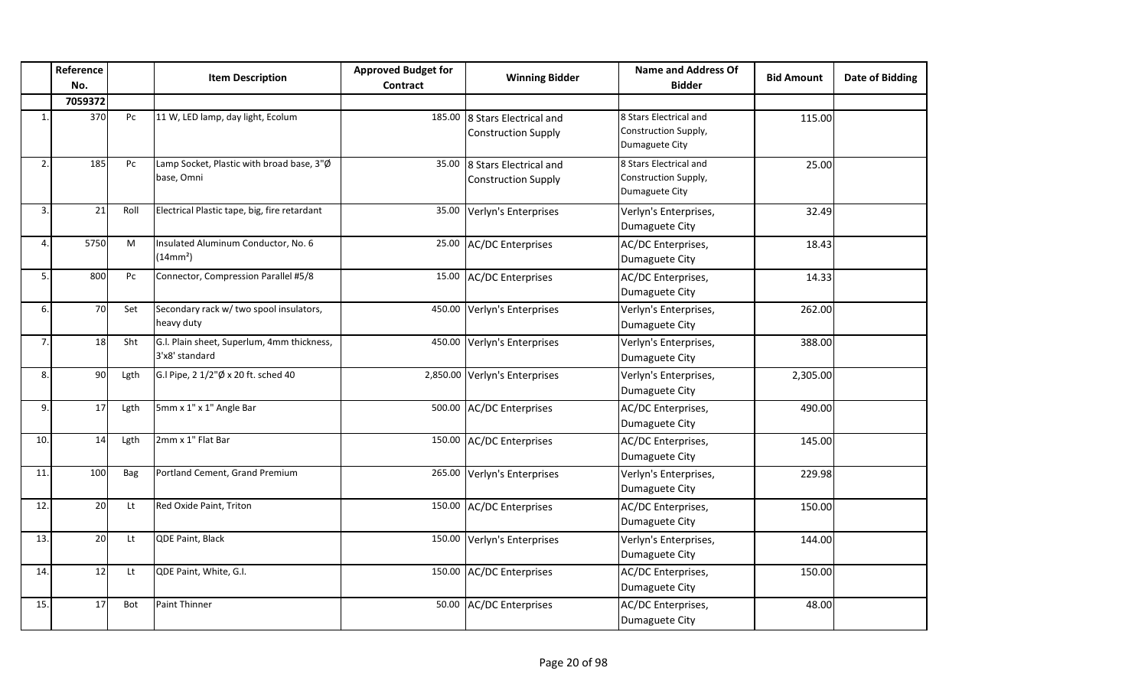|              | Reference<br>No. |      | <b>Item Description</b>                                      | <b>Approved Budget for</b><br>Contract | <b>Winning Bidder</b>                                | <b>Name and Address Of</b><br><b>Bidder</b>                      | <b>Bid Amount</b> | <b>Date of Bidding</b> |
|--------------|------------------|------|--------------------------------------------------------------|----------------------------------------|------------------------------------------------------|------------------------------------------------------------------|-------------------|------------------------|
|              | 7059372          |      |                                                              |                                        |                                                      |                                                                  |                   |                        |
| $\mathbf{1}$ | 370              | Pc   | 11 W, LED lamp, day light, Ecolum                            | 185.00                                 | 8 Stars Electrical and<br><b>Construction Supply</b> | 8 Stars Electrical and<br>Construction Supply,<br>Dumaguete City | 115.00            |                        |
| 2.           | 185              | Pc   | Lamp Socket, Plastic with broad base, 3"Ø<br>base, Omni      | 35.00                                  | 8 Stars Electrical and<br><b>Construction Supply</b> | 8 Stars Electrical and<br>Construction Supply,<br>Dumaguete City | 25.00             |                        |
| 3.           | 21               | Roll | Electrical Plastic tape, big, fire retardant                 | 35.00                                  | Verlyn's Enterprises                                 | Verlyn's Enterprises,<br>Dumaguete City                          | 32.49             |                        |
| 4.           | 5750             | M    | Insulated Aluminum Conductor, No. 6<br>(14mm <sup>2</sup> )  | 25.00                                  | <b>AC/DC Enterprises</b>                             | AC/DC Enterprises,<br>Dumaguete City                             | 18.43             |                        |
| 5.           | 800              | Pc   | Connector, Compression Parallel #5/8                         | 15.00                                  | <b>AC/DC Enterprises</b>                             | AC/DC Enterprises,<br>Dumaguete City                             | 14.33             |                        |
| 6.           | 70               | Set  | Secondary rack w/ two spool insulators,<br>heavy duty        | 450.00                                 | Verlyn's Enterprises                                 | Verlyn's Enterprises,<br>Dumaguete City                          | 262.00            |                        |
| 7.           | 18               | Sht  | G.I. Plain sheet, Superlum, 4mm thickness,<br>3'x8' standard | 450.00                                 | Verlyn's Enterprises                                 | Verlyn's Enterprises,<br>Dumaguete City                          | 388.00            |                        |
| 8.           | 90               | Lgth | G.I Pipe, 2 1/2"Ø x 20 ft. sched 40                          | 2,850.00                               | Verlyn's Enterprises                                 | Verlyn's Enterprises,<br>Dumaguete City                          | 2,305.00          |                        |
| 9.           | 17               | Lgth | 5mm x 1" x 1" Angle Bar                                      | 500.00                                 | <b>AC/DC Enterprises</b>                             | AC/DC Enterprises,<br>Dumaguete City                             | 490.00            |                        |
| 10.          | 14               | Lgth | 2mm x 1" Flat Bar                                            | 150.00                                 | <b>AC/DC Enterprises</b>                             | AC/DC Enterprises,<br>Dumaguete City                             | 145.00            |                        |
| 11.          | 100              | Bag  | Portland Cement, Grand Premium                               | 265.00                                 | Verlyn's Enterprises                                 | Verlyn's Enterprises,<br>Dumaguete City                          | 229.98            |                        |
| 12.          | 20               | Lt   | Red Oxide Paint, Triton                                      | 150.00                                 | <b>AC/DC Enterprises</b>                             | AC/DC Enterprises,<br>Dumaguete City                             | 150.00            |                        |
| 13.          | 20               | Lt   | QDE Paint, Black                                             | 150.00                                 | Verlyn's Enterprises                                 | Verlyn's Enterprises,<br>Dumaguete City                          | 144.00            |                        |
| 14.          | 12               | Lt   | QDE Paint, White, G.I.                                       | 150.00                                 | <b>AC/DC Enterprises</b>                             | AC/DC Enterprises,<br>Dumaguete City                             | 150.00            |                        |
| 15.          | 17               | Bot  | <b>Paint Thinner</b>                                         | 50.00                                  | <b>AC/DC Enterprises</b>                             | AC/DC Enterprises,<br>Dumaguete City                             | 48.00             |                        |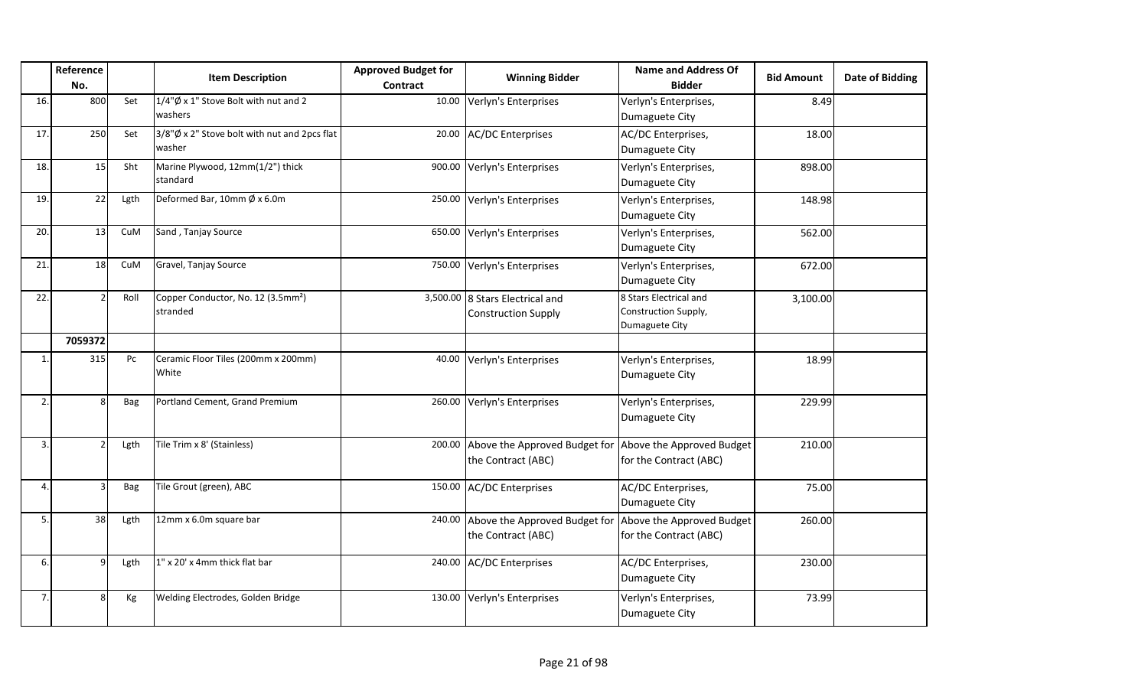|              | Reference<br>No. |            | <b>Item Description</b>                                    | <b>Approved Budget for</b><br><b>Contract</b> | <b>Winning Bidder</b>                                         | <b>Name and Address Of</b><br><b>Bidder</b>                      | <b>Bid Amount</b> | Date of Bidding |
|--------------|------------------|------------|------------------------------------------------------------|-----------------------------------------------|---------------------------------------------------------------|------------------------------------------------------------------|-------------------|-----------------|
| 16.          | 800              | Set        | $1/4''$ Ø x 1" Stove Bolt with nut and 2<br>washers        | 10.00                                         | Verlyn's Enterprises                                          | Verlyn's Enterprises,<br>Dumaguete City                          | 8.49              |                 |
| 17.          | 250              | Set        | 3/8"Ø x 2" Stove bolt with nut and 2pcs flat<br>washer     | 20.00                                         | <b>AC/DC Enterprises</b>                                      | AC/DC Enterprises,<br>Dumaguete City                             | 18.00             |                 |
| 18.          | 15               | Sht        | Marine Plywood, 12mm(1/2") thick<br>standard               |                                               | 900.00 Verlyn's Enterprises                                   | Verlyn's Enterprises,<br>Dumaguete City                          | 898.00            |                 |
| 19.          | 22               | Lgth       | Deformed Bar, 10mm $\emptyset$ x 6.0m                      |                                               | 250.00 Verlyn's Enterprises                                   | Verlyn's Enterprises,<br>Dumaguete City                          | 148.98            |                 |
| 20.          | 13               | CuM        | Sand, Tanjay Source                                        |                                               | 650.00 Verlyn's Enterprises                                   | Verlyn's Enterprises,<br>Dumaguete City                          | 562.00            |                 |
| 21.          | 18               | CuM        | Gravel, Tanjay Source                                      |                                               | 750.00 Verlyn's Enterprises                                   | Verlyn's Enterprises,<br>Dumaguete City                          | 672.00            |                 |
| 22.          |                  | Roll       | Copper Conductor, No. 12 (3.5mm <sup>2</sup> )<br>stranded |                                               | 3,500.00 8 Stars Electrical and<br><b>Construction Supply</b> | 8 Stars Electrical and<br>Construction Supply,<br>Dumaguete City | 3,100.00          |                 |
|              | 7059372          |            |                                                            |                                               |                                                               |                                                                  |                   |                 |
| 1.           | 315              | Pc         | Ceramic Floor Tiles (200mm x 200mm)<br>White               |                                               | 40.00 Verlyn's Enterprises                                    | Verlyn's Enterprises,<br>Dumaguete City                          | 18.99             |                 |
| $\mathbf{2}$ |                  | <b>Bag</b> | Portland Cement, Grand Premium                             |                                               | 260.00 Verlyn's Enterprises                                   | Verlyn's Enterprises,<br>Dumaguete City                          | 229.99            |                 |
| 3.           |                  | Lgth       | Tile Trim x 8' (Stainless)                                 |                                               | 200.00 Above the Approved Budget for<br>the Contract (ABC)    | Above the Approved Budget<br>for the Contract (ABC)              | 210.00            |                 |
| 4.           |                  | <b>Bag</b> | Tile Grout (green), ABC                                    |                                               | 150.00 AC/DC Enterprises                                      | AC/DC Enterprises,<br>Dumaguete City                             | 75.00             |                 |
| 5.           | 38               | Lgth       | 12mm x 6.0m square bar                                     |                                               | 240.00 Above the Approved Budget for<br>the Contract (ABC)    | Above the Approved Budget<br>for the Contract (ABC)              | 260.00            |                 |
| 6.           | q                | Lgth       | 1" x 20' x 4mm thick flat bar                              |                                               | 240.00 AC/DC Enterprises                                      | AC/DC Enterprises,<br>Dumaguete City                             | 230.00            |                 |
| 7.           |                  | Kg         | Welding Electrodes, Golden Bridge                          |                                               | 130.00 Verlyn's Enterprises                                   | Verlyn's Enterprises,<br>Dumaguete City                          | 73.99             |                 |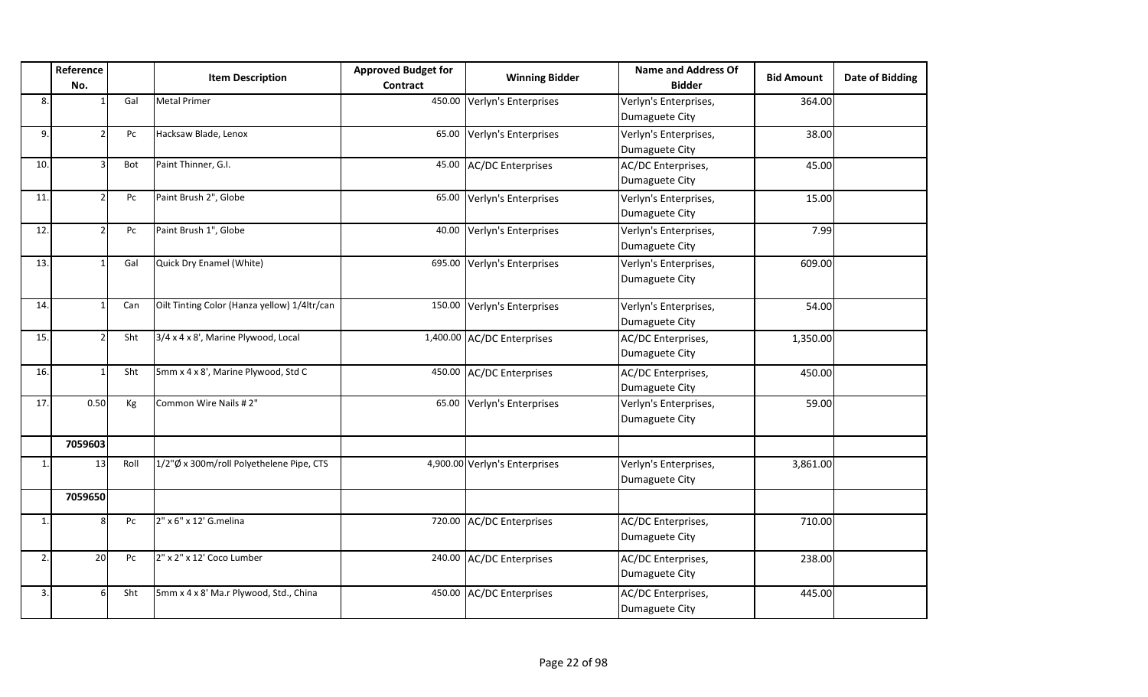|              | Reference<br>No.         |                  | <b>Item Description</b>                      | <b>Approved Budget for</b><br>Contract | <b>Winning Bidder</b>         | <b>Name and Address Of</b><br><b>Bidder</b> | <b>Bid Amount</b> | <b>Date of Bidding</b> |
|--------------|--------------------------|------------------|----------------------------------------------|----------------------------------------|-------------------------------|---------------------------------------------|-------------------|------------------------|
| 8.           | $\overline{1}$           | Gal              | <b>Metal Primer</b>                          | 450.00                                 | Verlyn's Enterprises          | Verlyn's Enterprises,<br>Dumaguete City     | 364.00            |                        |
| 9.           | $\overline{2}$           | Pc               | Hacksaw Blade, Lenox                         | 65.00                                  | Verlyn's Enterprises          | Verlyn's Enterprises,<br>Dumaguete City     | 38.00             |                        |
| 10.          | 3                        | Bot              | Paint Thinner, G.I.                          | 45.00                                  | <b>AC/DC Enterprises</b>      | AC/DC Enterprises,<br>Dumaguete City        | 45.00             |                        |
| 11.          | $\overline{\phantom{a}}$ | Pc               | Paint Brush 2", Globe                        | 65.00                                  | Verlyn's Enterprises          | Verlyn's Enterprises,<br>Dumaguete City     | 15.00             |                        |
| 12.          | $\overline{2}$           | Pc               | Paint Brush 1", Globe                        | 40.00                                  | Verlyn's Enterprises          | Verlyn's Enterprises,<br>Dumaguete City     | 7.99              |                        |
| 13.          |                          | Gal              | Quick Dry Enamel (White)                     | 695.00                                 | Verlyn's Enterprises          | Verlyn's Enterprises,<br>Dumaguete City     | 609.00            |                        |
| 14.          | $\mathbf{1}$             | Can              | Oilt Tinting Color (Hanza yellow) 1/4ltr/can | 150.00                                 | Verlyn's Enterprises          | Verlyn's Enterprises,<br>Dumaguete City     | 54.00             |                        |
| 15.          | $\mathcal{P}$            | Sht              | 3/4 x 4 x 8', Marine Plywood, Local          |                                        | 1,400.00 AC/DC Enterprises    | AC/DC Enterprises,<br>Dumaguete City        | 1,350.00          |                        |
| 16.          | $\overline{\mathbf{1}}$  | Sht              | 5mm x 4 x 8', Marine Plywood, Std C          | 450.00                                 | <b>AC/DC Enterprises</b>      | AC/DC Enterprises,<br>Dumaguete City        | 450.00            |                        |
| 17.          | 0.50                     | Kg               | Common Wire Nails # 2"                       | 65.00                                  | Verlyn's Enterprises          | Verlyn's Enterprises,<br>Dumaguete City     | 59.00             |                        |
|              | 7059603                  |                  |                                              |                                        |                               |                                             |                   |                        |
| 1.           | 13                       | Roll             | 1/2"Ø x 300m/roll Polyethelene Pipe, CTS     |                                        | 4,900.00 Verlyn's Enterprises | Verlyn's Enterprises,<br>Dumaguete City     | 3,861.00          |                        |
|              | 7059650                  |                  |                                              |                                        |                               |                                             |                   |                        |
| $\mathbf{1}$ | 8                        | Pc               | 2" x 6" x 12' G.melina                       | 720.00                                 | <b>AC/DC Enterprises</b>      | AC/DC Enterprises,<br>Dumaguete City        | 710.00            |                        |
| 2.           | 20                       | ${\sf P}{\sf C}$ | 2" x 2" x 12' Coco Lumber                    | 240.00                                 | <b>AC/DC Enterprises</b>      | AC/DC Enterprises,<br>Dumaguete City        | 238.00            |                        |
| 3.           | 6                        | Sht              | 5mm x 4 x 8' Ma.r Plywood, Std., China       | 450.00                                 | <b>AC/DC Enterprises</b>      | AC/DC Enterprises,<br>Dumaguete City        | 445.00            |                        |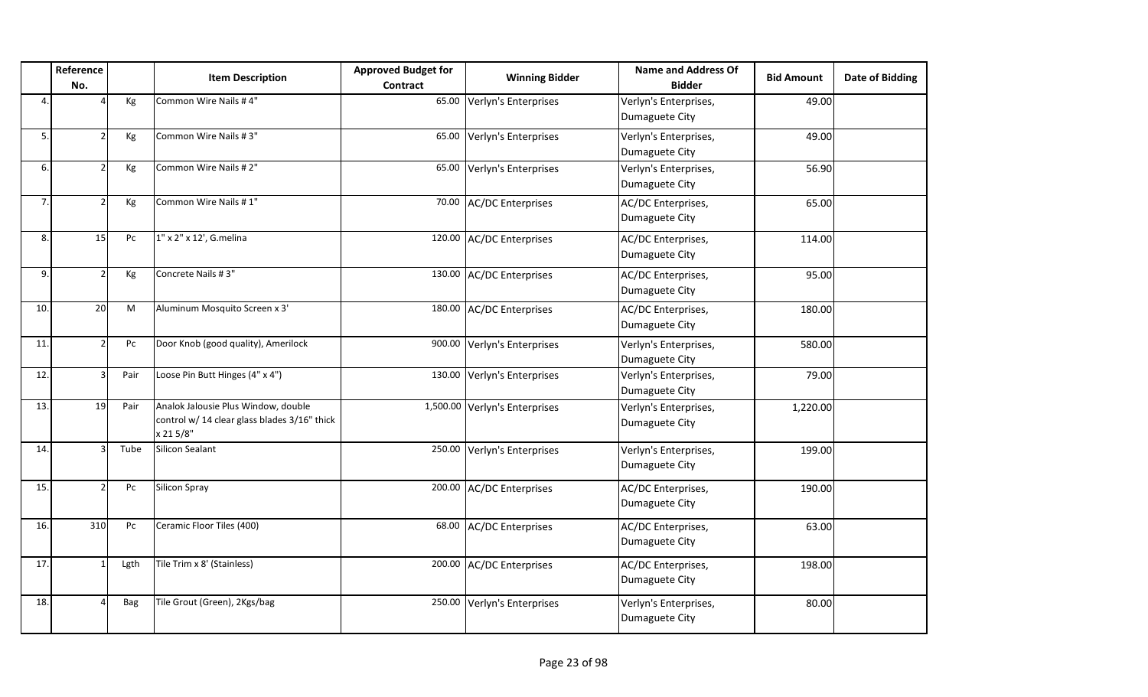|     | Reference<br>No. |      | <b>Item Description</b>                                                                          | <b>Approved Budget for</b><br>Contract | <b>Winning Bidder</b>         | <b>Name and Address Of</b><br><b>Bidder</b> | <b>Bid Amount</b> | <b>Date of Bidding</b> |
|-----|------------------|------|--------------------------------------------------------------------------------------------------|----------------------------------------|-------------------------------|---------------------------------------------|-------------------|------------------------|
| 4.  |                  | Kg   | Common Wire Nails #4"                                                                            | 65.00                                  | Verlyn's Enterprises          | Verlyn's Enterprises,<br>Dumaguete City     | 49.00             |                        |
| 5.  |                  | Kg   | Common Wire Nails #3"                                                                            | 65.00                                  | Verlyn's Enterprises          | Verlyn's Enterprises,<br>Dumaguete City     | 49.00             |                        |
| 6.  |                  | Kg   | Common Wire Nails #2"                                                                            | 65.00                                  | Verlyn's Enterprises          | Verlyn's Enterprises,<br>Dumaguete City     | 56.90             |                        |
| 7.  | $\mathcal{P}$    | Kg   | Common Wire Nails #1"                                                                            | 70.00                                  | <b>AC/DC Enterprises</b>      | AC/DC Enterprises,<br>Dumaguete City        | 65.00             |                        |
| 8.  | 15               | Pc   | 1" x 2" x 12', G.melina                                                                          |                                        | 120.00 AC/DC Enterprises      | AC/DC Enterprises,<br>Dumaguete City        | 114.00            |                        |
| 9.  | $\mathcal{P}$    | Kg   | Concrete Nails #3"                                                                               | 130.00                                 | <b>AC/DC Enterprises</b>      | AC/DC Enterprises,<br>Dumaguete City        | 95.00             |                        |
| 10. | 20               | M    | Aluminum Mosquito Screen x 3'                                                                    | 180.00                                 | <b>AC/DC Enterprises</b>      | AC/DC Enterprises,<br>Dumaguete City        | 180.00            |                        |
| 11. |                  | Pc   | Door Knob (good quality), Amerilock                                                              | 900.00                                 | Verlyn's Enterprises          | Verlyn's Enterprises,<br>Dumaguete City     | 580.00            |                        |
| 12. |                  | Pair | Loose Pin Butt Hinges (4" x 4")                                                                  | 130.00                                 | Verlyn's Enterprises          | Verlyn's Enterprises,<br>Dumaguete City     | 79.00             |                        |
| 13. | 19               | Pair | Analok Jalousie Plus Window, double<br>control w/ 14 clear glass blades 3/16" thick<br>x 21 5/8" |                                        | 1,500.00 Verlyn's Enterprises | Verlyn's Enterprises,<br>Dumaguete City     | 1,220.00          |                        |
| 14. | Р                | Tube | <b>Silicon Sealant</b>                                                                           | 250.00                                 | Verlyn's Enterprises          | Verlyn's Enterprises,<br>Dumaguete City     | 199.00            |                        |
| 15. | $\mathfrak{D}$   | Pc   | Silicon Spray                                                                                    | 200.00                                 | <b>AC/DC Enterprises</b>      | AC/DC Enterprises,<br>Dumaguete City        | 190.00            |                        |
| 16. | 310              | Pc   | Ceramic Floor Tiles (400)                                                                        | 68.00                                  | <b>AC/DC Enterprises</b>      | AC/DC Enterprises,<br>Dumaguete City        | 63.00             |                        |
| 17. |                  | Lgth | Tile Trim x 8' (Stainless)                                                                       | 200.00                                 | <b>AC/DC Enterprises</b>      | AC/DC Enterprises,<br>Dumaguete City        | 198.00            |                        |
| 18. | Δ                | Bag  | Tile Grout (Green), 2Kgs/bag                                                                     | 250.00                                 | Verlyn's Enterprises          | Verlyn's Enterprises,<br>Dumaguete City     | 80.00             |                        |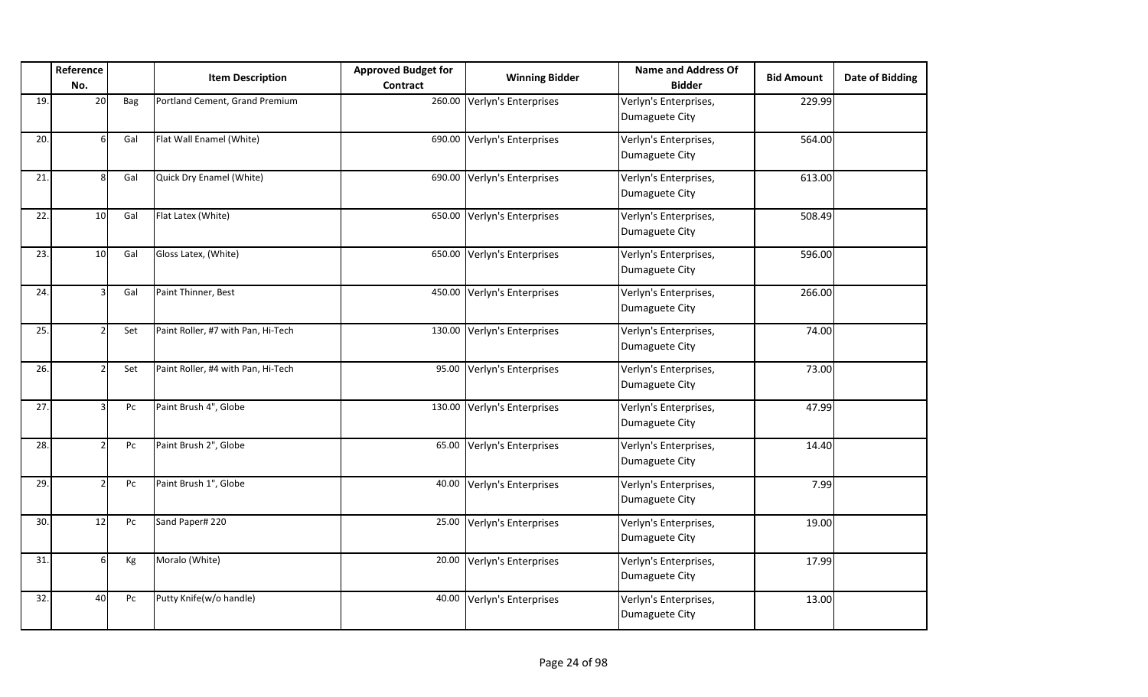|     | Reference<br>No.      |     | <b>Item Description</b>            | <b>Approved Budget for</b><br><b>Contract</b> | <b>Winning Bidder</b> | <b>Name and Address Of</b><br><b>Bidder</b> | <b>Bid Amount</b> | <b>Date of Bidding</b> |
|-----|-----------------------|-----|------------------------------------|-----------------------------------------------|-----------------------|---------------------------------------------|-------------------|------------------------|
| 19. | 20                    | Bag | Portland Cement, Grand Premium     | 260.00                                        | Verlyn's Enterprises  | Verlyn's Enterprises,<br>Dumaguete City     | 229.99            |                        |
| 20. |                       | Gal | Flat Wall Enamel (White)           | 690.00                                        | Verlyn's Enterprises  | Verlyn's Enterprises,<br>Dumaguete City     | 564.00            |                        |
| 21. | $\mathsf{\mathsf{R}}$ | Gal | Quick Dry Enamel (White)           | 690.00                                        | Verlyn's Enterprises  | Verlyn's Enterprises,<br>Dumaguete City     | 613.00            |                        |
| 22. | 10 <sup>1</sup>       | Gal | Flat Latex (White)                 | 650.00                                        | Verlyn's Enterprises  | Verlyn's Enterprises,<br>Dumaguete City     | 508.49            |                        |
| 23. | 10                    | Gal | Gloss Latex, (White)               | 650.00                                        | Verlyn's Enterprises  | Verlyn's Enterprises,<br>Dumaguete City     | 596.00            |                        |
| 24. |                       | Gal | Paint Thinner, Best                | 450.00                                        | Verlyn's Enterprises  | Verlyn's Enterprises,<br>Dumaguete City     | 266.00            |                        |
| 25. |                       | Set | Paint Roller, #7 with Pan, Hi-Tech | 130.00                                        | Verlyn's Enterprises  | Verlyn's Enterprises,<br>Dumaguete City     | 74.00             |                        |
| 26. |                       | Set | Paint Roller, #4 with Pan, Hi-Tech | 95.00                                         | Verlyn's Enterprises  | Verlyn's Enterprises,<br>Dumaguete City     | 73.00             |                        |
| 27. |                       | Pc  | Paint Brush 4", Globe              | 130.00                                        | Verlyn's Enterprises  | Verlyn's Enterprises,<br>Dumaguete City     | 47.99             |                        |
| 28. |                       | Pc  | Paint Brush 2", Globe              | 65.00                                         | Verlyn's Enterprises  | Verlyn's Enterprises,<br>Dumaguete City     | 14.40             |                        |
| 29. |                       | Pc  | Paint Brush 1", Globe              | 40.00                                         | Verlyn's Enterprises  | Verlyn's Enterprises,<br>Dumaguete City     | 7.99              |                        |
| 30. | 12                    | Pc  | Sand Paper# 220                    | 25.00                                         | Verlyn's Enterprises  | Verlyn's Enterprises,<br>Dumaguete City     | 19.00             |                        |
| 31. | 6                     | Кg  | Moralo (White)                     | 20.00                                         | Verlyn's Enterprises  | Verlyn's Enterprises,<br>Dumaguete City     | 17.99             |                        |
| 32. | 40                    | Pc  | Putty Knife(w/o handle)            | 40.00                                         | Verlyn's Enterprises  | Verlyn's Enterprises,<br>Dumaguete City     | 13.00             |                        |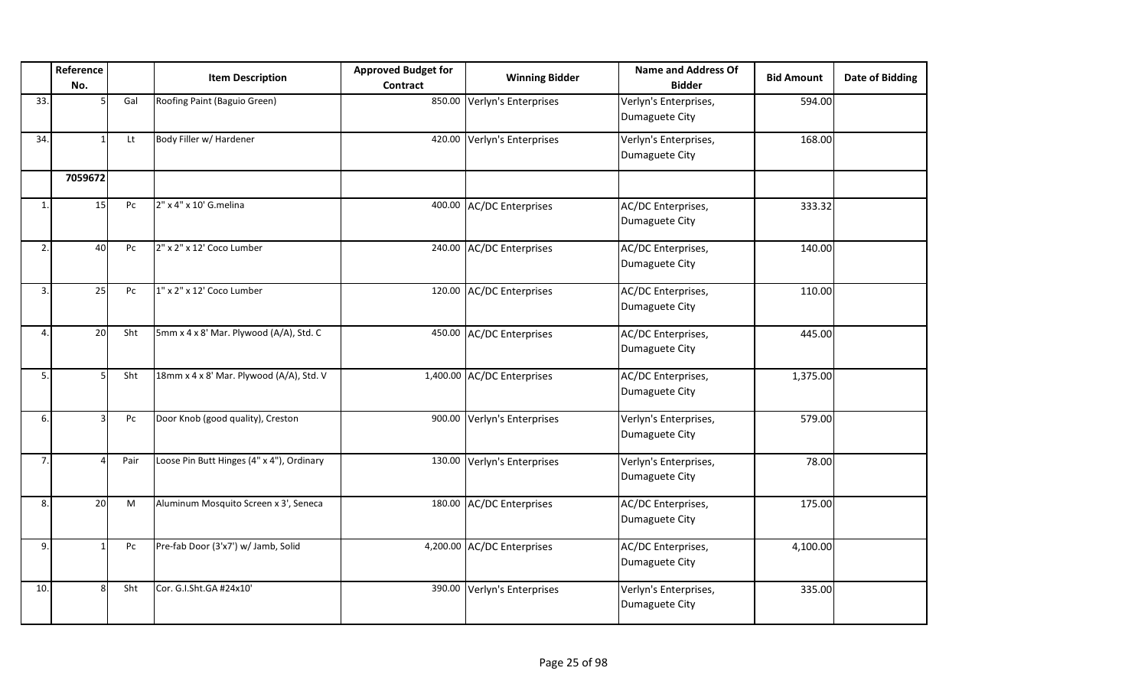|              | Reference<br>No. |      | <b>Item Description</b>                   | <b>Approved Budget for</b> | <b>Winning Bidder</b>       | <b>Name and Address Of</b><br><b>Bidder</b> | <b>Bid Amount</b> | Date of Bidding |
|--------------|------------------|------|-------------------------------------------|----------------------------|-----------------------------|---------------------------------------------|-------------------|-----------------|
|              |                  |      |                                           | Contract                   |                             |                                             |                   |                 |
| 33.          |                  | Gal  | Roofing Paint (Baguio Green)              |                            | 850.00 Verlyn's Enterprises | Verlyn's Enterprises,<br>Dumaguete City     | 594.00            |                 |
| 34.          |                  | Lt   | Body Filler w/ Hardener                   |                            | 420.00 Verlyn's Enterprises | Verlyn's Enterprises,<br>Dumaguete City     | 168.00            |                 |
|              | 7059672          |      |                                           |                            |                             |                                             |                   |                 |
| $\mathbf{1}$ | 15               | Pc   | 2" x 4" x 10' G.melina                    |                            | 400.00 AC/DC Enterprises    | AC/DC Enterprises,<br>Dumaguete City        | 333.32            |                 |
| 2.           | 40               | Pc   | 2" x 2" x 12' Coco Lumber                 |                            | 240.00 AC/DC Enterprises    | AC/DC Enterprises,<br>Dumaguete City        | 140.00            |                 |
| 3.           | 25               | Pc   | 1" x 2" x 12' Coco Lumber                 |                            | 120.00 AC/DC Enterprises    | AC/DC Enterprises,<br>Dumaguete City        | 110.00            |                 |
| 4            | <b>20</b>        | Sht  | 5mm x 4 x 8' Mar. Plywood (A/A), Std. C   |                            | 450.00 AC/DC Enterprises    | AC/DC Enterprises,<br>Dumaguete City        | 445.00            |                 |
| 5.           | 5                | Sht  | 18mm x 4 x 8' Mar. Plywood (A/A), Std. V  |                            | 1,400.00 AC/DC Enterprises  | AC/DC Enterprises,<br>Dumaguete City        | 1,375.00          |                 |
| 6.           | 3                | Pc   | Door Knob (good quality), Creston         |                            | 900.00 Verlyn's Enterprises | Verlyn's Enterprises,<br>Dumaguete City     | 579.00            |                 |
| 7.           |                  | Pair | Loose Pin Butt Hinges (4" x 4"), Ordinary |                            | 130.00 Verlyn's Enterprises | Verlyn's Enterprises,<br>Dumaguete City     | 78.00             |                 |
| 8.           | 20 <sup>1</sup>  | M    | Aluminum Mosquito Screen x 3', Seneca     |                            | 180.00 AC/DC Enterprises    | AC/DC Enterprises,<br>Dumaguete City        | 175.00            |                 |
| 9.           | 1                | Pc   | Pre-fab Door (3'x7') w/ Jamb, Solid       |                            | 4,200.00 AC/DC Enterprises  | AC/DC Enterprises,<br>Dumaguete City        | 4,100.00          |                 |
| 10.          | 8                | Sht  | Cor. G.I.Sht.GA #24x10'                   |                            | 390.00 Verlyn's Enterprises | Verlyn's Enterprises,<br>Dumaguete City     | 335.00            |                 |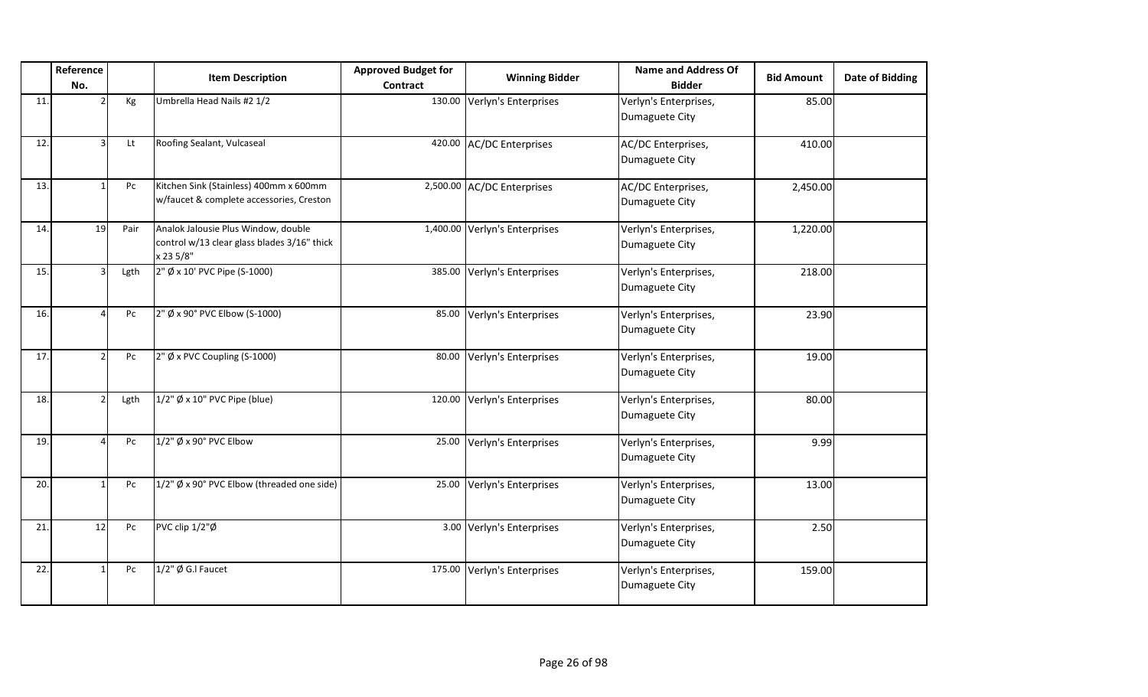|     | Reference<br>No.        |      | <b>Item Description</b>                                                                         | <b>Approved Budget for</b><br><b>Contract</b> | <b>Winning Bidder</b>      | <b>Name and Address Of</b><br><b>Bidder</b> | <b>Bid Amount</b> | <b>Date of Bidding</b> |
|-----|-------------------------|------|-------------------------------------------------------------------------------------------------|-----------------------------------------------|----------------------------|---------------------------------------------|-------------------|------------------------|
| 11  |                         | Kg   | Umbrella Head Nails #2 1/2                                                                      | 130.00                                        | Verlyn's Enterprises       | Verlyn's Enterprises,<br>Dumaguete City     | 85.00             |                        |
| 12. | $\overline{\mathbf{3}}$ | Lt   | Roofing Sealant, Vulcaseal                                                                      | 420.00                                        | <b>AC/DC Enterprises</b>   | AC/DC Enterprises,<br>Dumaguete City        | 410.00            |                        |
| 13. |                         | Pc   | Kitchen Sink (Stainless) 400mm x 600mm<br>w/faucet & complete accessories, Creston              |                                               | 2,500.00 AC/DC Enterprises | AC/DC Enterprises,<br>Dumaguete City        | 2,450.00          |                        |
| 14. | 19                      | Pair | Analok Jalousie Plus Window, double<br>control w/13 clear glass blades 3/16" thick<br>x 23 5/8" | 1,400.00                                      | Verlyn's Enterprises       | Verlyn's Enterprises,<br>Dumaguete City     | 1,220.00          |                        |
| 15. | $\overline{\mathbf{3}}$ | Lgth | 2" Ø x 10' PVC Pipe (S-1000)                                                                    | 385.00                                        | Verlyn's Enterprises       | Verlyn's Enterprises,<br>Dumaguete City     | 218.00            |                        |
| 16. | $\Lambda$               | Pc   | 2" Ø x 90° PVC Elbow (S-1000)                                                                   | 85.00                                         | Verlyn's Enterprises       | Verlyn's Enterprises,<br>Dumaguete City     | 23.90             |                        |
| 17. | $\mathcal{I}$           | Pc   | 2" Ø x PVC Coupling (S-1000)                                                                    | 80.00                                         | Verlyn's Enterprises       | Verlyn's Enterprises,<br>Dumaguete City     | 19.00             |                        |
| 18. |                         | Lgth | $1/2$ " Ø x 10" PVC Pipe (blue)                                                                 | 120.00                                        | Verlyn's Enterprises       | Verlyn's Enterprises,<br>Dumaguete City     | 80.00             |                        |
| 19. |                         | Pc   | 1/2" Ø x 90° PVC Elbow                                                                          | 25.00                                         | Verlyn's Enterprises       | Verlyn's Enterprises,<br>Dumaguete City     | 9.99              |                        |
| 20. |                         | Pc   | 1/2" Ø x 90° PVC Elbow (threaded one side)                                                      | 25.00                                         | Verlyn's Enterprises       | Verlyn's Enterprises,<br>Dumaguete City     | 13.00             |                        |
| 21. | 12                      | Pc   | PVC clip 1/2"Ø                                                                                  | 3.00                                          | Verlyn's Enterprises       | Verlyn's Enterprises,<br>Dumaguete City     | 2.50              |                        |
| 22. |                         | Pc   | 1/2" Ø G.I Faucet                                                                               | 175.00                                        | Verlyn's Enterprises       | Verlyn's Enterprises,<br>Dumaguete City     | 159.00            |                        |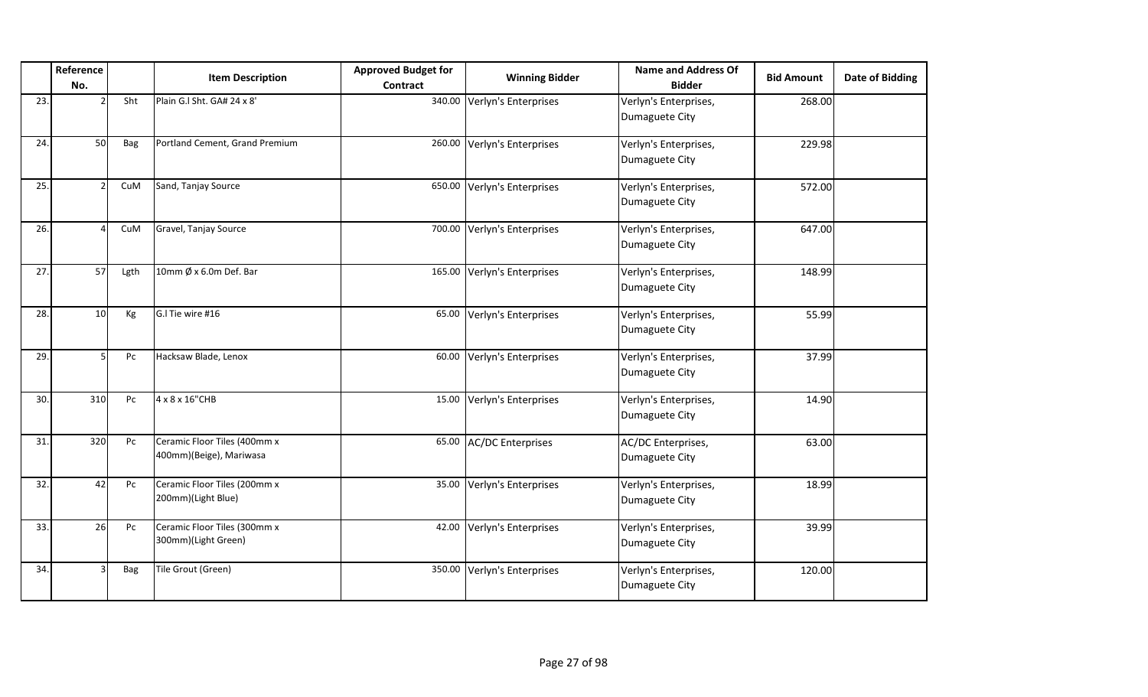|     | Reference<br>No. |            | <b>Item Description</b>                                 | <b>Approved Budget for</b><br><b>Contract</b> | <b>Winning Bidder</b>       | <b>Name and Address Of</b><br><b>Bidder</b> | <b>Bid Amount</b> | <b>Date of Bidding</b> |
|-----|------------------|------------|---------------------------------------------------------|-----------------------------------------------|-----------------------------|---------------------------------------------|-------------------|------------------------|
| 23. |                  | Sht        | Plain G.I Sht. GA# 24 x 8'                              | 340.00                                        | Verlyn's Enterprises        | Verlyn's Enterprises,<br>Dumaguete City     | 268.00            |                        |
| 24. | 50               | Bag        | Portland Cement, Grand Premium                          | 260.00                                        | Verlyn's Enterprises        | Verlyn's Enterprises,<br>Dumaguete City     | 229.98            |                        |
| 25. |                  | CuM        | Sand, Tanjay Source                                     | 650.00                                        | Verlyn's Enterprises        | Verlyn's Enterprises,<br>Dumaguete City     | 572.00            |                        |
| 26. |                  | CuM        | Gravel, Tanjay Source                                   | 700.00                                        | Verlyn's Enterprises        | Verlyn's Enterprises,<br>Dumaguete City     | 647.00            |                        |
| 27. | 57               | Lgth       | 10mm $\emptyset$ x 6.0m Def. Bar                        |                                               | 165.00 Verlyn's Enterprises | Verlyn's Enterprises,<br>Dumaguete City     | 148.99            |                        |
| 28. | 10               | Kg         | G.I Tie wire #16                                        | 65.00                                         | Verlyn's Enterprises        | Verlyn's Enterprises,<br>Dumaguete City     | 55.99             |                        |
| 29. | 5                | Pc         | Hacksaw Blade, Lenox                                    | 60.00                                         | Verlyn's Enterprises        | Verlyn's Enterprises,<br>Dumaguete City     | 37.99             |                        |
| 30. | 310              | Pc         | 4 x 8 x 16"CHB                                          | 15.00                                         | Verlyn's Enterprises        | Verlyn's Enterprises,<br>Dumaguete City     | 14.90             |                        |
| 31. | 320              | Pc         | Ceramic Floor Tiles (400mm x<br>400mm)(Beige), Mariwasa | 65.00                                         | <b>AC/DC Enterprises</b>    | AC/DC Enterprises,<br>Dumaguete City        | 63.00             |                        |
| 32. | 42               | Pc         | Ceramic Floor Tiles (200mm x<br>200mm)(Light Blue)      | 35.00                                         | Verlyn's Enterprises        | Verlyn's Enterprises,<br>Dumaguete City     | 18.99             |                        |
| 33. | 26               | Pc         | Ceramic Floor Tiles (300mm x<br>300mm)(Light Green)     | 42.00                                         | Verlyn's Enterprises        | Verlyn's Enterprises,<br>Dumaguete City     | 39.99             |                        |
| 34. |                  | <b>Bag</b> | Tile Grout (Green)                                      | 350.00                                        | Verlyn's Enterprises        | Verlyn's Enterprises,<br>Dumaguete City     | 120.00            |                        |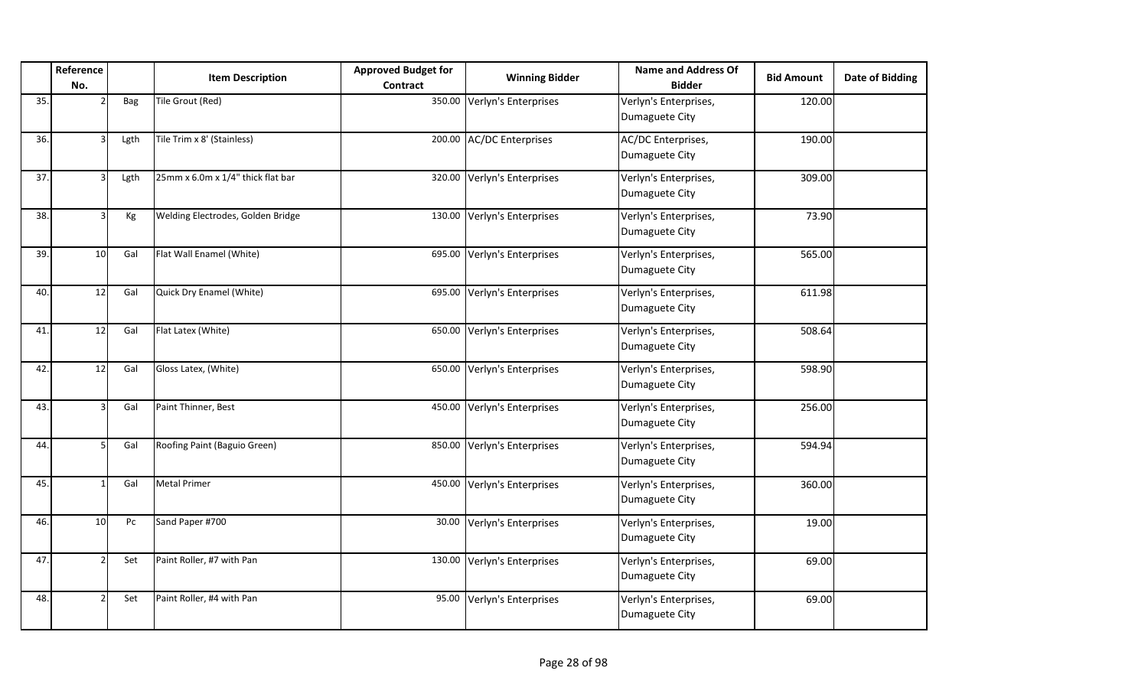|     | Reference<br>No. |      | <b>Item Description</b>           | <b>Approved Budget for</b><br><b>Contract</b> | <b>Winning Bidder</b>    | <b>Name and Address Of</b><br><b>Bidder</b> | <b>Bid Amount</b> | <b>Date of Bidding</b> |
|-----|------------------|------|-----------------------------------|-----------------------------------------------|--------------------------|---------------------------------------------|-------------------|------------------------|
| 35. |                  | Bag  | Tile Grout (Red)                  | 350.00                                        | Verlyn's Enterprises     | Verlyn's Enterprises,<br>Dumaguete City     | 120.00            |                        |
| 36. |                  | Lgth | Tile Trim x 8' (Stainless)        | 200.00                                        | <b>AC/DC Enterprises</b> | AC/DC Enterprises,<br>Dumaguete City        | 190.00            |                        |
| 37. |                  | Lgth | 25mm x 6.0m x 1/4" thick flat bar | 320.00                                        | Verlyn's Enterprises     | Verlyn's Enterprises,<br>Dumaguete City     | 309.00            |                        |
| 38. |                  | Кg   | Welding Electrodes, Golden Bridge | 130.00                                        | Verlyn's Enterprises     | Verlyn's Enterprises,<br>Dumaguete City     | 73.90             |                        |
| 39. | 10               | Gal  | Flat Wall Enamel (White)          | 695.00                                        | Verlyn's Enterprises     | Verlyn's Enterprises,<br>Dumaguete City     | 565.00            |                        |
| 40. | 12               | Gal  | Quick Dry Enamel (White)          | 695.00                                        | Verlyn's Enterprises     | Verlyn's Enterprises,<br>Dumaguete City     | 611.98            |                        |
| 41. | 12               | Gal  | Flat Latex (White)                | 650.00                                        | Verlyn's Enterprises     | Verlyn's Enterprises,<br>Dumaguete City     | 508.64            |                        |
| 42. | 12               | Gal  | Gloss Latex, (White)              | 650.00                                        | Verlyn's Enterprises     | Verlyn's Enterprises,<br>Dumaguete City     | 598.90            |                        |
| 43. |                  | Gal  | Paint Thinner, Best               | 450.00                                        | Verlyn's Enterprises     | Verlyn's Enterprises,<br>Dumaguete City     | 256.00            |                        |
| 44. |                  | Gal  | Roofing Paint (Baguio Green)      | 850.00                                        | Verlyn's Enterprises     | Verlyn's Enterprises,<br>Dumaguete City     | 594.94            |                        |
| 45. |                  | Gal  | <b>Metal Primer</b>               | 450.00                                        | Verlyn's Enterprises     | Verlyn's Enterprises,<br>Dumaguete City     | 360.00            |                        |
| 46. | 10 <sup>1</sup>  | Pc   | Sand Paper #700                   | 30.00                                         | Verlyn's Enterprises     | Verlyn's Enterprises,<br>Dumaguete City     | 19.00             |                        |
| 47. |                  | Set  | Paint Roller, #7 with Pan         | 130.00                                        | Verlyn's Enterprises     | Verlyn's Enterprises,<br>Dumaguete City     | 69.00             |                        |
| 48. |                  | Set  | Paint Roller, #4 with Pan         | 95.00                                         | Verlyn's Enterprises     | Verlyn's Enterprises,<br>Dumaguete City     | 69.00             |                        |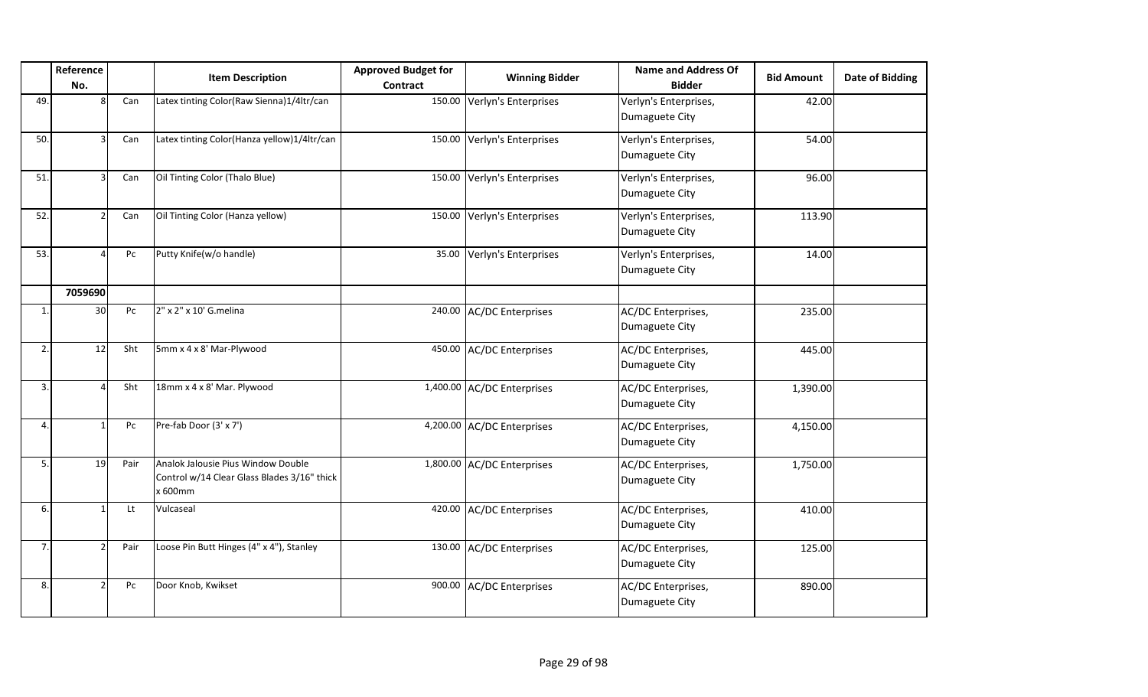|              | Reference<br>No. |      | <b>Item Description</b>                                                                      | <b>Approved Budget for</b><br><b>Contract</b> | <b>Winning Bidder</b>      | <b>Name and Address Of</b><br><b>Bidder</b> | <b>Bid Amount</b> | <b>Date of Bidding</b> |
|--------------|------------------|------|----------------------------------------------------------------------------------------------|-----------------------------------------------|----------------------------|---------------------------------------------|-------------------|------------------------|
| 49.          | 8                | Can  | Latex tinting Color(Raw Sienna)1/4ltr/can                                                    | 150.00                                        | Verlyn's Enterprises       | Verlyn's Enterprises,<br>Dumaguete City     | 42.00             |                        |
| 50.          |                  | Can  | Latex tinting Color(Hanza yellow)1/4ltr/can                                                  | 150.00                                        | Verlyn's Enterprises       | Verlyn's Enterprises,<br>Dumaguete City     | 54.00             |                        |
| 51.          |                  | Can  | Oil Tinting Color (Thalo Blue)                                                               | 150.00                                        | Verlyn's Enterprises       | Verlyn's Enterprises,<br>Dumaguete City     | 96.00             |                        |
| 52.          | <sup>2</sup>     | Can  | Oil Tinting Color (Hanza yellow)                                                             | 150.00                                        | Verlyn's Enterprises       | Verlyn's Enterprises,<br>Dumaguete City     | 113.90            |                        |
| 53.          |                  | Pc   | Putty Knife(w/o handle)                                                                      | 35.00                                         | Verlyn's Enterprises       | Verlyn's Enterprises,<br>Dumaguete City     | 14.00             |                        |
|              | 7059690          |      |                                                                                              |                                               |                            |                                             |                   |                        |
| $\mathbf{1}$ | 30 <sub>o</sub>  | Pc   | 2" x 2" x 10' G.melina                                                                       | 240.00                                        | AC/DC Enterprises          | AC/DC Enterprises,<br>Dumaguete City        | 235.00            |                        |
| 2.           | 12               | Sht  | 5mm x 4 x 8' Mar-Plywood                                                                     |                                               | 450.00 AC/DC Enterprises   | AC/DC Enterprises,<br>Dumaguete City        | 445.00            |                        |
| 3.           |                  | Sht  | 18mm x 4 x 8' Mar. Plywood                                                                   |                                               | 1,400.00 AC/DC Enterprises | AC/DC Enterprises,<br>Dumaguete City        | 1,390.00          |                        |
| 4.           |                  | Pc   | Pre-fab Door (3' x 7')                                                                       |                                               | 4,200.00 AC/DC Enterprises | AC/DC Enterprises,<br>Dumaguete City        | 4,150.00          |                        |
| 5.           | 19               | Pair | Analok Jalousie Pius Window Double<br>Control w/14 Clear Glass Blades 3/16" thick<br>x 600mm |                                               | 1,800.00 AC/DC Enterprises | AC/DC Enterprises,<br>Dumaguete City        | 1,750.00          |                        |
| 6.           |                  | Lt   | Vulcaseal                                                                                    | 420.00                                        | <b>AC/DC</b> Enterprises   | AC/DC Enterprises,<br>Dumaguete City        | 410.00            |                        |
| 7.           |                  | Pair | Loose Pin Butt Hinges (4" x 4"), Stanley                                                     | 130.00                                        | AC/DC Enterprises          | AC/DC Enterprises,<br>Dumaguete City        | 125.00            |                        |
| 8.           |                  | Pc   | Door Knob, Kwikset                                                                           |                                               | 900.00 AC/DC Enterprises   | AC/DC Enterprises,<br>Dumaguete City        | 890.00            |                        |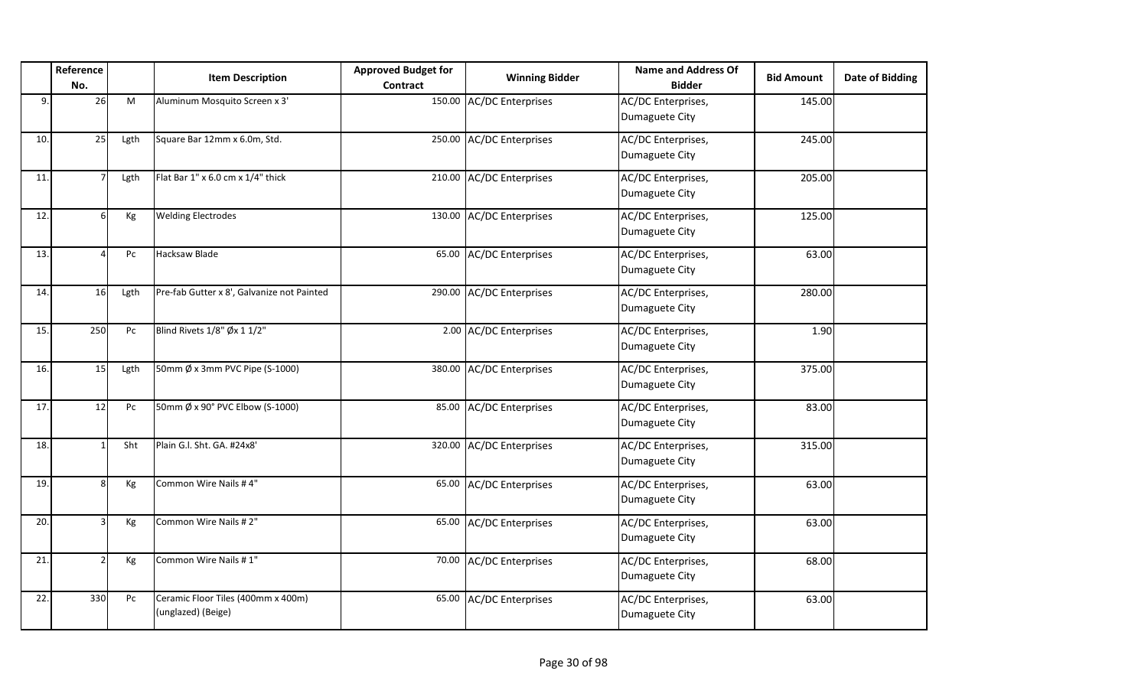|     | Reference<br>No. |      | <b>Item Description</b>                                  | <b>Approved Budget for</b><br><b>Contract</b> | <b>Winning Bidder</b>    | <b>Name and Address Of</b><br><b>Bidder</b> | <b>Bid Amount</b> | <b>Date of Bidding</b> |
|-----|------------------|------|----------------------------------------------------------|-----------------------------------------------|--------------------------|---------------------------------------------|-------------------|------------------------|
| 9.  | 26               | M    | Aluminum Mosquito Screen x 3'                            | 150.00                                        | <b>AC/DC Enterprises</b> | AC/DC Enterprises,<br>Dumaguete City        | 145.00            |                        |
| 10. | 25               | Lgth | Square Bar 12mm x 6.0m, Std.                             | 250.00                                        | <b>AC/DC Enterprises</b> | AC/DC Enterprises,<br>Dumaguete City        | 245.00            |                        |
| 11. |                  | Lgth | Flat Bar 1" x 6.0 cm x 1/4" thick                        | 210.00                                        | <b>AC/DC Enterprises</b> | AC/DC Enterprises,<br>Dumaguete City        | 205.00            |                        |
| 12. |                  | Кg   | <b>Welding Electrodes</b>                                | 130.00                                        | <b>AC/DC Enterprises</b> | AC/DC Enterprises,<br>Dumaguete City        | 125.00            |                        |
| 13. |                  | Pc   | Hacksaw Blade                                            | 65.00                                         | <b>AC/DC Enterprises</b> | AC/DC Enterprises,<br>Dumaguete City        | 63.00             |                        |
| 14. | 16               | Lgth | Pre-fab Gutter x 8', Galvanize not Painted               | 290.00                                        | <b>AC/DC Enterprises</b> | AC/DC Enterprises,<br>Dumaguete City        | 280.00            |                        |
| 15. | 250              | Pc   | Blind Rivets 1/8" Øx 1 1/2"                              |                                               | 2.00 AC/DC Enterprises   | AC/DC Enterprises,<br>Dumaguete City        | 1.90              |                        |
| 16. | 15               | Lgth | 50mm Ø x 3mm PVC Pipe (S-1000)                           | 380.00                                        | <b>AC/DC Enterprises</b> | AC/DC Enterprises,<br>Dumaguete City        | 375.00            |                        |
| 17. | 12               | Pc   | 50mm Ø x 90° PVC Elbow (S-1000)                          | 85.00                                         | <b>AC/DC Enterprises</b> | AC/DC Enterprises,<br>Dumaguete City        | 83.00             |                        |
| 18. |                  | Sht  | Plain G.l. Sht. GA. #24x8'                               | 320.00                                        | <b>AC/DC Enterprises</b> | AC/DC Enterprises,<br>Dumaguete City        | 315.00            |                        |
| 19. | Я                | Kg   | Common Wire Nails #4"                                    | 65.00                                         | <b>AC/DC Enterprises</b> | AC/DC Enterprises,<br>Dumaguete City        | 63.00             |                        |
| 20. |                  | Kg   | Common Wire Nails #2"                                    | 65.00                                         | <b>AC/DC Enterprises</b> | AC/DC Enterprises,<br>Dumaguete City        | 63.00             |                        |
| 21. |                  | Кg   | Common Wire Nails #1"                                    | 70.00                                         | <b>AC/DC Enterprises</b> | AC/DC Enterprises,<br>Dumaguete City        | 68.00             |                        |
| 22. | 330              | Pc   | Ceramic Floor Tiles (400mm x 400m)<br>(unglazed) (Beige) | 65.00                                         | <b>AC/DC Enterprises</b> | AC/DC Enterprises,<br>Dumaguete City        | 63.00             |                        |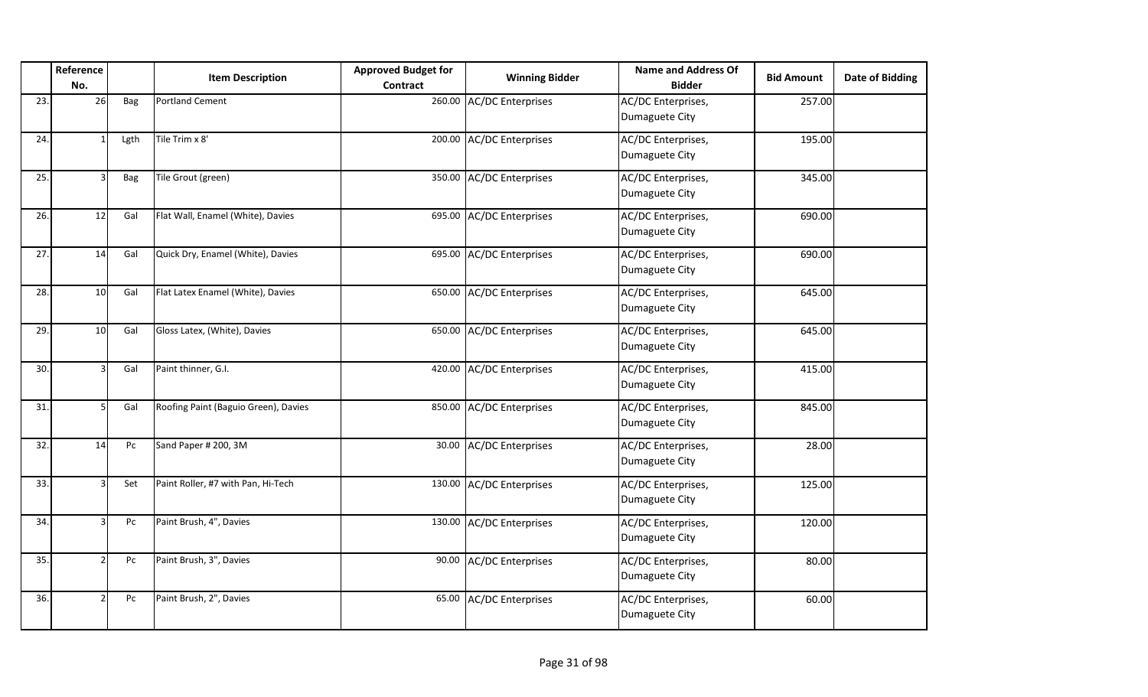|     | Reference<br>No. |      | <b>Item Description</b>              | <b>Approved Budget for</b><br><b>Contract</b> | <b>Winning Bidder</b>    | <b>Name and Address Of</b><br><b>Bidder</b> | <b>Bid Amount</b> | <b>Date of Bidding</b> |
|-----|------------------|------|--------------------------------------|-----------------------------------------------|--------------------------|---------------------------------------------|-------------------|------------------------|
| 23. | 26               | Bag  | <b>Portland Cement</b>               |                                               | 260.00 AC/DC Enterprises | AC/DC Enterprises,<br>Dumaguete City        | 257.00            |                        |
| 24. |                  | Lgth | Tile Trim x 8'                       |                                               | 200.00 AC/DC Enterprises | AC/DC Enterprises,<br>Dumaguete City        | 195.00            |                        |
| 25. |                  | Bag  | Tile Grout (green)                   |                                               | 350.00 AC/DC Enterprises | AC/DC Enterprises,<br>Dumaguete City        | 345.00            |                        |
| 26. | 12               | Gal  | Flat Wall, Enamel (White), Davies    |                                               | 695.00 AC/DC Enterprises | AC/DC Enterprises,<br>Dumaguete City        | 690.00            |                        |
| 27. | 14               | Gal  | Quick Dry, Enamel (White), Davies    |                                               | 695.00 AC/DC Enterprises | AC/DC Enterprises,<br>Dumaguete City        | 690.00            |                        |
| 28. | 10               | Gal  | Flat Latex Enamel (White), Davies    |                                               | 650.00 AC/DC Enterprises | AC/DC Enterprises,<br>Dumaguete City        | 645.00            |                        |
| 29. | 10               | Gal  | Gloss Latex, (White), Davies         |                                               | 650.00 AC/DC Enterprises | AC/DC Enterprises,<br>Dumaguete City        | 645.00            |                        |
| 30. |                  | Gal  | Paint thinner, G.I.                  |                                               | 420.00 AC/DC Enterprises | AC/DC Enterprises,<br>Dumaguete City        | 415.00            |                        |
| 31. |                  | Gal  | Roofing Paint (Baguio Green), Davies |                                               | 850.00 AC/DC Enterprises | AC/DC Enterprises,<br>Dumaguete City        | 845.00            |                        |
| 32. | 14               | Pc   | Sand Paper # 200, 3M                 | 30.00                                         | <b>AC/DC Enterprises</b> | AC/DC Enterprises,<br>Dumaguete City        | 28.00             |                        |
| 33. |                  | Set  | Paint Roller, #7 with Pan, Hi-Tech   |                                               | 130.00 AC/DC Enterprises | AC/DC Enterprises,<br>Dumaguete City        | 125.00            |                        |
| 34. |                  | Pc   | Paint Brush, 4", Davies              |                                               | 130.00 AC/DC Enterprises | AC/DC Enterprises,<br>Dumaguete City        | 120.00            |                        |
| 35. |                  | Pc   | Paint Brush, 3", Davies              | 90.00                                         | <b>AC/DC Enterprises</b> | AC/DC Enterprises,<br>Dumaguete City        | 80.00             |                        |
| 36. |                  | Pc   | Paint Brush, 2", Davies              | 65.00                                         | <b>AC/DC Enterprises</b> | AC/DC Enterprises,<br>Dumaguete City        | 60.00             |                        |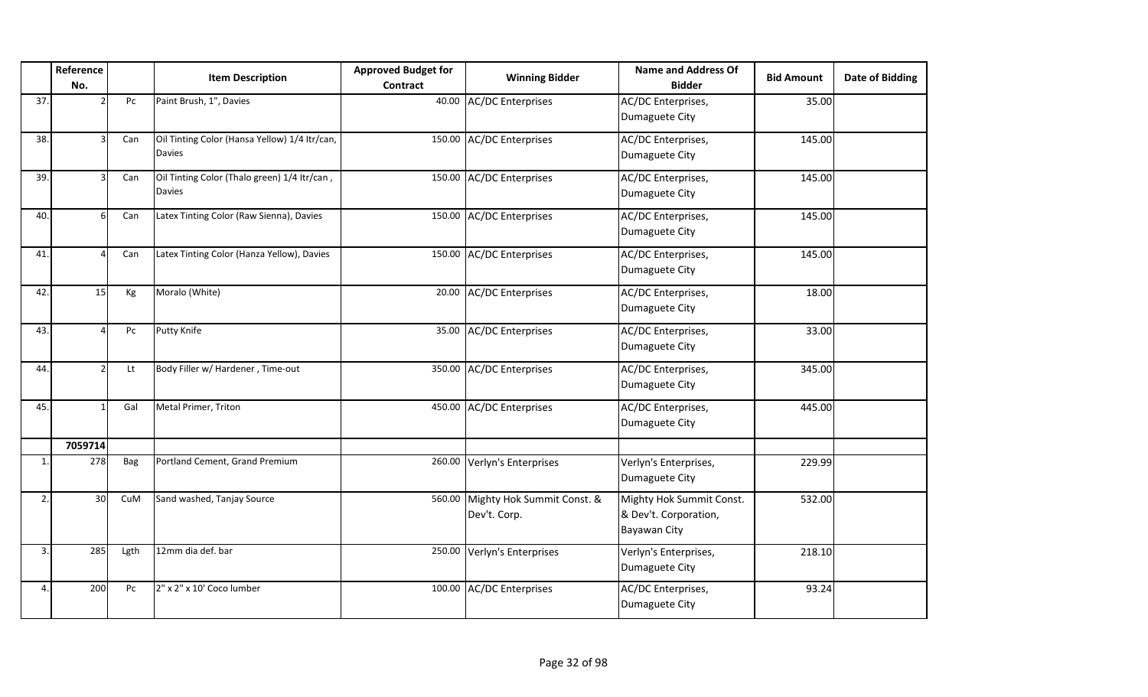|     | Reference<br>No. |      | <b>Item Description</b>                                       | <b>Approved Budget for</b><br><b>Contract</b> | <b>Winning Bidder</b>                             | <b>Name and Address Of</b><br><b>Bidder</b>                       | <b>Bid Amount</b> | <b>Date of Bidding</b> |
|-----|------------------|------|---------------------------------------------------------------|-----------------------------------------------|---------------------------------------------------|-------------------------------------------------------------------|-------------------|------------------------|
| 37. |                  | Pc   | Paint Brush, 1", Davies                                       | 40.00                                         | <b>AC/DC Enterprises</b>                          | AC/DC Enterprises,<br>Dumaguete City                              | 35.00             |                        |
| 38. |                  | Can  | Oil Tinting Color (Hansa Yellow) 1/4 Itr/can,<br>Davies       | 150.00                                        | <b>AC/DC Enterprises</b>                          | AC/DC Enterprises,<br>Dumaguete City                              | 145.00            |                        |
| 39. |                  | Can  | Oil Tinting Color (Thalo green) 1/4 Itr/can,<br><b>Davies</b> |                                               | 150.00 AC/DC Enterprises                          | AC/DC Enterprises,<br>Dumaguete City                              | 145.00            |                        |
| 40. |                  | Can  | Latex Tinting Color (Raw Sienna), Davies                      |                                               | 150.00 AC/DC Enterprises                          | AC/DC Enterprises,<br>Dumaguete City                              | 145.00            |                        |
| 41. |                  | Can  | Latex Tinting Color (Hanza Yellow), Davies                    |                                               | 150.00 AC/DC Enterprises                          | AC/DC Enterprises,<br>Dumaguete City                              | 145.00            |                        |
| 42. | 15               | Кg   | Moralo (White)                                                | 20.00                                         | <b>AC/DC Enterprises</b>                          | AC/DC Enterprises,<br>Dumaguete City                              | 18.00             |                        |
| 43. |                  | Pc   | <b>Putty Knife</b>                                            | 35.00                                         | <b>AC/DC Enterprises</b>                          | AC/DC Enterprises,<br>Dumaguete City                              | 33.00             |                        |
| 44. |                  | Lt   | Body Filler w/ Hardener, Time-out                             |                                               | 350.00 AC/DC Enterprises                          | AC/DC Enterprises,<br>Dumaguete City                              | 345.00            |                        |
| 45. |                  | Gal  | Metal Primer, Triton                                          | 450.00                                        | <b>AC/DC Enterprises</b>                          | AC/DC Enterprises,<br>Dumaguete City                              | 445.00            |                        |
|     | 7059714          |      |                                                               |                                               |                                                   |                                                                   |                   |                        |
| 1.  | 278              | Bag  | Portland Cement, Grand Premium                                |                                               | 260.00 Verlyn's Enterprises                       | Verlyn's Enterprises,<br>Dumaguete City                           | 229.99            |                        |
| 2.  | 30 <sup>1</sup>  | CuM  | Sand washed, Tanjay Source                                    |                                               | 560.00 Mighty Hok Summit Const. &<br>Dev't. Corp. | Mighty Hok Summit Const.<br>& Dev't. Corporation,<br>Bayawan City | 532.00            |                        |
| 3.  | 285              | Lgth | 12mm dia def. bar                                             |                                               | 250.00 Verlyn's Enterprises                       | Verlyn's Enterprises,<br>Dumaguete City                           | 218.10            |                        |
| 4.  | 200              | Pc   | 2" x 2" x 10' Coco lumber                                     | 100.00                                        | <b>AC/DC Enterprises</b>                          | AC/DC Enterprises,<br>Dumaguete City                              | 93.24             |                        |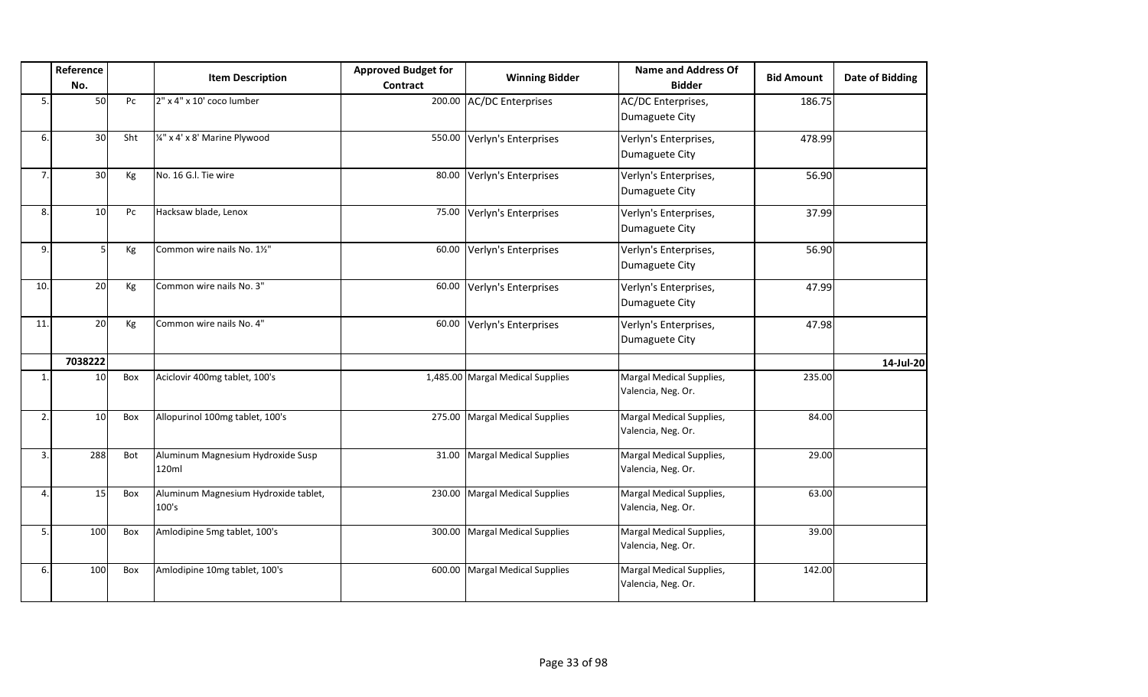|                | Reference<br>No. |     | <b>Item Description</b>                       | <b>Approved Budget for</b><br><b>Contract</b> | <b>Winning Bidder</b>            | <b>Name and Address Of</b><br><b>Bidder</b>    | <b>Bid Amount</b> | <b>Date of Bidding</b> |
|----------------|------------------|-----|-----------------------------------------------|-----------------------------------------------|----------------------------------|------------------------------------------------|-------------------|------------------------|
| 5              | 50               | Pc  | 2" x 4" x 10' coco lumber                     | 200.00                                        | <b>AC/DC Enterprises</b>         | AC/DC Enterprises,<br>Dumaguete City           | 186.75            |                        |
| 6.             | 30 <sup>1</sup>  | Sht | 1/4" x 4' x 8' Marine Plywood                 | 550.00                                        | Verlyn's Enterprises             | Verlyn's Enterprises,<br>Dumaguete City        | 478.99            |                        |
| 7.             | 30               | Kg  | No. 16 G.I. Tie wire                          | 80.00                                         | Verlyn's Enterprises             | Verlyn's Enterprises,<br>Dumaguete City        | 56.90             |                        |
| 8.             | 10               | Pc  | Hacksaw blade, Lenox                          | 75.00                                         | Verlyn's Enterprises             | Verlyn's Enterprises,<br>Dumaguete City        | 37.99             |                        |
| 9.             |                  | Kg  | Common wire nails No. 11/2"                   | 60.00                                         | Verlyn's Enterprises             | Verlyn's Enterprises,<br>Dumaguete City        | 56.90             |                        |
| 10.            | 20               | Kg  | Common wire nails No. 3"                      | 60.00                                         | Verlyn's Enterprises             | Verlyn's Enterprises,<br>Dumaguete City        | 47.99             |                        |
| 11             | 20               | Kg  | Common wire nails No. 4"                      | 60.00                                         | Verlyn's Enterprises             | Verlyn's Enterprises,<br>Dumaguete City        | 47.98             |                        |
|                | 7038222          |     |                                               |                                               |                                  |                                                |                   | 14-Jul-20              |
| $\mathbf{1}$ . | 10               | Box | Aciclovir 400mg tablet, 100's                 |                                               | 1,485.00 Margal Medical Supplies | Margal Medical Supplies,<br>Valencia, Neg. Or. | 235.00            |                        |
| 2.             | 10               | Box | Allopurinol 100mg tablet, 100's               | 275.00                                        | <b>Margal Medical Supplies</b>   | Margal Medical Supplies,<br>Valencia, Neg. Or. | 84.00             |                        |
| 3.             | 288              | Bot | Aluminum Magnesium Hydroxide Susp<br>120ml    | 31.00                                         | <b>Margal Medical Supplies</b>   | Margal Medical Supplies,<br>Valencia, Neg. Or. | 29.00             |                        |
| 4              | 15               | Box | Aluminum Magnesium Hydroxide tablet,<br>100's | 230.00                                        | <b>Margal Medical Supplies</b>   | Margal Medical Supplies,<br>Valencia, Neg. Or. | 63.00             |                        |
| 5              | 100              | Box | Amlodipine 5mg tablet, 100's                  | 300.00                                        | <b>Margal Medical Supplies</b>   | Margal Medical Supplies,<br>Valencia, Neg. Or. | 39.00             |                        |
| 6              | 100              | Box | Amlodipine 10mg tablet, 100's                 | 600.00                                        | <b>Margal Medical Supplies</b>   | Margal Medical Supplies,<br>Valencia, Neg. Or. | 142.00            |                        |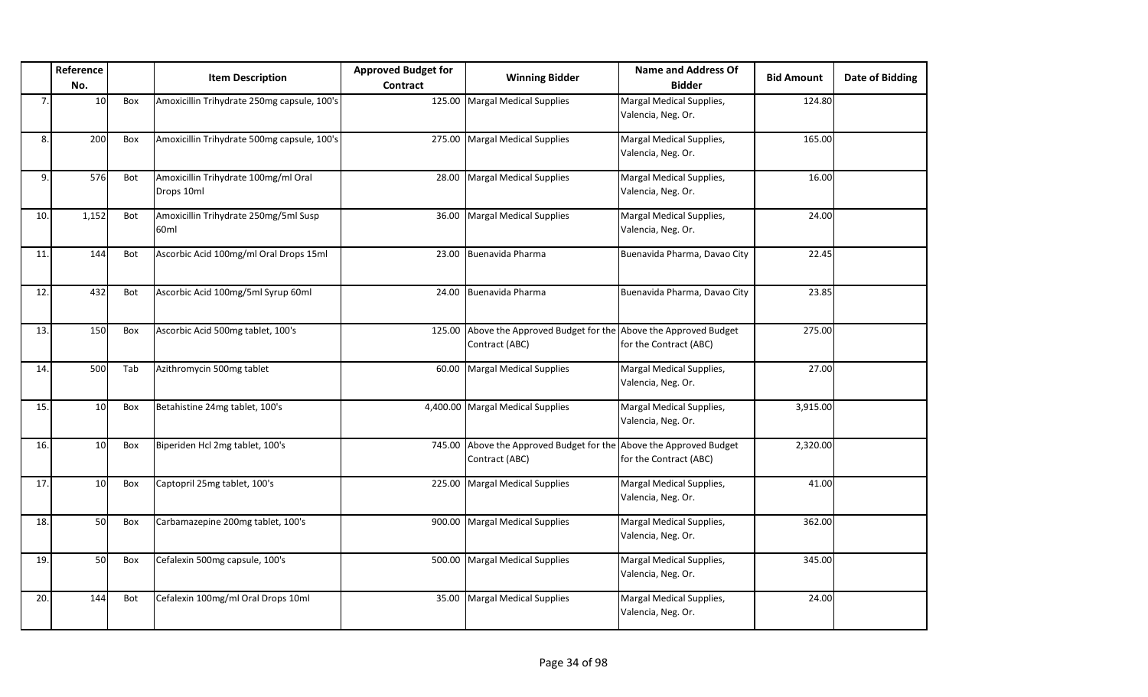|     | Reference<br>No. |     | <b>Item Description</b>                            | <b>Approved Budget for</b><br>Contract | <b>Winning Bidder</b>                                      | <b>Name and Address Of</b><br><b>Bidder</b>         | <b>Bid Amount</b> | <b>Date of Bidding</b> |
|-----|------------------|-----|----------------------------------------------------|----------------------------------------|------------------------------------------------------------|-----------------------------------------------------|-------------------|------------------------|
| 7.  | 10               | Box | Amoxicillin Trihydrate 250mg capsule, 100's        |                                        | 125.00 Margal Medical Supplies                             | Margal Medical Supplies,<br>Valencia, Neg. Or.      | 124.80            |                        |
| 8.  | 200              | Box | Amoxicillin Trihydrate 500mg capsule, 100's        | 275.00                                 | <b>Margal Medical Supplies</b>                             | Margal Medical Supplies,<br>Valencia, Neg. Or.      | 165.00            |                        |
| 9.  | 576              | Bot | Amoxicillin Trihydrate 100mg/ml Oral<br>Drops 10ml | 28.00                                  | <b>Margal Medical Supplies</b>                             | Margal Medical Supplies,<br>Valencia, Neg. Or.      | 16.00             |                        |
| 10. | 1,152            | Bot | Amoxicillin Trihydrate 250mg/5ml Susp<br>60ml      | 36.00                                  | <b>Margal Medical Supplies</b>                             | Margal Medical Supplies,<br>Valencia, Neg. Or.      | 24.00             |                        |
| 11. | 144              | Bot | Ascorbic Acid 100mg/ml Oral Drops 15ml             | 23.00                                  | Buenavida Pharma                                           | Buenavida Pharma, Davao City                        | 22.45             |                        |
| 12. | 432              | Bot | Ascorbic Acid 100mg/5ml Syrup 60ml                 | 24.00                                  | Buenavida Pharma                                           | Buenavida Pharma, Davao City                        | 23.85             |                        |
| 13. | 150              | Box | Ascorbic Acid 500mg tablet, 100's                  |                                        | 125.00 Above the Approved Budget for the<br>Contract (ABC) | Above the Approved Budget<br>for the Contract (ABC) | 275.00            |                        |
| 14. | 500              | Tab | Azithromycin 500mg tablet                          | 60.00                                  | Margal Medical Supplies                                    | Margal Medical Supplies,<br>Valencia, Neg. Or.      | 27.00             |                        |
| 15. | 10 <sup>1</sup>  | Box | Betahistine 24mg tablet, 100's                     |                                        | 4,400.00 Margal Medical Supplies                           | Margal Medical Supplies,<br>Valencia, Neg. Or.      | 3,915.00          |                        |
| 16. | 10               | Box | Biperiden Hcl 2mg tablet, 100's                    |                                        | 745.00 Above the Approved Budget for the<br>Contract (ABC) | Above the Approved Budget<br>for the Contract (ABC) | 2,320.00          |                        |
| 17. | 10 <sup>1</sup>  | Box | Captopril 25mg tablet, 100's                       | 225.00                                 | <b>Margal Medical Supplies</b>                             | Margal Medical Supplies,<br>Valencia, Neg. Or.      | 41.00             |                        |
| 18. | 50               | Box | Carbamazepine 200mg tablet, 100's                  | 900.00                                 | <b>Margal Medical Supplies</b>                             | Margal Medical Supplies,<br>Valencia, Neg. Or.      | 362.00            |                        |
| 19. | 50               | Box | Cefalexin 500mg capsule, 100's                     | 500.00                                 | <b>Margal Medical Supplies</b>                             | Margal Medical Supplies,<br>Valencia, Neg. Or.      | 345.00            |                        |
| 20. | 144              | Bot | Cefalexin 100mg/ml Oral Drops 10ml                 | 35.00                                  | <b>Margal Medical Supplies</b>                             | Margal Medical Supplies,<br>Valencia, Neg. Or.      | 24.00             |                        |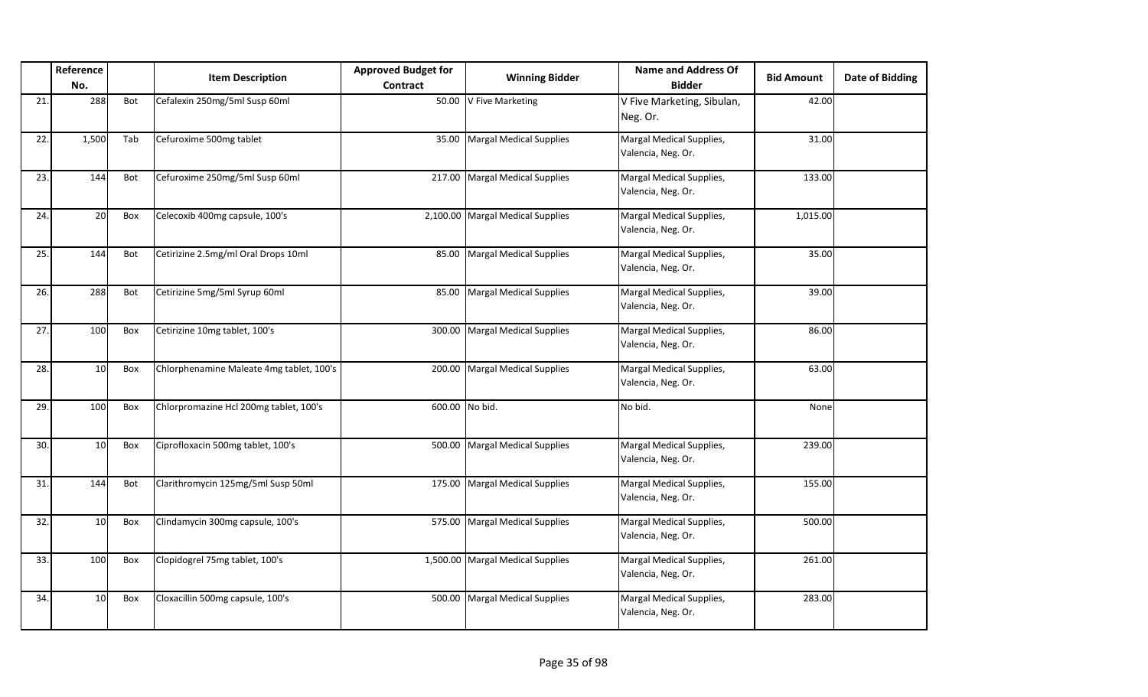|     | Reference<br>No. |     | <b>Item Description</b>                  | <b>Approved Budget for</b><br>Contract | <b>Winning Bidder</b>            | <b>Name and Address Of</b><br><b>Bidder</b>    | <b>Bid Amount</b> | <b>Date of Bidding</b> |
|-----|------------------|-----|------------------------------------------|----------------------------------------|----------------------------------|------------------------------------------------|-------------------|------------------------|
| 21. | 288              | Bot | Cefalexin 250mg/5ml Susp 60ml            |                                        | 50.00 V Five Marketing           | V Five Marketing, Sibulan,<br>Neg. Or.         | 42.00             |                        |
| 22. | 1,500            | Tab | Cefuroxime 500mg tablet                  | 35.00                                  | Margal Medical Supplies          | Margal Medical Supplies,<br>Valencia, Neg. Or. | 31.00             |                        |
| 23. | 144              | Bot | Cefuroxime 250mg/5ml Susp 60ml           |                                        | 217.00 Margal Medical Supplies   | Margal Medical Supplies,<br>Valencia, Neg. Or. | 133.00            |                        |
| 24. | 20               | Box | Celecoxib 400mg capsule, 100's           |                                        | 2,100.00 Margal Medical Supplies | Margal Medical Supplies,<br>Valencia, Neg. Or. | 1,015.00          |                        |
| 25. | 144              | Bot | Cetirizine 2.5mg/ml Oral Drops 10ml      | 85.00                                  | <b>Margal Medical Supplies</b>   | Margal Medical Supplies,<br>Valencia, Neg. Or. | 35.00             |                        |
| 26. | 288              | Bot | Cetirizine 5mg/5ml Syrup 60ml            | 85.00                                  | <b>Margal Medical Supplies</b>   | Margal Medical Supplies,<br>Valencia, Neg. Or. | 39.00             |                        |
| 27. | 100              | Box | Cetirizine 10mg tablet, 100's            |                                        | 300.00 Margal Medical Supplies   | Margal Medical Supplies,<br>Valencia, Neg. Or. | 86.00             |                        |
| 28. | 10               | Box | Chlorphenamine Maleate 4mg tablet, 100's |                                        | 200.00 Margal Medical Supplies   | Margal Medical Supplies,<br>Valencia, Neg. Or. | 63.00             |                        |
| 29. | 100              | Box | Chlorpromazine Hcl 200mg tablet, 100's   |                                        | 600.00 No bid.                   | No bid.                                        | None              |                        |
| 30. | 10               | Box | Ciprofloxacin 500mg tablet, 100's        |                                        | 500.00 Margal Medical Supplies   | Margal Medical Supplies,<br>Valencia, Neg. Or. | 239.00            |                        |
| 31. | 144              | Bot | Clarithromycin 125mg/5ml Susp 50ml       |                                        | 175.00 Margal Medical Supplies   | Margal Medical Supplies,<br>Valencia, Neg. Or. | 155.00            |                        |
| 32. | 10               | Box | Clindamycin 300mg capsule, 100's         |                                        | 575.00 Margal Medical Supplies   | Margal Medical Supplies,<br>Valencia, Neg. Or. | 500.00            |                        |
| 33. | <b>100</b>       | Box | Clopidogrel 75mg tablet, 100's           |                                        | 1,500.00 Margal Medical Supplies | Margal Medical Supplies,<br>Valencia, Neg. Or. | 261.00            |                        |
| 34. | 10 <sup>1</sup>  | Box | Cloxacillin 500mg capsule, 100's         |                                        | 500.00 Margal Medical Supplies   | Margal Medical Supplies,<br>Valencia, Neg. Or. | 283.00            |                        |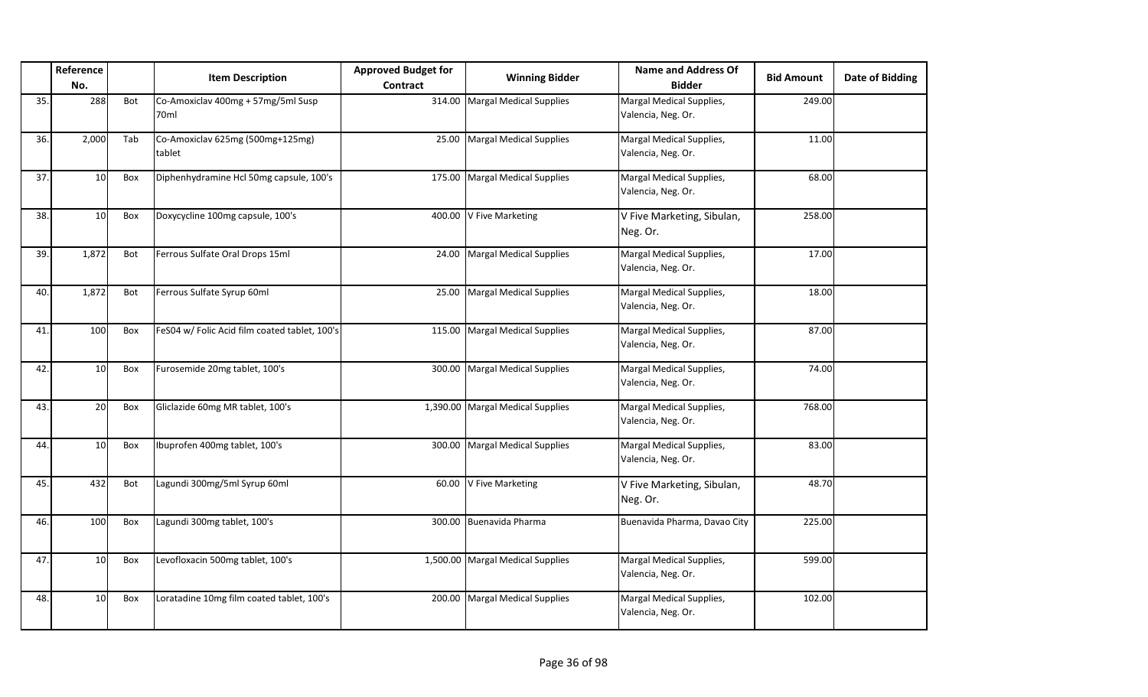|     | Reference<br>No. |     | <b>Item Description</b>                       | <b>Approved Budget for</b><br>Contract | <b>Winning Bidder</b>            | <b>Name and Address Of</b><br><b>Bidder</b>    | <b>Bid Amount</b> | <b>Date of Bidding</b> |
|-----|------------------|-----|-----------------------------------------------|----------------------------------------|----------------------------------|------------------------------------------------|-------------------|------------------------|
| 35. | 288              | Bot | Co-Amoxiclav 400mg + 57mg/5ml Susp<br>70ml    | 314.00                                 | Margal Medical Supplies          | Margal Medical Supplies,<br>Valencia, Neg. Or. | 249.00            |                        |
| 36. | 2,000            | Tab | Co-Amoxiclav 625mg (500mg+125mg)<br>tablet    | 25.00                                  | <b>Margal Medical Supplies</b>   | Margal Medical Supplies,<br>Valencia, Neg. Or. | 11.00             |                        |
| 37. | 10               | Box | Diphenhydramine Hcl 50mg capsule, 100's       |                                        | 175.00 Margal Medical Supplies   | Margal Medical Supplies,<br>Valencia, Neg. Or. | 68.00             |                        |
| 38. | 10               | Box | Doxycycline 100mg capsule, 100's              |                                        | 400.00 V Five Marketing          | V Five Marketing, Sibulan,<br>Neg. Or.         | 258.00            |                        |
| 39. | 1,872            | Bot | Ferrous Sulfate Oral Drops 15ml               | 24.00                                  | <b>Margal Medical Supplies</b>   | Margal Medical Supplies,<br>Valencia, Neg. Or. | 17.00             |                        |
| 40. | 1,872            | Bot | Ferrous Sulfate Syrup 60ml                    | 25.00                                  | <b>Margal Medical Supplies</b>   | Margal Medical Supplies,<br>Valencia, Neg. Or. | 18.00             |                        |
| 41. | 100              | Box | FeS04 w/ Folic Acid film coated tablet, 100's | 115.00                                 | <b>Margal Medical Supplies</b>   | Margal Medical Supplies,<br>Valencia, Neg. Or. | 87.00             |                        |
| 42. | 10 <sup>1</sup>  | Box | Furosemide 20mg tablet, 100's                 | 300.00                                 | <b>Margal Medical Supplies</b>   | Margal Medical Supplies,<br>Valencia, Neg. Or. | 74.00             |                        |
| 43. | 20               | Box | Gliclazide 60mg MR tablet, 100's              |                                        | 1,390.00 Margal Medical Supplies | Margal Medical Supplies,<br>Valencia, Neg. Or. | 768.00            |                        |
| 44. | 10 <sup>1</sup>  | Box | Ibuprofen 400mg tablet, 100's                 | 300.00                                 | <b>Margal Medical Supplies</b>   | Margal Medical Supplies,<br>Valencia, Neg. Or. | 83.00             |                        |
| 45. | 432              | Bot | Lagundi 300mg/5ml Syrup 60ml                  | 60.00                                  | V Five Marketing                 | V Five Marketing, Sibulan,<br>Neg. Or.         | 48.70             |                        |
| 46. | 100              | Box | Lagundi 300mg tablet, 100's                   |                                        | 300.00 Buenavida Pharma          | Buenavida Pharma, Davao City                   | 225.00            |                        |
| 47. | 10               | Box | Levofloxacin 500mg tablet, 100's              |                                        | 1,500.00 Margal Medical Supplies | Margal Medical Supplies,<br>Valencia, Neg. Or. | 599.00            |                        |
| 48. | 10 <sup>1</sup>  | Box | Loratadine 10mg film coated tablet, 100's     | 200.00                                 | <b>Margal Medical Supplies</b>   | Margal Medical Supplies,<br>Valencia, Neg. Or. | 102.00            |                        |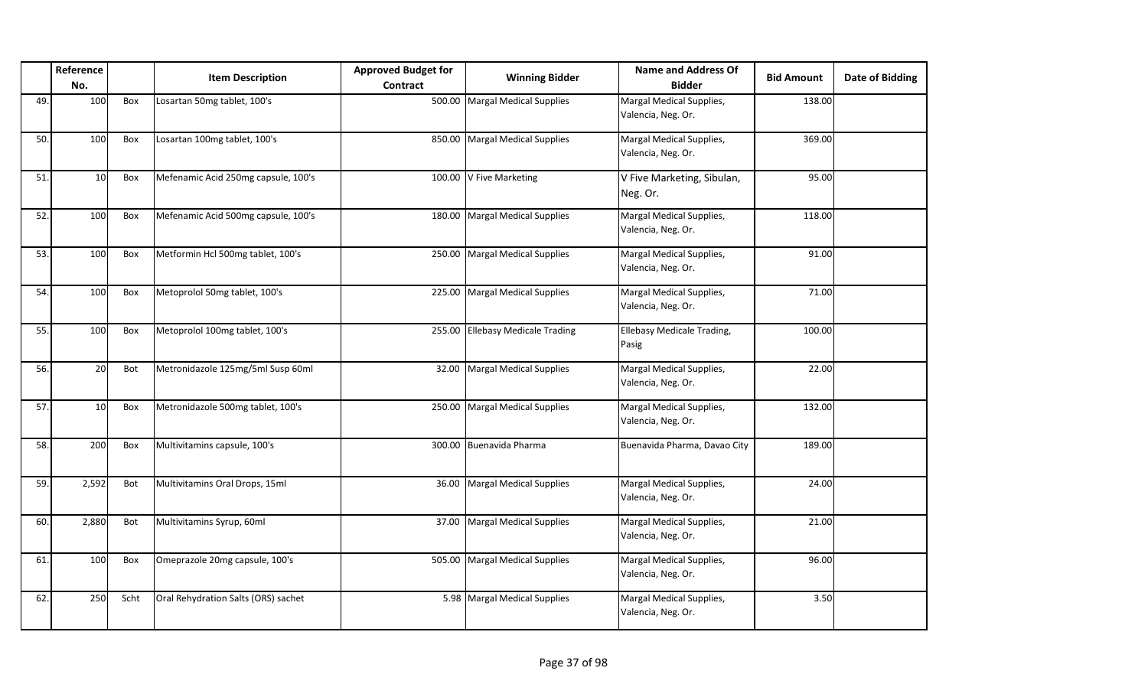|     | Reference<br>No. |      | <b>Item Description</b>             | <b>Approved Budget for</b><br><b>Contract</b> | <b>Winning Bidder</b>            | <b>Name and Address Of</b><br><b>Bidder</b>    | <b>Bid Amount</b> | <b>Date of Bidding</b> |
|-----|------------------|------|-------------------------------------|-----------------------------------------------|----------------------------------|------------------------------------------------|-------------------|------------------------|
| 49. | 100              | Box  | Losartan 50mg tablet, 100's         | 500.00                                        | <b>Margal Medical Supplies</b>   | Margal Medical Supplies,<br>Valencia, Neg. Or. | 138.00            |                        |
| 50. | 100              | Box  | Losartan 100mg tablet, 100's        | 850.00                                        | <b>Margal Medical Supplies</b>   | Margal Medical Supplies,<br>Valencia, Neg. Or. | 369.00            |                        |
| 51. | 10               | Box  | Mefenamic Acid 250mg capsule, 100's |                                               | 100.00 V Five Marketing          | V Five Marketing, Sibulan,<br>Neg. Or.         | 95.00             |                        |
| 52. | 100              | Box  | Mefenamic Acid 500mg capsule, 100's | 180.00                                        | <b>Margal Medical Supplies</b>   | Margal Medical Supplies,<br>Valencia, Neg. Or. | 118.00            |                        |
| 53. | 100              | Box  | Metformin Hcl 500mg tablet, 100's   | 250.00                                        | <b>Margal Medical Supplies</b>   | Margal Medical Supplies,<br>Valencia, Neg. Or. | 91.00             |                        |
| 54. | 100              | Box  | Metoprolol 50mg tablet, 100's       | 225.00                                        | Margal Medical Supplies          | Margal Medical Supplies,<br>Valencia, Neg. Or. | 71.00             |                        |
| 55. | 100              | Box  | Metoprolol 100mg tablet, 100's      | 255.00                                        | <b>Ellebasy Medicale Trading</b> | <b>Ellebasy Medicale Trading,</b><br>Pasig     | 100.00            |                        |
| 56. | 20               | Bot  | Metronidazole 125mg/5ml Susp 60ml   | 32.00                                         | <b>Margal Medical Supplies</b>   | Margal Medical Supplies,<br>Valencia, Neg. Or. | 22.00             |                        |
| 57. | 10 <sup>1</sup>  | Box  | Metronidazole 500mg tablet, 100's   |                                               | 250.00 Margal Medical Supplies   | Margal Medical Supplies,<br>Valencia, Neg. Or. | 132.00            |                        |
| 58. | 200              | Box  | Multivitamins capsule, 100's        | 300.00                                        | Buenavida Pharma                 | Buenavida Pharma, Davao City                   | 189.00            |                        |
| 59. | 2,592            | Bot  | Multivitamins Oral Drops, 15ml      | 36.00                                         | <b>Margal Medical Supplies</b>   | Margal Medical Supplies,<br>Valencia, Neg. Or. | 24.00             |                        |
| 60. | 2,880            | Bot  | Multivitamins Syrup, 60ml           | 37.00                                         | <b>Margal Medical Supplies</b>   | Margal Medical Supplies,<br>Valencia, Neg. Or. | 21.00             |                        |
| 61. | 100              | Box  | Omeprazole 20mg capsule, 100's      | 505.00                                        | Margal Medical Supplies          | Margal Medical Supplies,<br>Valencia, Neg. Or. | 96.00             |                        |
| 62. | 250              | Scht | Oral Rehydration Salts (ORS) sachet |                                               | 5.98 Margal Medical Supplies     | Margal Medical Supplies,<br>Valencia, Neg. Or. | 3.50              |                        |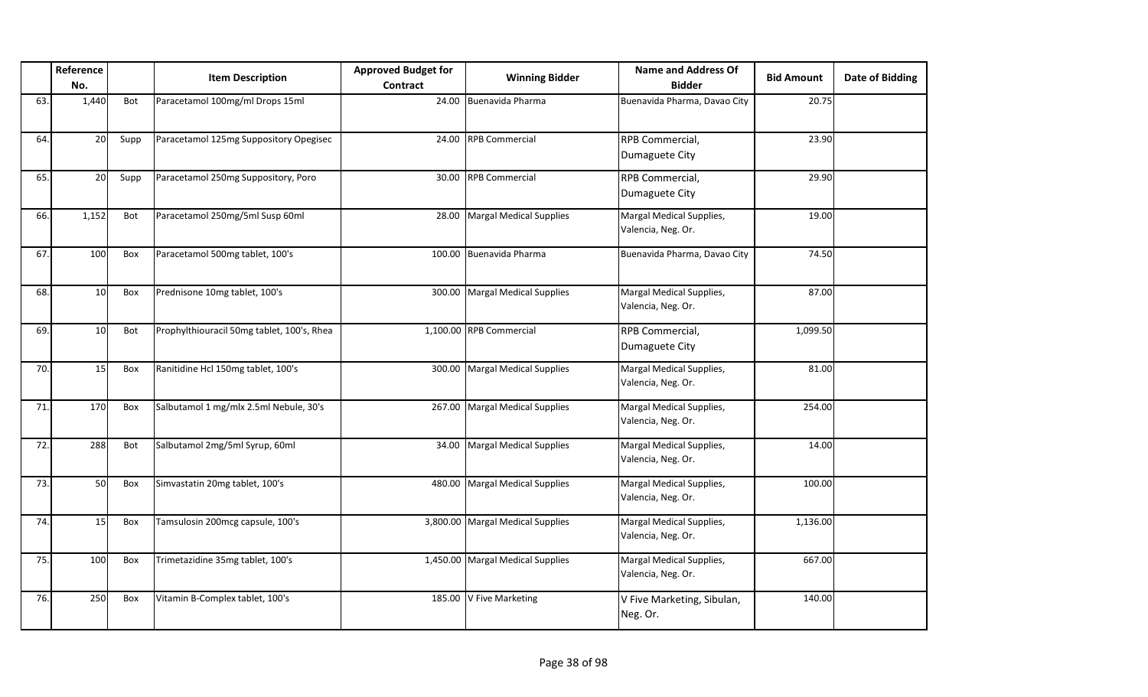|     | Reference<br>No. |      | <b>Item Description</b>                    | <b>Approved Budget for</b><br>Contract | <b>Winning Bidder</b>          | <b>Name and Address Of</b><br><b>Bidder</b>    | <b>Bid Amount</b> | <b>Date of Bidding</b> |
|-----|------------------|------|--------------------------------------------|----------------------------------------|--------------------------------|------------------------------------------------|-------------------|------------------------|
| 63. | 1,440            | Bot  | Paracetamol 100mg/ml Drops 15ml            | 24.00                                  | Buenavida Pharma               | Buenavida Pharma, Davao City                   | 20.75             |                        |
| 64. | 20               | Supp | Paracetamol 125mg Suppository Opegisec     | 24.00                                  | <b>RPB Commercial</b>          | RPB Commercial,<br>Dumaguete City              | 23.90             |                        |
| 65. | 20               | Supp | Paracetamol 250mg Suppository, Poro        | 30.00                                  | <b>RPB Commercial</b>          | RPB Commercial,<br>Dumaguete City              | 29.90             |                        |
| 66. | 1,152            | Bot  | Paracetamol 250mg/5ml Susp 60ml            | 28.00                                  | <b>Margal Medical Supplies</b> | Margal Medical Supplies,<br>Valencia, Neg. Or. | 19.00             |                        |
| 67. | 100              | Box  | Paracetamol 500mg tablet, 100's            | 100.00                                 | Buenavida Pharma               | Buenavida Pharma, Davao City                   | 74.50             |                        |
| 68. | 10               | Box  | Prednisone 10mg tablet, 100's              | 300.00                                 | <b>Margal Medical Supplies</b> | Margal Medical Supplies,<br>Valencia, Neg. Or. | 87.00             |                        |
| 69. | 10               | Bot  | Prophylthiouracil 50mg tablet, 100's, Rhea |                                        | 1,100.00 RPB Commercial        | RPB Commercial,<br>Dumaguete City              | 1,099.50          |                        |
| 70. | 15               | Box  | Ranitidine Hcl 150mg tablet, 100's         | 300.00                                 | <b>Margal Medical Supplies</b> | Margal Medical Supplies,<br>Valencia, Neg. Or. | 81.00             |                        |
| 71. | 170              | Box  | Salbutamol 1 mg/mlx 2.5ml Nebule, 30's     | 267.00                                 | <b>Margal Medical Supplies</b> | Margal Medical Supplies,<br>Valencia, Neg. Or. | 254.00            |                        |
| 72. | 288              | Bot  | Salbutamol 2mg/5ml Syrup, 60ml             | 34.00                                  | <b>Margal Medical Supplies</b> | Margal Medical Supplies,<br>Valencia, Neg. Or. | 14.00             |                        |
| 73. | 50               | Box  | Simvastatin 20mg tablet, 100's             | 480.00                                 | <b>Margal Medical Supplies</b> | Margal Medical Supplies,<br>Valencia, Neg. Or. | 100.00            |                        |
| 74. | 15               | Box  | Tamsulosin 200mcg capsule, 100's           | 3,800.00                               | <b>Margal Medical Supplies</b> | Margal Medical Supplies,<br>Valencia, Neg. Or. | 1,136.00          |                        |
| 75. | 100              | Box  | Trimetazidine 35mg tablet, 100's           | 1,450.00                               | <b>Margal Medical Supplies</b> | Margal Medical Supplies,<br>Valencia, Neg. Or. | 667.00            |                        |
| 76. | 250              | Box  | Vitamin B-Complex tablet, 100's            | 185.00                                 | V Five Marketing               | V Five Marketing, Sibulan,<br>Neg. Or.         | 140.00            |                        |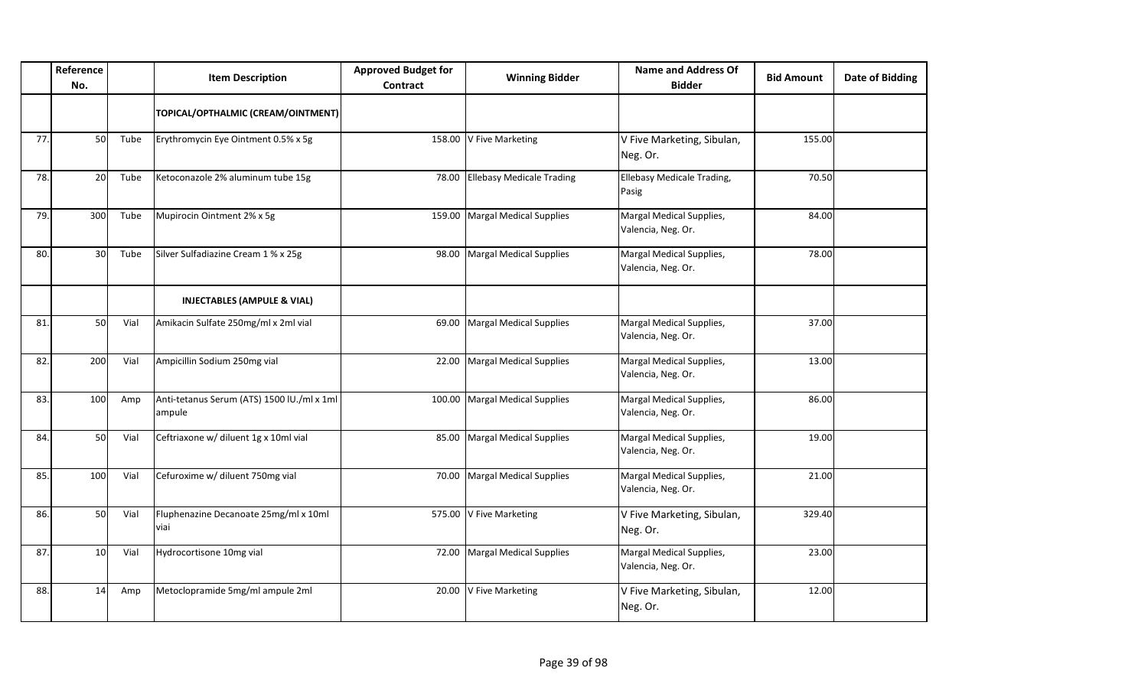|     | Reference<br>No. |      | <b>Item Description</b>                              | <b>Approved Budget for</b><br>Contract | <b>Winning Bidder</b>           | <b>Name and Address Of</b><br><b>Bidder</b>    | <b>Bid Amount</b> | <b>Date of Bidding</b> |
|-----|------------------|------|------------------------------------------------------|----------------------------------------|---------------------------------|------------------------------------------------|-------------------|------------------------|
|     |                  |      | TOPICAL/OPTHALMIC (CREAM/OINTMENT)                   |                                        |                                 |                                                |                   |                        |
| 77. | 50               | Tube | Erythromycin Eye Ointment 0.5% x 5g                  |                                        | 158.00 V Five Marketing         | V Five Marketing, Sibulan,<br>Neg. Or.         | 155.00            |                        |
| 78. | <b>20</b>        | Tube | Ketoconazole 2% aluminum tube 15g                    |                                        | 78.00 Ellebasy Medicale Trading | Ellebasy Medicale Trading,<br>Pasig            | 70.50             |                        |
| 79. | 300              | Tube | Mupirocin Ointment 2% x 5g                           |                                        | 159.00 Margal Medical Supplies  | Margal Medical Supplies,<br>Valencia, Neg. Or. | 84.00             |                        |
| 80. | 30 <sup>1</sup>  | Tube | Silver Sulfadiazine Cream 1 % x 25g                  | 98.00                                  | <b>Margal Medical Supplies</b>  | Margal Medical Supplies,<br>Valencia, Neg. Or. | 78.00             |                        |
|     |                  |      | <b>INJECTABLES (AMPULE &amp; VIAL)</b>               |                                        |                                 |                                                |                   |                        |
| 81. | 50               | Vial | Amikacin Sulfate 250mg/ml x 2ml vial                 |                                        | 69.00 Margal Medical Supplies   | Margal Medical Supplies,<br>Valencia, Neg. Or. | 37.00             |                        |
| 82. | 200              | Vial | Ampicillin Sodium 250mg vial                         |                                        | 22.00 Margal Medical Supplies   | Margal Medical Supplies,<br>Valencia, Neg. Or. | 13.00             |                        |
| 83. | 100              | Amp  | Anti-tetanus Serum (ATS) 1500 IU./ml x 1ml<br>ampule |                                        | 100.00 Margal Medical Supplies  | Margal Medical Supplies,<br>Valencia, Neg. Or. | 86.00             |                        |
| 84. | 50               | Vial | Ceftriaxone w/ diluent 1g x 10ml vial                |                                        | 85.00 Margal Medical Supplies   | Margal Medical Supplies,<br>Valencia, Neg. Or. | 19.00             |                        |
| 85. | 100              | Vial | Cefuroxime w/ diluent 750mg vial                     |                                        | 70.00 Margal Medical Supplies   | Margal Medical Supplies,<br>Valencia, Neg. Or. | 21.00             |                        |
| 86. | 50               | Vial | Fluphenazine Decanoate 25mg/ml x 10ml<br>viai        |                                        | 575.00 V Five Marketing         | V Five Marketing, Sibulan,<br>Neg. Or.         | 329.40            |                        |
| 87  | 10               | Vial | Hydrocortisone 10mg vial                             |                                        | 72.00 Margal Medical Supplies   | Margal Medical Supplies,<br>Valencia, Neg. Or. | 23.00             |                        |
| 88. | 14               | Amp  | Metoclopramide 5mg/ml ampule 2ml                     |                                        | 20.00 V Five Marketing          | V Five Marketing, Sibulan,<br>Neg. Or.         | 12.00             |                        |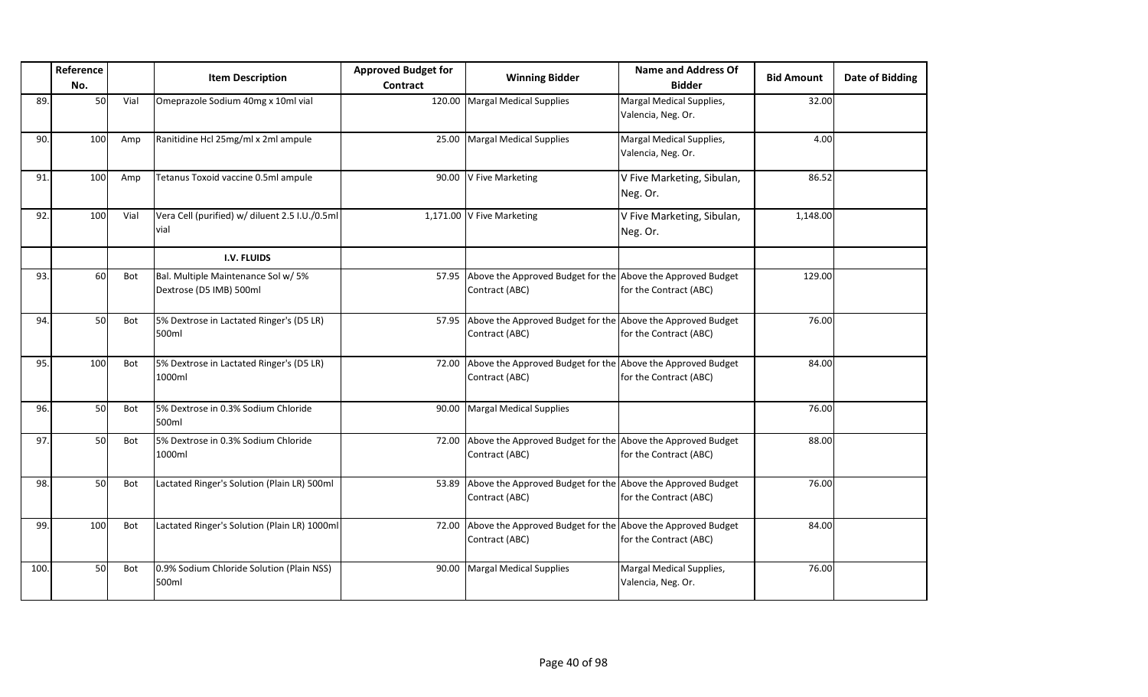|      | Reference<br>No. |            | <b>Item Description</b>                                        | <b>Approved Budget for</b><br>Contract | <b>Winning Bidder</b>                                                               | <b>Name and Address Of</b><br><b>Bidder</b>    | <b>Bid Amount</b> | <b>Date of Bidding</b> |
|------|------------------|------------|----------------------------------------------------------------|----------------------------------------|-------------------------------------------------------------------------------------|------------------------------------------------|-------------------|------------------------|
| 89.  | 50               | Vial       | Omeprazole Sodium 40mg x 10ml vial                             |                                        | 120.00 Margal Medical Supplies                                                      | Margal Medical Supplies,<br>Valencia, Neg. Or. | 32.00             |                        |
| 90.  | 100              | Amp        | Ranitidine Hcl 25mg/ml x 2ml ampule                            | 25.00                                  | <b>Margal Medical Supplies</b>                                                      | Margal Medical Supplies,<br>Valencia, Neg. Or. | 4.00              |                        |
| 91.  | 100              | Amp        | Tetanus Toxoid vaccine 0.5ml ampule                            | 90.00                                  | V Five Marketing                                                                    | V Five Marketing, Sibulan,<br>Neg. Or.         | 86.52             |                        |
| 92.  | 100              | Vial       | Vera Cell (purified) w/ diluent 2.5 I.U./0.5ml<br>vial         |                                        | 1,171.00 V Five Marketing                                                           | V Five Marketing, Sibulan,<br>Neg. Or.         | 1,148.00          |                        |
|      |                  |            | I.V. FLUIDS                                                    |                                        |                                                                                     |                                                |                   |                        |
| 93.  | 60               | Bot        | Bal. Multiple Maintenance Sol w/ 5%<br>Dextrose (D5 IMB) 500ml |                                        | 57.95 Above the Approved Budget for the Above the Approved Budget<br>Contract (ABC) | for the Contract (ABC)                         | 129.00            |                        |
| 94.  | 50               | Bot        | 5% Dextrose in Lactated Ringer's (D5 LR)<br>500ml              |                                        | 57.95 Above the Approved Budget for the Above the Approved Budget<br>Contract (ABC) | for the Contract (ABC)                         | 76.00             |                        |
| 95.  | 100              | <b>Bot</b> | 5% Dextrose in Lactated Ringer's (D5 LR)<br>1000ml             | 72.00                                  | Above the Approved Budget for the Above the Approved Budget<br>Contract (ABC)       | for the Contract (ABC)                         | 84.00             |                        |
| 96.  | 50               | Bot        | 5% Dextrose in 0.3% Sodium Chloride<br>500ml                   | 90.00                                  | <b>Margal Medical Supplies</b>                                                      |                                                | 76.00             |                        |
| 97.  | 50               | Bot        | 5% Dextrose in 0.3% Sodium Chloride<br>1000ml                  | 72.00                                  | Above the Approved Budget for the Above the Approved Budget<br>Contract (ABC)       | for the Contract (ABC)                         | 88.00             |                        |
| 98.  | 50               | Bot        | Lactated Ringer's Solution (Plain LR) 500ml                    | 53.89                                  | Above the Approved Budget for the Above the Approved Budget<br>Contract (ABC)       | for the Contract (ABC)                         | 76.00             |                        |
| 99.  | 100              | Bot        | Lactated Ringer's Solution (Plain LR) 1000ml                   | 72.00                                  | Above the Approved Budget for the Above the Approved Budget<br>Contract (ABC)       | for the Contract (ABC)                         | 84.00             |                        |
| 100. | 50               | Bot        | 0.9% Sodium Chloride Solution (Plain NSS)<br>500ml             | 90.00                                  | <b>Margal Medical Supplies</b>                                                      | Margal Medical Supplies,<br>Valencia, Neg. Or. | 76.00             |                        |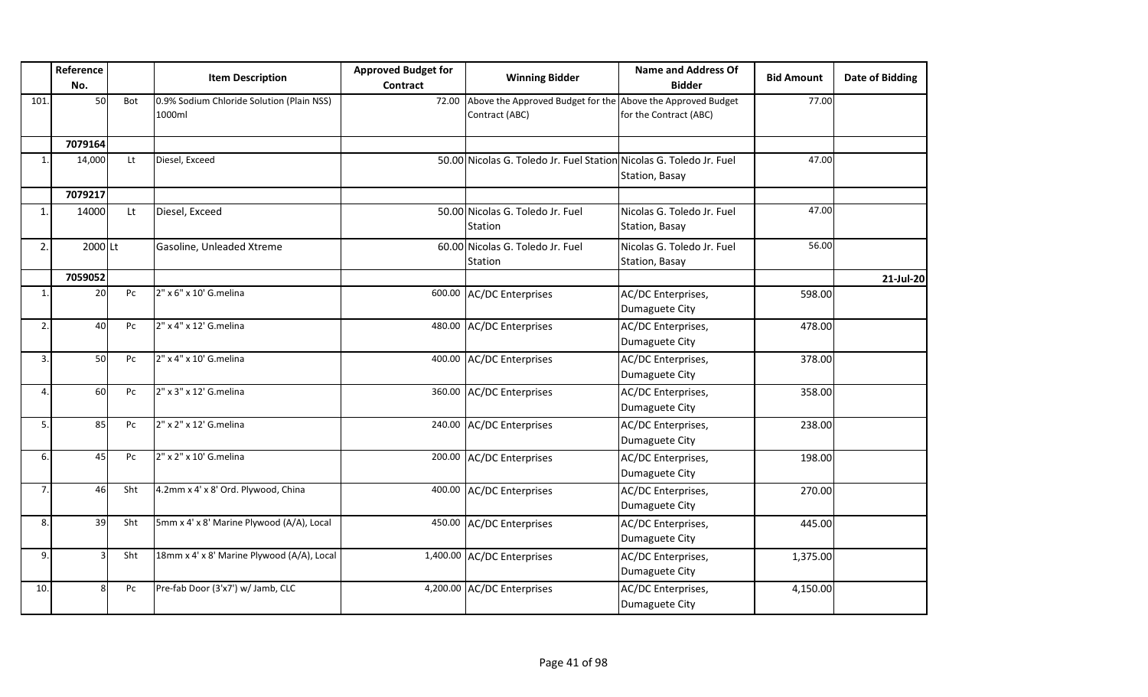|                | Reference<br>No. |                | <b>Item Description</b>                             | <b>Approved Budget for</b> | <b>Winning Bidder</b>                                                               | <b>Name and Address Of</b><br><b>Bidder</b>  | <b>Bid Amount</b> | <b>Date of Bidding</b> |
|----------------|------------------|----------------|-----------------------------------------------------|----------------------------|-------------------------------------------------------------------------------------|----------------------------------------------|-------------------|------------------------|
|                |                  |                |                                                     | Contract                   |                                                                                     |                                              |                   |                        |
| 101.           | 50               | Bot            | 0.9% Sodium Chloride Solution (Plain NSS)<br>1000ml |                            | 72.00 Above the Approved Budget for the Above the Approved Budget<br>Contract (ABC) | for the Contract (ABC)                       | 77.00             |                        |
|                | 7079164          |                |                                                     |                            |                                                                                     |                                              |                   |                        |
| $\mathbf{1}$ . | 14,000           | Lt             | Diesel, Exceed                                      |                            | 50.00 Nicolas G. Toledo Jr. Fuel Station Nicolas G. Toledo Jr. Fuel                 | Station, Basay                               | 47.00             |                        |
|                | 7079217          |                |                                                     |                            |                                                                                     |                                              |                   |                        |
| $\mathbf{1}$   | 14000            | Lt             | Diesel, Exceed                                      |                            | 50.00 Nicolas G. Toledo Jr. Fuel<br>Station                                         | Nicolas G. Toledo Jr. Fuel<br>Station, Basay | 47.00             |                        |
| 2.             | 2000Lt           |                | Gasoline, Unleaded Xtreme                           |                            | 60.00 Nicolas G. Toledo Jr. Fuel<br>Station                                         | Nicolas G. Toledo Jr. Fuel<br>Station, Basay | 56.00             |                        |
|                | 7059052          |                |                                                     |                            |                                                                                     |                                              |                   | 21-Jul-20              |
| $\mathbf{1}$   | 20               | Pc             | 2" x 6" x 10' G.melina                              |                            | 600.00 AC/DC Enterprises                                                            | AC/DC Enterprises,<br>Dumaguete City         | 598.00            |                        |
| 2.             | 40               | Pc             | 2" x 4" x 12' G.melina                              |                            | 480.00 AC/DC Enterprises                                                            | AC/DC Enterprises,<br>Dumaguete City         | 478.00            |                        |
| 3.             | 50               | Pc             | 2" x 4" x 10' G.melina                              |                            | 400.00 AC/DC Enterprises                                                            | AC/DC Enterprises,<br>Dumaguete City         | 378.00            |                        |
| 4              | 60               | P <sub>C</sub> | 2" x 3" x 12' G.melina                              |                            | 360.00 AC/DC Enterprises                                                            | AC/DC Enterprises,<br>Dumaguete City         | 358.00            |                        |
| 5.             | 85               | Pc             | 2" x 2" x 12' G.melina                              |                            | 240.00 AC/DC Enterprises                                                            | AC/DC Enterprises,<br>Dumaguete City         | 238.00            |                        |
| 6.             | 45               | Pc             | 2" x 2" x 10' G.melina                              |                            | 200.00 AC/DC Enterprises                                                            | AC/DC Enterprises,<br>Dumaguete City         | 198.00            |                        |
| 7.             | 46               | Sht            | 4.2mm x 4' x 8' Ord. Plywood, China                 |                            | 400.00 AC/DC Enterprises                                                            | AC/DC Enterprises,<br>Dumaguete City         | 270.00            |                        |
| 8.             | 39               | Sht            | 5mm x 4' x 8' Marine Plywood (A/A), Local           |                            | 450.00 AC/DC Enterprises                                                            | AC/DC Enterprises,<br>Dumaguete City         | 445.00            |                        |
| 9.             |                  | Sht            | 18mm x 4' x 8' Marine Plywood (A/A), Local          |                            | 1,400.00 AC/DC Enterprises                                                          | AC/DC Enterprises,<br>Dumaguete City         | 1,375.00          |                        |
| 10.            | $\mathsf{R}$     | Pc             | Pre-fab Door (3'x7') w/ Jamb, CLC                   |                            | 4,200.00 AC/DC Enterprises                                                          | AC/DC Enterprises,<br>Dumaguete City         | 4,150.00          |                        |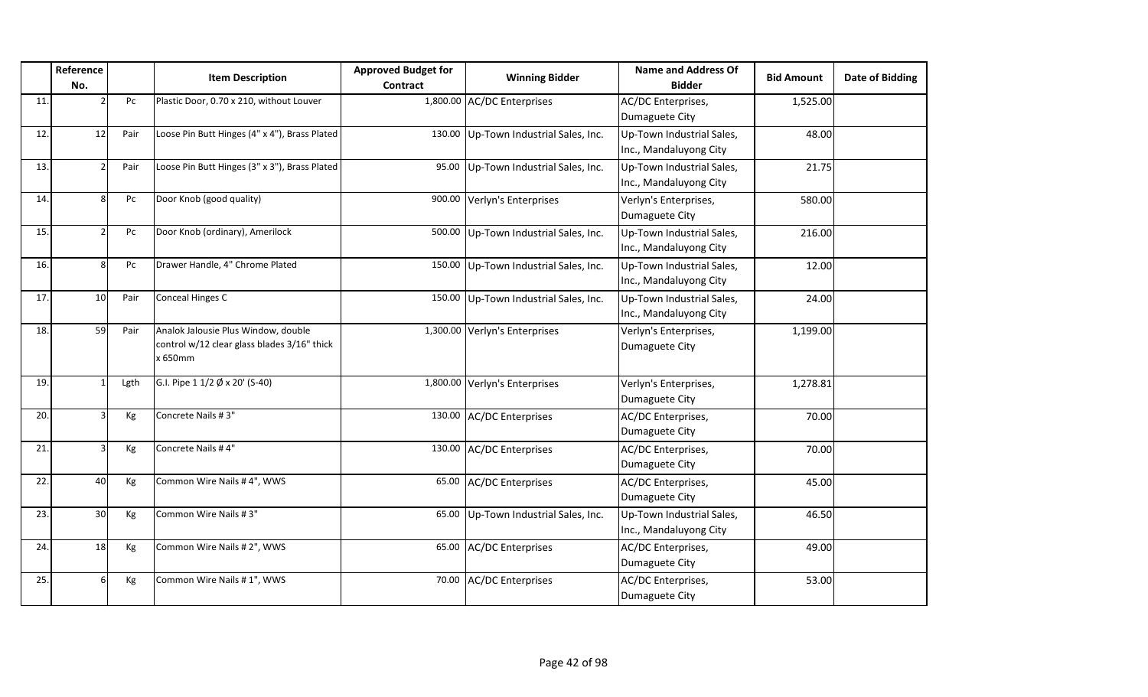|     | Reference               |      | <b>Item Description</b>                                                                       | <b>Approved Budget for</b> | <b>Winning Bidder</b>                 | <b>Name and Address Of</b>                          | <b>Bid Amount</b> | Date of Bidding |
|-----|-------------------------|------|-----------------------------------------------------------------------------------------------|----------------------------|---------------------------------------|-----------------------------------------------------|-------------------|-----------------|
|     | No.                     |      |                                                                                               | Contract                   |                                       | <b>Bidder</b>                                       |                   |                 |
| 11  |                         | Pc   | Plastic Door, 0.70 x 210, without Louver                                                      |                            | 1,800.00 AC/DC Enterprises            | AC/DC Enterprises,<br>Dumaguete City                | 1,525.00          |                 |
| 12. | 12                      | Pair | Loose Pin Butt Hinges (4" x 4"), Brass Plated                                                 |                            | 130.00 Up-Town Industrial Sales, Inc. | Up-Town Industrial Sales,<br>Inc., Mandaluyong City | 48.00             |                 |
| 13. |                         | Pair | Loose Pin Butt Hinges (3" x 3"), Brass Plated                                                 |                            | 95.00 Up-Town Industrial Sales, Inc.  | Up-Town Industrial Sales,<br>Inc., Mandaluyong City | 21.75             |                 |
| 14  | $\mathsf{\overline{R}}$ | Pc   | Door Knob (good quality)                                                                      |                            | 900.00 Verlyn's Enterprises           | Verlyn's Enterprises,<br>Dumaguete City             | 580.00            |                 |
| 15. |                         | Pc   | Door Knob (ordinary), Amerilock                                                               |                            | 500.00 Up-Town Industrial Sales, Inc. | Up-Town Industrial Sales,<br>Inc., Mandaluyong City | 216.00            |                 |
| 16. | ହ                       | Pc   | Drawer Handle, 4" Chrome Plated                                                               |                            | 150.00 Up-Town Industrial Sales, Inc. | Up-Town Industrial Sales,<br>Inc., Mandaluyong City | 12.00             |                 |
| 17. | 10 <sup>1</sup>         | Pair | Conceal Hinges C                                                                              |                            | 150.00 Up-Town Industrial Sales, Inc. | Up-Town Industrial Sales,<br>Inc., Mandaluyong City | 24.00             |                 |
| 18. | 59                      | Pair | Analok Jalousie Plus Window, double<br>control w/12 clear glass blades 3/16" thick<br>x 650mm |                            | 1,300.00 Verlyn's Enterprises         | Verlyn's Enterprises,<br>Dumaguete City             | 1,199.00          |                 |
| 19  |                         | Lgth | G.I. Pipe $11/2$ $\emptyset$ x 20' (S-40)                                                     |                            | 1,800.00 Verlyn's Enterprises         | Verlyn's Enterprises,<br>Dumaguete City             | 1,278.81          |                 |
| 20. |                         | Kg   | Concrete Nails #3"                                                                            |                            | 130.00 AC/DC Enterprises              | AC/DC Enterprises,<br>Dumaguete City                | 70.00             |                 |
| 21  |                         | Kg   | Concrete Nails #4"                                                                            |                            | 130.00 AC/DC Enterprises              | AC/DC Enterprises,<br>Dumaguete City                | 70.00             |                 |
| 22. | 40                      | Kg   | Common Wire Nails #4", WWS                                                                    |                            | 65.00 AC/DC Enterprises               | AC/DC Enterprises,<br>Dumaguete City                | 45.00             |                 |
| 23. | 30                      | Kg   | Common Wire Nails #3"                                                                         | 65.00                      | Up-Town Industrial Sales, Inc.        | Up-Town Industrial Sales,<br>Inc., Mandaluyong City | 46.50             |                 |
| 24  | 18                      | Кg   | Common Wire Nails # 2", WWS                                                                   | 65.00                      | <b>AC/DC Enterprises</b>              | AC/DC Enterprises,<br>Dumaguete City                | 49.00             |                 |
| 25. |                         | Kg   | Common Wire Nails # 1", WWS                                                                   | 70.00                      | <b>AC/DC Enterprises</b>              | AC/DC Enterprises,<br>Dumaguete City                | 53.00             |                 |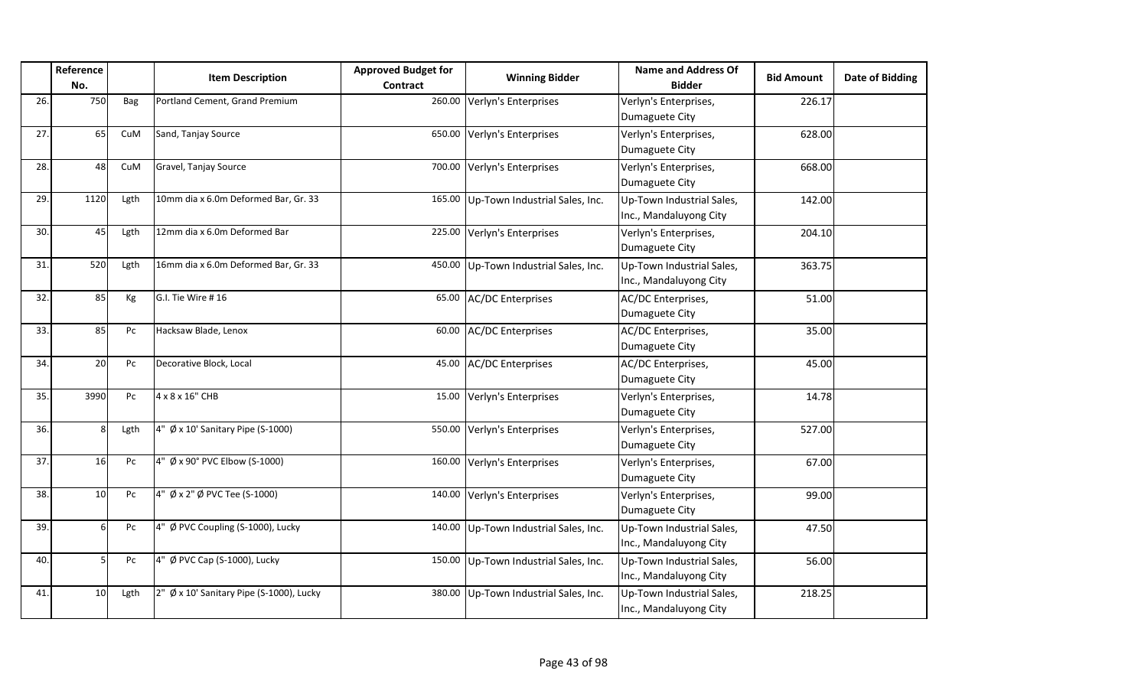|     | Reference |      | <b>Item Description</b>                  | <b>Approved Budget for</b> | <b>Winning Bidder</b>                 | Name and Address Of                                 | <b>Bid Amount</b> | Date of Bidding |
|-----|-----------|------|------------------------------------------|----------------------------|---------------------------------------|-----------------------------------------------------|-------------------|-----------------|
|     | No.       |      |                                          | Contract                   |                                       | <b>Bidder</b>                                       |                   |                 |
| 26. | 750       | Bag  | Portland Cement, Grand Premium           |                            | 260.00 Verlyn's Enterprises           | Verlyn's Enterprises,<br>Dumaguete City             | 226.17            |                 |
| 27. | 65        | CuM  | Sand, Tanjay Source                      |                            | 650.00 Verlyn's Enterprises           | Verlyn's Enterprises,<br>Dumaguete City             | 628.00            |                 |
| 28. | 48        | CuM  | Gravel, Tanjay Source                    |                            | 700.00 Verlyn's Enterprises           | Verlyn's Enterprises,<br>Dumaguete City             | 668.00            |                 |
| 29. | 1120      | Lgth | 10mm dia x 6.0m Deformed Bar, Gr. 33     |                            | 165.00 Up-Town Industrial Sales, Inc. | Up-Town Industrial Sales,<br>Inc., Mandaluyong City | 142.00            |                 |
| 30. | 45        | Lgth | 12mm dia x 6.0m Deformed Bar             |                            | 225.00 Verlyn's Enterprises           | Verlyn's Enterprises,<br>Dumaguete City             | 204.10            |                 |
| 31. | 520       | Lgth | 16mm dia x 6.0m Deformed Bar, Gr. 33     |                            | 450.00 Up-Town Industrial Sales, Inc. | Up-Town Industrial Sales,<br>Inc., Mandaluyong City | 363.75            |                 |
| 32. | 85        | Кg   | G.I. Tie Wire #16                        |                            | 65.00 AC/DC Enterprises               | AC/DC Enterprises,<br>Dumaguete City                | 51.00             |                 |
| 33. | 85        | Pc   | Hacksaw Blade, Lenox                     |                            | 60.00 AC/DC Enterprises               | AC/DC Enterprises,<br>Dumaguete City                | 35.00             |                 |
| 34. | 20        | Pc   | Decorative Block, Local                  |                            | 45.00 AC/DC Enterprises               | AC/DC Enterprises,<br>Dumaguete City                | 45.00             |                 |
| 35. | 3990      | Pc   | 4 x 8 x 16" CHB                          |                            | 15.00 Verlyn's Enterprises            | Verlyn's Enterprises,<br>Dumaguete City             | 14.78             |                 |
| 36. | Ջ         | Lgth | 4" Ø x 10' Sanitary Pipe (S-1000)        |                            | 550.00 Verlyn's Enterprises           | Verlyn's Enterprises,<br>Dumaguete City             | 527.00            |                 |
| 37. | 16        | Pc   | 4" Ø x 90° PVC Elbow (S-1000)            |                            | 160.00 Verlyn's Enterprises           | Verlyn's Enterprises,<br>Dumaguete City             | 67.00             |                 |
| 38. | 10        | Pc   | 4" Ø x 2" Ø PVC Tee (S-1000)             |                            | 140.00 Verlyn's Enterprises           | Verlyn's Enterprises,<br>Dumaguete City             | 99.00             |                 |
| 39. | 6         | Pc   | 4" Ø PVC Coupling (S-1000), Lucky        |                            | 140.00 Up-Town Industrial Sales, Inc. | Up-Town Industrial Sales,<br>Inc., Mandaluyong City | 47.50             |                 |
| 40. |           | Pc   | 4" Ø PVC Cap (S-1000), Lucky             |                            | 150.00 Up-Town Industrial Sales, Inc. | Up-Town Industrial Sales,<br>Inc., Mandaluyong City | 56.00             |                 |
| 41. | 10        | Lgth | 2" Ø x 10' Sanitary Pipe (S-1000), Lucky |                            | 380.00 Up-Town Industrial Sales, Inc. | Up-Town Industrial Sales,<br>Inc., Mandaluyong City | 218.25            |                 |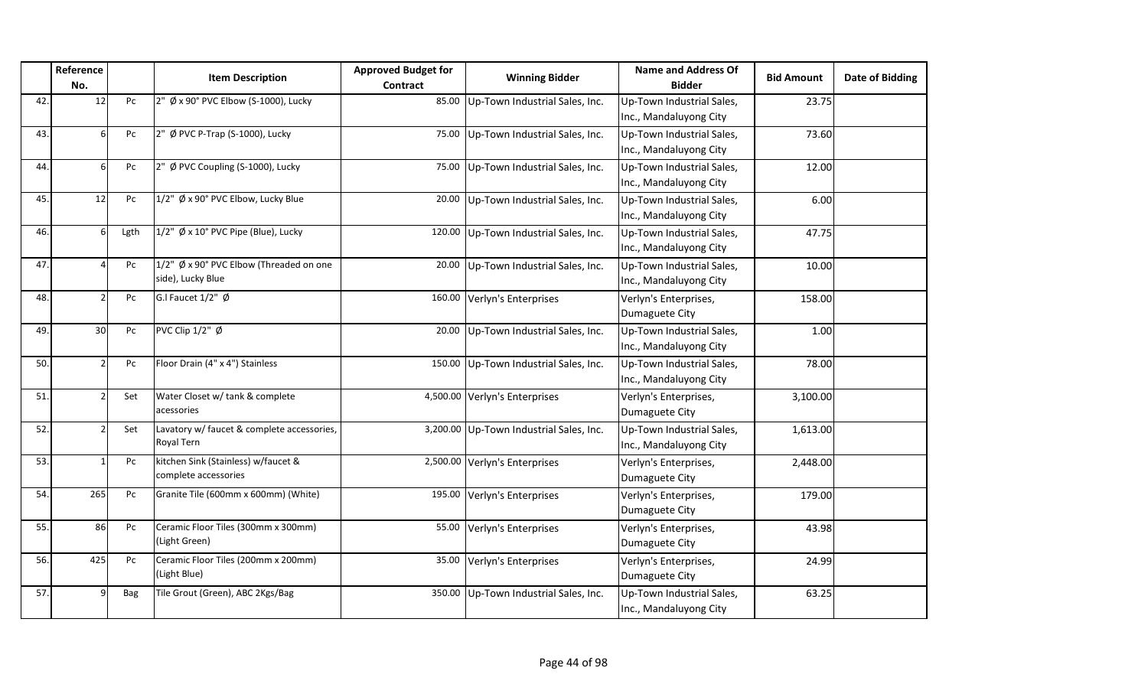|     | Reference<br>No. |      | <b>Item Description</b>                                      | <b>Approved Budget for</b><br><b>Contract</b> | <b>Winning Bidder</b>                   | <b>Name and Address Of</b><br><b>Bidder</b>         | <b>Bid Amount</b> | <b>Date of Bidding</b> |
|-----|------------------|------|--------------------------------------------------------------|-----------------------------------------------|-----------------------------------------|-----------------------------------------------------|-------------------|------------------------|
| 42. | 12               | Pc   | 2" Ø x 90° PVC Elbow (S-1000), Lucky                         | 85.00                                         | Up-Town Industrial Sales, Inc.          | Up-Town Industrial Sales,<br>Inc., Mandaluyong City | 23.75             |                        |
| 43. | $6 \mid$         | Pc   | 2" Ø PVC P-Trap (S-1000), Lucky                              | 75.00                                         | Up-Town Industrial Sales, Inc.          | Up-Town Industrial Sales,<br>Inc., Mandaluyong City | 73.60             |                        |
| 44. | 6                | Pc   | 2" Ø PVC Coupling (S-1000), Lucky                            | 75.00                                         | Up-Town Industrial Sales, Inc.          | Up-Town Industrial Sales,<br>Inc., Mandaluyong City | 12.00             |                        |
| 45. | 12               | Pc   | 1/2" Ø x 90° PVC Elbow, Lucky Blue                           | 20.00                                         | Up-Town Industrial Sales, Inc.          | Up-Town Industrial Sales,<br>Inc., Mandaluyong City | 6.00              |                        |
| 46. | 6                | Lgth | $1/2$ " Ø x 10° PVC Pipe (Blue), Lucky                       | 120.00                                        | Up-Town Industrial Sales, Inc.          | Up-Town Industrial Sales,<br>Inc., Mandaluyong City | 47.75             |                        |
| 47. |                  | Pc   | 1/2" Ø x 90° PVC Elbow (Threaded on one<br>side), Lucky Blue | 20.00                                         | Up-Town Industrial Sales, Inc.          | Up-Town Industrial Sales,<br>Inc., Mandaluyong City | 10.00             |                        |
| 48. |                  | Pc   | G.I Faucet $1/2$ " $\emptyset$                               | 160.00                                        | Verlyn's Enterprises                    | Verlyn's Enterprises,<br>Dumaguete City             | 158.00            |                        |
| 49. | 30               | Pc   | PVC Clip 1/2" Ø                                              | 20.00                                         | Up-Town Industrial Sales, Inc.          | Up-Town Industrial Sales,<br>Inc., Mandaluyong City | 1.00              |                        |
| 50. |                  | Pc   | Floor Drain (4" x 4") Stainless                              | 150.00                                        | Up-Town Industrial Sales, Inc.          | Up-Town Industrial Sales,<br>Inc., Mandaluyong City | 78.00             |                        |
| 51. |                  | Set  | Water Closet w/ tank & complete<br>acessories                |                                               | 4,500.00 Verlyn's Enterprises           | Verlyn's Enterprises,<br>Dumaguete City             | 3,100.00          |                        |
| 52. | 2                | Set  | Lavatory w/ faucet & complete accessories,<br>Royal Tern     |                                               | 3,200.00 Up-Town Industrial Sales, Inc. | Up-Town Industrial Sales,<br>Inc., Mandaluyong City | 1,613.00          |                        |
| 53. | $\overline{1}$   | Pc   | kitchen Sink (Stainless) w/faucet &<br>complete accessories  | 2,500.00                                      | Verlyn's Enterprises                    | Verlyn's Enterprises,<br>Dumaguete City             | 2,448.00          |                        |
| 54. | 265              | Pc   | Granite Tile (600mm x 600mm) (White)                         | 195.00                                        | Verlyn's Enterprises                    | Verlyn's Enterprises,<br>Dumaguete City             | 179.00            |                        |
| 55. | 86               | Pc   | Ceramic Floor Tiles (300mm x 300mm)<br>(Light Green)         | 55.00                                         | Verlyn's Enterprises                    | Verlyn's Enterprises,<br>Dumaguete City             | 43.98             |                        |
| 56. | 425              | Pc   | Ceramic Floor Tiles (200mm x 200mm)<br>(Light Blue)          | 35.00                                         | Verlyn's Enterprises                    | Verlyn's Enterprises,<br>Dumaguete City             | 24.99             |                        |
| 57. | q                | Bag  | Tile Grout (Green), ABC 2Kgs/Bag                             | 350.00                                        | Up-Town Industrial Sales, Inc.          | Up-Town Industrial Sales,<br>Inc., Mandaluyong City | 63.25             |                        |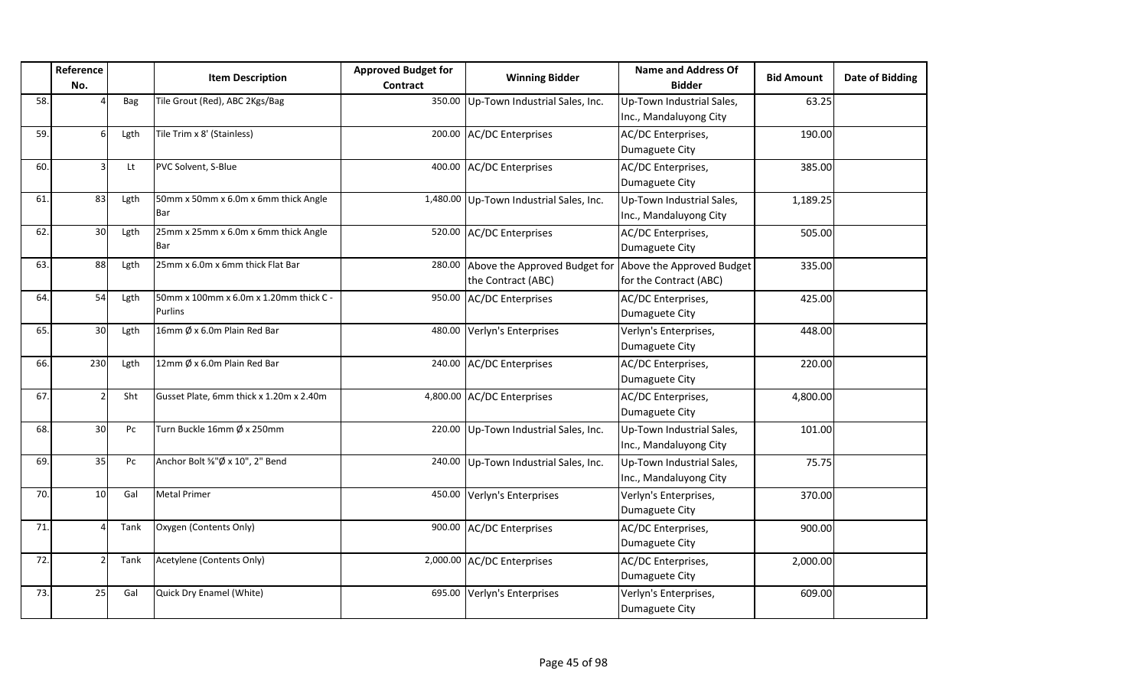|     | Reference       |            | <b>Item Description</b>                                  | <b>Approved Budget for</b> | <b>Winning Bidder</b>                                                         | <b>Name and Address Of</b>                          | <b>Bid Amount</b> | <b>Date of Bidding</b> |
|-----|-----------------|------------|----------------------------------------------------------|----------------------------|-------------------------------------------------------------------------------|-----------------------------------------------------|-------------------|------------------------|
|     | No.             |            |                                                          | <b>Contract</b>            |                                                                               | <b>Bidder</b>                                       |                   |                        |
| 58. |                 | <b>Bag</b> | Tile Grout (Red), ABC 2Kgs/Bag                           |                            | 350.00 Up-Town Industrial Sales, Inc.                                         | Up-Town Industrial Sales,<br>Inc., Mandaluyong City | 63.25             |                        |
| 59. | 6l              | Lgth       | Tile Trim x 8' (Stainless)                               |                            | 200.00 AC/DC Enterprises                                                      | AC/DC Enterprises,<br>Dumaguete City                | 190.00            |                        |
| 60. | 3               | Lt         | PVC Solvent, S-Blue                                      |                            | 400.00 AC/DC Enterprises                                                      | AC/DC Enterprises,<br>Dumaguete City                | 385.00            |                        |
| 61. | 83              | Lgth       | 50mm x 50mm x 6.0m x 6mm thick Angle<br>Bar              |                            | 1,480.00 Up-Town Industrial Sales, Inc.                                       | Up-Town Industrial Sales,<br>Inc., Mandaluyong City | 1,189.25          |                        |
| 62. | 30 <sup>1</sup> | Lgth       | 25mm x 25mm x 6.0m x 6mm thick Angle<br>Bar              |                            | 520.00 AC/DC Enterprises                                                      | AC/DC Enterprises,<br>Dumaguete City                | 505.00            |                        |
| 63. | 88              | Lgth       | 25mm x 6.0m x 6mm thick Flat Bar                         | 280.00                     | Above the Approved Budget for Above the Approved Budget<br>the Contract (ABC) | for the Contract (ABC)                              | 335.00            |                        |
| 64. | 54              | Lgth       | 50mm x 100mm x 6.0m x 1.20mm thick C -<br><b>Purlins</b> |                            | 950.00 AC/DC Enterprises                                                      | AC/DC Enterprises,<br>Dumaguete City                | 425.00            |                        |
| 65. | 30 <sup>1</sup> | Lgth       | 16mm Ø x 6.0m Plain Red Bar                              |                            | 480.00 Verlyn's Enterprises                                                   | Verlyn's Enterprises,<br>Dumaguete City             | 448.00            |                        |
| 66. | 230             | Lgth       | 12mm Ø x 6.0m Plain Red Bar                              |                            | 240.00 AC/DC Enterprises                                                      | AC/DC Enterprises,<br>Dumaguete City                | 220.00            |                        |
| 67. |                 | Sht        | Gusset Plate, 6mm thick x 1.20m x 2.40m                  |                            | 4,800.00 AC/DC Enterprises                                                    | AC/DC Enterprises,<br>Dumaguete City                | 4,800.00          |                        |
| 68. | 30 <sub>1</sub> | Pc         | Turn Buckle 16mm Ø x 250mm                               |                            | 220.00 Up-Town Industrial Sales, Inc.                                         | Up-Town Industrial Sales,<br>Inc., Mandaluyong City | 101.00            |                        |
| 69. | 35              | Pc         | Anchor Bolt %"Ø x 10", 2" Bend                           |                            | 240.00 Up-Town Industrial Sales, Inc.                                         | Up-Town Industrial Sales,<br>Inc., Mandaluyong City | 75.75             |                        |
| 70. | 10              | Gal        | <b>Metal Primer</b>                                      |                            | 450.00 Verlyn's Enterprises                                                   | Verlyn's Enterprises,<br>Dumaguete City             | 370.00            |                        |
| 71. |                 | Tank       | Oxygen (Contents Only)                                   |                            | 900.00 AC/DC Enterprises                                                      | AC/DC Enterprises,<br>Dumaguete City                | 900.00            |                        |
| 72. |                 | Tank       | Acetylene (Contents Only)                                |                            | 2,000.00 AC/DC Enterprises                                                    | AC/DC Enterprises,<br>Dumaguete City                | 2,000.00          |                        |
| 73. | 25              | Gal        | Quick Dry Enamel (White)                                 |                            | 695.00 Verlyn's Enterprises                                                   | Verlyn's Enterprises,<br>Dumaguete City             | 609.00            |                        |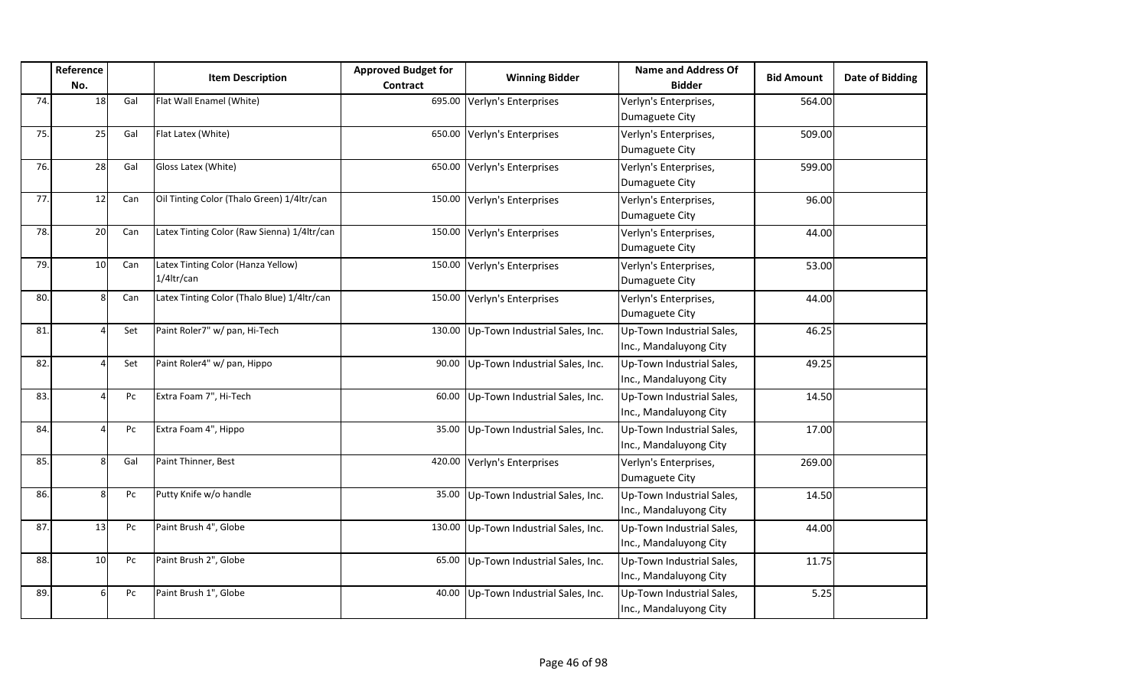|     | Reference<br>No. |     | <b>Item Description</b>                          | <b>Approved Budget for</b><br>Contract | <b>Winning Bidder</b>          | <b>Name and Address Of</b><br><b>Bidder</b>         | <b>Bid Amount</b> | Date of Bidding |
|-----|------------------|-----|--------------------------------------------------|----------------------------------------|--------------------------------|-----------------------------------------------------|-------------------|-----------------|
| 74. | 18               | Gal | Flat Wall Enamel (White)                         | 695.00                                 | Verlyn's Enterprises           | Verlyn's Enterprises,<br>Dumaguete City             | 564.00            |                 |
| 75. | 25               | Gal | Flat Latex (White)                               | 650.00                                 | Verlyn's Enterprises           | Verlyn's Enterprises,<br>Dumaguete City             | 509.00            |                 |
| 76. | 28               | Gal | Gloss Latex (White)                              | 650.00                                 | Verlyn's Enterprises           | Verlyn's Enterprises,<br>Dumaguete City             | 599.00            |                 |
| 77. | 12               | Can | Oil Tinting Color (Thalo Green) 1/4ltr/can       |                                        | 150.00 Verlyn's Enterprises    | Verlyn's Enterprises,<br>Dumaguete City             | 96.00             |                 |
| 78. | 20               | Can | Latex Tinting Color (Raw Sienna) 1/4ltr/can      | 150.00                                 | Verlyn's Enterprises           | Verlyn's Enterprises,<br>Dumaguete City             | 44.00             |                 |
| 79. | 10               | Can | Latex Tinting Color (Hanza Yellow)<br>1/4ltr/can | 150.00                                 | Verlyn's Enterprises           | Verlyn's Enterprises,<br>Dumaguete City             | 53.00             |                 |
| 80. | 8 <sup>1</sup>   | Can | Latex Tinting Color (Thalo Blue) 1/4ltr/can      | 150.00                                 | Verlyn's Enterprises           | Verlyn's Enterprises,<br>Dumaguete City             | 44.00             |                 |
| 81. | Δ                | Set | Paint Roler7" w/ pan, Hi-Tech                    | 130.00                                 | Up-Town Industrial Sales, Inc. | Up-Town Industrial Sales,<br>Inc., Mandaluyong City | 46.25             |                 |
| 82. |                  | Set | Paint Roler4" w/ pan, Hippo                      | 90.00                                  | Up-Town Industrial Sales, Inc. | Up-Town Industrial Sales,<br>Inc., Mandaluyong City | 49.25             |                 |
| 83. | 4                | Pc  | Extra Foam 7", Hi-Tech                           | 60.00                                  | Up-Town Industrial Sales, Inc. | Up-Town Industrial Sales,<br>Inc., Mandaluyong City | 14.50             |                 |
| 84. | 4                | Pc  | Extra Foam 4", Hippo                             | 35.00                                  | Up-Town Industrial Sales, Inc. | Up-Town Industrial Sales,<br>Inc., Mandaluyong City | 17.00             |                 |
| 85. | 8 <sup>1</sup>   | Gal | Paint Thinner, Best                              | 420.00                                 | Verlyn's Enterprises           | Verlyn's Enterprises,<br>Dumaguete City             | 269.00            |                 |
| 86. | 8 <sup>1</sup>   | Pc  | Putty Knife w/o handle                           | 35.00                                  | Up-Town Industrial Sales, Inc. | Up-Town Industrial Sales,<br>Inc., Mandaluyong City | 14.50             |                 |
| 87  | 13               | Pc  | Paint Brush 4", Globe                            | 130.00                                 | Up-Town Industrial Sales, Inc. | Up-Town Industrial Sales,<br>Inc., Mandaluyong City | 44.00             |                 |
| 88. | 10 <sup>1</sup>  | Pc  | Paint Brush 2", Globe                            | 65.00                                  | Up-Town Industrial Sales, Inc. | Up-Town Industrial Sales,<br>Inc., Mandaluyong City | 11.75             |                 |
| 89. | $6 \mid$         | Pc  | Paint Brush 1", Globe                            | 40.00                                  | Up-Town Industrial Sales, Inc. | Up-Town Industrial Sales,<br>Inc., Mandaluyong City | 5.25              |                 |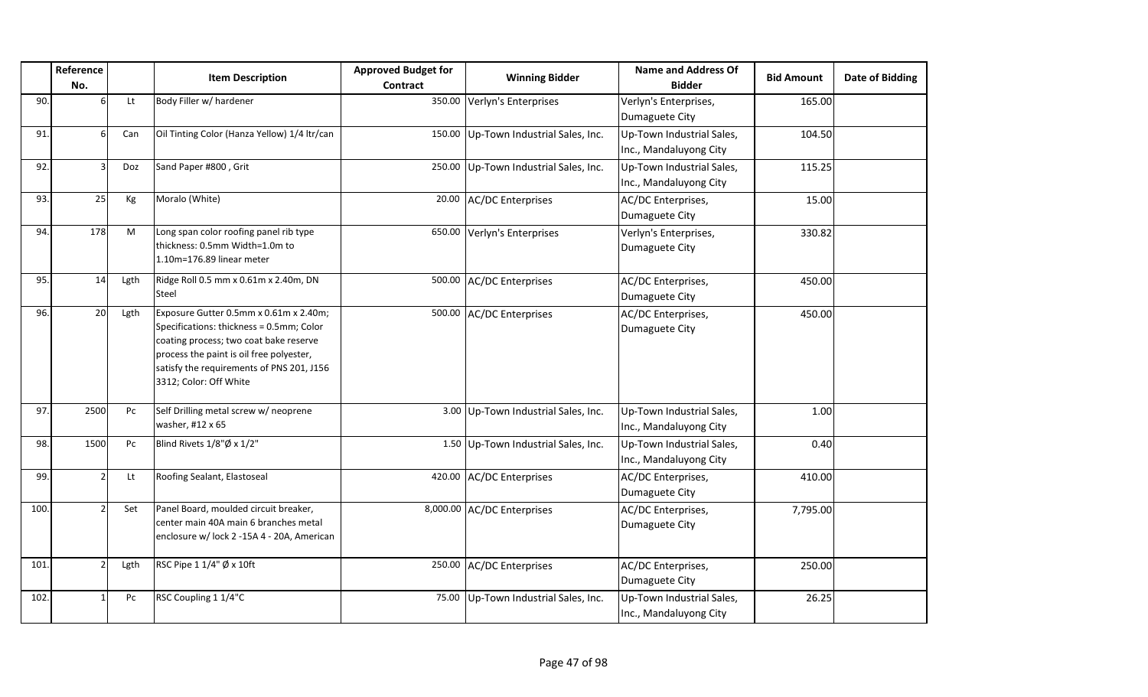|      | Reference<br>No. |      | <b>Item Description</b>                                                                                                                                                                                                                         | <b>Approved Budget for</b><br><b>Contract</b> | <b>Winning Bidder</b>               | <b>Name and Address Of</b><br><b>Bidder</b>         | <b>Bid Amount</b> | Date of Bidding |
|------|------------------|------|-------------------------------------------------------------------------------------------------------------------------------------------------------------------------------------------------------------------------------------------------|-----------------------------------------------|-------------------------------------|-----------------------------------------------------|-------------------|-----------------|
| 90.  | 6                | Lt   | Body Filler w/ hardener                                                                                                                                                                                                                         | 350.00                                        | Verlyn's Enterprises                | Verlyn's Enterprises,<br>Dumaguete City             | 165.00            |                 |
| 91.  | 6                | Can  | Oil Tinting Color (Hanza Yellow) 1/4 ltr/can                                                                                                                                                                                                    | 150.00                                        | Up-Town Industrial Sales, Inc.      | Up-Town Industrial Sales,<br>Inc., Mandaluyong City | 104.50            |                 |
| 92.  | 3                | Doz  | Sand Paper #800, Grit                                                                                                                                                                                                                           | 250.00                                        | Up-Town Industrial Sales, Inc.      | Up-Town Industrial Sales,<br>Inc., Mandaluyong City | 115.25            |                 |
| 93.  | 25               | Kg   | Moralo (White)                                                                                                                                                                                                                                  | 20.00                                         | <b>AC/DC Enterprises</b>            | AC/DC Enterprises,<br>Dumaguete City                | 15.00             |                 |
| 94.  | 178              | M    | Long span color roofing panel rib type<br>thickness: 0.5mm Width=1.0m to<br>1.10m=176.89 linear meter                                                                                                                                           | 650.00                                        | Verlyn's Enterprises                | Verlyn's Enterprises,<br>Dumaguete City             | 330.82            |                 |
| 95.  | 14               | Lgth | Ridge Roll 0.5 mm x 0.61m x 2.40m, DN<br>Steel                                                                                                                                                                                                  | 500.00                                        | <b>AC/DC Enterprises</b>            | AC/DC Enterprises,<br>Dumaguete City                | 450.00            |                 |
| 96.  | 20               | Lgth | Exposure Gutter 0.5mm x 0.61m x 2.40m;<br>Specifications: thickness = 0.5mm; Color<br>coating process; two coat bake reserve<br>process the paint is oil free polyester,<br>satisfy the requirements of PNS 201, J156<br>3312; Color: Off White | 500.00                                        | <b>AC/DC Enterprises</b>            | AC/DC Enterprises,<br>Dumaguete City                | 450.00            |                 |
| 97   | 2500             | Pc   | Self Drilling metal screw w/ neoprene<br>washer, #12 x 65                                                                                                                                                                                       |                                               | 3.00 Up-Town Industrial Sales, Inc. | Up-Town Industrial Sales,<br>Inc., Mandaluyong City | 1.00              |                 |
| 98.  | 1500             | Pc   | Blind Rivets 1/8"Ø x 1/2"                                                                                                                                                                                                                       |                                               | 1.50 Up-Town Industrial Sales, Inc. | Up-Town Industrial Sales,<br>Inc., Mandaluyong City | 0.40              |                 |
| 99.  | $\overline{2}$   | Lt   | Roofing Sealant, Elastoseal                                                                                                                                                                                                                     | 420.00                                        | <b>AC/DC</b> Enterprises            | AC/DC Enterprises,<br>Dumaguete City                | 410.00            |                 |
| 100. | $\mathfrak{p}$   | Set  | Panel Board, moulded circuit breaker,<br>center main 40A main 6 branches metal<br>enclosure w/ lock 2 -15A 4 - 20A, American                                                                                                                    |                                               | 8,000.00 AC/DC Enterprises          | AC/DC Enterprises,<br>Dumaguete City                | 7,795.00          |                 |
| 101. | $\overline{2}$   | Lgth | RSC Pipe 1 1/4" Ø x 10ft                                                                                                                                                                                                                        | 250.00                                        | <b>AC/DC</b> Enterprises            | AC/DC Enterprises,<br>Dumaguete City                | 250.00            |                 |
| 102. |                  | Pc   | RSC Coupling 1 1/4"C                                                                                                                                                                                                                            | 75.00                                         | Up-Town Industrial Sales, Inc.      | Up-Town Industrial Sales,<br>Inc., Mandaluyong City | 26.25             |                 |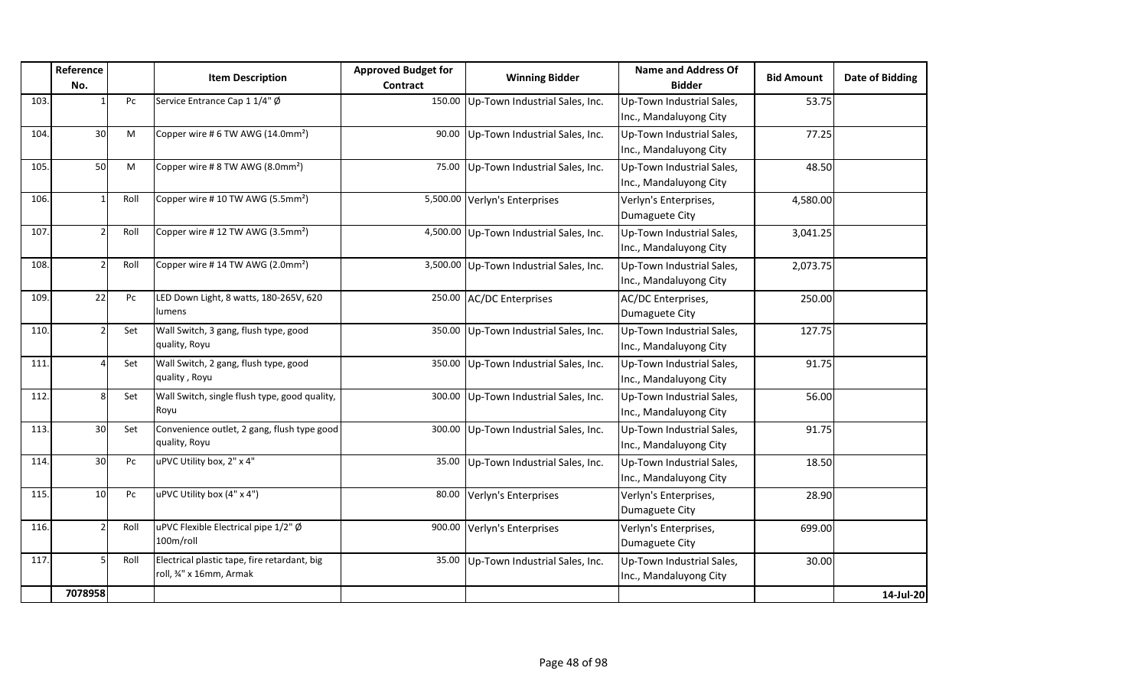|      | Reference<br>No. |      | <b>Item Description</b>                                                 | <b>Approved Budget for</b><br>Contract | <b>Winning Bidder</b>                   | <b>Name and Address Of</b><br><b>Bidder</b>         | <b>Bid Amount</b> | Date of Bidding |
|------|------------------|------|-------------------------------------------------------------------------|----------------------------------------|-----------------------------------------|-----------------------------------------------------|-------------------|-----------------|
| 103. |                  | Pc   | Service Entrance Cap 1 1/4" Ø                                           | 150.00                                 | Up-Town Industrial Sales, Inc.          | Up-Town Industrial Sales,<br>Inc., Mandaluyong City | 53.75             |                 |
| 104. | 30 <sup>1</sup>  | M    | Copper wire #6 TW AWG (14.0mm <sup>2</sup> )                            | 90.00                                  | Up-Town Industrial Sales, Inc.          | Up-Town Industrial Sales,<br>Inc., Mandaluyong City | 77.25             |                 |
| 105. | 50               | M    | Copper wire #8 TW AWG (8.0mm <sup>2</sup> )                             | 75.00                                  | Up-Town Industrial Sales, Inc.          | Up-Town Industrial Sales,<br>Inc., Mandaluyong City | 48.50             |                 |
| 106. |                  | Roll | Copper wire #10 TW AWG (5.5mm <sup>2</sup> )                            |                                        | 5,500.00 Verlyn's Enterprises           | Verlyn's Enterprises,<br>Dumaguete City             | 4,580.00          |                 |
| 107. |                  | Roll | Copper wire #12 TW AWG (3.5mm <sup>2</sup> )                            |                                        | 4,500.00 Up-Town Industrial Sales, Inc. | Up-Town Industrial Sales,<br>Inc., Mandaluyong City | 3,041.25          |                 |
| 108. |                  | Roll | Copper wire #14 TW AWG (2.0mm <sup>2</sup> )                            |                                        | 3,500.00 Up-Town Industrial Sales, Inc. | Up-Town Industrial Sales,<br>Inc., Mandaluyong City | 2,073.75          |                 |
| 109. | 22               | Pc   | LED Down Light, 8 watts, 180-265V, 620<br><b>lumens</b>                 |                                        | 250.00 AC/DC Enterprises                | AC/DC Enterprises,<br>Dumaguete City                | 250.00            |                 |
| 110. |                  | Set  | Wall Switch, 3 gang, flush type, good<br>quality, Royu                  |                                        | 350.00 Up-Town Industrial Sales, Inc.   | Up-Town Industrial Sales,<br>Inc., Mandaluyong City | 127.75            |                 |
| 111. |                  | Set  | Wall Switch, 2 gang, flush type, good<br>quality, Royu                  | 350.00                                 | Up-Town Industrial Sales, Inc.          | Up-Town Industrial Sales,<br>Inc., Mandaluyong City | 91.75             |                 |
| 112. | 8                | Set  | Wall Switch, single flush type, good quality,<br>Royu                   | 300.00                                 | Up-Town Industrial Sales, Inc.          | Up-Town Industrial Sales,<br>Inc., Mandaluyong City | 56.00             |                 |
| 113. | 30               | Set  | Convenience outlet, 2 gang, flush type good<br>quality, Royu            | 300.00                                 | Up-Town Industrial Sales, Inc.          | Up-Town Industrial Sales,<br>Inc., Mandaluyong City | 91.75             |                 |
| 114. | 30               | Pc   | uPVC Utility box, 2" x 4"                                               | 35.00                                  | Up-Town Industrial Sales, Inc.          | Up-Town Industrial Sales,<br>Inc., Mandaluyong City | 18.50             |                 |
| 115. | 10               | Pc   | uPVC Utility box (4" x 4")                                              | 80.00                                  | Verlyn's Enterprises                    | Verlyn's Enterprises,<br>Dumaguete City             | 28.90             |                 |
| 116. |                  | Roll | uPVC Flexible Electrical pipe 1/2" Ø<br>100m/roll                       | 900.00                                 | Verlyn's Enterprises                    | Verlyn's Enterprises,<br>Dumaguete City             | 699.00            |                 |
| 117. |                  | Roll | Electrical plastic tape, fire retardant, big<br>roll, 34" x 16mm, Armak | 35.00                                  | Up-Town Industrial Sales, Inc.          | Up-Town Industrial Sales,<br>Inc., Mandaluyong City | 30.00             |                 |
|      | 7078958          |      |                                                                         |                                        |                                         |                                                     |                   | 14-Jul-20       |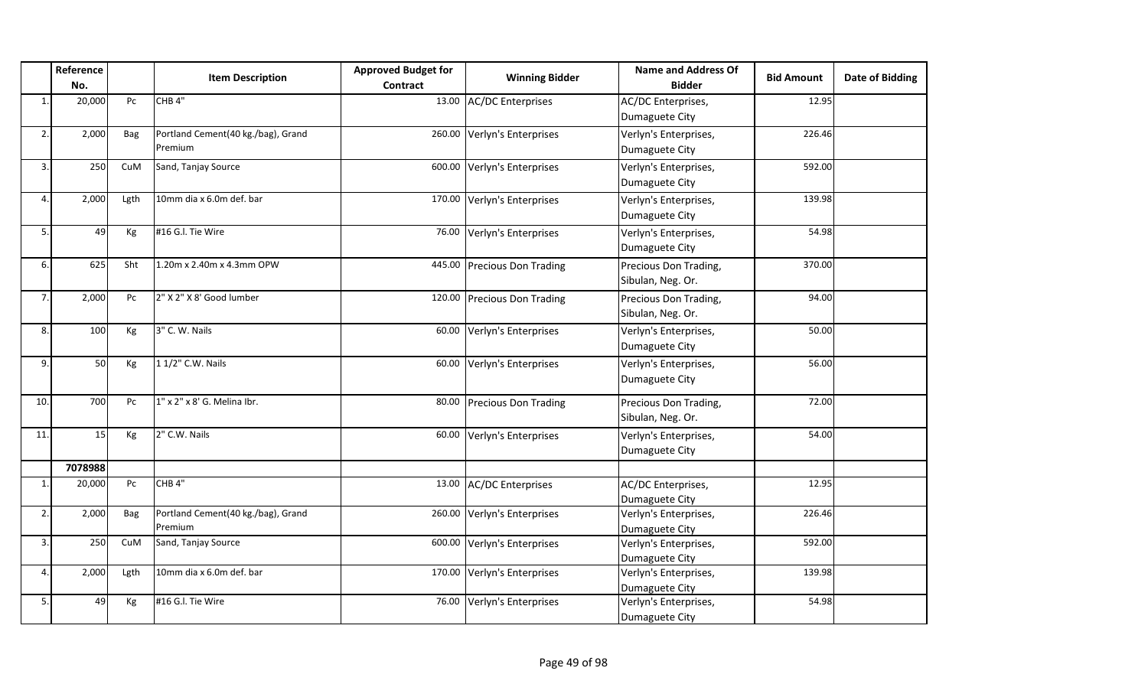|                | Reference<br>No. |            | <b>Item Description</b>                       | <b>Approved Budget for</b><br><b>Contract</b> | <b>Winning Bidder</b>       | <b>Name and Address Of</b><br><b>Bidder</b> | <b>Bid Amount</b> | <b>Date of Bidding</b> |
|----------------|------------------|------------|-----------------------------------------------|-----------------------------------------------|-----------------------------|---------------------------------------------|-------------------|------------------------|
| $\mathbf{1}$ . | 20,000           | Pc         | CHB <sub>4"</sub>                             |                                               | 13.00 AC/DC Enterprises     | AC/DC Enterprises,<br>Dumaguete City        | 12.95             |                        |
| 2.             | 2,000            | <b>Bag</b> | Portland Cement(40 kg./bag), Grand<br>Premium | 260.00                                        | Verlyn's Enterprises        | Verlyn's Enterprises,<br>Dumaguete City     | 226.46            |                        |
| $\overline{3}$ | 250              | CuM        | Sand, Tanjay Source                           | 600.00                                        | Verlyn's Enterprises        | Verlyn's Enterprises,<br>Dumaguete City     | 592.00            |                        |
| 4              | 2,000            | Lgth       | 10mm dia x 6.0m def. bar                      | 170.00                                        | Verlyn's Enterprises        | Verlyn's Enterprises,<br>Dumaguete City     | 139.98            |                        |
| 5.             | 49               | Kg         | #16 G.I. Tie Wire                             | 76.00                                         | Verlyn's Enterprises        | Verlyn's Enterprises,<br>Dumaguete City     | 54.98             |                        |
| 6.             | 625              | Sht        | 1.20m x 2.40m x 4.3mm OPW                     |                                               | 445.00 Precious Don Trading | Precious Don Trading,<br>Sibulan, Neg. Or.  | 370.00            |                        |
| 7.             | 2,000            | Pc         | 2" X 2" X 8' Good lumber                      |                                               | 120.00 Precious Don Trading | Precious Don Trading,<br>Sibulan, Neg. Or.  | 94.00             |                        |
| 8.             | 100              | Kg         | 3" C. W. Nails                                | 60.00                                         | Verlyn's Enterprises        | Verlyn's Enterprises,<br>Dumaguete City     | 50.00             |                        |
| 9.             | 50               | Kg         | 1 1/2" C.W. Nails                             | 60.00                                         | Verlyn's Enterprises        | Verlyn's Enterprises,<br>Dumaguete City     | 56.00             |                        |
| 10.            | 700              | Pc         | 1" x 2" x 8' G. Melina Ibr.                   |                                               | 80.00 Precious Don Trading  | Precious Don Trading,<br>Sibulan, Neg. Or.  | 72.00             |                        |
| 11.            | 15               | Kg         | 2" C.W. Nails                                 | 60.00                                         | Verlyn's Enterprises        | Verlyn's Enterprises,<br>Dumaguete City     | 54.00             |                        |
|                | 7078988          |            |                                               |                                               |                             |                                             |                   |                        |
| $\mathbf{1}$   | 20,000           | Pc         | CHB <sub>4"</sub>                             | 13.00                                         | <b>AC/DC Enterprises</b>    | AC/DC Enterprises,<br>Dumaguete City        | 12.95             |                        |
| 2.             | 2,000            | Bag        | Portland Cement(40 kg./bag), Grand<br>Premium | 260.00                                        | Verlyn's Enterprises        | Verlyn's Enterprises,<br>Dumaguete City     | 226.46            |                        |
| 3.             | 250              | CuM        | Sand, Tanjay Source                           | 600.00                                        | Verlyn's Enterprises        | Verlyn's Enterprises,<br>Dumaguete City     | 592.00            |                        |
| 4.             | 2,000            | Lgth       | 10mm dia x 6.0m def. bar                      | 170.00                                        | Verlyn's Enterprises        | Verlyn's Enterprises,<br>Dumaguete City     | 139.98            |                        |
| 5.             | 49               | Kg         | #16 G.I. Tie Wire                             | 76.00                                         | Verlyn's Enterprises        | Verlyn's Enterprises,<br>Dumaguete City     | 54.98             |                        |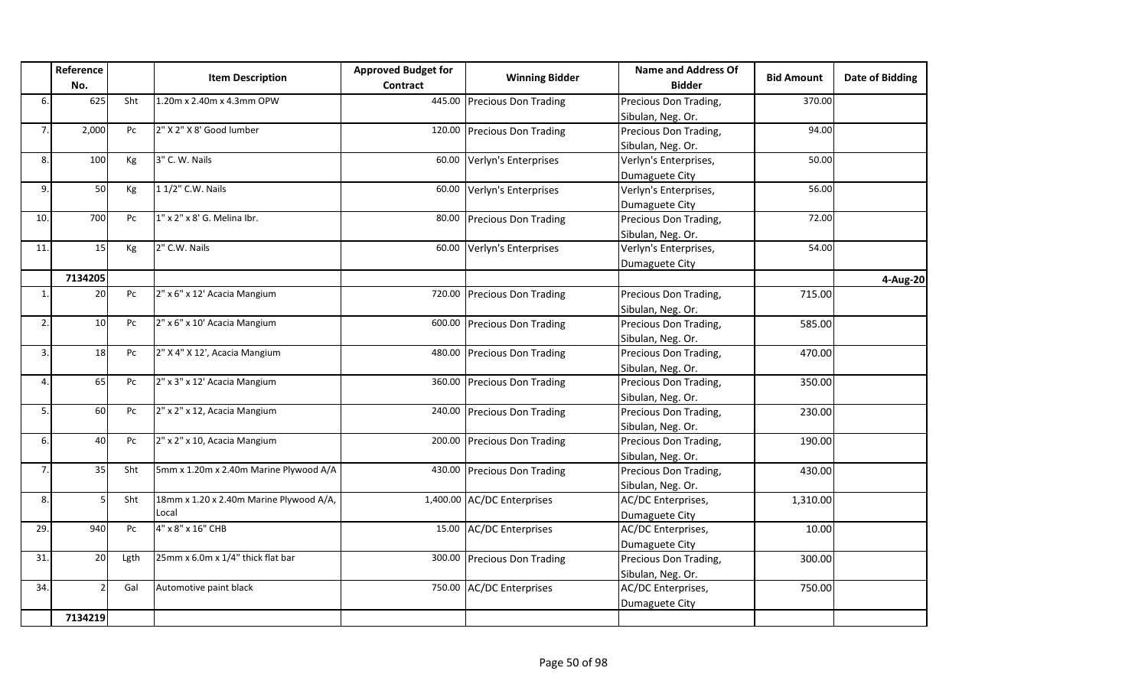|                  | Reference<br>No.         |      | <b>Item Description</b>                 | <b>Approved Budget for</b><br>Contract | <b>Winning Bidder</b>       | <b>Name and Address Of</b><br><b>Bidder</b> | <b>Bid Amount</b> | Date of Bidding |
|------------------|--------------------------|------|-----------------------------------------|----------------------------------------|-----------------------------|---------------------------------------------|-------------------|-----------------|
| 6.               | 625                      | Sht  | 1.20m x 2.40m x 4.3mm OPW               |                                        | 445.00 Precious Don Trading | Precious Don Trading,                       | 370.00            |                 |
|                  |                          |      |                                         |                                        |                             | Sibulan, Neg. Or.                           |                   |                 |
| 7.               | 2,000                    | Pc   | 2" X 2" X 8' Good lumber                |                                        | 120.00 Precious Don Trading | Precious Don Trading,                       | 94.00             |                 |
|                  |                          |      |                                         |                                        |                             | Sibulan, Neg. Or.                           |                   |                 |
| 8.               | 100                      | Kg   | 3" C. W. Nails                          |                                        | 60.00 Verlyn's Enterprises  | Verlyn's Enterprises,                       | 50.00             |                 |
|                  |                          |      |                                         |                                        |                             | Dumaguete City                              |                   |                 |
| 9.               | 50                       | Kg   | 1 1/2" C.W. Nails                       | 60.00                                  | Verlyn's Enterprises        | Verlyn's Enterprises,                       | 56.00             |                 |
|                  |                          |      |                                         |                                        |                             | Dumaguete City                              |                   |                 |
| 10.              | 700                      | Pc   | 1" x 2" x 8' G. Melina Ibr.             |                                        | 80.00 Precious Don Trading  | Precious Don Trading,                       | 72.00             |                 |
|                  |                          |      |                                         |                                        |                             | Sibulan, Neg. Or.                           |                   |                 |
| 11.              | 15                       | Kg   | 2" C.W. Nails                           |                                        | 60.00 Verlyn's Enterprises  | Verlyn's Enterprises,                       | 54.00             |                 |
|                  |                          |      |                                         |                                        |                             | Dumaguete City                              |                   |                 |
|                  | 7134205                  |      |                                         |                                        |                             |                                             |                   | 4-Aug-20        |
| 1.               | 20                       | Pc   | 2" x 6" x 12' Acacia Mangium            |                                        | 720.00 Precious Don Trading | Precious Don Trading,                       | 715.00            |                 |
|                  |                          |      |                                         |                                        |                             | Sibulan, Neg. Or.                           |                   |                 |
| $\overline{2}$ . | 10                       | Pc   | 2" x 6" x 10' Acacia Mangium            |                                        | 600.00 Precious Don Trading | Precious Don Trading,                       | 585.00            |                 |
|                  |                          |      |                                         |                                        |                             | Sibulan, Neg. Or.                           |                   |                 |
| 3.               | 18                       | Pc   | 2" X 4" X 12', Acacia Mangium           |                                        | 480.00 Precious Don Trading | Precious Don Trading,                       | 470.00            |                 |
|                  |                          |      |                                         |                                        |                             | Sibulan, Neg. Or.                           |                   |                 |
| 4.               | 65                       | Pc   | 2" x 3" x 12' Acacia Mangium            |                                        | 360.00 Precious Don Trading | Precious Don Trading,                       | 350.00            |                 |
|                  |                          |      |                                         |                                        |                             | Sibulan, Neg. Or.                           |                   |                 |
| 5.               | 60                       | Pc   | 2" x 2" x 12, Acacia Mangium            |                                        | 240.00 Precious Don Trading | Precious Don Trading,                       | 230.00            |                 |
|                  |                          |      |                                         |                                        |                             | Sibulan, Neg. Or.                           |                   |                 |
| 6.               | 40                       | Pc   | 2" x 2" x 10, Acacia Mangium            |                                        | 200.00 Precious Don Trading | Precious Don Trading,                       | 190.00            |                 |
|                  |                          |      |                                         |                                        |                             | Sibulan, Neg. Or.                           |                   |                 |
| 7.               | 35                       | Sht  | 5mm x 1.20m x 2.40m Marine Plywood A/A  |                                        | 430.00 Precious Don Trading | Precious Don Trading,                       | 430.00            |                 |
|                  |                          |      |                                         |                                        |                             | Sibulan, Neg. Or.                           |                   |                 |
| 8.               | 5                        | Sht  | 18mm x 1.20 x 2.40m Marine Plywood A/A, |                                        | 1,400.00 AC/DC Enterprises  | AC/DC Enterprises,                          | 1,310.00          |                 |
|                  |                          |      | Local                                   |                                        |                             | Dumaguete City                              |                   |                 |
| 29.              | 940                      | Pc   | 4" x 8" x 16" CHB                       |                                        | 15.00 AC/DC Enterprises     | AC/DC Enterprises,                          | 10.00             |                 |
|                  |                          |      |                                         |                                        |                             | Dumaguete City                              |                   |                 |
| 31.              | 20                       | Lgth | 25mm x 6.0m x 1/4" thick flat bar       |                                        | 300.00 Precious Don Trading | Precious Don Trading,                       | 300.00            |                 |
|                  |                          |      |                                         |                                        |                             | Sibulan, Neg. Or.                           |                   |                 |
| 34.              | $\overline{\phantom{a}}$ | Gal  | Automotive paint black                  |                                        | 750.00 AC/DC Enterprises    | AC/DC Enterprises,                          | 750.00            |                 |
|                  |                          |      |                                         |                                        |                             | Dumaguete City                              |                   |                 |
|                  | 7134219                  |      |                                         |                                        |                             |                                             |                   |                 |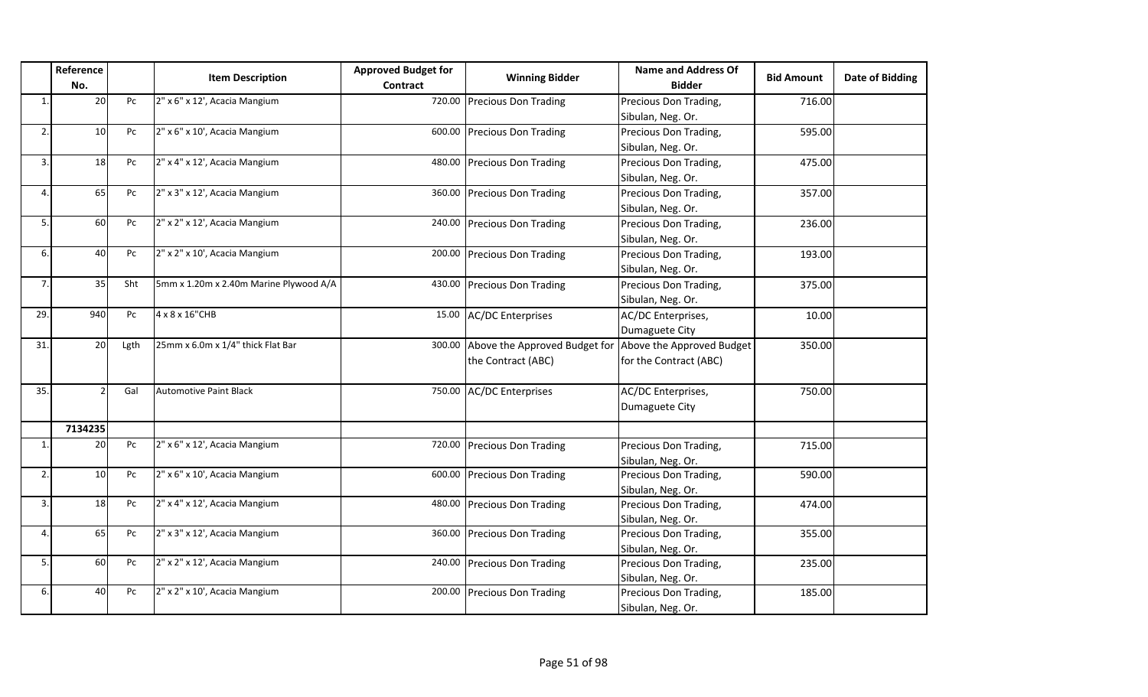| No.<br>20<br>10<br>18<br>65<br>60<br>40<br>35 | Pc<br>Pc<br>Pc<br>Pc<br>Pc<br>Pc<br>Sht     | <b>Item Description</b><br>2" x 6" x 12', Acacia Mangium<br>2" x 6" x 10', Acacia Mangium<br>2" x 4" x 12', Acacia Mangium<br>2" x 3" x 12', Acacia Mangium<br>2" x 2" x 12', Acacia Mangium<br>2" x 2" x 10', Acacia Mangium | Contract                                                                                                                                                                                           | <b>Winning Bidder</b><br>720.00 Precious Don Trading<br>600.00 Precious Don Trading<br>480.00 Precious Don Trading<br>360.00 Precious Don Trading<br>240.00 Precious Don Trading<br>200.00 Precious Don Trading | <b>Bidder</b><br>Precious Don Trading,<br>Sibulan, Neg. Or.<br>Precious Don Trading,<br>Sibulan, Neg. Or.<br>Precious Don Trading,<br>Sibulan, Neg. Or.<br>Precious Don Trading,<br>Sibulan, Neg. Or.<br>Precious Don Trading,<br>Sibulan, Neg. Or. | <b>Bid Amount</b><br>716.00<br>595.00<br>475.00<br>357.00<br>236.00                                                                                                                                                                                                                                                                                                  | Date of Bidding                                          |
|-----------------------------------------------|---------------------------------------------|-------------------------------------------------------------------------------------------------------------------------------------------------------------------------------------------------------------------------------|----------------------------------------------------------------------------------------------------------------------------------------------------------------------------------------------------|-----------------------------------------------------------------------------------------------------------------------------------------------------------------------------------------------------------------|-----------------------------------------------------------------------------------------------------------------------------------------------------------------------------------------------------------------------------------------------------|----------------------------------------------------------------------------------------------------------------------------------------------------------------------------------------------------------------------------------------------------------------------------------------------------------------------------------------------------------------------|----------------------------------------------------------|
|                                               |                                             |                                                                                                                                                                                                                               |                                                                                                                                                                                                    |                                                                                                                                                                                                                 |                                                                                                                                                                                                                                                     |                                                                                                                                                                                                                                                                                                                                                                      |                                                          |
|                                               |                                             |                                                                                                                                                                                                                               |                                                                                                                                                                                                    |                                                                                                                                                                                                                 |                                                                                                                                                                                                                                                     |                                                                                                                                                                                                                                                                                                                                                                      |                                                          |
|                                               |                                             |                                                                                                                                                                                                                               |                                                                                                                                                                                                    |                                                                                                                                                                                                                 |                                                                                                                                                                                                                                                     |                                                                                                                                                                                                                                                                                                                                                                      |                                                          |
|                                               |                                             |                                                                                                                                                                                                                               |                                                                                                                                                                                                    |                                                                                                                                                                                                                 |                                                                                                                                                                                                                                                     |                                                                                                                                                                                                                                                                                                                                                                      |                                                          |
|                                               |                                             |                                                                                                                                                                                                                               |                                                                                                                                                                                                    |                                                                                                                                                                                                                 |                                                                                                                                                                                                                                                     |                                                                                                                                                                                                                                                                                                                                                                      |                                                          |
|                                               |                                             |                                                                                                                                                                                                                               |                                                                                                                                                                                                    |                                                                                                                                                                                                                 |                                                                                                                                                                                                                                                     |                                                                                                                                                                                                                                                                                                                                                                      |                                                          |
|                                               |                                             |                                                                                                                                                                                                                               |                                                                                                                                                                                                    |                                                                                                                                                                                                                 |                                                                                                                                                                                                                                                     |                                                                                                                                                                                                                                                                                                                                                                      |                                                          |
|                                               |                                             |                                                                                                                                                                                                                               |                                                                                                                                                                                                    |                                                                                                                                                                                                                 |                                                                                                                                                                                                                                                     |                                                                                                                                                                                                                                                                                                                                                                      |                                                          |
|                                               |                                             |                                                                                                                                                                                                                               |                                                                                                                                                                                                    |                                                                                                                                                                                                                 |                                                                                                                                                                                                                                                     |                                                                                                                                                                                                                                                                                                                                                                      |                                                          |
|                                               |                                             |                                                                                                                                                                                                                               |                                                                                                                                                                                                    |                                                                                                                                                                                                                 |                                                                                                                                                                                                                                                     |                                                                                                                                                                                                                                                                                                                                                                      |                                                          |
|                                               |                                             |                                                                                                                                                                                                                               |                                                                                                                                                                                                    |                                                                                                                                                                                                                 |                                                                                                                                                                                                                                                     |                                                                                                                                                                                                                                                                                                                                                                      |                                                          |
|                                               |                                             |                                                                                                                                                                                                                               |                                                                                                                                                                                                    |                                                                                                                                                                                                                 | Precious Don Trading,                                                                                                                                                                                                                               | 193.00                                                                                                                                                                                                                                                                                                                                                               |                                                          |
|                                               |                                             |                                                                                                                                                                                                                               |                                                                                                                                                                                                    |                                                                                                                                                                                                                 | Sibulan, Neg. Or.                                                                                                                                                                                                                                   |                                                                                                                                                                                                                                                                                                                                                                      |                                                          |
|                                               |                                             | 5mm x 1.20m x 2.40m Marine Plywood A/A                                                                                                                                                                                        |                                                                                                                                                                                                    | 430.00 Precious Don Trading                                                                                                                                                                                     | Precious Don Trading,                                                                                                                                                                                                                               | 375.00                                                                                                                                                                                                                                                                                                                                                               |                                                          |
|                                               |                                             |                                                                                                                                                                                                                               |                                                                                                                                                                                                    |                                                                                                                                                                                                                 | Sibulan, Neg. Or.                                                                                                                                                                                                                                   |                                                                                                                                                                                                                                                                                                                                                                      |                                                          |
| 940                                           | Pc                                          | 4 x 8 x 16"CHB                                                                                                                                                                                                                |                                                                                                                                                                                                    |                                                                                                                                                                                                                 | AC/DC Enterprises,                                                                                                                                                                                                                                  | 10.00                                                                                                                                                                                                                                                                                                                                                                |                                                          |
|                                               |                                             |                                                                                                                                                                                                                               |                                                                                                                                                                                                    |                                                                                                                                                                                                                 |                                                                                                                                                                                                                                                     |                                                                                                                                                                                                                                                                                                                                                                      |                                                          |
| 20 <sup>1</sup>                               | Lgth                                        | 25mm x 6.0m x 1/4" thick Flat Bar                                                                                                                                                                                             |                                                                                                                                                                                                    |                                                                                                                                                                                                                 |                                                                                                                                                                                                                                                     | 350.00                                                                                                                                                                                                                                                                                                                                                               |                                                          |
|                                               |                                             |                                                                                                                                                                                                                               |                                                                                                                                                                                                    | the Contract (ABC)                                                                                                                                                                                              | for the Contract (ABC)                                                                                                                                                                                                                              |                                                                                                                                                                                                                                                                                                                                                                      |                                                          |
|                                               |                                             |                                                                                                                                                                                                                               |                                                                                                                                                                                                    |                                                                                                                                                                                                                 |                                                                                                                                                                                                                                                     |                                                                                                                                                                                                                                                                                                                                                                      |                                                          |
|                                               | Gal                                         | <b>Automotive Paint Black</b>                                                                                                                                                                                                 |                                                                                                                                                                                                    |                                                                                                                                                                                                                 | AC/DC Enterprises,                                                                                                                                                                                                                                  | 750.00                                                                                                                                                                                                                                                                                                                                                               |                                                          |
|                                               |                                             |                                                                                                                                                                                                                               |                                                                                                                                                                                                    |                                                                                                                                                                                                                 | Dumaguete City                                                                                                                                                                                                                                      |                                                                                                                                                                                                                                                                                                                                                                      |                                                          |
|                                               |                                             |                                                                                                                                                                                                                               |                                                                                                                                                                                                    |                                                                                                                                                                                                                 |                                                                                                                                                                                                                                                     |                                                                                                                                                                                                                                                                                                                                                                      |                                                          |
|                                               |                                             |                                                                                                                                                                                                                               |                                                                                                                                                                                                    |                                                                                                                                                                                                                 |                                                                                                                                                                                                                                                     |                                                                                                                                                                                                                                                                                                                                                                      |                                                          |
|                                               |                                             |                                                                                                                                                                                                                               |                                                                                                                                                                                                    |                                                                                                                                                                                                                 |                                                                                                                                                                                                                                                     |                                                                                                                                                                                                                                                                                                                                                                      |                                                          |
|                                               |                                             |                                                                                                                                                                                                                               |                                                                                                                                                                                                    |                                                                                                                                                                                                                 |                                                                                                                                                                                                                                                     |                                                                                                                                                                                                                                                                                                                                                                      |                                                          |
|                                               |                                             |                                                                                                                                                                                                                               |                                                                                                                                                                                                    |                                                                                                                                                                                                                 |                                                                                                                                                                                                                                                     |                                                                                                                                                                                                                                                                                                                                                                      |                                                          |
|                                               |                                             |                                                                                                                                                                                                                               |                                                                                                                                                                                                    |                                                                                                                                                                                                                 |                                                                                                                                                                                                                                                     |                                                                                                                                                                                                                                                                                                                                                                      |                                                          |
|                                               |                                             |                                                                                                                                                                                                                               |                                                                                                                                                                                                    |                                                                                                                                                                                                                 |                                                                                                                                                                                                                                                     |                                                                                                                                                                                                                                                                                                                                                                      |                                                          |
|                                               |                                             |                                                                                                                                                                                                                               |                                                                                                                                                                                                    |                                                                                                                                                                                                                 |                                                                                                                                                                                                                                                     |                                                                                                                                                                                                                                                                                                                                                                      |                                                          |
|                                               |                                             |                                                                                                                                                                                                                               |                                                                                                                                                                                                    |                                                                                                                                                                                                                 |                                                                                                                                                                                                                                                     |                                                                                                                                                                                                                                                                                                                                                                      |                                                          |
|                                               |                                             |                                                                                                                                                                                                                               |                                                                                                                                                                                                    |                                                                                                                                                                                                                 |                                                                                                                                                                                                                                                     |                                                                                                                                                                                                                                                                                                                                                                      |                                                          |
|                                               |                                             |                                                                                                                                                                                                                               |                                                                                                                                                                                                    |                                                                                                                                                                                                                 |                                                                                                                                                                                                                                                     |                                                                                                                                                                                                                                                                                                                                                                      |                                                          |
|                                               |                                             |                                                                                                                                                                                                                               |                                                                                                                                                                                                    |                                                                                                                                                                                                                 |                                                                                                                                                                                                                                                     |                                                                                                                                                                                                                                                                                                                                                                      |                                                          |
|                                               |                                             |                                                                                                                                                                                                                               |                                                                                                                                                                                                    |                                                                                                                                                                                                                 |                                                                                                                                                                                                                                                     |                                                                                                                                                                                                                                                                                                                                                                      |                                                          |
|                                               | 7134235<br>20<br>10<br>18<br>65<br>60<br>40 | Pc<br>Pc<br>Pc<br>Pc<br>Pc<br>Pc                                                                                                                                                                                              | 2" x 6" x 12', Acacia Mangium<br>2" x 6" x 10', Acacia Mangium<br>2" x 4" x 12', Acacia Mangium<br>2" x 3" x 12', Acacia Mangium<br>2" x 2" x 12', Acacia Mangium<br>2" x 2" x 10', Acacia Mangium |                                                                                                                                                                                                                 | 15.00 AC/DC Enterprises<br>750.00 AC/DC Enterprises<br>720.00 Precious Don Trading<br>600.00 Precious Don Trading<br>480.00 Precious Don Trading<br>360.00 Precious Don Trading<br>240.00 Precious Don Trading<br>200.00 Precious Don Trading       | Dumaguete City<br>300.00 Above the Approved Budget for Above the Approved Budget<br>Precious Don Trading,<br>Sibulan, Neg. Or.<br>Precious Don Trading,<br>Sibulan, Neg. Or.<br>Precious Don Trading,<br>Sibulan, Neg. Or.<br>Precious Don Trading,<br>Sibulan, Neg. Or.<br>Precious Don Trading,<br>Sibulan, Neg. Or.<br>Precious Don Trading,<br>Sibulan, Neg. Or. | 715.00<br>590.00<br>474.00<br>355.00<br>235.00<br>185.00 |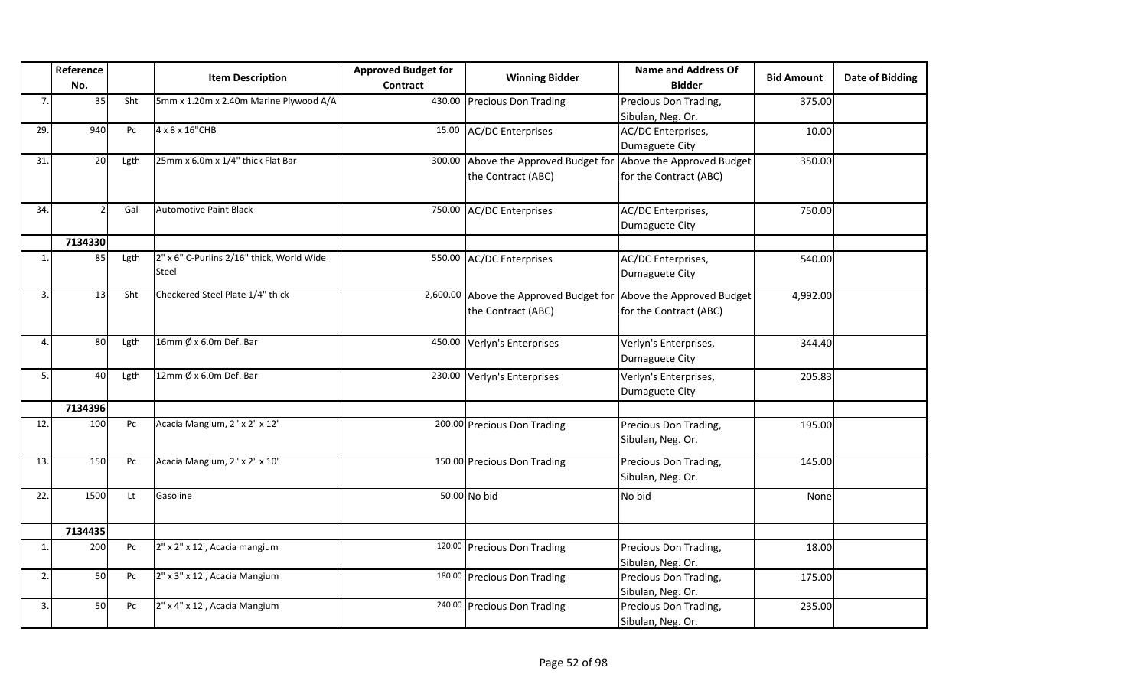|                | Reference<br>No. |                        | <b>Item Description</b>                            | <b>Approved Budget for</b><br>Contract | <b>Winning Bidder</b>                                                                  | <b>Name and Address Of</b><br><b>Bidder</b> | <b>Bid Amount</b> | Date of Bidding |
|----------------|------------------|------------------------|----------------------------------------------------|----------------------------------------|----------------------------------------------------------------------------------------|---------------------------------------------|-------------------|-----------------|
| 7              | 35               | Sht                    | 5mm x 1.20m x 2.40m Marine Plywood A/A             |                                        | 430.00 Precious Don Trading                                                            | Precious Don Trading,<br>Sibulan, Neg. Or.  | 375.00            |                 |
| 29.            | 940              | Pc                     | 4 x 8 x 16"CHB                                     |                                        | 15.00 AC/DC Enterprises                                                                | AC/DC Enterprises,<br>Dumaguete City        | 10.00             |                 |
| 31.            | 20               | Lgth                   | 25mm x 6.0m x 1/4" thick Flat Bar                  |                                        | 300.00 Above the Approved Budget for Above the Approved Budget<br>the Contract (ABC)   | for the Contract (ABC)                      | 350.00            |                 |
| 34.            |                  | Gal                    | <b>Automotive Paint Black</b>                      |                                        | 750.00 AC/DC Enterprises                                                               | AC/DC Enterprises,<br>Dumaguete City        | 750.00            |                 |
|                | 7134330          |                        |                                                    |                                        |                                                                                        |                                             |                   |                 |
| $\mathbf{1}$   | 85               | Lgth                   | 2" x 6" C-Purlins 2/16" thick, World Wide<br>Steel |                                        | 550.00 AC/DC Enterprises                                                               | AC/DC Enterprises,<br>Dumaguete City        | 540.00            |                 |
| 3              | 13               | Sht                    | Checkered Steel Plate 1/4" thick                   |                                        | 2,600.00 Above the Approved Budget for Above the Approved Budget<br>the Contract (ABC) | for the Contract (ABC)                      | 4,992.00          |                 |
| $\Delta$       | 80               | Lgth                   | 16mm $\emptyset$ x 6.0m Def. Bar                   |                                        | 450.00 Verlyn's Enterprises                                                            | Verlyn's Enterprises,<br>Dumaguete City     | 344.40            |                 |
| 5.             | 40               | Lgth                   | 12mm $\emptyset$ x 6.0m Def. Bar                   |                                        | 230.00 Verlyn's Enterprises                                                            | Verlyn's Enterprises,<br>Dumaguete City     | 205.83            |                 |
|                | 7134396          |                        |                                                    |                                        |                                                                                        |                                             |                   |                 |
| 12.            | 100              | Pc                     | Acacia Mangium, 2" x 2" x 12'                      |                                        | 200.00 Precious Don Trading                                                            | Precious Don Trading,<br>Sibulan, Neg. Or.  | 195.00            |                 |
| 13.            | 150              | Pc                     | Acacia Mangium, 2" x 2" x 10'                      |                                        | 150.00 Precious Don Trading                                                            | Precious Don Trading,<br>Sibulan, Neg. Or.  | 145.00            |                 |
| 22.            | 1500             | $\mathsf{L}\mathsf{t}$ | Gasoline                                           |                                        | 50.00 No bid                                                                           | No bid                                      | None              |                 |
|                | 7134435          |                        |                                                    |                                        |                                                                                        |                                             |                   |                 |
| $\mathbf{1}$ . | 200              | Pc                     | 2" x 2" x 12', Acacia mangium                      |                                        | 120.00 Precious Don Trading                                                            | Precious Don Trading,<br>Sibulan, Neg. Or.  | 18.00             |                 |
| 2.             | 50               | Pc                     | 2" x 3" x 12', Acacia Mangium                      |                                        | 180.00 Precious Don Trading                                                            | Precious Don Trading,<br>Sibulan, Neg. Or.  | 175.00            |                 |
| 3              | 50               | Pc                     | 2" x 4" x 12', Acacia Mangium                      |                                        | 240.00 Precious Don Trading                                                            | Precious Don Trading,<br>Sibulan, Neg. Or.  | 235.00            |                 |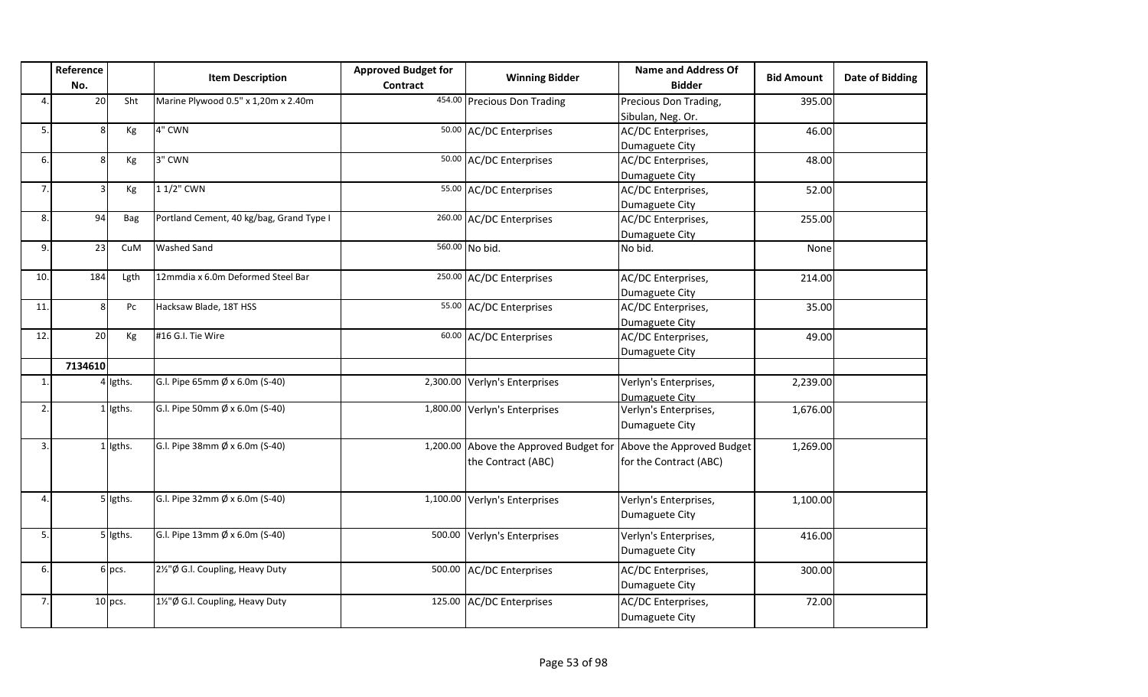|     | Reference<br>No. |            | <b>Item Description</b>                  | <b>Approved Budget for</b><br><b>Contract</b> | <b>Winning Bidder</b>                                        | <b>Name and Address Of</b><br><b>Bidder</b>         | <b>Bid Amount</b> | <b>Date of Bidding</b> |
|-----|------------------|------------|------------------------------------------|-----------------------------------------------|--------------------------------------------------------------|-----------------------------------------------------|-------------------|------------------------|
| 4.  | 20               | Sht        | Marine Plywood 0.5" x 1,20m x 2.40m      |                                               | 454.00 Precious Don Trading                                  | Precious Don Trading,<br>Sibulan, Neg. Or.          | 395.00            |                        |
| 5.  |                  | Кg         | 4" CWN                                   |                                               | 50.00 AC/DC Enterprises                                      | AC/DC Enterprises,<br>Dumaguete City                | 46.00             |                        |
| 6.  |                  | Kg         | 3" CWN                                   |                                               | 50.00 AC/DC Enterprises                                      | AC/DC Enterprises,<br>Dumaguete City                | 48.00             |                        |
| 7.  |                  | Kg         | 1 1/2" CWN                               |                                               | 55.00 AC/DC Enterprises                                      | AC/DC Enterprises,<br>Dumaguete City                | 52.00             |                        |
| 8.  | 94               | Bag        | Portland Cement, 40 kg/bag, Grand Type I |                                               | 260.00 AC/DC Enterprises                                     | AC/DC Enterprises,<br>Dumaguete City                | 255.00            |                        |
| 9.  | 23               | CuM        | <b>Washed Sand</b>                       |                                               | 560.00 No bid.                                               | No bid.                                             | None              |                        |
| 10. | 184              | Lgth       | 12mmdia x 6.0m Deformed Steel Bar        |                                               | 250.00 AC/DC Enterprises                                     | AC/DC Enterprises,<br>Dumaguete City                | 214.00            |                        |
| 11  | Я                | Pc         | Hacksaw Blade, 18T HSS                   |                                               | 55.00 AC/DC Enterprises                                      | AC/DC Enterprises,<br>Dumaguete City                | 35.00             |                        |
| 12. | 20               | Kg         | #16 G.I. Tie Wire                        |                                               | 60.00 AC/DC Enterprises                                      | AC/DC Enterprises,<br>Dumaguete City                | 49.00             |                        |
|     | 7134610          |            |                                          |                                               |                                                              |                                                     |                   |                        |
| 1.  |                  | 4 Igths.   | G.l. Pipe 65mm Ø x 6.0m (S-40)           |                                               | 2,300.00 Verlyn's Enterprises                                | Verlyn's Enterprises,<br>Dumaguete City             | 2,239.00          |                        |
| 2.  |                  | 1 Igths.   | G.I. Pipe 50mm Ø x 6.0m (S-40)           |                                               | 1,800.00 Verlyn's Enterprises                                | Verlyn's Enterprises,<br>Dumaguete City             | 1,676.00          |                        |
| 3.  |                  | $1$ lgths. | G.I. Pipe 38mm Ø x 6.0m (S-40)           |                                               | 1,200.00 Above the Approved Budget for<br>the Contract (ABC) | Above the Approved Budget<br>for the Contract (ABC) | 1,269.00          |                        |
| 4.  |                  | 5 Igths.   | G.I. Pipe 32mm Ø x 6.0m (S-40)           |                                               | 1,100.00 Verlyn's Enterprises                                | Verlyn's Enterprises,<br>Dumaguete City             | 1,100.00          |                        |
| 5.  |                  | 5 Igths.   | G.l. Pipe 13mm $\emptyset$ x 6.0m (S-40) |                                               | 500.00 Verlyn's Enterprises                                  | Verlyn's Enterprises,<br>Dumaguete City             | 416.00            |                        |
| 6.  |                  | $6$ pcs.   | 2½"Ø G.I. Coupling, Heavy Duty           |                                               | 500.00 AC/DC Enterprises                                     | AC/DC Enterprises,<br>Dumaguete City                | 300.00            |                        |
| 7.  |                  | $10$ pcs.  | 1½"Ø G.I. Coupling, Heavy Duty           |                                               | 125.00 AC/DC Enterprises                                     | AC/DC Enterprises,<br>Dumaguete City                | 72.00             |                        |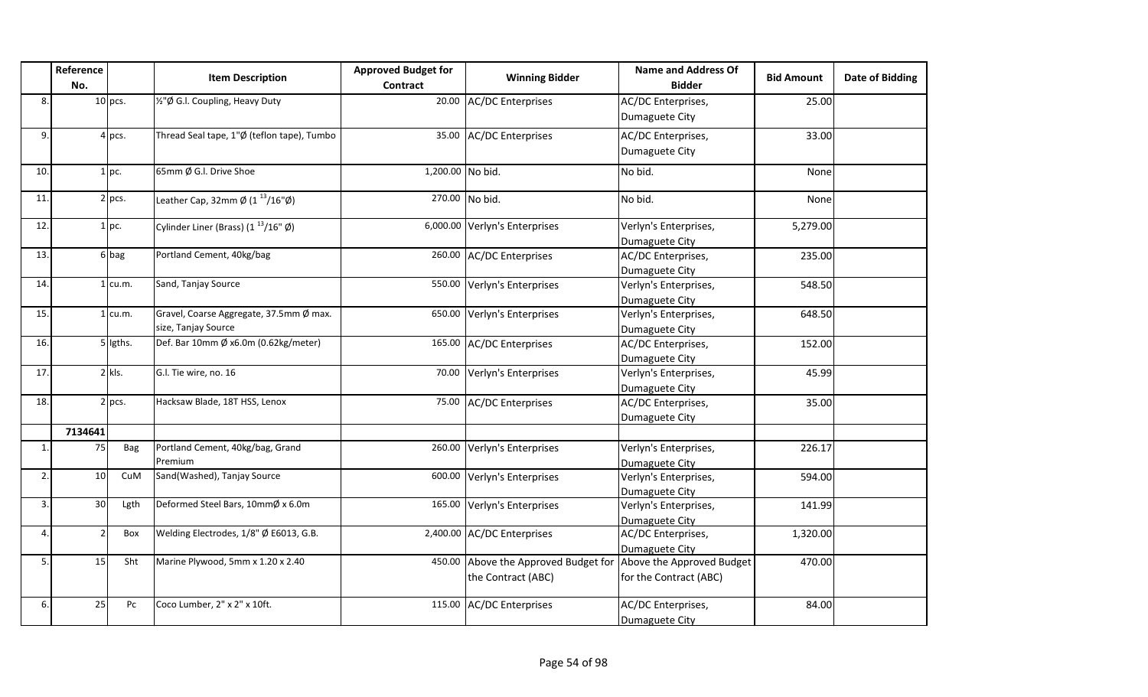|                | Reference<br>No. |           | <b>Item Description</b>                                               | <b>Approved Budget for</b><br>Contract | <b>Winning Bidder</b>                                                                | Name and Address Of<br><b>Bidder</b>    | <b>Bid Amount</b> | <b>Date of Bidding</b> |
|----------------|------------------|-----------|-----------------------------------------------------------------------|----------------------------------------|--------------------------------------------------------------------------------------|-----------------------------------------|-------------------|------------------------|
| 8              |                  | $10$ pcs. | 1/2"Ø G.I. Coupling, Heavy Duty                                       |                                        | 20.00 AC/DC Enterprises                                                              | AC/DC Enterprises,<br>Dumaguete City    | 25.00             |                        |
| 9.             |                  | $4$ pcs.  | Thread Seal tape, 1"Ø (teflon tape), Tumbo                            |                                        | 35.00 AC/DC Enterprises                                                              | AC/DC Enterprises,<br>Dumaguete City    | 33.00             |                        |
| 10.            |                  | $1$ pc.   | 65mm Ø G.I. Drive Shoe                                                | 1,200.00 No bid.                       |                                                                                      | No bid.                                 | None              |                        |
| 11.            |                  | $2$ pcs.  | Leather Cap, 32mm $\varnothing$ (1 <sup>13</sup> /16" $\varnothing$ ) |                                        | 270.00 No bid.                                                                       | No bid.                                 | None              |                        |
| 12.            |                  | $1$ pc.   | Cylinder Liner (Brass) $(1^{13}/16" \emptyset)$                       |                                        | 6,000.00 Verlyn's Enterprises                                                        | Verlyn's Enterprises,<br>Dumaguete City | 5,279.00          |                        |
| 13.            |                  | $6$ bag   | Portland Cement, 40kg/bag                                             |                                        | 260.00 AC/DC Enterprises                                                             | AC/DC Enterprises,<br>Dumaguete City    | 235.00            |                        |
| 14.            |                  | $1$ cu.m. | Sand, Tanjay Source                                                   |                                        | 550.00 Verlyn's Enterprises                                                          | Verlyn's Enterprises,<br>Dumaguete City | 548.50            |                        |
| 15.            |                  | $1$ cu.m. | Gravel, Coarse Aggregate, 37.5mm Ø max.<br>size, Tanjay Source        |                                        | 650.00 Verlyn's Enterprises                                                          | Verlyn's Enterprises,<br>Dumaguete City | 648.50            |                        |
| 16.            |                  | 5 ligths. | Def. Bar 10mm Ø x6.0m (0.62kg/meter)                                  |                                        | 165.00 AC/DC Enterprises                                                             | AC/DC Enterprises,<br>Dumaguete City    | 152.00            |                        |
| 17.            |                  | $2$ kls.  | G.l. Tie wire, no. 16                                                 |                                        | 70.00 Verlyn's Enterprises                                                           | Verlyn's Enterprises,<br>Dumaguete City | 45.99             |                        |
| 18.            |                  | $2$ pcs.  | Hacksaw Blade, 18T HSS, Lenox                                         |                                        | 75.00 AC/DC Enterprises                                                              | AC/DC Enterprises,<br>Dumaguete City    | 35.00             |                        |
|                | 7134641          |           |                                                                       |                                        |                                                                                      |                                         |                   |                        |
| $\mathbf{1}$ . | 75               | Bag       | Portland Cement, 40kg/bag, Grand<br>Premium                           |                                        | 260.00 Verlyn's Enterprises                                                          | Verlyn's Enterprises,<br>Dumaguete City | 226.17            |                        |
| 2.             | 10 <sup>1</sup>  | CuM       | Sand(Washed), Tanjay Source                                           |                                        | 600.00 Verlyn's Enterprises                                                          | Verlyn's Enterprises,<br>Dumaguete City | 594.00            |                        |
| 3.             | 30 <sup>1</sup>  | Lgth      | Deformed Steel Bars, 10mmØ x 6.0m                                     |                                        | 165.00 Verlyn's Enterprises                                                          | Verlyn's Enterprises,<br>Dumaguete City | 141.99            |                        |
| 4.             |                  | Box       | Welding Electrodes, 1/8" Ø E6013, G.B.                                |                                        | 2,400.00 AC/DC Enterprises                                                           | AC/DC Enterprises,<br>Dumaguete City    | 1,320.00          |                        |
| 5.             | 15               | Sht       | Marine Plywood, 5mm x 1.20 x 2.40                                     |                                        | 450.00 Above the Approved Budget for Above the Approved Budget<br>the Contract (ABC) | for the Contract (ABC)                  | 470.00            |                        |
| 6.             | 25               | Pc        | Coco Lumber, 2" x 2" x 10ft.                                          |                                        | 115.00 AC/DC Enterprises                                                             | AC/DC Enterprises,<br>Dumaguete City    | 84.00             |                        |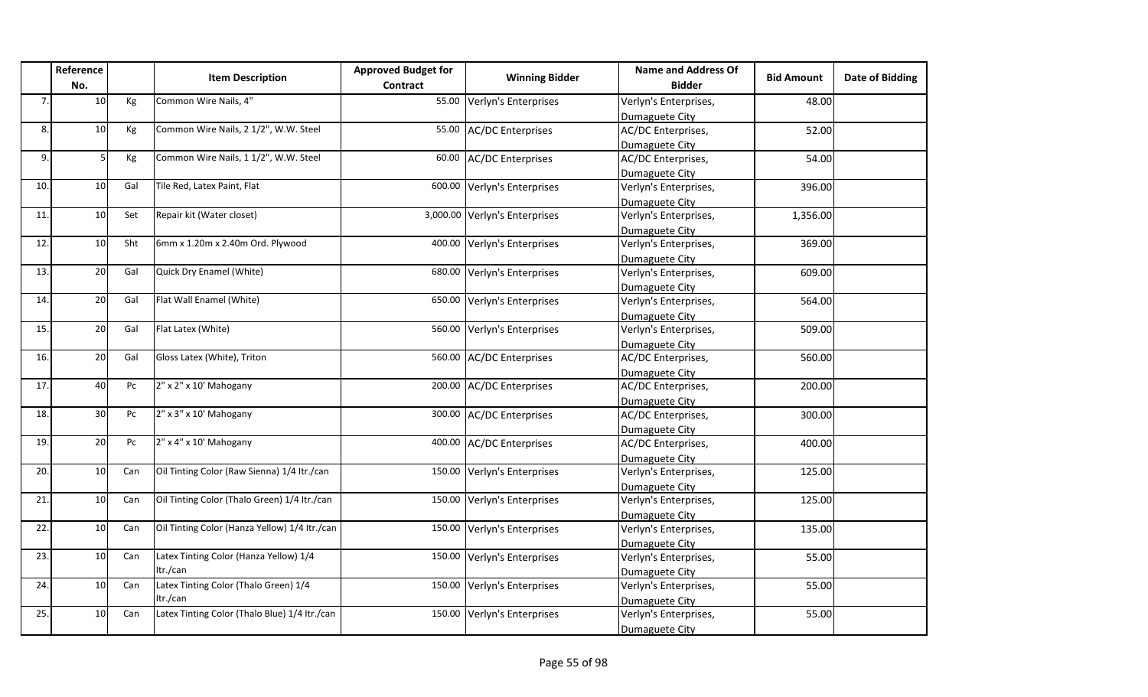|     | Reference<br>No. |     | <b>Item Description</b>                       | <b>Approved Budget for</b><br>Contract | <b>Winning Bidder</b>         | <b>Name and Address Of</b><br><b>Bidder</b> | <b>Bid Amount</b> | <b>Date of Bidding</b> |
|-----|------------------|-----|-----------------------------------------------|----------------------------------------|-------------------------------|---------------------------------------------|-------------------|------------------------|
| 7.  | 10               | Kg  | Common Wire Nails, 4"                         | 55.00                                  | Verlyn's Enterprises          | Verlyn's Enterprises,                       | 48.00             |                        |
|     |                  |     |                                               |                                        |                               | Dumaguete City                              |                   |                        |
| 8.  | 10               | Kg  | Common Wire Nails, 2 1/2", W.W. Steel         | 55.00                                  | <b>AC/DC Enterprises</b>      | AC/DC Enterprises,                          | 52.00             |                        |
|     |                  |     |                                               |                                        |                               | Dumaguete City                              |                   |                        |
| 9.  | 5                | Kg  | Common Wire Nails, 1 1/2", W.W. Steel         | 60.00                                  | <b>AC/DC Enterprises</b>      | AC/DC Enterprises,                          | 54.00             |                        |
|     |                  |     |                                               |                                        |                               | Dumaguete City                              |                   |                        |
| 10. | 10               | Gal | Tile Red, Latex Paint, Flat                   | 600.00                                 | Verlyn's Enterprises          | Verlyn's Enterprises,                       | 396.00            |                        |
|     |                  |     |                                               |                                        |                               | Dumaguete City                              |                   |                        |
| 11. | 10               | Set | Repair kit (Water closet)                     |                                        | 3,000.00 Verlyn's Enterprises | Verlyn's Enterprises,                       | 1,356.00          |                        |
|     |                  |     |                                               |                                        |                               | Dumaguete City                              |                   |                        |
| 12. | 10 <sub>1</sub>  | Sht | 6mm x 1.20m x 2.40m Ord. Plywood              | 400.00                                 | Verlyn's Enterprises          | Verlyn's Enterprises,                       | 369.00            |                        |
|     |                  |     |                                               |                                        |                               | Dumaguete City                              |                   |                        |
| 13. | 20               | Gal | Quick Dry Enamel (White)                      | 680.00                                 | Verlyn's Enterprises          | Verlyn's Enterprises,                       | 609.00            |                        |
|     |                  |     |                                               |                                        |                               | Dumaguete City                              |                   |                        |
| 14. | 20               | Gal | Flat Wall Enamel (White)                      | 650.00                                 | Verlyn's Enterprises          | Verlyn's Enterprises,                       | 564.00            |                        |
|     |                  |     |                                               |                                        |                               | Dumaguete City                              |                   |                        |
| 15. | 20               | Gal | Flat Latex (White)                            | 560.00                                 | Verlyn's Enterprises          | Verlyn's Enterprises,                       | 509.00            |                        |
|     |                  |     |                                               |                                        |                               | Dumaguete City                              |                   |                        |
| 16. | 20               | Gal | Gloss Latex (White), Triton                   | 560.00                                 | <b>AC/DC Enterprises</b>      | AC/DC Enterprises,                          | 560.00            |                        |
|     |                  |     |                                               |                                        |                               | Dumaguete City                              |                   |                        |
| 17. | 40               | Pc  | 2" x 2" x 10' Mahogany                        | 200.00                                 | <b>AC/DC</b> Enterprises      | AC/DC Enterprises,                          | 200.00            |                        |
|     |                  |     |                                               |                                        |                               | Dumaguete City                              |                   |                        |
| 18. | 30 <sup>1</sup>  | Pc  | $2''$ x 3" x 10' Mahogany                     |                                        | 300.00 AC/DC Enterprises      | AC/DC Enterprises,                          | 300.00            |                        |
|     |                  |     |                                               |                                        |                               | Dumaguete City                              |                   |                        |
| 19. | 20               | Pc  | 2" x 4" x 10' Mahogany                        | 400.00                                 | <b>AC/DC Enterprises</b>      | AC/DC Enterprises,                          | 400.00            |                        |
|     |                  |     |                                               |                                        |                               | Dumaguete City                              |                   |                        |
| 20. | 10               | Can | Oil Tinting Color (Raw Sienna) 1/4 Itr./can   | 150.00                                 | Verlyn's Enterprises          | Verlyn's Enterprises,                       | 125.00            |                        |
|     |                  |     |                                               |                                        |                               | Dumaguete City                              |                   |                        |
| 21  | 10               | Can | Oil Tinting Color (Thalo Green) 1/4 Itr./can  | 150.00                                 | Verlyn's Enterprises          | Verlyn's Enterprises,                       | 125.00            |                        |
|     |                  |     |                                               |                                        |                               | Dumaguete City                              |                   |                        |
| 22. | 10 <sup>1</sup>  | Can | Oil Tinting Color (Hanza Yellow) 1/4 Itr./can | 150.00                                 | Verlyn's Enterprises          | Verlyn's Enterprises,                       | 135.00            |                        |
|     |                  |     |                                               |                                        |                               | Dumaguete City                              |                   |                        |
| 23. | 10               | Can | Latex Tinting Color (Hanza Yellow) 1/4        | 150.00                                 | Verlyn's Enterprises          | Verlyn's Enterprises,                       | 55.00             |                        |
|     |                  |     | Itr./can                                      |                                        |                               | Dumaguete City                              |                   |                        |
| 24. | 10               | Can | Latex Tinting Color (Thalo Green) 1/4         | 150.00                                 | Verlyn's Enterprises          | Verlyn's Enterprises,                       | 55.00             |                        |
|     |                  |     | Itr./can                                      |                                        |                               | Dumaguete City                              |                   |                        |
| 25. | 10               | Can | Latex Tinting Color (Thalo Blue) 1/4 Itr./can | 150.00                                 | Verlyn's Enterprises          | Verlyn's Enterprises,                       | 55.00             |                        |
|     |                  |     |                                               |                                        |                               | Dumaguete City                              |                   |                        |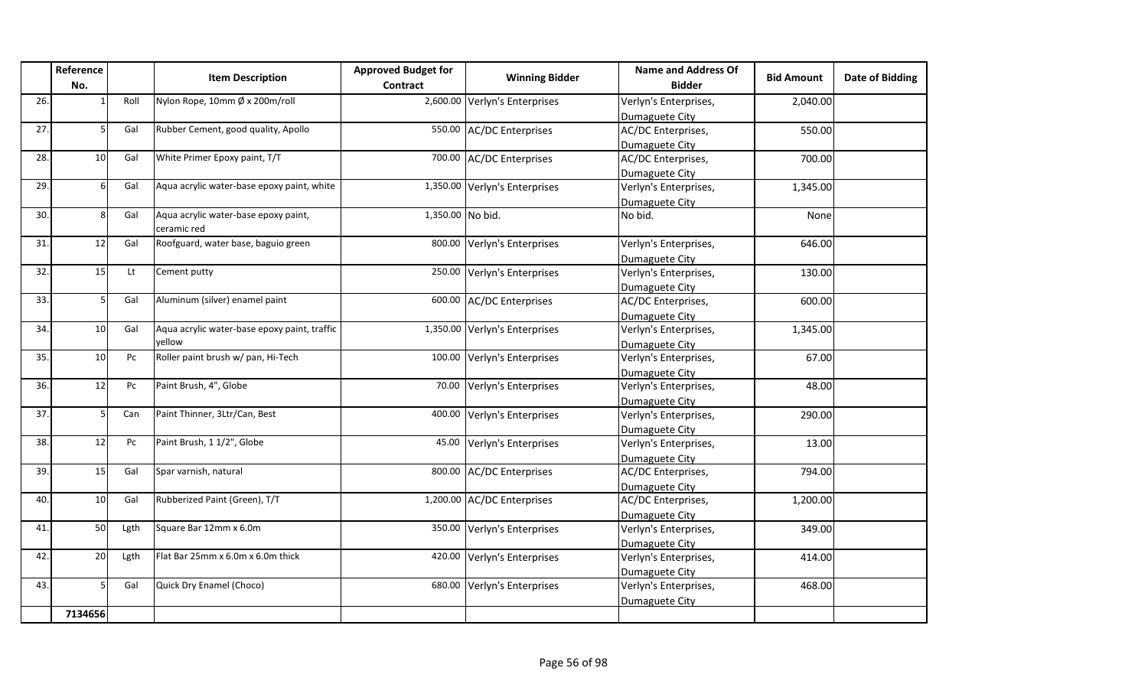|     | Reference<br>No. |                        | <b>Item Description</b>                                | <b>Approved Budget for</b><br><b>Contract</b> | <b>Winning Bidder</b>         | Name and Address Of<br><b>Bidder</b>    | <b>Bid Amount</b> | <b>Date of Bidding</b> |
|-----|------------------|------------------------|--------------------------------------------------------|-----------------------------------------------|-------------------------------|-----------------------------------------|-------------------|------------------------|
| 26. |                  | Roll                   | Nylon Rope, 10mm Ø x 200m/roll                         |                                               | 2,600.00 Verlyn's Enterprises | Verlyn's Enterprises,<br>Dumaguete City | 2,040.00          |                        |
| 27. |                  | Gal                    | Rubber Cement, good quality, Apollo                    |                                               | 550.00 AC/DC Enterprises      | AC/DC Enterprises,<br>Dumaguete City    | 550.00            |                        |
| 28. | 10               | Gal                    | White Primer Epoxy paint, T/T                          |                                               | 700.00 AC/DC Enterprises      | AC/DC Enterprises,<br>Dumaguete City    | 700.00            |                        |
| 29. | 6                | Gal                    | Aqua acrylic water-base epoxy paint, white             |                                               | 1,350.00 Verlyn's Enterprises | Verlyn's Enterprises,<br>Dumaguete City | 1,345.00          |                        |
| 30. | Я                | Gal                    | Aqua acrylic water-base epoxy paint,<br>ceramic red    | 1,350.00 No bid.                              |                               | No bid.                                 | None              |                        |
| 31  | 12               | Gal                    | Roofguard, water base, baguio green                    | 800.00                                        | Verlyn's Enterprises          | Verlyn's Enterprises,<br>Dumaguete City | 646.00            |                        |
| 32. | 15               | Lt                     | Cement putty                                           | 250.00                                        | Verlyn's Enterprises          | Verlyn's Enterprises,<br>Dumaguete City | 130.00            |                        |
| 33. | 5                | Gal                    | Aluminum (silver) enamel paint                         | 600.00                                        | <b>AC/DC Enterprises</b>      | AC/DC Enterprises,<br>Dumaguete City    | 600.00            |                        |
| 34. | 10               | Gal                    | Aqua acrylic water-base epoxy paint, traffic<br>vellow |                                               | 1,350.00 Verlyn's Enterprises | Verlyn's Enterprises,<br>Dumaguete City | 1,345.00          |                        |
| 35. | 10               | Pc                     | Roller paint brush w/ pan, Hi-Tech                     | 100.00                                        | Verlyn's Enterprises          | Verlyn's Enterprises,<br>Dumaguete City | 67.00             |                        |
| 36. | 12               | Pc                     | Paint Brush, 4", Globe                                 | 70.00                                         | Verlyn's Enterprises          | Verlyn's Enterprises,<br>Dumaguete City | 48.00             |                        |
| 37. | 5                | Can                    | Paint Thinner, 3Ltr/Can, Best                          | 400.00                                        | Verlyn's Enterprises          | Verlyn's Enterprises,<br>Dumaguete City | 290.00            |                        |
| 38. | 12               | $\mathsf{P}\mathsf{C}$ | Paint Brush, 1 1/2", Globe                             | 45.00                                         | Verlyn's Enterprises          | Verlyn's Enterprises,<br>Dumaguete City | 13.00             |                        |
| 39. | 15               | Gal                    | Spar varnish, natural                                  | 800.00                                        | <b>AC/DC</b> Enterprises      | AC/DC Enterprises,<br>Dumaguete City    | 794.00            |                        |
| 40. | 10               | Gal                    | Rubberized Paint (Green), T/T                          |                                               | 1,200.00 AC/DC Enterprises    | AC/DC Enterprises,<br>Dumaguete City    | 1,200.00          |                        |
| 41  | 50               | Lgth                   | Square Bar 12mm x 6.0m                                 |                                               | 350.00 Verlyn's Enterprises   | Verlyn's Enterprises,<br>Dumaguete City | 349.00            |                        |
| 42. | 20               | Lgth                   | Flat Bar 25mm x 6.0m x 6.0m thick                      | 420.00                                        | Verlyn's Enterprises          | Verlyn's Enterprises,<br>Dumaguete City | 414.00            |                        |
| 43. |                  | Gal                    | Quick Dry Enamel (Choco)                               | 680.00                                        | Verlyn's Enterprises          | Verlyn's Enterprises,<br>Dumaguete City | 468.00            |                        |
|     | 7134656          |                        |                                                        |                                               |                               |                                         |                   |                        |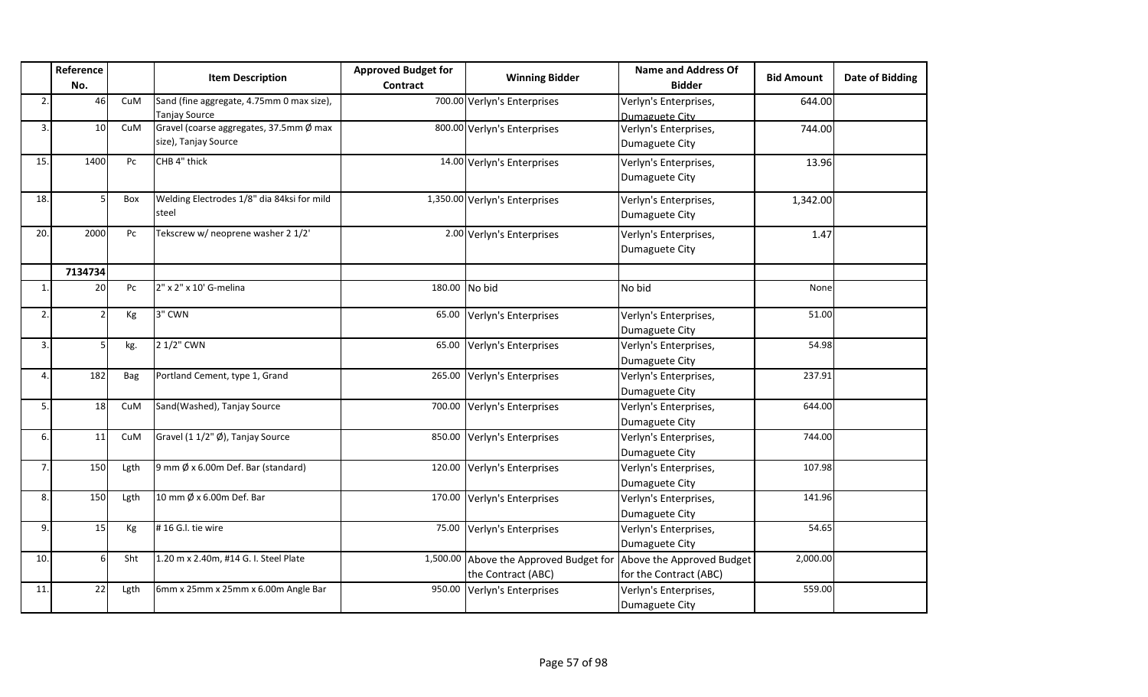|                | Reference |      | <b>Item Description</b>                                           | <b>Approved Budget for</b> | <b>Winning Bidder</b>                                        | <b>Name and Address Of</b>                          | <b>Bid Amount</b> | <b>Date of Bidding</b> |
|----------------|-----------|------|-------------------------------------------------------------------|----------------------------|--------------------------------------------------------------|-----------------------------------------------------|-------------------|------------------------|
|                | No.       |      |                                                                   | Contract                   |                                                              | <b>Bidder</b>                                       |                   |                        |
| $\overline{2}$ | 46        | CuM  | Sand (fine aggregate, 4.75mm 0 max size),<br><b>Tanjay Source</b> |                            | 700.00 Verlyn's Enterprises                                  | Verlyn's Enterprises,<br>Dumaguete City             | 644.00            |                        |
| 3.             | 10        | CuM  | Gravel (coarse aggregates, 37.5mm Ø max<br>size), Tanjay Source   |                            | 800.00 Verlyn's Enterprises                                  | Verlyn's Enterprises,<br>Dumaguete City             | 744.00            |                        |
| 15.            | 1400      | Pc   | CHB 4" thick                                                      |                            | 14.00 Verlyn's Enterprises                                   | Verlyn's Enterprises,<br>Dumaguete City             | 13.96             |                        |
| 18.            |           | Box  | Welding Electrodes 1/8" dia 84ksi for mild<br>steel               |                            | 1,350.00 Verlyn's Enterprises                                | Verlyn's Enterprises,<br>Dumaguete City             | 1,342.00          |                        |
| 20.            | 2000      | Pc   | Tekscrew w/ neoprene washer 2 1/2'                                |                            | 2.00 Verlyn's Enterprises                                    | Verlyn's Enterprises,<br>Dumaguete City             | 1.47              |                        |
|                | 7134734   |      |                                                                   |                            |                                                              |                                                     |                   |                        |
| $\mathbf{1}$   | 20        | Pc   | 2" x 2" x 10' G-melina                                            |                            | 180.00 No bid                                                | No bid                                              | None              |                        |
| $\overline{2}$ |           | Kg   | 3" CWN                                                            |                            | 65.00 Verlyn's Enterprises                                   | Verlyn's Enterprises,<br>Dumaguete City             | 51.00             |                        |
| 3.             |           | kg.  | 2 1/2" CWN                                                        | 65.00                      | Verlyn's Enterprises                                         | Verlyn's Enterprises,<br>Dumaguete City             | 54.98             |                        |
| $\Delta$       | 182       | Bag  | Portland Cement, type 1, Grand                                    |                            | 265.00 Verlyn's Enterprises                                  | Verlyn's Enterprises,<br>Dumaguete City             | 237.91            |                        |
| 5.             | 18        | CuM  | Sand(Washed), Tanjay Source                                       |                            | 700.00 Verlyn's Enterprises                                  | Verlyn's Enterprises,<br>Dumaguete City             | 644.00            |                        |
| 6.             | 11        | CuM  | Gravel (1 1/2" Ø), Tanjay Source                                  |                            | 850.00 Verlyn's Enterprises                                  | Verlyn's Enterprises,<br>Dumaguete City             | 744.00            |                        |
| $\overline{7}$ | 150       | Lgth | $9$ mm $\emptyset$ x 6.00m Def. Bar (standard)                    |                            | 120.00 Verlyn's Enterprises                                  | Verlyn's Enterprises,<br>Dumaguete City             | 107.98            |                        |
| 8.             | 150       | Lgth | 10 mm Ø x 6.00m Def. Bar                                          |                            | 170.00 Verlyn's Enterprises                                  | Verlyn's Enterprises,<br>Dumaguete City             | 141.96            |                        |
| 9.             | 15        | Kg   | #16 G.I. tie wire                                                 |                            | 75.00 Verlyn's Enterprises                                   | Verlyn's Enterprises,<br>Dumaguete City             | 54.65             |                        |
| 10.            |           | Sht  | 1.20 m x 2.40m, #14 G. I. Steel Plate                             |                            | 1,500.00 Above the Approved Budget for<br>the Contract (ABC) | Above the Approved Budget<br>for the Contract (ABC) | 2,000.00          |                        |
| 11.            | 22        | Lgth | 6mm x 25mm x 25mm x 6.00m Angle Bar                               |                            | 950.00 Verlyn's Enterprises                                  | Verlyn's Enterprises,<br>Dumaguete City             | 559.00            |                        |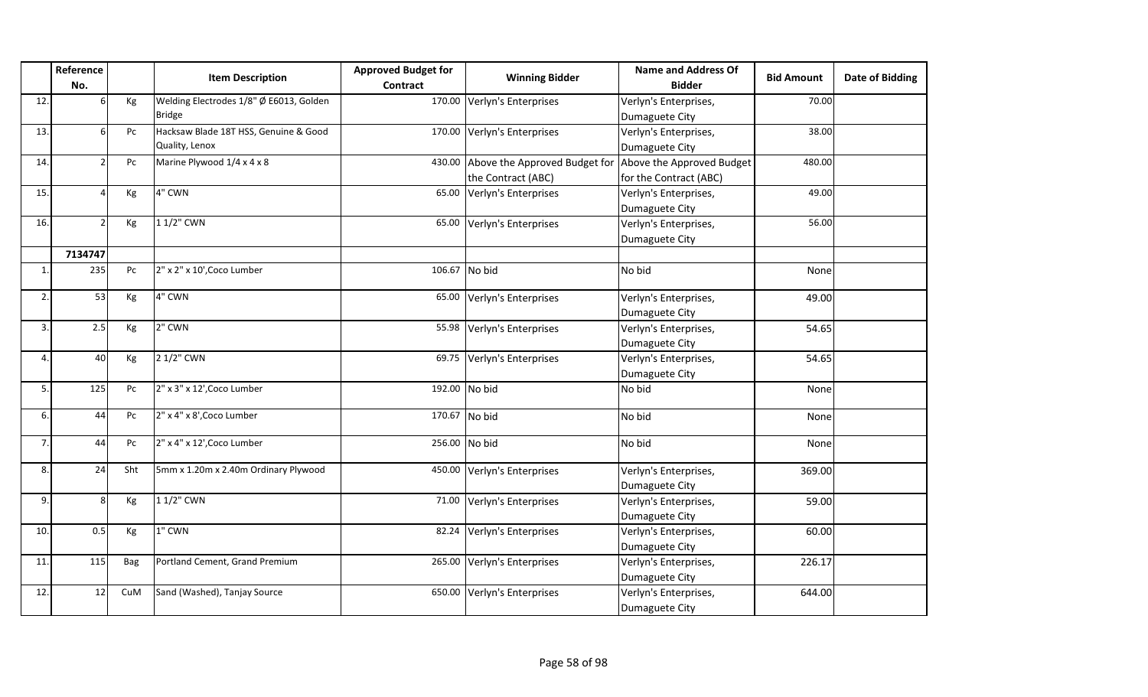|                         | Reference    |     | <b>Item Description</b>                 | <b>Approved Budget for</b> | <b>Winning Bidder</b>                                          | <b>Name and Address Of</b> | <b>Bid Amount</b> | Date of Bidding |
|-------------------------|--------------|-----|-----------------------------------------|----------------------------|----------------------------------------------------------------|----------------------------|-------------------|-----------------|
|                         | No.          |     |                                         | Contract                   |                                                                | <b>Bidder</b>              |                   |                 |
| 12                      |              | Kg  | Welding Electrodes 1/8" Ø E6013, Golden |                            | 170.00 Verlyn's Enterprises                                    | Verlyn's Enterprises,      | 70.00             |                 |
|                         |              |     | <b>Bridge</b>                           |                            |                                                                | Dumaguete City             |                   |                 |
| 13                      |              | Pc  | Hacksaw Blade 18T HSS, Genuine & Good   |                            | 170.00 Verlyn's Enterprises                                    | Verlyn's Enterprises,      | 38.00             |                 |
|                         |              |     | Quality, Lenox                          |                            |                                                                | Dumaguete City             |                   |                 |
| 14                      |              | Pc  | Marine Plywood 1/4 x 4 x 8              |                            | 430.00 Above the Approved Budget for Above the Approved Budget |                            | 480.00            |                 |
|                         |              |     |                                         |                            | the Contract (ABC)                                             | for the Contract (ABC)     |                   |                 |
| 15                      |              | Кg  | 4" CWN                                  |                            | 65.00 Verlyn's Enterprises                                     | Verlyn's Enterprises,      | 49.00             |                 |
|                         |              |     |                                         |                            |                                                                | Dumaguete City             |                   |                 |
| 16.                     |              | Кg  | 1 1/2" CWN                              |                            | 65.00 Verlyn's Enterprises                                     | Verlyn's Enterprises,      | 56.00             |                 |
|                         |              |     |                                         |                            |                                                                | Dumaguete City             |                   |                 |
|                         | 7134747      |     |                                         |                            |                                                                |                            |                   |                 |
| $\overline{\mathbf{1}}$ | 235          | Pc  | 2" x 2" x 10', Coco Lumber              |                            | 106.67 No bid                                                  | No bid                     | None              |                 |
| $\overline{2}$          |              |     |                                         |                            |                                                                |                            |                   |                 |
|                         | 53           | Кg  | 4" CWN                                  |                            | 65.00 Verlyn's Enterprises                                     | Verlyn's Enterprises,      | 49.00             |                 |
|                         |              |     |                                         |                            |                                                                | Dumaguete City             |                   |                 |
| $\overline{3}$          | 2.5          | Kg  | 2" CWN                                  |                            | 55.98 Verlyn's Enterprises                                     | Verlyn's Enterprises,      | 54.65             |                 |
|                         |              |     |                                         |                            |                                                                | Dumaguete City             |                   |                 |
| 4                       | 40           | Kg  | 2 1/2" CWN                              |                            | 69.75 Verlyn's Enterprises                                     | Verlyn's Enterprises,      | 54.65             |                 |
|                         |              |     |                                         |                            |                                                                | Dumaguete City             |                   |                 |
| 5                       | 125          | Pc  | 2" x 3" x 12', Coco Lumber              | 192.00 No bid              |                                                                | No bid                     | None              |                 |
| 6                       | 44           | Pc  | 2" x 4" x 8', Coco Lumber               |                            | 170.67 No bid                                                  | No bid                     | None              |                 |
|                         |              |     |                                         |                            |                                                                |                            |                   |                 |
| $\overline{7}$          | 44           | Pc  | 2" x 4" x 12', Coco Lumber              |                            | 256.00 No bid                                                  | No bid                     | None              |                 |
| 8                       | 24           | Sht | 5mm x 1.20m x 2.40m Ordinary Plywood    |                            | 450.00 Verlyn's Enterprises                                    | Verlyn's Enterprises,      | 369.00            |                 |
|                         |              |     |                                         |                            |                                                                | Dumaguete City             |                   |                 |
| 9                       | $\mathsf{R}$ | Kg  | 1 1/2" CWN                              |                            | 71.00 Verlyn's Enterprises                                     | Verlyn's Enterprises,      | 59.00             |                 |
|                         |              |     |                                         |                            |                                                                | Dumaguete City             |                   |                 |
| 10.                     | 0.5          | Kg  | 1" CWN                                  |                            | 82.24 Verlyn's Enterprises                                     | Verlyn's Enterprises,      | 60.00             |                 |
|                         |              |     |                                         |                            |                                                                | Dumaguete City             |                   |                 |
| 11                      | 115          | Bag | Portland Cement, Grand Premium          |                            | 265.00 Verlyn's Enterprises                                    | Verlyn's Enterprises,      | 226.17            |                 |
|                         |              |     |                                         |                            |                                                                | Dumaguete City             |                   |                 |
| 12                      | 12           | CuM | Sand (Washed), Tanjay Source            |                            | 650.00 Verlyn's Enterprises                                    | Verlyn's Enterprises,      | 644.00            |                 |
|                         |              |     |                                         |                            |                                                                | Dumaguete City             |                   |                 |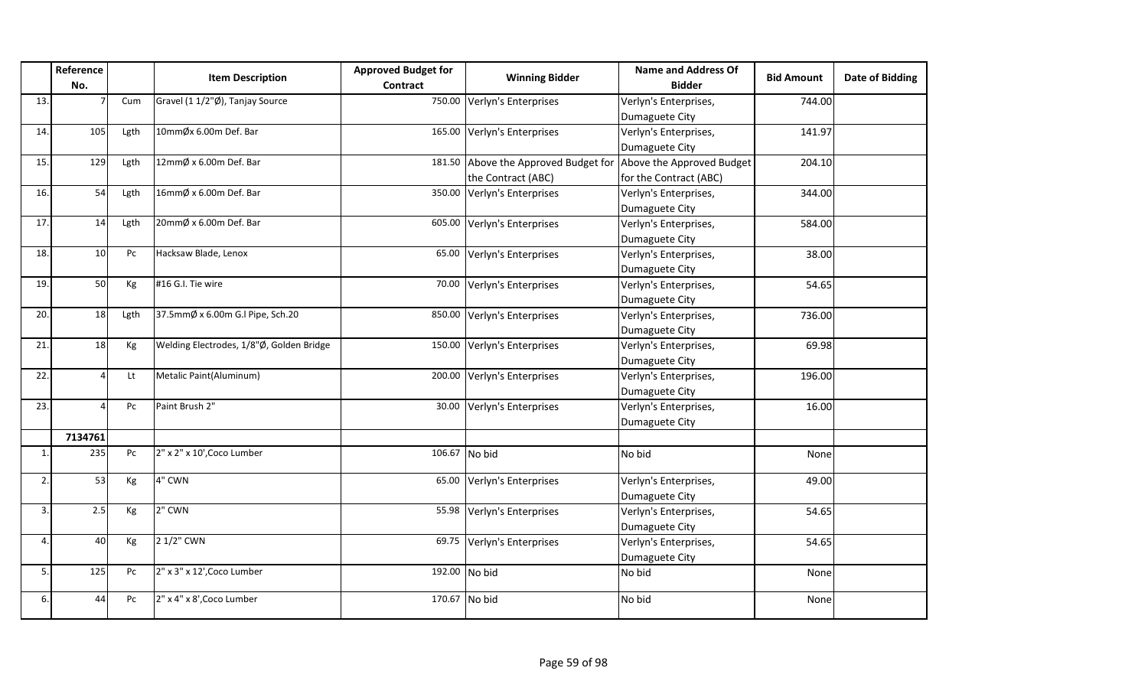|                  | Reference<br>No. |      | <b>Item Description</b>                  | <b>Approved Budget for</b><br><b>Contract</b> | <b>Winning Bidder</b>         | <b>Name and Address Of</b><br><b>Bidder</b> | <b>Bid Amount</b> | Date of Bidding |
|------------------|------------------|------|------------------------------------------|-----------------------------------------------|-------------------------------|---------------------------------------------|-------------------|-----------------|
| 13.              |                  | Cum  | Gravel (1 1/2"Ø), Tanjay Source          | 750.00                                        | Verlyn's Enterprises          | Verlyn's Enterprises,                       | 744.00            |                 |
|                  |                  |      |                                          |                                               |                               | Dumaguete City                              |                   |                 |
| 14.              | 105              | Lgth | 10mmØx 6.00m Def. Bar                    | 165.00                                        | Verlyn's Enterprises          | Verlyn's Enterprises,                       | 141.97            |                 |
|                  |                  |      |                                          |                                               |                               | Dumaguete City                              |                   |                 |
| 15.              | 129              | Lgth | 12mmØ x 6.00m Def. Bar                   | 181.50                                        | Above the Approved Budget for | Above the Approved Budget                   | 204.10            |                 |
|                  |                  |      |                                          |                                               | the Contract (ABC)            | for the Contract (ABC)                      |                   |                 |
| 16.              | 54               | Lgth | 16mmØ x 6.00m Def. Bar                   | 350.00                                        | Verlyn's Enterprises          | Verlyn's Enterprises,                       | 344.00            |                 |
|                  |                  |      |                                          |                                               |                               | Dumaguete City                              |                   |                 |
| 17.              | 14               | Lgth | 20mmØ x 6.00m Def. Bar                   | 605.00                                        | Verlyn's Enterprises          | Verlyn's Enterprises,                       | 584.00            |                 |
|                  |                  |      |                                          |                                               |                               | Dumaguete City                              |                   |                 |
| 18.              | 10               | Pc   | Hacksaw Blade, Lenox                     | 65.00                                         | Verlyn's Enterprises          | Verlyn's Enterprises,                       | 38.00             |                 |
|                  |                  |      |                                          |                                               |                               | Dumaguete City                              |                   |                 |
| 19.              | 50               | Kg   | #16 G.I. Tie wire                        | 70.00                                         | Verlyn's Enterprises          | Verlyn's Enterprises,                       | 54.65             |                 |
|                  |                  |      |                                          |                                               |                               | Dumaguete City                              |                   |                 |
| 20.              | 18               | Lgth | 37.5mmØ x 6.00m G.I Pipe, Sch.20         | 850.00                                        | Verlyn's Enterprises          | Verlyn's Enterprises,                       | 736.00            |                 |
|                  |                  |      |                                          |                                               |                               | Dumaguete City                              |                   |                 |
| 21.              | 18               | Kg   | Welding Electrodes, 1/8"Ø, Golden Bridge | 150.00                                        | Verlyn's Enterprises          | Verlyn's Enterprises,                       | 69.98             |                 |
|                  |                  |      |                                          |                                               |                               | Dumaguete City                              |                   |                 |
| 22.              |                  | Lt   | Metalic Paint(Aluminum)                  | 200.00                                        | Verlyn's Enterprises          | Verlyn's Enterprises,                       | 196.00            |                 |
|                  |                  |      |                                          |                                               |                               | Dumaguete City                              |                   |                 |
| 23.              |                  | Pc   | Paint Brush 2"                           | 30.00                                         | Verlyn's Enterprises          | Verlyn's Enterprises,                       | 16.00             |                 |
|                  |                  |      |                                          |                                               |                               | Dumaguete City                              |                   |                 |
|                  | 7134761          |      |                                          |                                               |                               |                                             |                   |                 |
| 1.               | 235              | Pc   | 2" x 2" x 10', Coco Lumber               | 106.67                                        | No bid                        | No bid                                      | None              |                 |
| 2.               | 53               | Kg   | 4" CWN                                   | 65.00                                         | Verlyn's Enterprises          | Verlyn's Enterprises,                       | 49.00             |                 |
|                  |                  |      |                                          |                                               |                               | Dumaguete City                              |                   |                 |
| 3.               | 2.5              | Kg   | 2" CWN                                   | 55.98                                         | Verlyn's Enterprises          | Verlyn's Enterprises,                       | 54.65             |                 |
|                  |                  |      |                                          |                                               |                               | Dumaguete City                              |                   |                 |
| $\overline{4}$ . | 40               | Kg   | 2 1/2" CWN                               | 69.75                                         | Verlyn's Enterprises          | Verlyn's Enterprises,                       | 54.65             |                 |
|                  |                  |      |                                          |                                               |                               | Dumaguete City                              |                   |                 |
| 5.               | 125              | Pc   | $2"$ x 3" x 12', Coco Lumber             | 192.00 No bid                                 |                               | No bid                                      | None              |                 |
| 6.               | 44               | Pc   | 2" x 4" x 8', Coco Lumber                | 170.67 No bid                                 |                               | No bid                                      | None              |                 |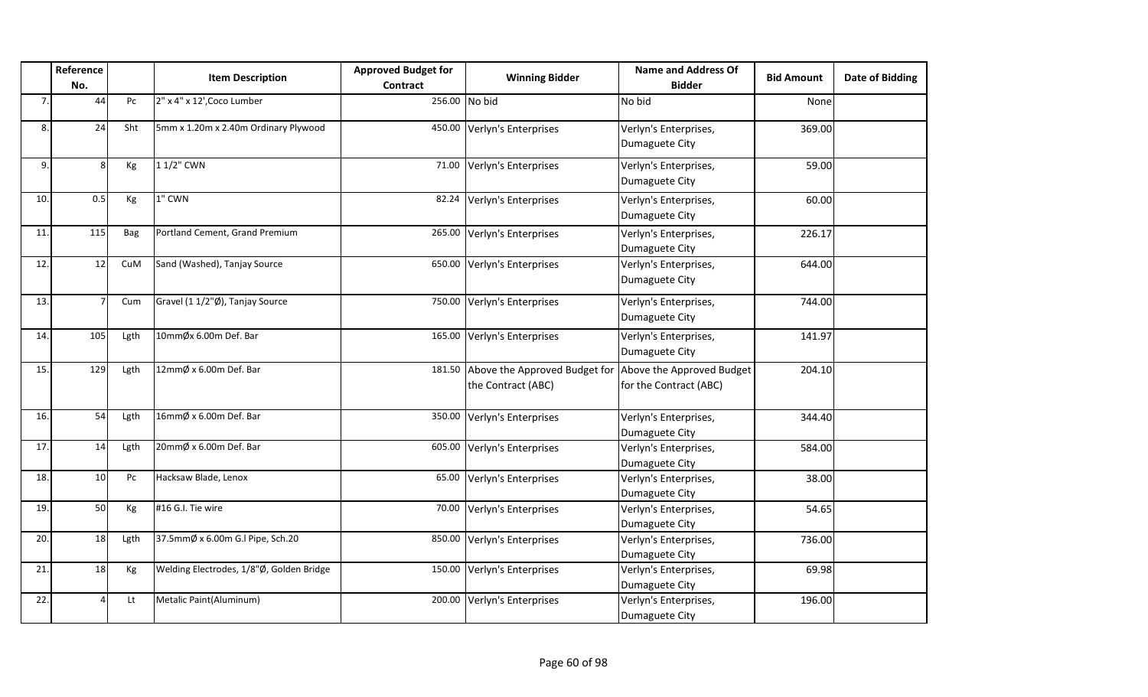|     | Reference<br>No. |      | <b>Item Description</b>                  | <b>Approved Budget for</b><br><b>Contract</b> | <b>Winning Bidder</b>                               | <b>Name and Address Of</b><br><b>Bidder</b>         | <b>Bid Amount</b> | <b>Date of Bidding</b> |
|-----|------------------|------|------------------------------------------|-----------------------------------------------|-----------------------------------------------------|-----------------------------------------------------|-------------------|------------------------|
| 7.  | 44               | Pc   | 2" x 4" x 12', Coco Lumber               | 256.00 No bid                                 |                                                     | No bid                                              | None              |                        |
| 8.  | 24               | Sht  | 5mm x 1.20m x 2.40m Ordinary Plywood     | 450.00                                        | Verlyn's Enterprises                                | Verlyn's Enterprises,<br>Dumaguete City             | 369.00            |                        |
| 9.  | 8                | Kg   | 1 1/2" CWN                               | 71.00                                         | Verlyn's Enterprises                                | Verlyn's Enterprises,<br>Dumaguete City             | 59.00             |                        |
| 10. | 0.5              | Kg   | 1" CWN                                   | 82.24                                         | Verlyn's Enterprises                                | Verlyn's Enterprises,<br>Dumaguete City             | 60.00             |                        |
| 11. | 115              | Bag  | Portland Cement, Grand Premium           | 265.00                                        | Verlyn's Enterprises                                | Verlyn's Enterprises,<br>Dumaguete City             | 226.17            |                        |
| 12. | 12               | CuM  | Sand (Washed), Tanjay Source             | 650.00                                        | Verlyn's Enterprises                                | Verlyn's Enterprises,<br>Dumaguete City             | 644.00            |                        |
| 13. |                  | Cum  | Gravel (1 1/2"Ø), Tanjay Source          | 750.00                                        | Verlyn's Enterprises                                | Verlyn's Enterprises,<br>Dumaguete City             | 744.00            |                        |
| 14. | 105              | Lgth | 10mmØx 6.00m Def. Bar                    | 165.00                                        | Verlyn's Enterprises                                | Verlyn's Enterprises,<br>Dumaguete City             | 141.97            |                        |
| 15. | 129              | Lgth | 12mmØ x 6.00m Def. Bar                   | 181.50                                        | Above the Approved Budget for<br>the Contract (ABC) | Above the Approved Budget<br>for the Contract (ABC) | 204.10            |                        |
| 16. | 54               | Lgth | 16mmØ x 6.00m Def. Bar                   | 350.00                                        | Verlyn's Enterprises                                | Verlyn's Enterprises,<br>Dumaguete City             | 344.40            |                        |
| 17. | 14               | Lgth | 20mmØ x 6.00m Def. Bar                   | 605.00                                        | Verlyn's Enterprises                                | Verlyn's Enterprises,<br>Dumaguete City             | 584.00            |                        |
| 18. | 10               | Pc   | Hacksaw Blade, Lenox                     | 65.00                                         | Verlyn's Enterprises                                | Verlyn's Enterprises,<br>Dumaguete City             | 38.00             |                        |
| 19. | 50               | Kg   | #16 G.I. Tie wire                        | 70.00                                         | Verlyn's Enterprises                                | Verlyn's Enterprises,<br>Dumaguete City             | 54.65             |                        |
| 20. | 18               | Lgth | 37.5mmØ x 6.00m G.I Pipe, Sch.20         | 850.00                                        | Verlyn's Enterprises                                | Verlyn's Enterprises,<br>Dumaguete City             | 736.00            |                        |
| 21. | 18               | Kg   | Welding Electrodes, 1/8"Ø, Golden Bridge | 150.00                                        | Verlyn's Enterprises                                | Verlyn's Enterprises,<br>Dumaguete City             | 69.98             |                        |
| 22. |                  | Lt   | Metalic Paint(Aluminum)                  | 200.00                                        | Verlyn's Enterprises                                | Verlyn's Enterprises,<br>Dumaguete City             | 196.00            |                        |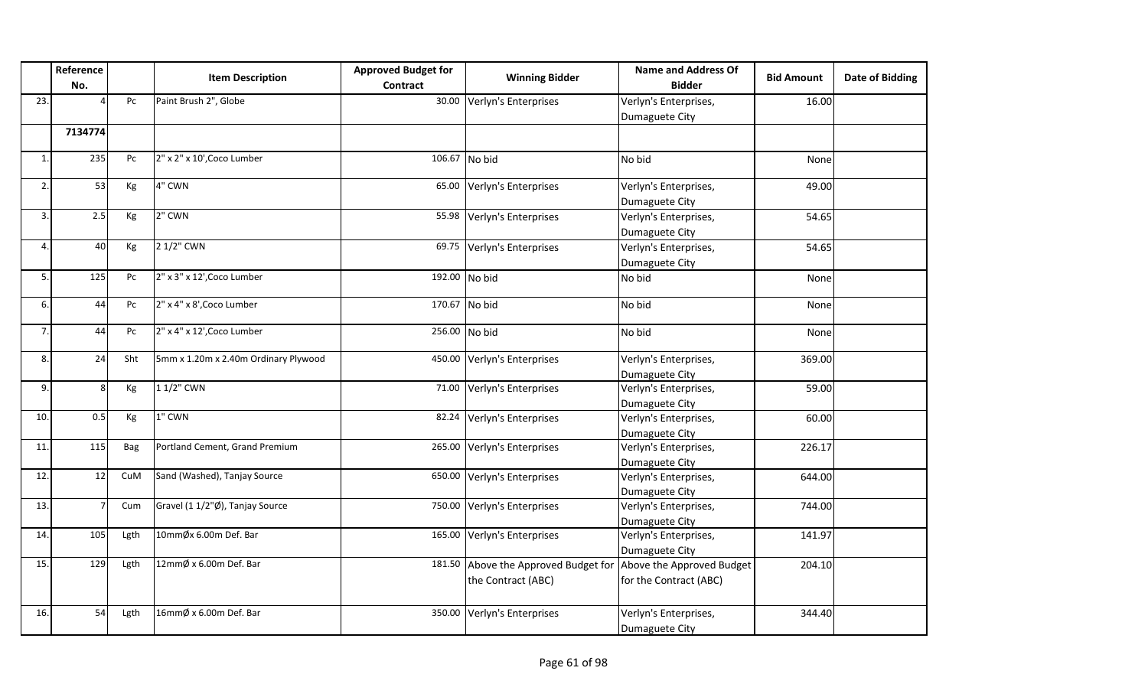|     | Reference<br>No. |      | <b>Item Description</b>              | <b>Approved Budget for</b><br>Contract | <b>Winning Bidder</b>                               | <b>Name and Address Of</b><br><b>Bidder</b>         | <b>Bid Amount</b> | <b>Date of Bidding</b> |
|-----|------------------|------|--------------------------------------|----------------------------------------|-----------------------------------------------------|-----------------------------------------------------|-------------------|------------------------|
| 23. |                  | Pc   | Paint Brush 2", Globe                | 30.00                                  | Verlyn's Enterprises                                | Verlyn's Enterprises,<br>Dumaguete City             | 16.00             |                        |
|     | 7134774          |      |                                      |                                        |                                                     |                                                     |                   |                        |
| 1.  | 235              | Pc   | 2" x 2" x 10', Coco Lumber           | 106.67                                 | No bid                                              | No bid                                              | None              |                        |
| 2.  | 53               | Кg   | 4" CWN                               | 65.00                                  | Verlyn's Enterprises                                | Verlyn's Enterprises,<br>Dumaguete City             | 49.00             |                        |
| 3.  | 2.5              | Кg   | 2" CWN                               | 55.98                                  | Verlyn's Enterprises                                | Verlyn's Enterprises,<br>Dumaguete City             | 54.65             |                        |
| 4.  | 40               | Kg   | 2 1/2" CWN                           | 69.75                                  | Verlyn's Enterprises                                | Verlyn's Enterprises,<br>Dumaguete City             | 54.65             |                        |
| 5.  | 125              | Pc   | 2" x 3" x 12', Coco Lumber           | 192.00 No bid                          |                                                     | No bid                                              | None              |                        |
| 6.  | 44               | Pc   | 2" x 4" x 8', Coco Lumber            | 170.67                                 | No bid                                              | No bid                                              | None              |                        |
| 7.  | 44               | Pc   | 2" x 4" x 12', Coco Lumber           | 256.00 No bid                          |                                                     | No bid                                              | None              |                        |
| 8.  | 24               | Sht  | 5mm x 1.20m x 2.40m Ordinary Plywood | 450.00                                 | Verlyn's Enterprises                                | Verlyn's Enterprises,<br>Dumaguete City             | 369.00            |                        |
| 9.  | 8                | Kg   | 1 1/2" CWN                           | 71.00                                  | Verlyn's Enterprises                                | Verlyn's Enterprises,<br>Dumaguete City             | 59.00             |                        |
| 10. | 0.5              | Kg   | 1" CWN                               | 82.24                                  | Verlyn's Enterprises                                | Verlyn's Enterprises,<br>Dumaguete City             | 60.00             |                        |
| 11. | 115              | Bag  | Portland Cement, Grand Premium       | 265.00                                 | Verlyn's Enterprises                                | Verlyn's Enterprises,<br>Dumaguete City             | 226.17            |                        |
| 12. | 12               | CuM  | Sand (Washed), Tanjay Source         | 650.00                                 | Verlyn's Enterprises                                | Verlyn's Enterprises,<br>Dumaguete City             | 644.00            |                        |
| 13. |                  | Cum  | Gravel (1 1/2"Ø), Tanjay Source      | 750.00                                 | Verlyn's Enterprises                                | Verlyn's Enterprises,<br>Dumaguete City             | 744.00            |                        |
| 14. | 105              | Lgth | 10mmØx 6.00m Def. Bar                | 165.00                                 | Verlyn's Enterprises                                | Verlyn's Enterprises,<br>Dumaguete City             | 141.97            |                        |
| 15. | 129              | Lgth | 12mmØ x 6.00m Def. Bar               | 181.50                                 | Above the Approved Budget for<br>the Contract (ABC) | Above the Approved Budget<br>for the Contract (ABC) | 204.10            |                        |
| 16. | 54               | Lgth | 16mmØ x 6.00m Def. Bar               | 350.00                                 | Verlyn's Enterprises                                | Verlyn's Enterprises,<br>Dumaguete City             | 344.40            |                        |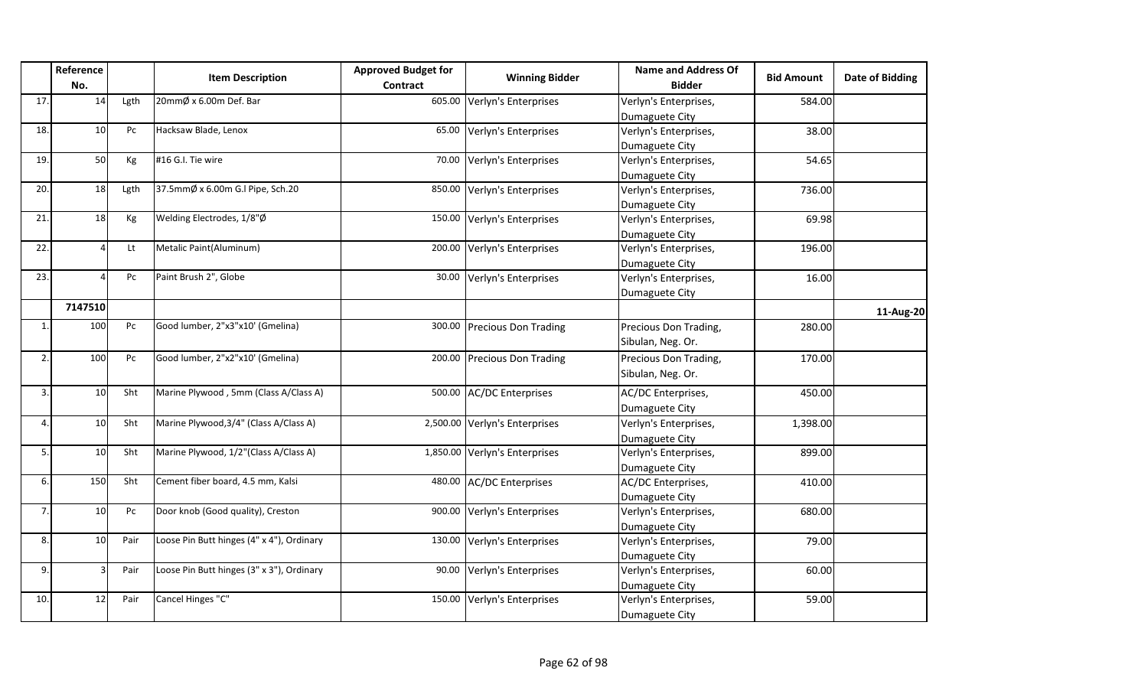|              | Reference<br>No. |      | <b>Item Description</b>                   | <b>Approved Budget for</b><br>Contract | <b>Winning Bidder</b>       | <b>Name and Address Of</b><br><b>Bidder</b> | <b>Bid Amount</b> | <b>Date of Bidding</b> |
|--------------|------------------|------|-------------------------------------------|----------------------------------------|-----------------------------|---------------------------------------------|-------------------|------------------------|
| 17.          | 14               | Lgth | 20mmØ x 6.00m Def. Bar                    | 605.00                                 | Verlyn's Enterprises        | Verlyn's Enterprises,                       | 584.00            |                        |
|              |                  |      |                                           |                                        |                             | Dumaguete City                              |                   |                        |
| 18.          | 10               | Pc   | Hacksaw Blade, Lenox                      | 65.00                                  | Verlyn's Enterprises        | Verlyn's Enterprises,                       | 38.00             |                        |
|              |                  |      |                                           |                                        |                             | Dumaguete City                              |                   |                        |
| 19.          | 50               | Kg   | #16 G.I. Tie wire                         | 70.00                                  | Verlyn's Enterprises        | Verlyn's Enterprises,                       | 54.65             |                        |
|              |                  |      |                                           |                                        |                             | Dumaguete City                              |                   |                        |
| 20.          | 18               | Lgth | 37.5mmØ x 6.00m G.I Pipe, Sch.20          | 850.00                                 | Verlyn's Enterprises        | Verlyn's Enterprises,                       | 736.00            |                        |
|              |                  |      |                                           |                                        |                             | Dumaguete City                              |                   |                        |
| 21           | 18               | Kg   | Welding Electrodes, 1/8"Ø                 | 150.00                                 | Verlyn's Enterprises        | Verlyn's Enterprises,                       | 69.98             |                        |
|              |                  |      |                                           |                                        |                             | Dumaguete City                              |                   |                        |
| 22.          |                  | Lt   | Metalic Paint(Aluminum)                   | 200.00                                 | Verlyn's Enterprises        | Verlyn's Enterprises,                       | 196.00            |                        |
|              |                  |      |                                           |                                        |                             | Dumaguete City                              |                   |                        |
| 23.          |                  | Pc   | Paint Brush 2", Globe                     | 30.00                                  | Verlyn's Enterprises        | Verlyn's Enterprises,                       | 16.00             |                        |
|              |                  |      |                                           |                                        |                             | Dumaguete City                              |                   |                        |
|              | 7147510          |      |                                           |                                        |                             |                                             |                   | 11-Aug-20              |
| $\mathbf{1}$ | 100              | Pc   | Good lumber, 2"x3"x10' (Gmelina)          | 300.00                                 | <b>Precious Don Trading</b> | Precious Don Trading,                       | 280.00            |                        |
|              |                  |      |                                           |                                        |                             | Sibulan, Neg. Or.                           |                   |                        |
| 2.           | 100              | Pc   | Good lumber, 2"x2"x10' (Gmelina)          |                                        | 200.00 Precious Don Trading | Precious Don Trading,                       | 170.00            |                        |
|              |                  |      |                                           |                                        |                             | Sibulan, Neg. Or.                           |                   |                        |
| 3.           | 10               | Sht  | Marine Plywood, 5mm (Class A/Class A)     | 500.00                                 | <b>AC/DC Enterprises</b>    | AC/DC Enterprises,                          | 450.00            |                        |
|              |                  |      |                                           |                                        |                             | Dumaguete City                              |                   |                        |
| 4.           | 10               | Sht  | Marine Plywood, 3/4" (Class A/Class A)    | 2,500.00                               | Verlyn's Enterprises        | Verlyn's Enterprises,                       | 1,398.00          |                        |
|              |                  |      |                                           |                                        |                             | Dumaguete City                              |                   |                        |
| 5.           | 10               | Sht  | Marine Plywood, 1/2"(Class A/Class A)     | 1,850.00                               | Verlyn's Enterprises        | Verlyn's Enterprises,                       | 899.00            |                        |
|              |                  |      |                                           |                                        |                             | Dumaguete City                              |                   |                        |
| 6.           | 150              | Sht  | Cement fiber board, 4.5 mm, Kalsi         | 480.00                                 | <b>AC/DC Enterprises</b>    | AC/DC Enterprises,                          | 410.00            |                        |
|              |                  |      |                                           |                                        |                             | Dumaguete City                              |                   |                        |
| 7.           | 10               | Pc   | Door knob (Good quality), Creston         | 900.00                                 | Verlyn's Enterprises        | Verlyn's Enterprises,                       | 680.00            |                        |
|              |                  |      |                                           |                                        |                             | Dumaguete City                              |                   |                        |
| 8.           | 10               | Pair | Loose Pin Butt hinges (4" x 4"), Ordinary | 130.00                                 | Verlyn's Enterprises        | Verlyn's Enterprises,                       | 79.00             |                        |
|              |                  |      |                                           |                                        |                             | Dumaguete City                              |                   |                        |
| 9.           |                  | Pair | Loose Pin Butt hinges (3" x 3"), Ordinary | 90.00                                  | Verlyn's Enterprises        | Verlyn's Enterprises,                       | 60.00             |                        |
|              |                  |      |                                           |                                        |                             | Dumaguete City                              |                   |                        |
| 10.          | 12               | Pair | Cancel Hinges "C"                         | 150.00                                 | Verlyn's Enterprises        | Verlyn's Enterprises,                       | 59.00             |                        |
|              |                  |      |                                           |                                        |                             | Dumaguete City                              |                   |                        |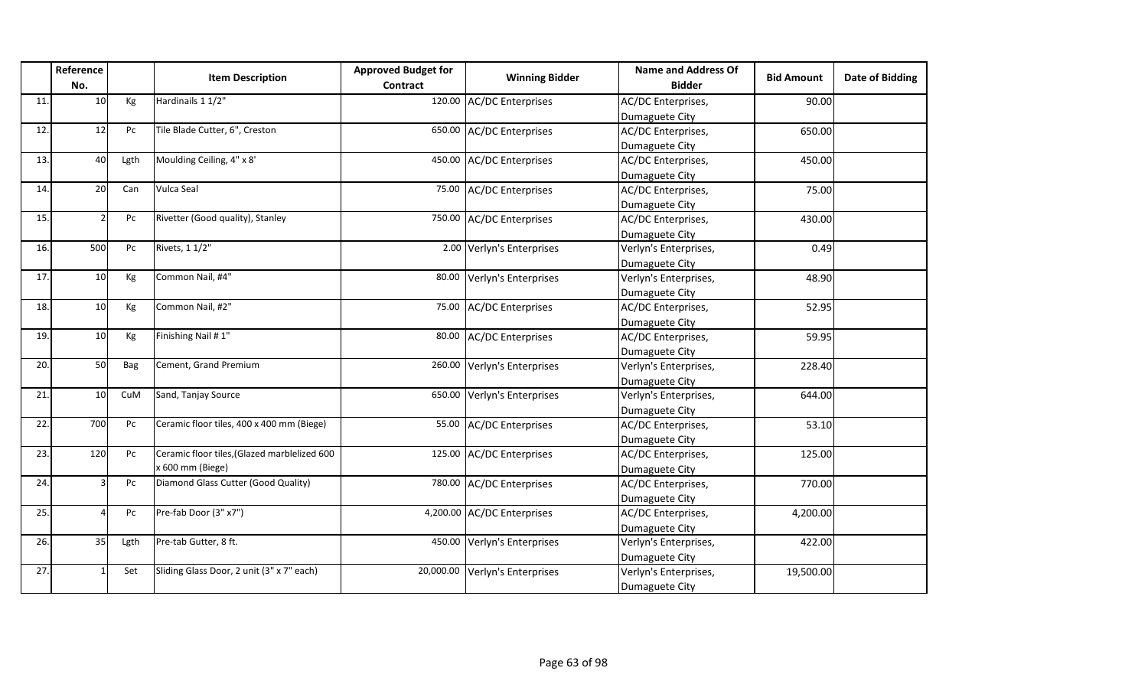|     | Reference<br>No.         |      | <b>Item Description</b>                      | <b>Approved Budget for</b><br>Contract | <b>Winning Bidder</b>      | <b>Name and Address Of</b><br><b>Bidder</b> | <b>Bid Amount</b> | <b>Date of Bidding</b> |
|-----|--------------------------|------|----------------------------------------------|----------------------------------------|----------------------------|---------------------------------------------|-------------------|------------------------|
| 11. | 10                       | Kg   | Hardinails 1 1/2"                            | 120.00                                 | <b>AC/DC Enterprises</b>   | AC/DC Enterprises,                          | 90.00             |                        |
|     |                          |      |                                              |                                        |                            | Dumaguete City                              |                   |                        |
| 12. | 12                       | Pc   | Tile Blade Cutter, 6", Creston               | 650.00                                 | <b>AC/DC Enterprises</b>   | AC/DC Enterprises,                          | 650.00            |                        |
|     |                          |      |                                              |                                        |                            | Dumaguete City                              |                   |                        |
| 13. | 40                       | Lgth | Moulding Ceiling, 4" x 8'                    | 450.00                                 | <b>AC/DC Enterprises</b>   | AC/DC Enterprises,                          | 450.00            |                        |
|     |                          |      |                                              |                                        |                            | Dumaguete City                              |                   |                        |
| 14. | 20                       | Can  | Vulca Seal                                   | 75.00                                  | <b>AC/DC Enterprises</b>   | AC/DC Enterprises,                          | 75.00             |                        |
|     |                          |      |                                              |                                        |                            | Dumaguete City                              |                   |                        |
| 15. |                          | Pc   | Rivetter (Good quality), Stanley             | 750.00                                 | <b>AC/DC</b> Enterprises   | AC/DC Enterprises,                          | 430.00            |                        |
|     |                          |      |                                              |                                        |                            | Dumaguete City                              |                   |                        |
| 16. | 500                      | Pc   | Rivets, 1 1/2"                               |                                        | 2.00 Verlyn's Enterprises  | Verlyn's Enterprises,                       | 0.49              |                        |
|     |                          |      |                                              |                                        |                            | Dumaguete City                              |                   |                        |
| 17. | 10                       | Kg   | Common Nail, #4"                             | 80.00                                  | Verlyn's Enterprises       | Verlyn's Enterprises,                       | 48.90             |                        |
|     |                          |      |                                              |                                        |                            | Dumaguete City                              |                   |                        |
| 18. | 10                       | Kg   | Common Nail, #2"                             | 75.00                                  | <b>AC/DC Enterprises</b>   | AC/DC Enterprises,                          | 52.95             |                        |
|     |                          |      |                                              |                                        |                            | Dumaguete City                              |                   |                        |
| 19. | 10                       | Kg   | Finishing Nail #1"                           | 80.00                                  | <b>AC/DC Enterprises</b>   | AC/DC Enterprises,                          | 59.95             |                        |
|     |                          |      |                                              |                                        |                            | Dumaguete City                              |                   |                        |
| 20. | 50                       | Bag  | Cement, Grand Premium                        | 260.00                                 | Verlyn's Enterprises       | Verlyn's Enterprises,                       | 228.40            |                        |
|     |                          |      |                                              |                                        |                            | Dumaguete City                              |                   |                        |
| 21. | 10                       | CuM  | Sand, Tanjay Source                          | 650.00                                 | Verlyn's Enterprises       | Verlyn's Enterprises,                       | 644.00            |                        |
|     |                          |      |                                              |                                        |                            | Dumaguete City                              |                   |                        |
| 22. | 700                      | Pc   | Ceramic floor tiles, 400 x 400 mm (Biege)    | 55.00                                  | <b>AC/DC Enterprises</b>   | AC/DC Enterprises,                          | 53.10             |                        |
|     |                          |      |                                              |                                        |                            | Dumaguete City                              |                   |                        |
| 23. | 120                      | Pc   | Ceramic floor tiles, (Glazed marblelized 600 | 125.00                                 | <b>AC/DC Enterprises</b>   | AC/DC Enterprises,                          | 125.00            |                        |
|     |                          |      | x 600 mm (Biege)                             |                                        |                            | Dumaguete City                              |                   |                        |
| 24. |                          | Pc   | Diamond Glass Cutter (Good Quality)          |                                        | 780.00 AC/DC Enterprises   | AC/DC Enterprises,                          | 770.00            |                        |
|     |                          |      |                                              |                                        |                            | Dumaguete City                              |                   |                        |
| 25. | $\overline{\mathcal{L}}$ | Pc   | Pre-fab Door (3" x7")                        |                                        | 4,200.00 AC/DC Enterprises | AC/DC Enterprises,                          | 4,200.00          |                        |
|     |                          |      |                                              |                                        |                            | Dumaguete City                              |                   |                        |
| 26. | 35                       | Lgth | Pre-tab Gutter, 8 ft.                        | 450.00                                 | Verlyn's Enterprises       | Verlyn's Enterprises,                       | 422.00            |                        |
|     |                          |      |                                              |                                        |                            | Dumaguete City                              |                   |                        |
| 27. |                          | Set  | Sliding Glass Door, 2 unit (3" x 7" each)    | 20,000.00                              | Verlyn's Enterprises       | Verlyn's Enterprises,                       | 19,500.00         |                        |
|     |                          |      |                                              |                                        |                            | Dumaguete City                              |                   |                        |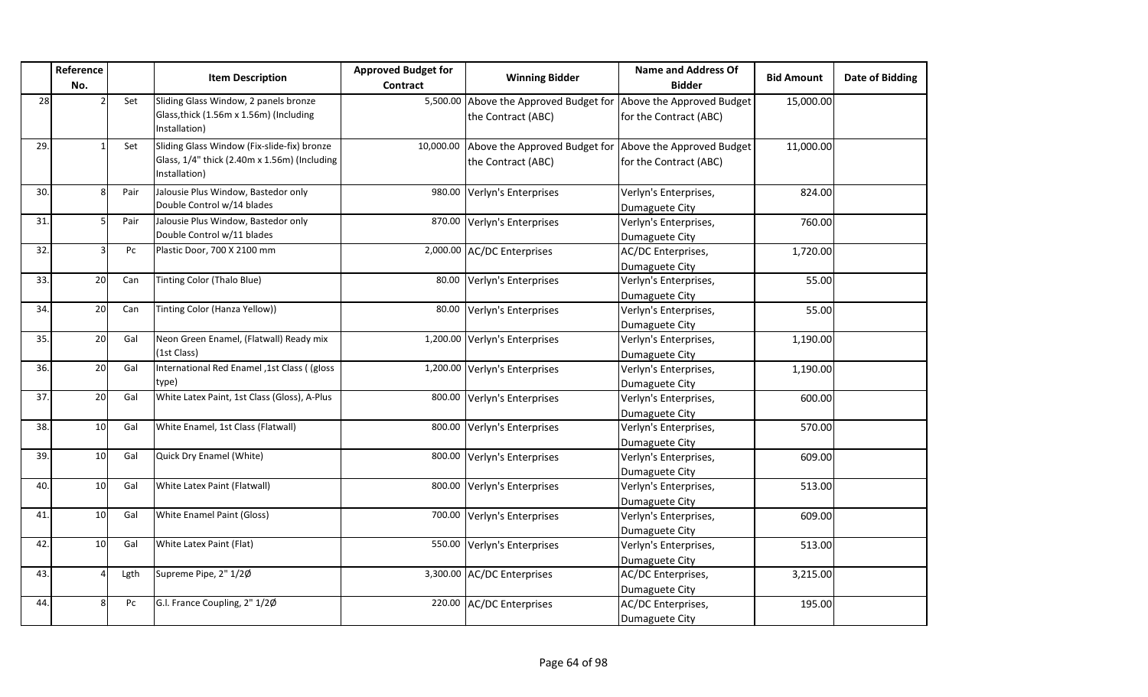|     | Reference<br>No. |      | <b>Item Description</b>                                                                                      | <b>Approved Budget for</b><br>Contract | <b>Winning Bidder</b>                                                         | <b>Name and Address Of</b><br><b>Bidder</b>         | <b>Bid Amount</b> | Date of Bidding |
|-----|------------------|------|--------------------------------------------------------------------------------------------------------------|----------------------------------------|-------------------------------------------------------------------------------|-----------------------------------------------------|-------------------|-----------------|
| 28  |                  | Set  | Sliding Glass Window, 2 panels bronze<br>Glass, thick (1.56m x 1.56m) (Including<br>Installation)            |                                        | 5,500.00 Above the Approved Budget for<br>the Contract (ABC)                  | Above the Approved Budget<br>for the Contract (ABC) | 15,000.00         |                 |
| 29. |                  | Set  | Sliding Glass Window (Fix-slide-fix) bronze<br>Glass, 1/4" thick (2.40m x 1.56m) (Including<br>Installation) | 10,000.00                              | Above the Approved Budget for Above the Approved Budget<br>the Contract (ABC) | for the Contract (ABC)                              | 11,000.00         |                 |
| 30. |                  | Pair | Jalousie Plus Window, Bastedor only<br>Double Control w/14 blades                                            | 980.00                                 | Verlyn's Enterprises                                                          | Verlyn's Enterprises,<br>Dumaguete City             | 824.00            |                 |
| 31. |                  | Pair | Jalousie Plus Window, Bastedor only<br>Double Control w/11 blades                                            | 870.00                                 | Verlyn's Enterprises                                                          | Verlyn's Enterprises,<br>Dumaguete City             | 760.00            |                 |
| 32. |                  | Pc   | Plastic Door, 700 X 2100 mm                                                                                  |                                        | 2,000.00 AC/DC Enterprises                                                    | AC/DC Enterprises,<br>Dumaguete City                | 1,720.00          |                 |
| 33. | 20               | Can  | Tinting Color (Thalo Blue)                                                                                   | 80.00                                  | Verlyn's Enterprises                                                          | Verlyn's Enterprises,<br>Dumaguete City             | 55.00             |                 |
| 34. | 20               | Can  | Tinting Color (Hanza Yellow))                                                                                | 80.00                                  | Verlyn's Enterprises                                                          | Verlyn's Enterprises,<br>Dumaguete City             | 55.00             |                 |
| 35. | $\overline{20}$  | Gal  | Neon Green Enamel, (Flatwall) Ready mix<br>(1st Class)                                                       |                                        | 1,200.00 Verlyn's Enterprises                                                 | Verlyn's Enterprises,<br>Dumaguete City             | 1,190.00          |                 |
| 36. | 20               | Gal  | International Red Enamel ,1st Class ( (gloss<br>type)                                                        |                                        | 1,200.00 Verlyn's Enterprises                                                 | Verlyn's Enterprises,<br>Dumaguete City             | 1,190.00          |                 |
| 37. | 20               | Gal  | White Latex Paint, 1st Class (Gloss), A-Plus                                                                 | 800.00                                 | Verlyn's Enterprises                                                          | Verlyn's Enterprises,<br>Dumaguete City             | 600.00            |                 |
| 38. | 10               | Gal  | White Enamel, 1st Class (Flatwall)                                                                           | 800.00                                 | Verlyn's Enterprises                                                          | Verlyn's Enterprises,<br>Dumaguete City             | 570.00            |                 |
| 39. | 10               | Gal  | Quick Dry Enamel (White)                                                                                     |                                        | 800.00 Verlyn's Enterprises                                                   | Verlyn's Enterprises,<br>Dumaguete City             | 609.00            |                 |
| 40. | 10               | Gal  | White Latex Paint (Flatwall)                                                                                 | 800.00                                 | Verlyn's Enterprises                                                          | Verlyn's Enterprises,<br>Dumaguete City             | 513.00            |                 |
| 41. | 10               | Gal  | <b>White Enamel Paint (Gloss)</b>                                                                            | 700.00                                 | Verlyn's Enterprises                                                          | Verlyn's Enterprises,<br>Dumaguete City             | 609.00            |                 |
| 42. | 10               | Gal  | White Latex Paint (Flat)                                                                                     | 550.00                                 | Verlyn's Enterprises                                                          | Verlyn's Enterprises,<br>Dumaguete City             | 513.00            |                 |
| 43. |                  | Lgth | Supreme Pipe, 2" 1/2Ø                                                                                        |                                        | 3,300.00 AC/DC Enterprises                                                    | AC/DC Enterprises,<br>Dumaguete City                | 3,215.00          |                 |
| 44. | 8                | Pc   | G.I. France Coupling, 2" 1/2Ø                                                                                |                                        | 220.00 AC/DC Enterprises                                                      | AC/DC Enterprises,<br>Dumaguete City                | 195.00            |                 |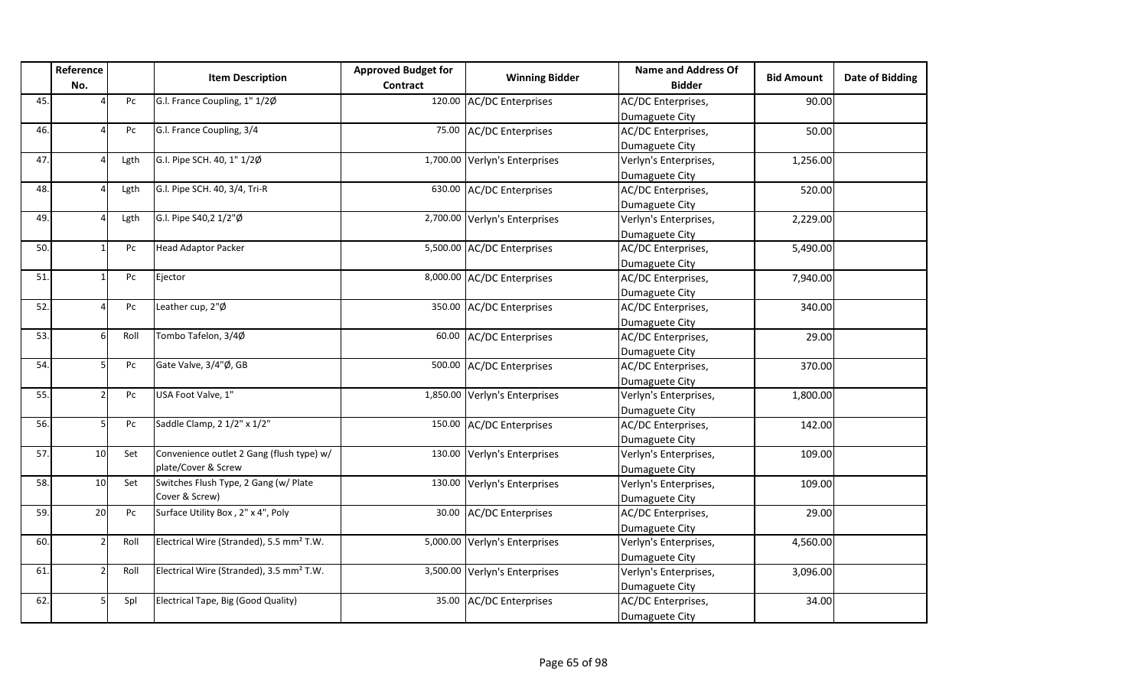|     | Reference<br>No. |      | <b>Item Description</b>                              | <b>Approved Budget for</b><br>Contract | <b>Winning Bidder</b>         | Name and Address Of<br><b>Bidder</b> | <b>Bid Amount</b> | Date of Bidding |
|-----|------------------|------|------------------------------------------------------|----------------------------------------|-------------------------------|--------------------------------------|-------------------|-----------------|
| 45. |                  | Pc   | G.I. France Coupling, 1" 1/2Ø                        |                                        | 120.00 AC/DC Enterprises      | AC/DC Enterprises,                   | 90.00             |                 |
|     |                  |      |                                                      |                                        |                               | Dumaguete City                       |                   |                 |
| 46. |                  | Pc   | G.I. France Coupling, 3/4                            |                                        | 75.00 AC/DC Enterprises       | AC/DC Enterprises,                   | 50.00             |                 |
|     |                  |      |                                                      |                                        |                               | Dumaguete City                       |                   |                 |
| 47. |                  | Lgth | G.I. Pipe SCH. 40, 1" 1/2Ø                           |                                        | 1,700.00 Verlyn's Enterprises | Verlyn's Enterprises,                | 1,256.00          |                 |
|     |                  |      |                                                      |                                        |                               | Dumaguete City                       |                   |                 |
| 48. |                  | Lgth | G.I. Pipe SCH. 40, 3/4, Tri-R                        |                                        | 630.00 AC/DC Enterprises      | AC/DC Enterprises,                   | 520.00            |                 |
|     |                  |      |                                                      |                                        |                               | Dumaguete City                       |                   |                 |
| 49. |                  | Lgth | G.I. Pipe S40,2 1/2"Ø                                |                                        | 2,700.00 Verlyn's Enterprises | Verlyn's Enterprises,                | 2,229.00          |                 |
|     |                  |      |                                                      |                                        |                               | Dumaguete City                       |                   |                 |
| 50. |                  | Pc   | <b>Head Adaptor Packer</b>                           |                                        | 5,500.00 AC/DC Enterprises    | AC/DC Enterprises,                   | 5,490.00          |                 |
|     |                  |      |                                                      |                                        |                               | Dumaguete City                       |                   |                 |
| 51. |                  | Pc   | Ejector                                              |                                        | 8,000.00 AC/DC Enterprises    | AC/DC Enterprises,                   | 7,940.00          |                 |
|     |                  |      |                                                      |                                        |                               | Dumaguete City                       |                   |                 |
| 52. |                  | Pc   | Leather cup, 2"Ø                                     |                                        | 350.00 AC/DC Enterprises      | AC/DC Enterprises,                   | 340.00            |                 |
|     |                  |      |                                                      |                                        |                               | Dumaguete City                       |                   |                 |
| 53. |                  | Roll | Tombo Tafelon, 3/4Ø                                  |                                        | 60.00 AC/DC Enterprises       | AC/DC Enterprises,                   | 29.00             |                 |
|     |                  |      |                                                      |                                        |                               | Dumaguete City                       |                   |                 |
| 54. |                  | Pc   | Gate Valve, 3/4"Ø, GB                                |                                        | 500.00 AC/DC Enterprises      | AC/DC Enterprises,                   | 370.00            |                 |
|     |                  |      |                                                      |                                        |                               | Dumaguete City                       |                   |                 |
| 55. |                  | Pc   | USA Foot Valve, 1"                                   |                                        | 1,850.00 Verlyn's Enterprises | Verlyn's Enterprises,                | 1,800.00          |                 |
|     |                  |      |                                                      |                                        |                               | Dumaguete City                       |                   |                 |
| 56. |                  | Pc   | Saddle Clamp, 2 1/2" x 1/2"                          |                                        | 150.00 AC/DC Enterprises      | AC/DC Enterprises,                   | 142.00            |                 |
|     |                  |      |                                                      |                                        |                               | Dumaguete City                       |                   |                 |
| 57. | 10               | Set  | Convenience outlet 2 Gang (flush type) w/            | 130.00                                 | Verlyn's Enterprises          | Verlyn's Enterprises,                | 109.00            |                 |
|     |                  |      | plate/Cover & Screw                                  |                                        |                               | Dumaguete City                       |                   |                 |
| 58. | 10 <sup>1</sup>  | Set  | Switches Flush Type, 2 Gang (w/ Plate                |                                        | 130.00 Verlyn's Enterprises   | Verlyn's Enterprises,                | 109.00            |                 |
|     |                  |      | Cover & Screw)                                       |                                        |                               | Dumaguete City                       |                   |                 |
| 59. | 20               | Pc   | Surface Utility Box, 2" x 4", Poly                   |                                        | 30.00 AC/DC Enterprises       | AC/DC Enterprises,                   | 29.00             |                 |
|     |                  |      |                                                      |                                        |                               | Dumaguete City                       |                   |                 |
| 60. |                  | Roll | Electrical Wire (Stranded), 5.5 mm <sup>2</sup> T.W. |                                        | 5,000.00 Verlyn's Enterprises | Verlyn's Enterprises,                | 4,560.00          |                 |
|     |                  |      |                                                      |                                        |                               | Dumaguete City                       |                   |                 |
| 61. | $\mathcal{L}$    | Roll | Electrical Wire (Stranded), 3.5 mm <sup>2</sup> T.W. |                                        | 3,500.00 Verlyn's Enterprises | Verlyn's Enterprises,                | 3,096.00          |                 |
|     |                  |      |                                                      |                                        |                               | Dumaguete City                       |                   |                 |
| 62. |                  | Spl  | Electrical Tape, Big (Good Quality)                  |                                        | 35.00 AC/DC Enterprises       | AC/DC Enterprises,                   | 34.00             |                 |
|     |                  |      |                                                      |                                        |                               | Dumaguete City                       |                   |                 |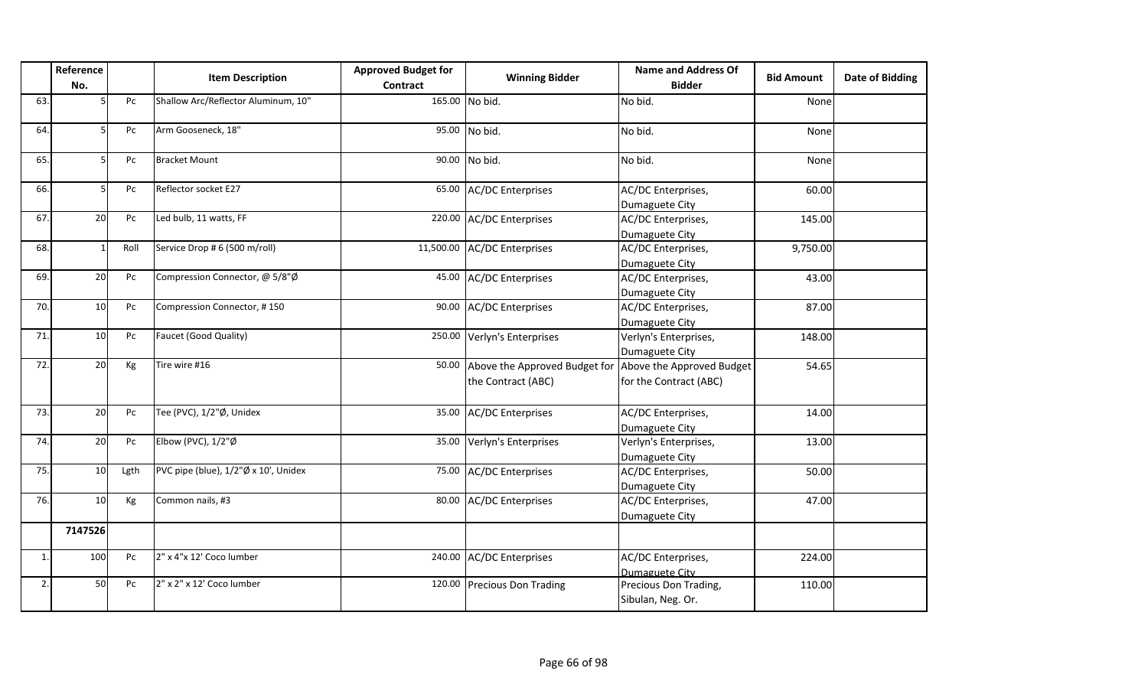|                | Reference<br>No. |      | <b>Item Description</b>              | <b>Approved Budget for</b><br><b>Contract</b> | <b>Winning Bidder</b>                               | <b>Name and Address Of</b><br><b>Bidder</b>         | <b>Bid Amount</b> | <b>Date of Bidding</b> |
|----------------|------------------|------|--------------------------------------|-----------------------------------------------|-----------------------------------------------------|-----------------------------------------------------|-------------------|------------------------|
| 63.            |                  | Pc   | Shallow Arc/Reflector Aluminum, 10"  |                                               | 165.00 No bid.                                      | No bid.                                             | None              |                        |
| 64.            | 5                | Pc   | Arm Gooseneck, 18"                   | 95.00                                         | No bid.                                             | No bid.                                             | None              |                        |
| 65.            | 5                | Pc   | <b>Bracket Mount</b>                 | 90.00                                         | No bid.                                             | No bid.                                             | None              |                        |
| 66.            | D                | Pc   | Reflector socket E27                 | 65.00                                         | <b>AC/DC</b> Enterprises                            | AC/DC Enterprises,<br>Dumaguete City                | 60.00             |                        |
| 67.            | 20               | Pc   | Led bulb, 11 watts, FF               |                                               | 220.00 AC/DC Enterprises                            | AC/DC Enterprises,<br>Dumaguete City                | 145.00            |                        |
| 68.            | $\overline{1}$   | Roll | Service Drop # 6 (500 m/roll)        | 11,500.00                                     | <b>AC/DC Enterprises</b>                            | AC/DC Enterprises,<br>Dumaguete City                | 9,750.00          |                        |
| 69.            | 20               | Pc   | Compression Connector, @ 5/8"Ø       | 45.00                                         | <b>AC/DC Enterprises</b>                            | AC/DC Enterprises,<br>Dumaguete City                | 43.00             |                        |
| 70.            | 10               | Pc   | Compression Connector, #150          | 90.00                                         | <b>AC/DC Enterprises</b>                            | AC/DC Enterprises,<br>Dumaguete City                | 87.00             |                        |
| 71.            | 10               | Pc   | Faucet (Good Quality)                | 250.00                                        | Verlyn's Enterprises                                | Verlyn's Enterprises,<br>Dumaguete City             | 148.00            |                        |
| 72.            | 20               | Kg   | Tire wire #16                        | 50.00                                         | Above the Approved Budget for<br>the Contract (ABC) | Above the Approved Budget<br>for the Contract (ABC) | 54.65             |                        |
| 73.            | 20               | Pc   | Tee (PVC), 1/2"Ø, Unidex             | 35.00                                         | <b>AC/DC Enterprises</b>                            | AC/DC Enterprises,<br>Dumaguete City                | 14.00             |                        |
| 74.            | 20               | Pc   | Elbow (PVC), $1/2$ "Ø                | 35.00                                         | Verlyn's Enterprises                                | Verlyn's Enterprises,<br>Dumaguete City             | 13.00             |                        |
| 75.            | 10               | Lgth | PVC pipe (blue), 1/2"Ø x 10', Unidex | 75.00                                         | <b>AC/DC Enterprises</b>                            | AC/DC Enterprises,<br>Dumaguete City                | 50.00             |                        |
| 76.            | 10               | Kg   | Common nails, #3                     | 80.00                                         | <b>AC/DC Enterprises</b>                            | AC/DC Enterprises,<br>Dumaguete City                | 47.00             |                        |
|                | 7147526          |      |                                      |                                               |                                                     |                                                     |                   |                        |
| $\mathbf{1}$ . | 100              | Pc   | 2" x 4"x 12' Coco lumber             |                                               | 240.00 AC/DC Enterprises                            | AC/DC Enterprises,<br><b>Dumaguete City</b>         | 224.00            |                        |
| 2.             | 50               | Pc   | 2" x 2" x 12' Coco lumber            |                                               | 120.00 Precious Don Trading                         | Precious Don Trading,<br>Sibulan, Neg. Or.          | 110.00            |                        |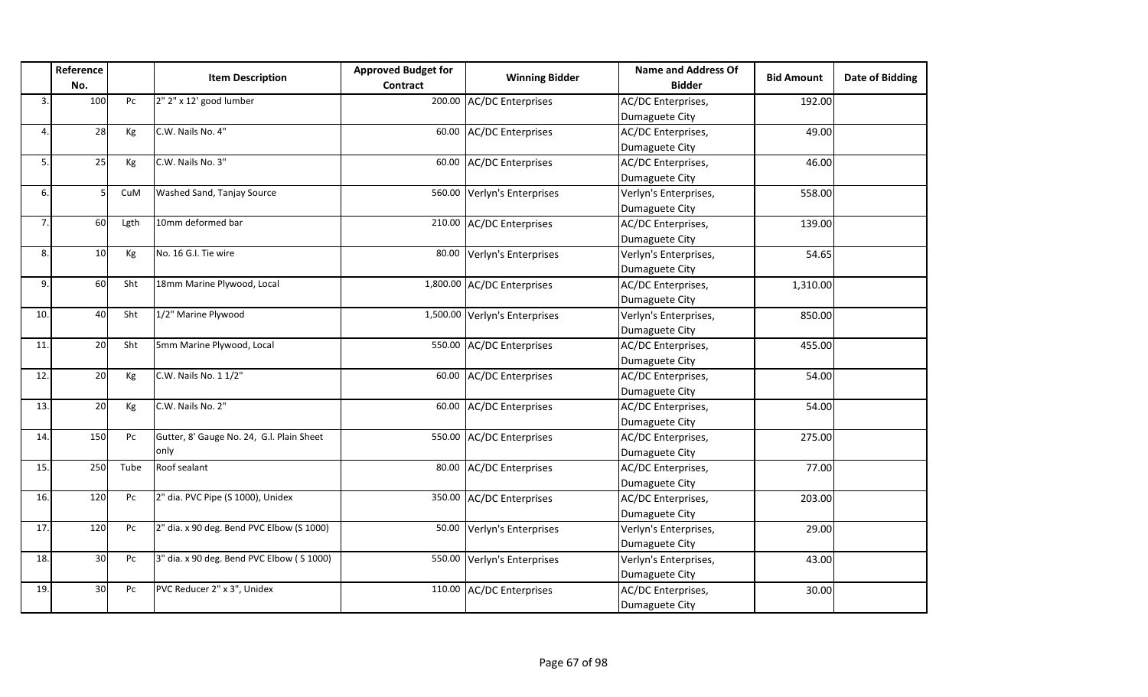|     | Reference<br>No. |      | <b>Item Description</b>                    | <b>Approved Budget for</b><br><b>Contract</b> | <b>Winning Bidder</b>         | <b>Name and Address Of</b><br><b>Bidder</b> | <b>Bid Amount</b> | Date of Bidding |
|-----|------------------|------|--------------------------------------------|-----------------------------------------------|-------------------------------|---------------------------------------------|-------------------|-----------------|
| 3.  | 100              | Pc   | 2" 2" x 12' good lumber                    | 200.00                                        | <b>AC/DC</b> Enterprises      | AC/DC Enterprises,                          | 192.00            |                 |
|     |                  |      |                                            |                                               |                               | Dumaguete City                              |                   |                 |
| 4.  | 28               | Kg   | C.W. Nails No. 4"                          | 60.00                                         | <b>AC/DC</b> Enterprises      | AC/DC Enterprises,                          | 49.00             |                 |
|     |                  |      |                                            |                                               |                               | Dumaguete City                              |                   |                 |
| 5.  | 25               | Kg   | C.W. Nails No. 3"                          | 60.00                                         | <b>AC/DC Enterprises</b>      | AC/DC Enterprises,                          | 46.00             |                 |
|     |                  |      |                                            |                                               |                               | Dumaguete City                              |                   |                 |
| 6.  |                  | CuM  | Washed Sand, Tanjay Source                 | 560.00                                        | Verlyn's Enterprises          | Verlyn's Enterprises,                       | 558.00            |                 |
|     |                  |      |                                            |                                               |                               | Dumaguete City                              |                   |                 |
| 7.  | 60               | Lgth | 10mm deformed bar                          | 210.00                                        | <b>AC/DC Enterprises</b>      | AC/DC Enterprises,                          | 139.00            |                 |
|     |                  |      |                                            |                                               |                               | Dumaguete City                              |                   |                 |
| 8.  | 10               | Kg   | No. 16 G.I. Tie wire                       | 80.00                                         | Verlyn's Enterprises          | Verlyn's Enterprises,                       | 54.65             |                 |
|     |                  |      |                                            |                                               |                               | Dumaguete City                              |                   |                 |
| 9.  | 60               | Sht  | 18mm Marine Plywood, Local                 |                                               | 1,800.00 AC/DC Enterprises    | AC/DC Enterprises,                          | 1,310.00          |                 |
|     |                  |      |                                            |                                               |                               | Dumaguete City                              |                   |                 |
| 10. | 40               | Sht  | 1/2" Marine Plywood                        |                                               | 1,500.00 Verlyn's Enterprises | Verlyn's Enterprises,                       | 850.00            |                 |
|     |                  |      |                                            |                                               |                               | Dumaguete City                              |                   |                 |
| 11. | 20               | Sht  | 5mm Marine Plywood, Local                  | 550.00                                        | <b>AC/DC Enterprises</b>      | AC/DC Enterprises,                          | 455.00            |                 |
|     |                  |      |                                            |                                               |                               | Dumaguete City                              |                   |                 |
| 12. | 20               | Kg   | C.W. Nails No. 1 1/2"                      | 60.00                                         | <b>AC/DC Enterprises</b>      | AC/DC Enterprises,                          | 54.00             |                 |
|     |                  |      |                                            |                                               |                               | Dumaguete City                              |                   |                 |
| 13. | 20               | Kg   | C.W. Nails No. 2"                          | 60.00                                         | <b>AC/DC Enterprises</b>      | AC/DC Enterprises,                          | 54.00             |                 |
|     |                  |      |                                            |                                               |                               | Dumaguete City                              |                   |                 |
| 14. | 150              | Pc   | Gutter, 8' Gauge No. 24, G.I. Plain Sheet  | 550.00                                        | <b>AC/DC Enterprises</b>      | AC/DC Enterprises,                          | 275.00            |                 |
|     |                  |      | only                                       |                                               |                               | Dumaguete City                              |                   |                 |
| 15. | 250              | Tube | Roof sealant                               | 80.00                                         | <b>AC/DC Enterprises</b>      | AC/DC Enterprises,                          | 77.00             |                 |
|     |                  |      |                                            |                                               |                               | Dumaguete City                              |                   |                 |
| 16. | 120              | Pc   | 2" dia. PVC Pipe (S 1000), Unidex          | 350.00                                        | <b>AC/DC Enterprises</b>      | AC/DC Enterprises,                          | 203.00            |                 |
|     |                  |      |                                            |                                               |                               | Dumaguete City                              |                   |                 |
| 17. | 120              | Pc   | 2" dia. x 90 deg. Bend PVC Elbow (S 1000)  | 50.00                                         | Verlyn's Enterprises          | Verlyn's Enterprises,                       | 29.00             |                 |
|     |                  |      |                                            |                                               |                               | Dumaguete City                              |                   |                 |
| 18. | 30               | Pc   | 3" dia. x 90 deg. Bend PVC Elbow ( S 1000) | 550.00                                        | Verlyn's Enterprises          | Verlyn's Enterprises,                       | 43.00             |                 |
|     |                  |      |                                            |                                               |                               | Dumaguete City                              |                   |                 |
| 19. | 30               | Pc   | PVC Reducer 2" x 3", Unidex                | 110.00                                        | <b>AC/DC Enterprises</b>      | AC/DC Enterprises,                          | 30.00             |                 |
|     |                  |      |                                            |                                               |                               | Dumaguete City                              |                   |                 |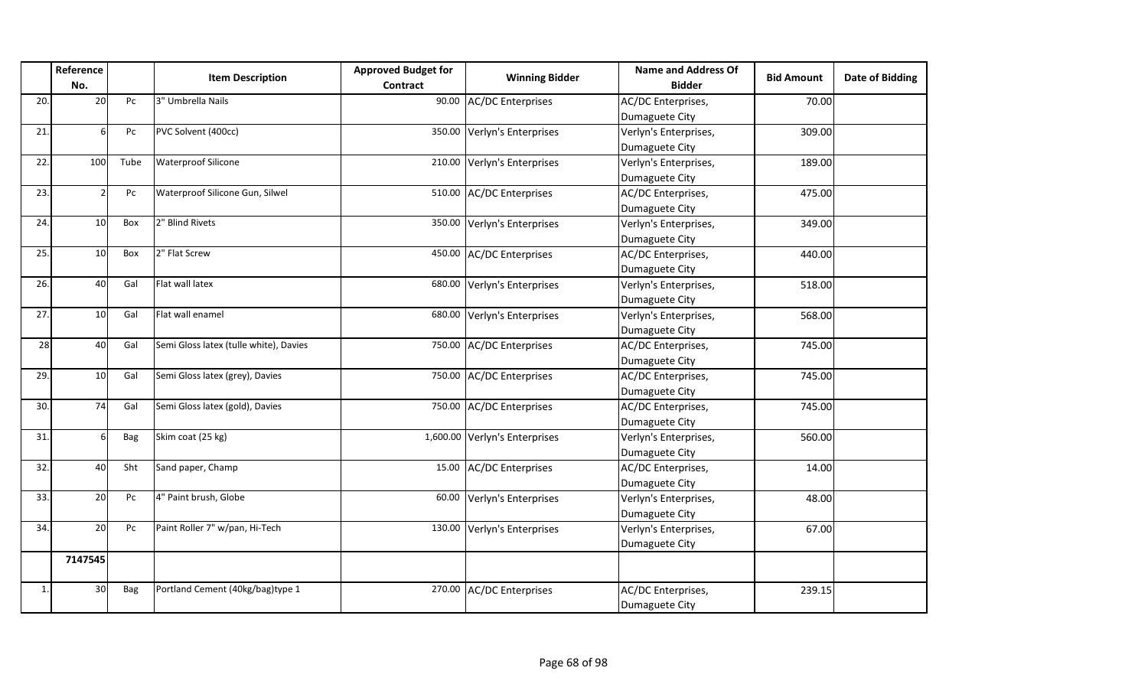|     | Reference      |            |                                        | <b>Approved Budget for</b> | <b>Winning Bidder</b>         | <b>Name and Address Of</b> | <b>Bid Amount</b> | <b>Date of Bidding</b> |
|-----|----------------|------------|----------------------------------------|----------------------------|-------------------------------|----------------------------|-------------------|------------------------|
|     | No.            |            | <b>Item Description</b>                | Contract                   |                               | <b>Bidder</b>              |                   |                        |
| 20. | 20             | Pc         | 3" Umbrella Nails                      |                            | 90.00 AC/DC Enterprises       | AC/DC Enterprises,         | 70.00             |                        |
|     |                |            |                                        |                            |                               | Dumaguete City             |                   |                        |
| 21. | 6              | Pc         | PVC Solvent (400cc)                    |                            | 350.00 Verlyn's Enterprises   | Verlyn's Enterprises,      | 309.00            |                        |
|     |                |            |                                        |                            |                               | Dumaguete City             |                   |                        |
| 22. | 100            | Tube       | <b>Waterproof Silicone</b>             |                            | 210.00 Verlyn's Enterprises   | Verlyn's Enterprises,      | 189.00            |                        |
|     |                |            |                                        |                            |                               | Dumaguete City             |                   |                        |
| 23. | $\overline{2}$ | Pc         | Waterproof Silicone Gun, Silwel        |                            | 510.00 AC/DC Enterprises      | AC/DC Enterprises,         | 475.00            |                        |
|     |                |            |                                        |                            |                               | Dumaguete City             |                   |                        |
| 24. | 10             | Box        | 2" Blind Rivets                        |                            | 350.00 Verlyn's Enterprises   | Verlyn's Enterprises,      | 349.00            |                        |
|     |                |            |                                        |                            |                               | Dumaguete City             |                   |                        |
| 25. | 10             | Box        | 2" Flat Screw                          |                            | 450.00 AC/DC Enterprises      | AC/DC Enterprises,         | 440.00            |                        |
|     |                |            |                                        |                            |                               | Dumaguete City             |                   |                        |
| 26. | 40             | Gal        | Flat wall latex                        |                            | 680.00 Verlyn's Enterprises   | Verlyn's Enterprises,      | 518.00            |                        |
|     |                |            |                                        |                            |                               | Dumaguete City             |                   |                        |
| 27. | 10             | Gal        | Flat wall enamel                       |                            | 680.00 Verlyn's Enterprises   | Verlyn's Enterprises,      | 568.00            |                        |
|     |                |            |                                        |                            |                               | Dumaguete City             |                   |                        |
| 28  | 40             | Gal        | Semi Gloss latex (tulle white), Davies |                            | 750.00 AC/DC Enterprises      | AC/DC Enterprises,         | 745.00            |                        |
|     |                |            |                                        |                            |                               | Dumaguete City             |                   |                        |
| 29. | 10             | Gal        | Semi Gloss latex (grey), Davies        |                            | 750.00 AC/DC Enterprises      | AC/DC Enterprises,         | 745.00            |                        |
|     |                |            |                                        |                            |                               | Dumaguete City             |                   |                        |
| 30. | 74             | Gal        | Semi Gloss latex (gold), Davies        |                            | 750.00 AC/DC Enterprises      | AC/DC Enterprises,         | 745.00            |                        |
|     |                |            |                                        |                            |                               | Dumaguete City             |                   |                        |
| 31. | ĥ              | Bag        | Skim coat (25 kg)                      |                            | 1,600.00 Verlyn's Enterprises | Verlyn's Enterprises,      | 560.00            |                        |
|     |                |            |                                        |                            |                               | Dumaguete City             |                   |                        |
| 32. | 40             | Sht        | Sand paper, Champ                      |                            | 15.00 AC/DC Enterprises       | AC/DC Enterprises,         | 14.00             |                        |
|     |                |            |                                        |                            |                               | Dumaguete City             |                   |                        |
| 33. | <b>20</b>      | Pc         | 4" Paint brush, Globe                  |                            | 60.00 Verlyn's Enterprises    | Verlyn's Enterprises,      | 48.00             |                        |
|     |                |            |                                        |                            |                               | Dumaguete City             |                   |                        |
| 34. | 20             | Pc         | Paint Roller 7" w/pan, Hi-Tech         |                            | 130.00 Verlyn's Enterprises   | Verlyn's Enterprises,      | 67.00             |                        |
|     |                |            |                                        |                            |                               | Dumaguete City             |                   |                        |
|     | 7147545        |            |                                        |                            |                               |                            |                   |                        |
|     |                |            |                                        |                            |                               |                            |                   |                        |
| 1.  | 30             | <b>Bag</b> | Portland Cement (40kg/bag)type 1       |                            | 270.00 AC/DC Enterprises      | AC/DC Enterprises,         | 239.15            |                        |
|     |                |            |                                        |                            |                               | Dumaguete City             |                   |                        |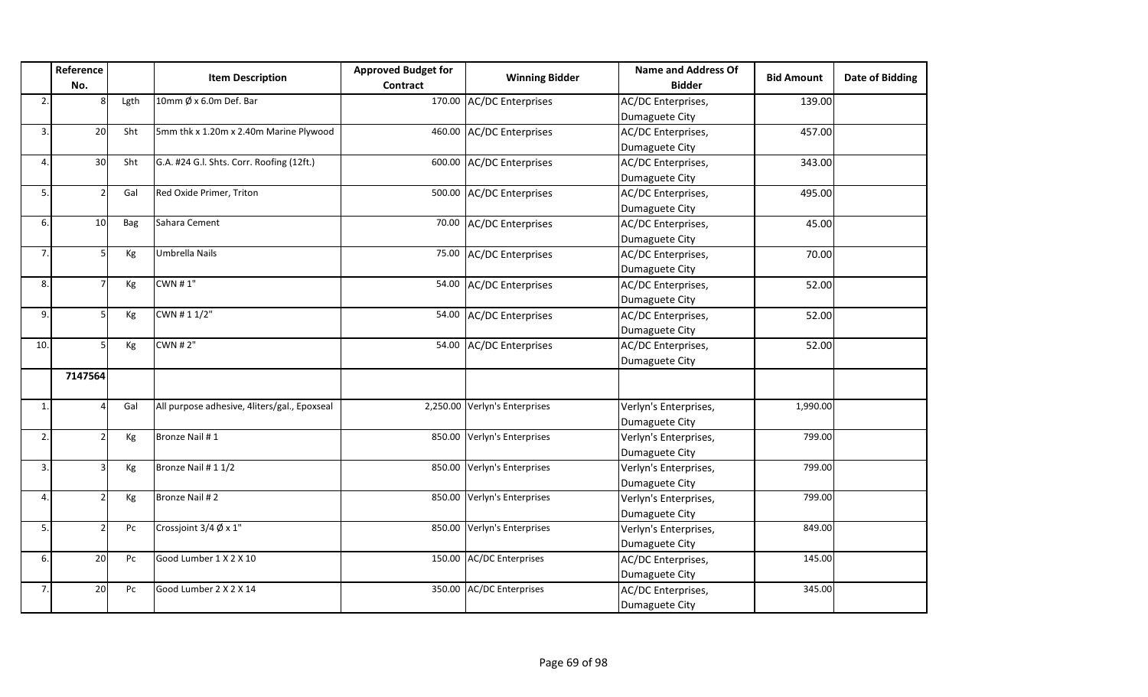|     | Reference<br>No. |      | <b>Item Description</b>                      | <b>Approved Budget for</b><br><b>Contract</b> | <b>Winning Bidder</b>         | <b>Name and Address Of</b><br><b>Bidder</b> | <b>Bid Amount</b> | Date of Bidding |
|-----|------------------|------|----------------------------------------------|-----------------------------------------------|-------------------------------|---------------------------------------------|-------------------|-----------------|
| 2.  |                  | Lgth | 10mm $\emptyset$ x 6.0m Def. Bar             |                                               | 170.00 AC/DC Enterprises      | AC/DC Enterprises,                          | 139.00            |                 |
|     |                  |      |                                              |                                               |                               | Dumaguete City                              |                   |                 |
| 3.  | 20               | Sht  | 5mm thk x 1.20m x 2.40m Marine Plywood       | 460.00                                        | <b>AC/DC</b> Enterprises      | AC/DC Enterprises,                          | 457.00            |                 |
|     |                  |      |                                              |                                               |                               | Dumaguete City                              |                   |                 |
| 4.  | 30               | Sht  | G.A. #24 G.I. Shts. Corr. Roofing (12ft.)    | 600.00                                        | <b>AC/DC Enterprises</b>      | AC/DC Enterprises,                          | 343.00            |                 |
|     |                  |      |                                              |                                               |                               | Dumaguete City                              |                   |                 |
| 5.  |                  | Gal  | Red Oxide Primer, Triton                     | 500.00                                        | <b>AC/DC Enterprises</b>      | AC/DC Enterprises,                          | 495.00            |                 |
|     |                  |      |                                              |                                               |                               | Dumaguete City                              |                   |                 |
| 6.  | 10               | Bag  | Sahara Cement                                | 70.00                                         | <b>AC/DC Enterprises</b>      | AC/DC Enterprises,                          | 45.00             |                 |
|     |                  |      |                                              |                                               |                               | Dumaguete City                              |                   |                 |
| 7.  |                  | Kg   | Umbrella Nails                               | 75.00                                         | <b>AC/DC Enterprises</b>      | AC/DC Enterprises,                          | 70.00             |                 |
|     |                  |      |                                              |                                               |                               | Dumaguete City                              |                   |                 |
| 8.  |                  | Kg   | <b>CWN #1"</b>                               | 54.00                                         | <b>AC/DC Enterprises</b>      | AC/DC Enterprises,                          | 52.00             |                 |
|     |                  |      |                                              |                                               |                               | Dumaguete City                              |                   |                 |
| 9.  |                  | Kg   | CWN # 1 1/2"                                 | 54.00                                         | <b>AC/DC Enterprises</b>      | AC/DC Enterprises,                          | 52.00             |                 |
|     |                  |      |                                              |                                               |                               | Dumaguete City                              |                   |                 |
| 10. |                  | Kg   | <b>CWN # 2"</b>                              | 54.00                                         | <b>AC/DC Enterprises</b>      | AC/DC Enterprises,                          | 52.00             |                 |
|     |                  |      |                                              |                                               |                               | Dumaguete City                              |                   |                 |
|     | 7147564          |      |                                              |                                               |                               |                                             |                   |                 |
| 1.  |                  | Gal  | All purpose adhesive, 4liters/gal., Epoxseal |                                               | 2,250.00 Verlyn's Enterprises | Verlyn's Enterprises,                       | 1,990.00          |                 |
|     |                  |      |                                              |                                               |                               | Dumaguete City                              |                   |                 |
| 2.  |                  | Kg   | Bronze Nail #1                               |                                               | 850.00 Verlyn's Enterprises   | Verlyn's Enterprises,                       | 799.00            |                 |
|     |                  |      |                                              |                                               |                               | Dumaguete City                              |                   |                 |
| 3.  |                  | Kg   | Bronze Nail # 1 1/2                          | 850.00                                        | Verlyn's Enterprises          | Verlyn's Enterprises,                       | 799.00            |                 |
|     |                  |      |                                              |                                               |                               | Dumaguete City                              |                   |                 |
| 4.  |                  | Kg   | Bronze Nail #2                               | 850.00                                        | Verlyn's Enterprises          | Verlyn's Enterprises,                       | 799.00            |                 |
|     |                  |      |                                              |                                               |                               | Dumaguete City                              |                   |                 |
| 5.  |                  | Pc   | Crossjoint $3/4 \not\!\!\!\!O \times 1$ "    | 850.00                                        | Verlyn's Enterprises          | Verlyn's Enterprises,                       | 849.00            |                 |
|     |                  |      |                                              |                                               |                               | Dumaguete City                              |                   |                 |
| 6.  | 20               | Pc   | Good Lumber 1 X 2 X 10                       |                                               | 150.00 AC/DC Enterprises      | AC/DC Enterprises,                          | 145.00            |                 |
|     |                  |      |                                              |                                               |                               | Dumaguete City                              |                   |                 |
| 7.  | 20               | Pc   | Good Lumber 2 X 2 X 14                       | 350.00                                        | <b>AC/DC Enterprises</b>      | AC/DC Enterprises,                          | 345.00            |                 |
|     |                  |      |                                              |                                               |                               | Dumaguete City                              |                   |                 |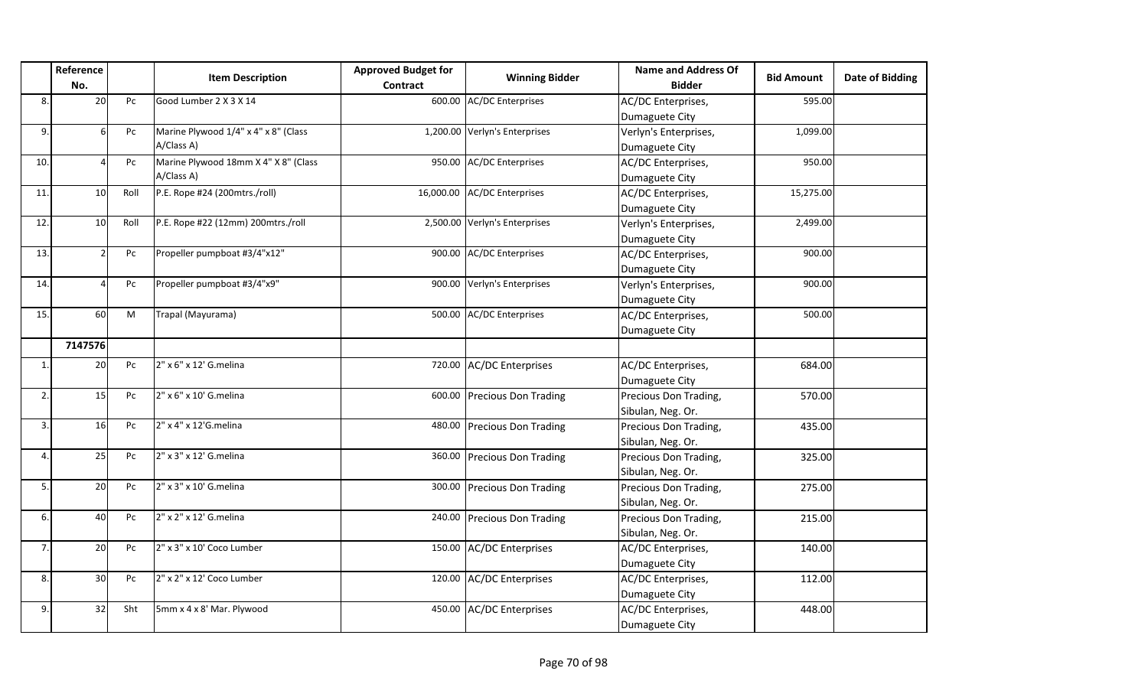|     | Reference<br>No. |      | <b>Item Description</b>              | <b>Approved Budget for</b><br>Contract | <b>Winning Bidder</b>         | <b>Name and Address Of</b><br><b>Bidder</b> | <b>Bid Amount</b> | Date of Bidding |
|-----|------------------|------|--------------------------------------|----------------------------------------|-------------------------------|---------------------------------------------|-------------------|-----------------|
| 8.  | 20               | Pc   | Good Lumber 2 X 3 X 14               |                                        | 600.00 AC/DC Enterprises      | AC/DC Enterprises,                          | 595.00            |                 |
|     |                  |      |                                      |                                        |                               | Dumaguete City                              |                   |                 |
| 9.  | 6                | Pc   | Marine Plywood 1/4" x 4" x 8" (Class |                                        | 1,200.00 Verlyn's Enterprises | Verlyn's Enterprises,                       | 1,099.00          |                 |
|     |                  |      | A/Class A)                           |                                        |                               | Dumaguete City                              |                   |                 |
| 10. | 4                | Pc   | Marine Plywood 18mm X 4" X 8" (Class |                                        | 950.00 AC/DC Enterprises      | AC/DC Enterprises,                          | 950.00            |                 |
|     |                  |      | A/Class A)                           |                                        |                               | Dumaguete City                              |                   |                 |
| 11. | 10 <sup>1</sup>  | Roll | P.E. Rope #24 (200mtrs./roll)        |                                        | 16,000.00 AC/DC Enterprises   | AC/DC Enterprises,                          | 15,275.00         |                 |
|     |                  |      |                                      |                                        |                               | Dumaguete City                              |                   |                 |
| 12. | 10               | Roll | P.E. Rope #22 (12mm) 200mtrs./roll   |                                        | 2,500.00 Verlyn's Enterprises | Verlyn's Enterprises,                       | 2,499.00          |                 |
|     |                  |      |                                      |                                        |                               | Dumaguete City                              |                   |                 |
| 13. | $\overline{2}$   | Pc   | Propeller pumpboat #3/4"x12"         | 900.00                                 | <b>AC/DC Enterprises</b>      | AC/DC Enterprises,                          | 900.00            |                 |
|     |                  |      |                                      |                                        |                               | Dumaguete City                              |                   |                 |
| 14. | 4                | Pc   | Propeller pumpboat #3/4"x9"          |                                        | 900.00 Verlyn's Enterprises   | Verlyn's Enterprises,                       | 900.00            |                 |
|     |                  |      |                                      |                                        |                               | Dumaguete City                              |                   |                 |
| 15. | 60               | M    | Trapal (Mayurama)                    |                                        | 500.00 AC/DC Enterprises      | AC/DC Enterprises,                          | 500.00            |                 |
|     |                  |      |                                      |                                        |                               | Dumaguete City                              |                   |                 |
|     | 7147576          |      |                                      |                                        |                               |                                             |                   |                 |
| 1.  | 20               | Pc   | 2" x 6" x 12' G.melina               |                                        | 720.00 AC/DC Enterprises      | AC/DC Enterprises,                          | 684.00            |                 |
|     |                  |      |                                      |                                        |                               | Dumaguete City                              |                   |                 |
| 2.  | 15               | Pc   | 2" x 6" x 10' G.melina               |                                        | 600.00 Precious Don Trading   | Precious Don Trading,                       | 570.00            |                 |
|     |                  |      |                                      |                                        |                               | Sibulan, Neg. Or.                           |                   |                 |
| 3.  | 16               | Pc   | 2" x 4" x 12'G.melina                |                                        | 480.00 Precious Don Trading   | Precious Don Trading,                       | 435.00            |                 |
|     |                  |      |                                      |                                        |                               | Sibulan, Neg. Or.                           |                   |                 |
| 4   | 25               | Pc   | 2" x 3" x 12' G.melina               |                                        | 360.00 Precious Don Trading   | Precious Don Trading,                       | 325.00            |                 |
|     |                  |      |                                      |                                        |                               | Sibulan, Neg. Or.                           |                   |                 |
| 5.  | 20               | Pc   | 2" x 3" x 10' G.melina               |                                        | 300.00 Precious Don Trading   | Precious Don Trading,                       | 275.00            |                 |
|     |                  |      |                                      |                                        |                               | Sibulan, Neg. Or.                           |                   |                 |
| 6.  | 40               | Pc   | 2" x 2" x 12' G.melina               |                                        | 240.00 Precious Don Trading   | Precious Don Trading,                       | 215.00            |                 |
|     |                  |      |                                      |                                        |                               | Sibulan, Neg. Or.                           |                   |                 |
| 7.  | 20               | Pc   | 2" x 3" x 10' Coco Lumber            |                                        | 150.00 AC/DC Enterprises      | AC/DC Enterprises,                          | 140.00            |                 |
|     |                  |      |                                      |                                        |                               | Dumaguete City                              |                   |                 |
| 8.  | 30               | Pc   | 2" x 2" x 12' Coco Lumber            |                                        | 120.00 AC/DC Enterprises      | AC/DC Enterprises,                          | 112.00            |                 |
|     |                  |      |                                      |                                        |                               | Dumaguete City                              |                   |                 |
| 9.  | 32               | Sht  | 5mm x 4 x 8' Mar. Plywood            |                                        | 450.00 AC/DC Enterprises      | AC/DC Enterprises,                          | 448.00            |                 |
|     |                  |      |                                      |                                        |                               | Dumaguete City                              |                   |                 |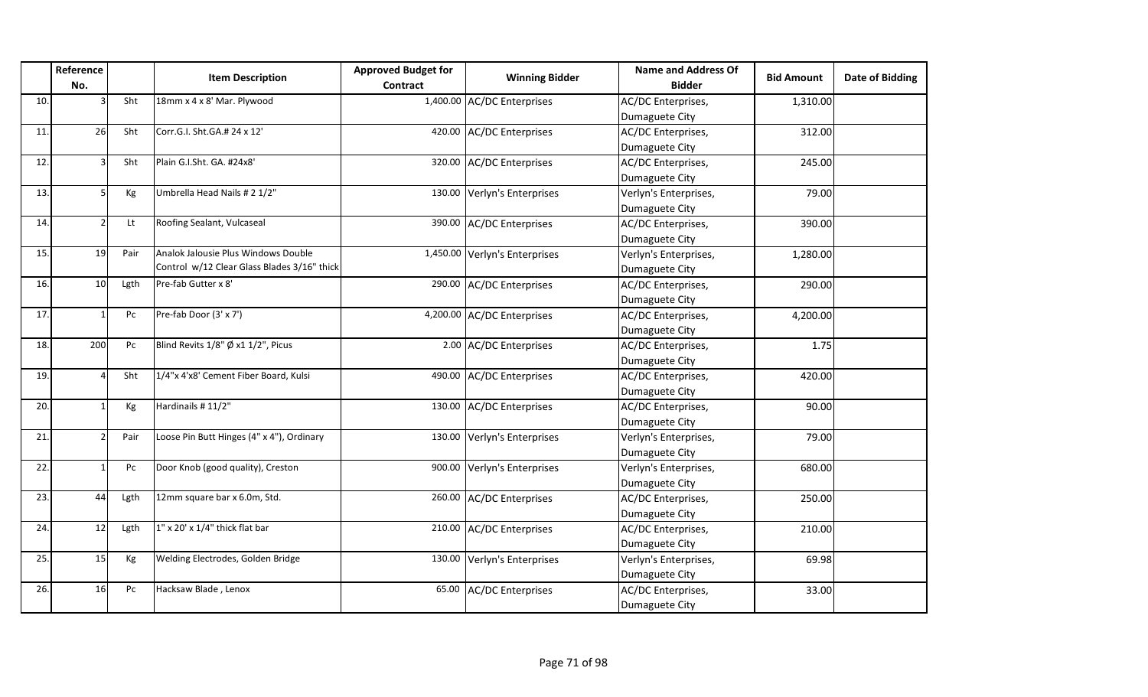|     | Reference     |      |                                             | <b>Approved Budget for</b> | <b>Winning Bidder</b>         | <b>Name and Address Of</b> | <b>Bid Amount</b> | <b>Date of Bidding</b> |
|-----|---------------|------|---------------------------------------------|----------------------------|-------------------------------|----------------------------|-------------------|------------------------|
|     | No.           |      | <b>Item Description</b>                     | <b>Contract</b>            |                               | <b>Bidder</b>              |                   |                        |
| 10. |               | Sht  | 18mm x 4 x 8' Mar. Plywood                  |                            | 1,400.00 AC/DC Enterprises    | AC/DC Enterprises,         | 1,310.00          |                        |
|     |               |      |                                             |                            |                               | Dumaguete City             |                   |                        |
| 11. | 26            | Sht  | Corr.G.I. Sht.GA.# 24 x 12'                 |                            | 420.00 AC/DC Enterprises      | AC/DC Enterprises,         | 312.00            |                        |
|     |               |      |                                             |                            |                               | Dumaguete City             |                   |                        |
| 12. | 3             | Sht  | Plain G.I.Sht. GA. #24x8'                   |                            | 320.00 AC/DC Enterprises      | AC/DC Enterprises,         | 245.00            |                        |
|     |               |      |                                             |                            |                               | Dumaguete City             |                   |                        |
| 13. | 51            | Кg   | Umbrella Head Nails # 2 1/2"                |                            | 130.00 Verlyn's Enterprises   | Verlyn's Enterprises,      | 79.00             |                        |
|     |               |      |                                             |                            |                               | Dumaguete City             |                   |                        |
| 14. | $\mathcal{P}$ | Lt   | Roofing Sealant, Vulcaseal                  |                            | 390.00 AC/DC Enterprises      | AC/DC Enterprises,         | 390.00            |                        |
|     |               |      |                                             |                            |                               | Dumaguete City             |                   |                        |
| 15. | 19            | Pair | Analok Jalousie Plus Windows Double         |                            | 1,450.00 Verlyn's Enterprises | Verlyn's Enterprises,      | 1,280.00          |                        |
|     |               |      | Control w/12 Clear Glass Blades 3/16" thick |                            |                               | Dumaguete City             |                   |                        |
| 16. | 10            | Lgth | Pre-fab Gutter x 8'                         |                            | 290.00 AC/DC Enterprises      | AC/DC Enterprises,         | 290.00            |                        |
|     |               |      |                                             |                            |                               | Dumaguete City             |                   |                        |
| 17. |               | Pc   | Pre-fab Door (3' x 7')                      |                            | 4,200.00 AC/DC Enterprises    | AC/DC Enterprises,         | 4,200.00          |                        |
|     |               |      |                                             |                            |                               | Dumaguete City             |                   |                        |
| 18. | 200           | Pc   | Blind Revits 1/8" Ø x1 1/2", Picus          |                            | 2.00 AC/DC Enterprises        | AC/DC Enterprises,         | 1.75              |                        |
|     |               |      |                                             |                            |                               | Dumaguete City             |                   |                        |
| 19. |               | Sht  | 1/4"x 4'x8' Cement Fiber Board, Kulsi       |                            | 490.00 AC/DC Enterprises      | AC/DC Enterprises,         | 420.00            |                        |
|     |               |      |                                             |                            |                               | Dumaguete City             |                   |                        |
| 20. |               | Kg   | Hardinails # 11/2"                          |                            | 130.00 AC/DC Enterprises      | AC/DC Enterprises,         | 90.00             |                        |
|     |               |      |                                             |                            |                               | Dumaguete City             |                   |                        |
| 21. |               | Pair | Loose Pin Butt Hinges (4" x 4"), Ordinary   |                            | 130.00 Verlyn's Enterprises   | Verlyn's Enterprises,      | 79.00             |                        |
|     |               |      |                                             |                            |                               | Dumaguete City             |                   |                        |
| 22. |               | Pc   | Door Knob (good quality), Creston           | 900.00                     | Verlyn's Enterprises          | Verlyn's Enterprises,      | 680.00            |                        |
|     |               |      |                                             |                            |                               | Dumaguete City             |                   |                        |
| 23. | 44            | Lgth | 12mm square bar x 6.0m, Std.                |                            | 260.00 AC/DC Enterprises      | AC/DC Enterprises,         | 250.00            |                        |
|     |               |      |                                             |                            |                               | Dumaguete City             |                   |                        |
| 24. | 12            | Lgth | $1''$ x 20' x $1/4''$ thick flat bar        |                            | 210.00 AC/DC Enterprises      | AC/DC Enterprises,         | 210.00            |                        |
|     |               |      |                                             |                            |                               | Dumaguete City             |                   |                        |
| 25. | 15            | Kg   | Welding Electrodes, Golden Bridge           |                            | 130.00 Verlyn's Enterprises   | Verlyn's Enterprises,      | 69.98             |                        |
|     |               |      |                                             |                            |                               | Dumaguete City             |                   |                        |
| 26. | 16            | Pc   | Hacksaw Blade, Lenox                        |                            | 65.00 AC/DC Enterprises       | AC/DC Enterprises,         | 33.00             |                        |
|     |               |      |                                             |                            |                               | Dumaguete City             |                   |                        |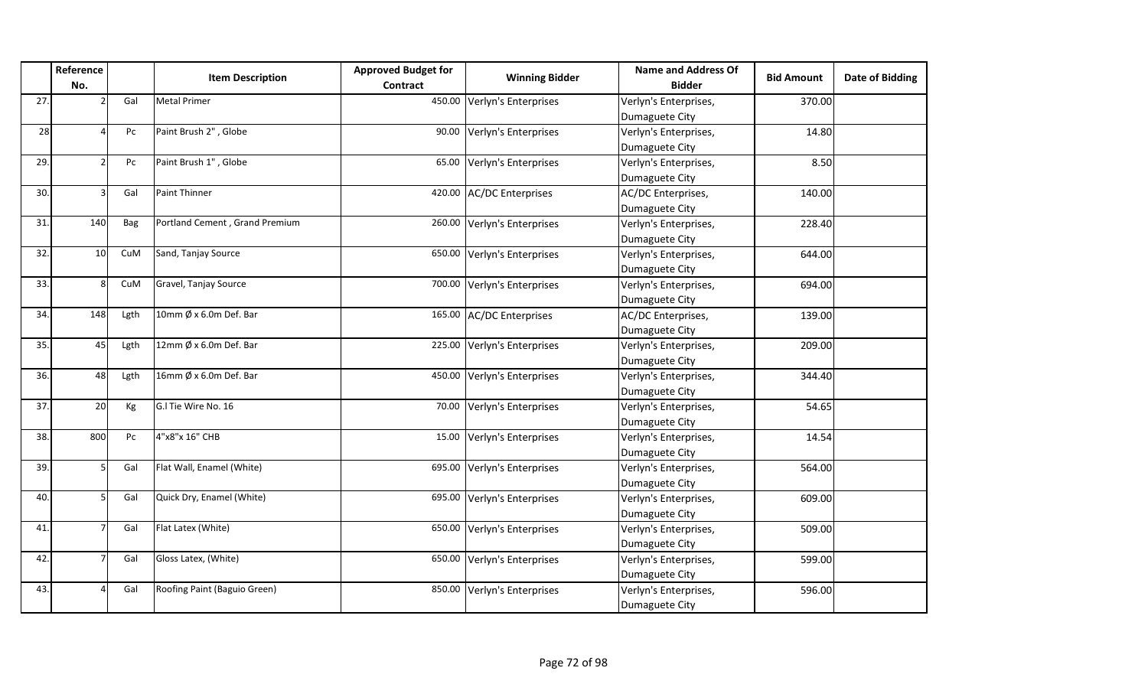|     | Reference             |      | <b>Item Description</b>          | <b>Approved Budget for</b> | <b>Winning Bidder</b>       | <b>Name and Address Of</b> |                   | Date of Bidding |
|-----|-----------------------|------|----------------------------------|----------------------------|-----------------------------|----------------------------|-------------------|-----------------|
|     | No.                   |      |                                  | <b>Contract</b>            |                             | <b>Bidder</b>              | <b>Bid Amount</b> |                 |
| 27. |                       | Gal  | <b>Metal Primer</b>              |                            | 450.00 Verlyn's Enterprises | Verlyn's Enterprises,      | 370.00            |                 |
|     |                       |      |                                  |                            |                             | Dumaguete City             |                   |                 |
| 28  |                       | Pc   | Paint Brush 2", Globe            |                            | 90.00 Verlyn's Enterprises  | Verlyn's Enterprises,      | 14.80             |                 |
|     |                       |      |                                  |                            |                             | Dumaguete City             |                   |                 |
| 29. |                       | Pc   | Paint Brush 1", Globe            |                            | 65.00 Verlyn's Enterprises  | Verlyn's Enterprises,      | 8.50              |                 |
|     |                       |      |                                  |                            |                             | Dumaguete City             |                   |                 |
| 30. |                       | Gal  | <b>Paint Thinner</b>             |                            | 420.00 AC/DC Enterprises    | AC/DC Enterprises,         | 140.00            |                 |
|     |                       |      |                                  |                            |                             | Dumaguete City             |                   |                 |
| 31. | 140                   | Bag  | Portland Cement, Grand Premium   |                            | 260.00 Verlyn's Enterprises | Verlyn's Enterprises,      | 228.40            |                 |
|     |                       |      |                                  |                            |                             | Dumaguete City             |                   |                 |
| 32. | 10 <sup>1</sup>       | CuM  | Sand, Tanjay Source              |                            | 650.00 Verlyn's Enterprises | Verlyn's Enterprises,      | 644.00            |                 |
|     |                       |      |                                  |                            |                             | Dumaguete City             |                   |                 |
| 33. | $\mathsf{\mathsf{R}}$ | CuM  | Gravel, Tanjay Source            |                            | 700.00 Verlyn's Enterprises | Verlyn's Enterprises,      | 694.00            |                 |
|     |                       |      |                                  |                            |                             | Dumaguete City             |                   |                 |
| 34. | 148                   | Lgth | 10mm $\emptyset$ x 6.0m Def. Bar |                            | 165.00 AC/DC Enterprises    | AC/DC Enterprises,         | 139.00            |                 |
|     |                       |      |                                  |                            |                             | Dumaguete City             |                   |                 |
| 35. | 45                    | Lgth | 12mm $\emptyset$ x 6.0m Def. Bar |                            | 225.00 Verlyn's Enterprises | Verlyn's Enterprises,      | 209.00            |                 |
|     |                       |      |                                  |                            |                             | Dumaguete City             |                   |                 |
| 36. | 48                    | Lgth | 16mm $\emptyset$ x 6.0m Def. Bar |                            | 450.00 Verlyn's Enterprises | Verlyn's Enterprises,      | 344.40            |                 |
|     |                       |      |                                  |                            |                             | Dumaguete City             |                   |                 |
| 37. | 20                    | Kg   | G.I Tie Wire No. 16              |                            | 70.00 Verlyn's Enterprises  | Verlyn's Enterprises,      | 54.65             |                 |
|     |                       |      |                                  |                            |                             | Dumaguete City             |                   |                 |
| 38. | 800                   | Pc   | 4"x8"x 16" CHB                   |                            | 15.00 Verlyn's Enterprises  | Verlyn's Enterprises,      | 14.54             |                 |
|     |                       |      |                                  |                            |                             | Dumaguete City             |                   |                 |
| 39. | 5                     | Gal  | Flat Wall, Enamel (White)        |                            | 695.00 Verlyn's Enterprises | Verlyn's Enterprises,      | 564.00            |                 |
|     |                       |      |                                  |                            |                             | Dumaguete City             |                   |                 |
| 40. |                       | Gal  | Quick Dry, Enamel (White)        |                            | 695.00 Verlyn's Enterprises | Verlyn's Enterprises,      | 609.00            |                 |
|     |                       |      |                                  |                            |                             | Dumaguete City             |                   |                 |
| 41. |                       | Gal  | Flat Latex (White)               |                            | 650.00 Verlyn's Enterprises | Verlyn's Enterprises,      | 509.00            |                 |
|     |                       |      |                                  |                            |                             | Dumaguete City             |                   |                 |
| 42. |                       | Gal  | Gloss Latex, (White)             |                            | 650.00 Verlyn's Enterprises | Verlyn's Enterprises,      | 599.00            |                 |
|     |                       |      |                                  |                            |                             | Dumaguete City             |                   |                 |
| 43. |                       | Gal  | Roofing Paint (Baguio Green)     |                            | 850.00 Verlyn's Enterprises | Verlyn's Enterprises,      | 596.00            |                 |
|     |                       |      |                                  |                            |                             | Dumaguete City             |                   |                 |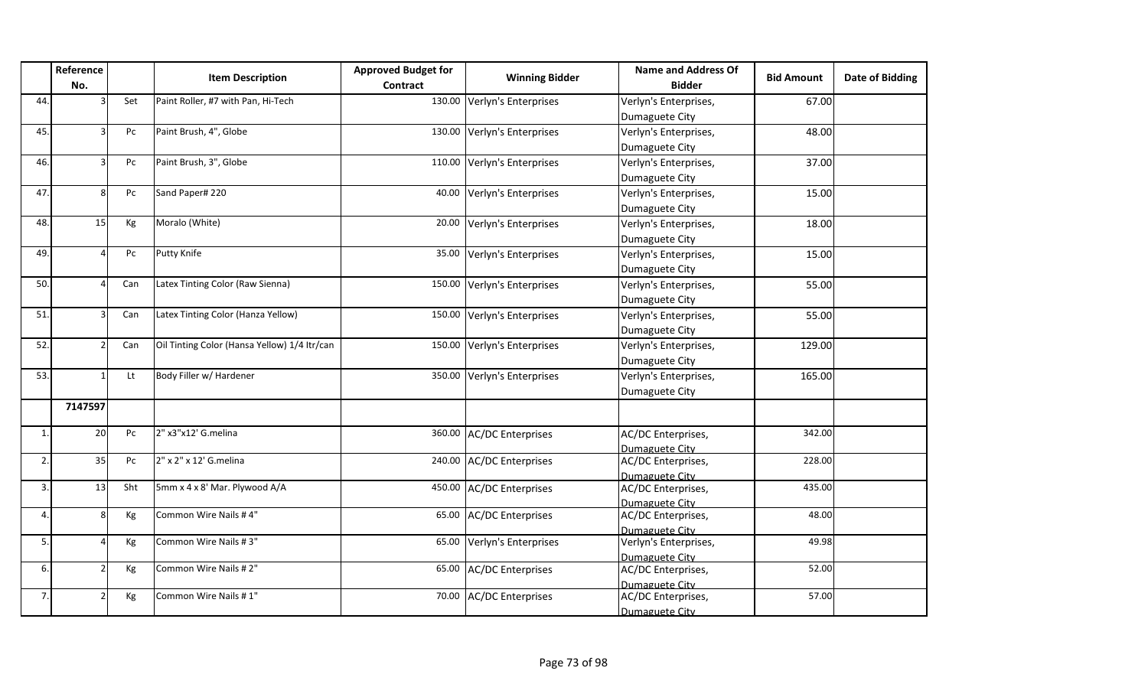|              | Reference      |     | <b>Item Description</b>                      | <b>Approved Budget for</b> | <b>Winning Bidder</b>       | <b>Name and Address Of</b>           | <b>Bid Amount</b> | Date of Bidding |
|--------------|----------------|-----|----------------------------------------------|----------------------------|-----------------------------|--------------------------------------|-------------------|-----------------|
|              | No.            |     |                                              | Contract                   |                             | <b>Bidder</b>                        |                   |                 |
| 44.          |                | Set | Paint Roller, #7 with Pan, Hi-Tech           |                            | 130.00 Verlyn's Enterprises | Verlyn's Enterprises,                | 67.00             |                 |
|              |                |     |                                              |                            |                             | Dumaguete City                       |                   |                 |
| 45.          |                | Pc  | Paint Brush, 4", Globe                       |                            | 130.00 Verlyn's Enterprises | Verlyn's Enterprises,                | 48.00             |                 |
|              |                |     |                                              |                            |                             | Dumaguete City                       |                   |                 |
| 46.          | R              | Pc  | Paint Brush, 3", Globe                       |                            | 110.00 Verlyn's Enterprises | Verlyn's Enterprises,                | 37.00             |                 |
|              |                |     |                                              |                            |                             | Dumaguete City                       |                   |                 |
| 47.          | 8              | Pc  | Sand Paper# 220                              |                            | 40.00 Verlyn's Enterprises  | Verlyn's Enterprises,                | 15.00             |                 |
|              |                |     |                                              |                            |                             | Dumaguete City                       |                   |                 |
| 48.          | 15             | Kg  | Moralo (White)                               | 20.00                      | Verlyn's Enterprises        | Verlyn's Enterprises,                | 18.00             |                 |
|              |                |     |                                              |                            |                             | Dumaguete City                       |                   |                 |
| 49.          |                | Pc  | <b>Putty Knife</b>                           | 35.00                      | Verlyn's Enterprises        | Verlyn's Enterprises,                | 15.00             |                 |
|              |                |     |                                              |                            |                             | Dumaguete City                       |                   |                 |
| 50.          |                | Can | Latex Tinting Color (Raw Sienna)             | 150.00                     | Verlyn's Enterprises        | Verlyn's Enterprises,                | 55.00             |                 |
|              |                |     |                                              |                            |                             | Dumaguete City                       |                   |                 |
| 51.          | ว∣             | Can | Latex Tinting Color (Hanza Yellow)           |                            | 150.00 Verlyn's Enterprises | Verlyn's Enterprises,                | 55.00             |                 |
|              |                |     |                                              |                            |                             | Dumaguete City                       |                   |                 |
| 52.          | 21             | Can | Oil Tinting Color (Hansa Yellow) 1/4 Itr/can |                            | 150.00 Verlyn's Enterprises | Verlyn's Enterprises,                | 129.00            |                 |
|              |                |     |                                              |                            |                             | Dumaguete City                       |                   |                 |
| 53.          |                | Lt  | Body Filler w/ Hardener                      |                            | 350.00 Verlyn's Enterprises | Verlyn's Enterprises,                | 165.00            |                 |
|              |                |     |                                              |                            |                             | Dumaguete City                       |                   |                 |
|              | 7147597        |     |                                              |                            |                             |                                      |                   |                 |
|              |                |     |                                              |                            |                             |                                      |                   |                 |
| $\mathbf{1}$ | 20             | Pc  | 2" x3"x12' G.melina                          |                            | 360.00 AC/DC Enterprises    | AC/DC Enterprises,                   | 342.00            |                 |
|              |                |     | 2" x 2" x 12' G.melina                       |                            |                             | Dumaguete City                       |                   |                 |
| 2.           | 35             | Pc  |                                              |                            | 240.00 AC/DC Enterprises    | AC/DC Enterprises,                   | 228.00            |                 |
| 3.           | 13             | Sht | 5mm x 4 x 8' Mar. Plywood A/A                |                            | 450.00 AC/DC Enterprises    | Dumaguete City<br>AC/DC Enterprises, | 435.00            |                 |
|              |                |     |                                              |                            |                             | Dumaguete City                       |                   |                 |
| 4            | 8 <sup>1</sup> | Kg  | Common Wire Nails #4"                        |                            | 65.00 AC/DC Enterprises     | AC/DC Enterprises,                   | 48.00             |                 |
|              |                |     |                                              |                            |                             | Dumaguete City                       |                   |                 |
| 5.           | 4              | Kg  | Common Wire Nails #3"                        | 65.00                      | Verlyn's Enterprises        | Verlyn's Enterprises,                | 49.98             |                 |
|              |                |     |                                              |                            |                             | Dumaguete City                       |                   |                 |
| 6.           | $\overline{2}$ | Kg  | Common Wire Nails #2"                        |                            | 65.00 AC/DC Enterprises     | AC/DC Enterprises,                   | 52.00             |                 |
|              |                |     |                                              |                            |                             | Dumaguete City                       |                   |                 |
| 7.           | $\mathcal{P}$  | Kg  | Common Wire Nails #1"                        |                            | 70.00 AC/DC Enterprises     | AC/DC Enterprises,                   | 57.00             |                 |
|              |                |     |                                              |                            |                             | Dumaguete City                       |                   |                 |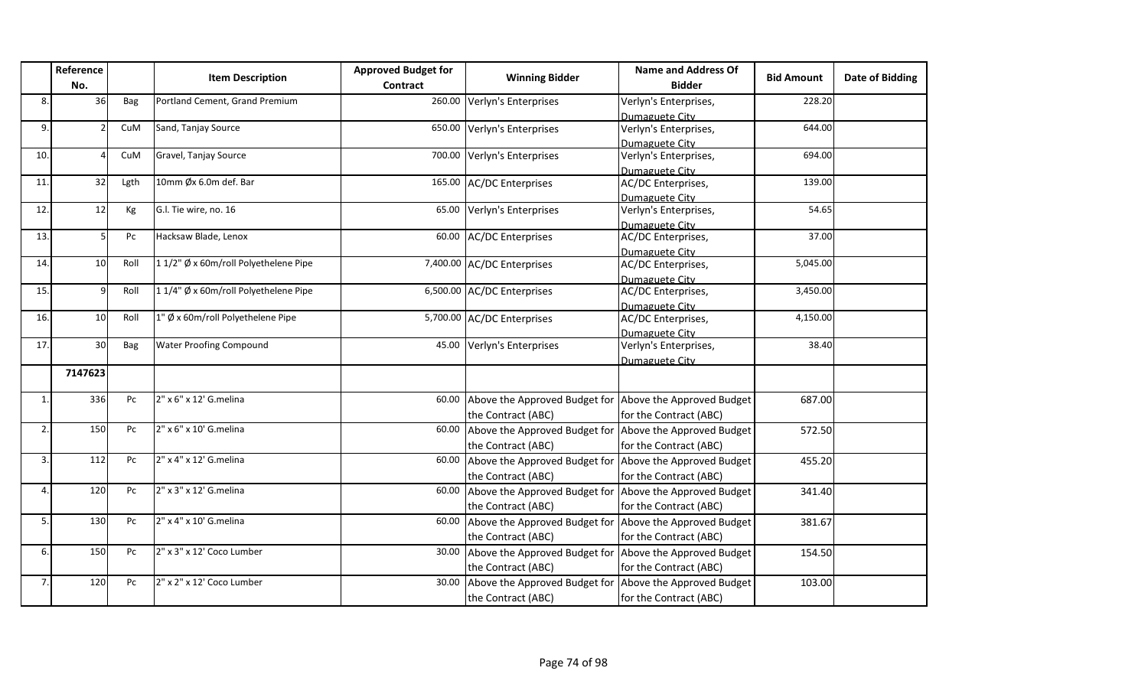|                | Reference<br>No. |            | <b>Item Description</b>              | <b>Approved Budget for</b><br>Contract | <b>Winning Bidder</b>                                   | <b>Name and Address Of</b><br><b>Bidder</b> | <b>Bid Amount</b> | <b>Date of Bidding</b> |
|----------------|------------------|------------|--------------------------------------|----------------------------------------|---------------------------------------------------------|---------------------------------------------|-------------------|------------------------|
| 8.             | 36               | Bag        | Portland Cement, Grand Premium       | 260.00                                 | Verlyn's Enterprises                                    | Verlyn's Enterprises,                       | 228.20            |                        |
|                |                  |            |                                      |                                        |                                                         | Dumaguete City                              |                   |                        |
| 9.             |                  | CuM        | Sand, Tanjay Source                  |                                        | 650.00 Verlyn's Enterprises                             | Verlyn's Enterprises,                       | 644.00            |                        |
|                |                  |            |                                      |                                        |                                                         | Dumaguete City                              |                   |                        |
| 10.            |                  | CuM        | Gravel, Tanjay Source                | 700.00                                 | Verlyn's Enterprises                                    | Verlyn's Enterprises,                       | 694.00            |                        |
|                |                  |            |                                      |                                        |                                                         | Dumaguete City                              |                   |                        |
| 11.            | 32               | Lgth       | 10mm Øx 6.0m def. Bar                | 165.00                                 | <b>AC/DC Enterprises</b>                                | AC/DC Enterprises,                          | 139.00            |                        |
|                |                  |            |                                      |                                        |                                                         | Dumaguete City                              |                   |                        |
| 12.            | 12               | Kg         | G.l. Tie wire, no. 16                | 65.00                                  | Verlyn's Enterprises                                    | Verlyn's Enterprises,                       | 54.65             |                        |
|                |                  |            |                                      |                                        |                                                         | Dumaguete City                              |                   |                        |
| 13.            |                  | Pc         | Hacksaw Blade, Lenox                 | 60.00                                  | <b>AC/DC Enterprises</b>                                | AC/DC Enterprises,                          | 37.00             |                        |
|                | 10 <sup>1</sup>  |            | 11/2" Ø x 60m/roll Polyethelene Pipe |                                        |                                                         | Dumaguete City                              | 5,045.00          |                        |
| 14.            |                  | Roll       |                                      |                                        | 7,400.00 AC/DC Enterprises                              | AC/DC Enterprises,                          |                   |                        |
| 15.            |                  | Roll       | 11/4" Ø x 60m/roll Polyethelene Pipe |                                        | 6,500.00 AC/DC Enterprises                              | Dumaguete City<br>AC/DC Enterprises,        | 3,450.00          |                        |
|                |                  |            |                                      |                                        |                                                         |                                             |                   |                        |
| 16.            | 10               | Roll       | 1" Ø x 60m/roll Polyethelene Pipe    |                                        | 5,700.00 AC/DC Enterprises                              | Dumaguete City<br>AC/DC Enterprises,        | 4,150.00          |                        |
|                |                  |            |                                      |                                        |                                                         | Dumaguete City                              |                   |                        |
| 17.            | 30               | <b>Bag</b> | <b>Water Proofing Compound</b>       | 45.00                                  | Verlyn's Enterprises                                    | Verlyn's Enterprises,                       | 38.40             |                        |
|                |                  |            |                                      |                                        |                                                         | Dumaguete City                              |                   |                        |
|                | 7147623          |            |                                      |                                        |                                                         |                                             |                   |                        |
| $\mathbf{1}$   | 336              | Pc         | 2" x 6" x 12' G.melina               | 60.00                                  | Above the Approved Budget for Above the Approved Budget |                                             | 687.00            |                        |
|                |                  |            |                                      |                                        | the Contract (ABC)                                      | for the Contract (ABC)                      |                   |                        |
| $\overline{2}$ | 150              | Pc         | 2" x 6" x 10' G.melina               | 60.00                                  | Above the Approved Budget for Above the Approved Budget |                                             | 572.50            |                        |
|                |                  |            |                                      |                                        | the Contract (ABC)                                      | for the Contract (ABC)                      |                   |                        |
| 3.             | 112              | Pc         | 2" x 4" x 12' G.melina               | 60.00                                  | Above the Approved Budget for                           | Above the Approved Budget                   | 455.20            |                        |
|                |                  |            |                                      |                                        |                                                         |                                             |                   |                        |
|                |                  |            |                                      |                                        | the Contract (ABC)                                      | for the Contract (ABC)                      |                   |                        |
| 4.             | 120              | Pc         | 2" x 3" x 12' G.melina               | 60.00                                  | Above the Approved Budget for                           | Above the Approved Budget                   | 341.40            |                        |
|                |                  |            |                                      |                                        | the Contract (ABC)                                      | for the Contract (ABC)                      |                   |                        |
| 5.             | 130              | Pc         | 2" x 4" x 10' G.melina               | 60.00                                  | Above the Approved Budget for                           | Above the Approved Budget                   | 381.67            |                        |
|                |                  |            |                                      |                                        | the Contract (ABC)                                      | for the Contract (ABC)                      |                   |                        |
| 6.             | 150              | Pc         | 2" x 3" x 12' Coco Lumber            | 30.00                                  | Above the Approved Budget for                           | Above the Approved Budget                   | 154.50            |                        |
|                |                  |            |                                      |                                        | the Contract (ABC)                                      | for the Contract (ABC)                      |                   |                        |
| 7.             | 120              | Pc         | 2" x 2" x 12' Coco Lumber            | 30.00                                  | Above the Approved Budget for                           | Above the Approved Budget                   | 103.00            |                        |
|                |                  |            |                                      |                                        | the Contract (ABC)                                      | for the Contract (ABC)                      |                   |                        |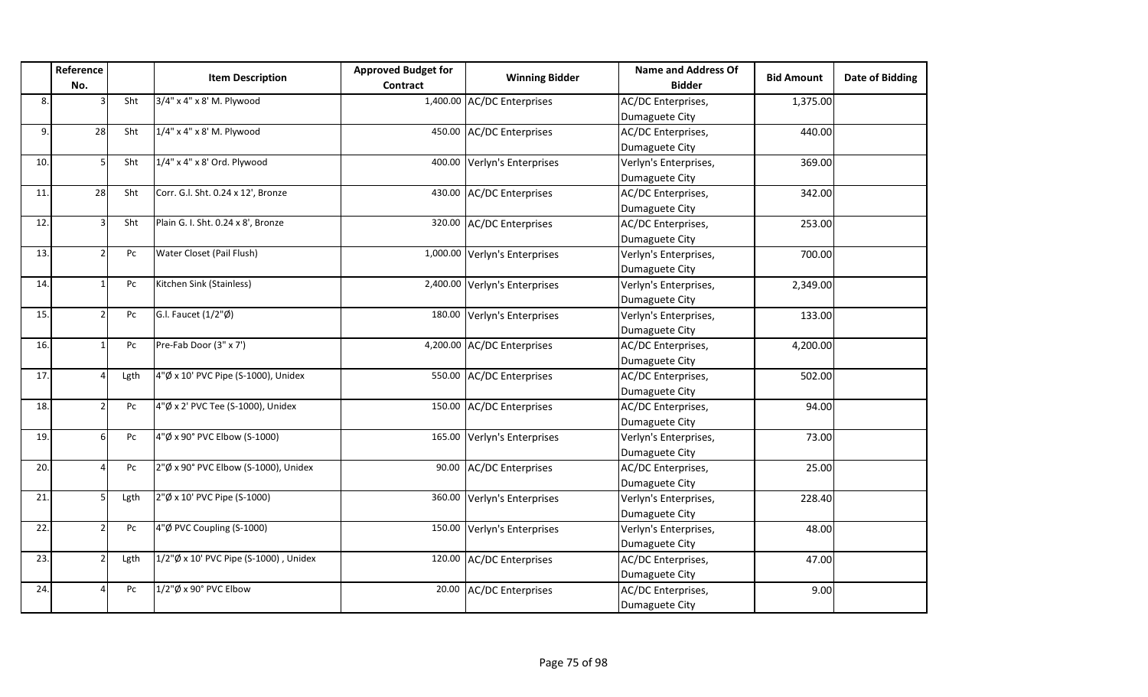|     | Reference<br>No. |            | <b>Item Description</b>               | <b>Approved Budget for</b><br><b>Contract</b> | <b>Winning Bidder</b>         | <b>Name and Address Of</b><br><b>Bidder</b> | <b>Bid Amount</b> | Date of Bidding |
|-----|------------------|------------|---------------------------------------|-----------------------------------------------|-------------------------------|---------------------------------------------|-------------------|-----------------|
| 8.  |                  | Sht        | 3/4" x 4" x 8' M. Plywood             |                                               | 1,400.00 AC/DC Enterprises    | AC/DC Enterprises,                          | 1,375.00          |                 |
|     |                  |            |                                       |                                               |                               | Dumaguete City                              |                   |                 |
| 9.  | 28               | Sht        | 1/4" x 4" x 8' M. Plywood             | 450.00                                        | <b>AC/DC Enterprises</b>      | AC/DC Enterprises,                          | 440.00            |                 |
|     |                  |            |                                       |                                               |                               | Dumaguete City                              |                   |                 |
| 10. | 5                | <b>Sht</b> | $1/4$ " x 4" x 8' Ord. Plywood        | 400.00                                        | Verlyn's Enterprises          | Verlyn's Enterprises,                       | 369.00            |                 |
|     |                  |            |                                       |                                               |                               | Dumaguete City                              |                   |                 |
| 11. | 28               | Sht        | Corr. G.l. Sht. 0.24 x 12', Bronze    |                                               | 430.00 AC/DC Enterprises      | AC/DC Enterprises,                          | 342.00            |                 |
|     |                  |            |                                       |                                               |                               | Dumaguete City                              |                   |                 |
| 12. |                  | <b>Sht</b> | Plain G. I. Sht. 0.24 x 8', Bronze    | 320.00                                        | <b>AC/DC Enterprises</b>      | AC/DC Enterprises,                          | 253.00            |                 |
|     |                  |            |                                       |                                               |                               | Dumaguete City                              |                   |                 |
| 13. |                  | Pc         | Water Closet (Pail Flush)             |                                               | 1,000.00 Verlyn's Enterprises | Verlyn's Enterprises,                       | 700.00            |                 |
|     |                  |            |                                       |                                               |                               | Dumaguete City                              |                   |                 |
| 14. |                  | Pc         | Kitchen Sink (Stainless)              |                                               | 2,400.00 Verlyn's Enterprises | Verlyn's Enterprises,                       | 2,349.00          |                 |
|     |                  |            |                                       |                                               |                               | Dumaguete City                              |                   |                 |
| 15. |                  | Pc         | G.I. Faucet (1/2"Ø)                   | 180.00                                        | Verlyn's Enterprises          | Verlyn's Enterprises,                       | 133.00            |                 |
|     |                  |            |                                       |                                               |                               | Dumaguete City                              |                   |                 |
| 16. |                  | Pc         | Pre-Fab Door (3" x 7')                |                                               | 4,200.00 AC/DC Enterprises    | AC/DC Enterprises,                          | 4,200.00          |                 |
|     |                  |            |                                       |                                               |                               | Dumaguete City                              |                   |                 |
| 17. |                  | Lgth       | 4"Ø x 10' PVC Pipe (S-1000), Unidex   |                                               | 550.00 AC/DC Enterprises      | AC/DC Enterprises,                          | 502.00            |                 |
|     |                  |            |                                       |                                               |                               | Dumaguete City                              |                   |                 |
| 18. |                  | Pc         | 4"Ø x 2' PVC Tee (S-1000), Unidex     | 150.00                                        | <b>AC/DC Enterprises</b>      | AC/DC Enterprises,                          | 94.00             |                 |
|     |                  |            |                                       |                                               |                               | Dumaguete City                              |                   |                 |
| 19. |                  | Pc         | 4"Ø x 90° PVC Elbow (S-1000)          | 165.00                                        | Verlyn's Enterprises          | Verlyn's Enterprises,                       | 73.00             |                 |
|     |                  |            |                                       |                                               |                               | Dumaguete City                              |                   |                 |
| 20. |                  | Pc         | 2"Ø x 90° PVC Elbow (S-1000), Unidex  | 90.00                                         | <b>AC/DC Enterprises</b>      | AC/DC Enterprises,                          | 25.00             |                 |
|     |                  |            |                                       |                                               |                               | Dumaguete City                              |                   |                 |
| 21. |                  | Lgth       | 2"Ø x 10' PVC Pipe (S-1000)           | 360.00                                        | Verlyn's Enterprises          | Verlyn's Enterprises,                       | 228.40            |                 |
|     |                  |            |                                       |                                               |                               | Dumaguete City                              |                   |                 |
| 22. |                  | Pc         | 4"Ø PVC Coupling (S-1000)             | 150.00                                        | Verlyn's Enterprises          | Verlyn's Enterprises,                       | 48.00             |                 |
|     |                  |            |                                       |                                               |                               | Dumaguete City                              |                   |                 |
| 23. |                  | Lgth       | 1/2"Ø x 10' PVC Pipe (S-1000), Unidex |                                               | 120.00 AC/DC Enterprises      | AC/DC Enterprises,                          | 47.00             |                 |
|     |                  |            |                                       |                                               |                               | Dumaguete City                              |                   |                 |
| 24. |                  | Pc         | 1/2"Ø x 90° PVC Elbow                 | 20.00                                         | <b>AC/DC Enterprises</b>      | AC/DC Enterprises,                          | 9.00              |                 |
|     |                  |            |                                       |                                               |                               | Dumaguete City                              |                   |                 |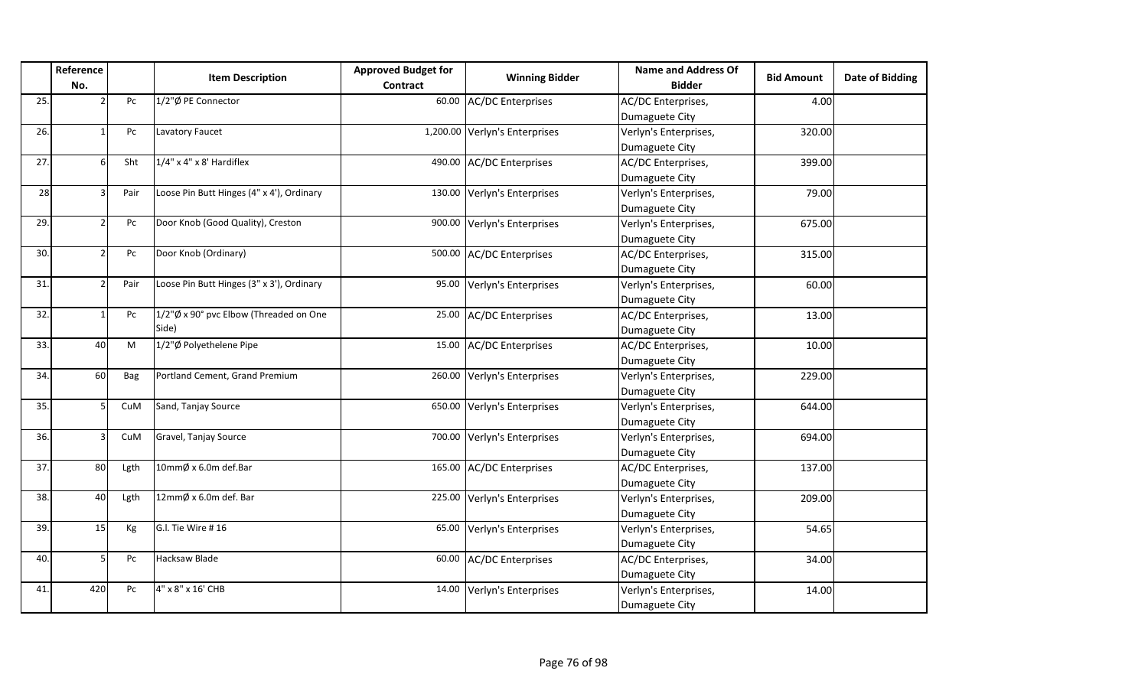|     | Reference      |      |                                           | <b>Approved Budget for</b> |                               | <b>Name and Address Of</b> |                   | Date of Bidding |
|-----|----------------|------|-------------------------------------------|----------------------------|-------------------------------|----------------------------|-------------------|-----------------|
|     | No.            |      | <b>Item Description</b>                   | <b>Contract</b>            | <b>Winning Bidder</b>         | <b>Bidder</b>              | <b>Bid Amount</b> |                 |
| 25. |                | Pc   | 1/2"Ø PE Connector                        |                            | 60.00 AC/DC Enterprises       | AC/DC Enterprises,         | 4.00              |                 |
|     |                |      |                                           |                            |                               | Dumaguete City             |                   |                 |
| 26. |                | Pc   | Lavatory Faucet                           |                            | 1,200.00 Verlyn's Enterprises | Verlyn's Enterprises,      | 320.00            |                 |
|     |                |      |                                           |                            |                               | Dumaguete City             |                   |                 |
| 27. | 6I             | Sht  | $1/4$ " x 4" x 8' Hardiflex               |                            | 490.00 AC/DC Enterprises      | AC/DC Enterprises,         | 399.00            |                 |
|     |                |      |                                           |                            |                               | Dumaguete City             |                   |                 |
| 28  | R              | Pair | Loose Pin Butt Hinges (4" x 4'), Ordinary |                            | 130.00 Verlyn's Enterprises   | Verlyn's Enterprises,      | 79.00             |                 |
|     |                |      |                                           |                            |                               | Dumaguete City             |                   |                 |
| 29. | $\mathfrak{p}$ | Pc   | Door Knob (Good Quality), Creston         |                            | 900.00 Verlyn's Enterprises   | Verlyn's Enterprises,      | 675.00            |                 |
|     |                |      |                                           |                            |                               | Dumaguete City             |                   |                 |
| 30. | $\mathfrak{p}$ | Pc   | Door Knob (Ordinary)                      |                            | 500.00 AC/DC Enterprises      | AC/DC Enterprises,         | 315.00            |                 |
|     |                |      |                                           |                            |                               | Dumaguete City             |                   |                 |
| 31. | $\mathfrak{p}$ | Pair | Loose Pin Butt Hinges (3" x 3'), Ordinary |                            | 95.00 Verlyn's Enterprises    | Verlyn's Enterprises,      | 60.00             |                 |
|     |                |      |                                           |                            |                               | Dumaguete City             |                   |                 |
| 32. |                | Pc   | 1/2"Ø x 90° pvc Elbow (Threaded on One    |                            | 25.00 AC/DC Enterprises       | AC/DC Enterprises,         | 13.00             |                 |
|     |                |      | Side)                                     |                            |                               | Dumaguete City             |                   |                 |
| 33. | 40             | M    | 1/2"Ø Polyethelene Pipe                   |                            | 15.00 AC/DC Enterprises       | AC/DC Enterprises,         | 10.00             |                 |
|     |                |      |                                           |                            |                               | Dumaguete City             |                   |                 |
| 34. | 60             | Bag  | Portland Cement, Grand Premium            |                            | 260.00 Verlyn's Enterprises   | Verlyn's Enterprises,      | 229.00            |                 |
|     |                |      |                                           |                            |                               | Dumaguete City             |                   |                 |
| 35. | 5 <sup>1</sup> | CuM  | Sand, Tanjay Source                       |                            | 650.00 Verlyn's Enterprises   | Verlyn's Enterprises,      | 644.00            |                 |
|     |                |      |                                           |                            |                               | Dumaguete City             |                   |                 |
| 36. | ς              | CuM  | Gravel, Tanjay Source                     |                            | 700.00 Verlyn's Enterprises   | Verlyn's Enterprises,      | 694.00            |                 |
|     |                |      |                                           |                            |                               | Dumaguete City             |                   |                 |
| 37. | 80             | Lgth | 10mmØ x 6.0m def.Bar                      |                            | 165.00 AC/DC Enterprises      | AC/DC Enterprises,         | 137.00            |                 |
|     |                |      |                                           |                            |                               | Dumaguete City             |                   |                 |
| 38. | 40             | Lgth | 12mmØ x 6.0m def. Bar                     |                            | 225.00 Verlyn's Enterprises   | Verlyn's Enterprises,      | 209.00            |                 |
|     |                |      |                                           |                            |                               | Dumaguete City             |                   |                 |
| 39. | 15             | Kg   | G.I. Tie Wire #16                         |                            | 65.00 Verlyn's Enterprises    | Verlyn's Enterprises,      | 54.65             |                 |
|     |                |      |                                           |                            |                               | Dumaguete City             |                   |                 |
| 40. | 5              | Pc   | Hacksaw Blade                             |                            | 60.00 AC/DC Enterprises       | AC/DC Enterprises,         | 34.00             |                 |
|     |                |      |                                           |                            |                               | Dumaguete City             |                   |                 |
| 41. | 420            | Pc   | 4" x 8" x 16' CHB                         |                            | 14.00 Verlyn's Enterprises    | Verlyn's Enterprises,      | 14.00             |                 |
|     |                |      |                                           |                            |                               | Dumaguete City             |                   |                 |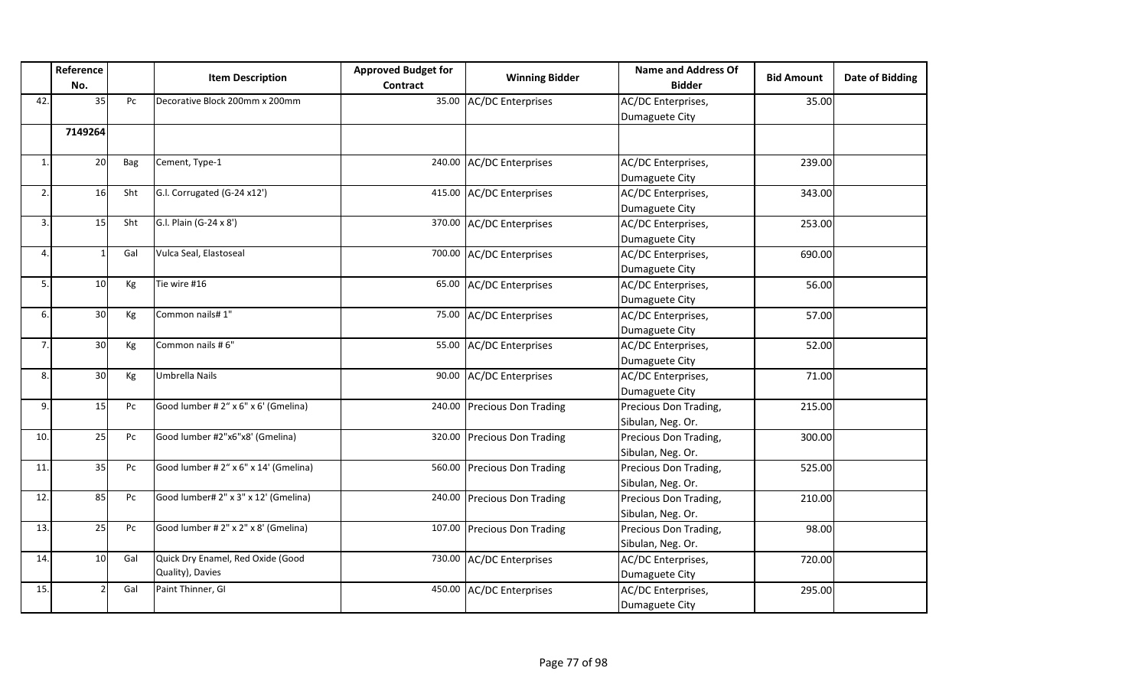|                | Reference<br>No. |                  | <b>Item Description</b>                               | <b>Approved Budget for</b><br><b>Contract</b> | <b>Winning Bidder</b>       | <b>Name and Address Of</b><br><b>Bidder</b> | <b>Bid Amount</b> | <b>Date of Bidding</b> |
|----------------|------------------|------------------|-------------------------------------------------------|-----------------------------------------------|-----------------------------|---------------------------------------------|-------------------|------------------------|
| 42             | 35               | Pc               | Decorative Block 200mm x 200mm                        | 35.00                                         | <b>AC/DC Enterprises</b>    | AC/DC Enterprises,                          | 35.00             |                        |
|                |                  |                  |                                                       |                                               |                             | Dumaguete City                              |                   |                        |
|                | 7149264          |                  |                                                       |                                               |                             |                                             |                   |                        |
| $\mathbf{1}$   | 20               | Bag              | Cement, Type-1                                        | 240.00                                        | <b>AC/DC Enterprises</b>    | AC/DC Enterprises,<br>Dumaguete City        | 239.00            |                        |
| 2.             | 16               | Sht              | G.I. Corrugated (G-24 x12')                           | 415.00                                        | <b>AC/DC Enterprises</b>    | AC/DC Enterprises,<br>Dumaguete City        | 343.00            |                        |
| 3.             | 15               | Sht              | G.I. Plain (G-24 x 8')                                | 370.00                                        | <b>AC/DC Enterprises</b>    | AC/DC Enterprises,<br>Dumaguete City        | 253.00            |                        |
| 4              |                  | Gal              | Vulca Seal, Elastoseal                                | 700.00                                        | <b>AC/DC Enterprises</b>    | AC/DC Enterprises,<br>Dumaguete City        | 690.00            |                        |
| 5.             | 10               | Kg               | Tie wire #16                                          | 65.00                                         | <b>AC/DC Enterprises</b>    | AC/DC Enterprises,<br>Dumaguete City        | 56.00             |                        |
| 6.             | 30               | Kg               | Common nails# 1"                                      | 75.00                                         | <b>AC/DC Enterprises</b>    | AC/DC Enterprises,<br>Dumaguete City        | 57.00             |                        |
| $\overline{7}$ | 30               | Kg               | Common nails #6"                                      | 55.00                                         | <b>AC/DC Enterprises</b>    | AC/DC Enterprises,<br>Dumaguete City        | 52.00             |                        |
| 8.             | 30               | Kg               | Umbrella Nails                                        | 90.00                                         | <b>AC/DC Enterprises</b>    | AC/DC Enterprises,<br>Dumaguete City        | 71.00             |                        |
| 9.             | 15               | Pc               | Good lumber # 2" x 6" x 6' (Gmelina)                  | 240.00                                        | <b>Precious Don Trading</b> | Precious Don Trading,<br>Sibulan, Neg. Or.  | 215.00            |                        |
| 10.            | 25               | ${\sf P}{\sf C}$ | Good lumber #2"x6"x8' (Gmelina)                       | 320.00                                        | <b>Precious Don Trading</b> | Precious Don Trading,<br>Sibulan, Neg. Or.  | 300.00            |                        |
| 11             | 35               | Pc               | Good lumber # 2" x 6" x 14' (Gmelina)                 | 560.00                                        | <b>Precious Don Trading</b> | Precious Don Trading,<br>Sibulan, Neg. Or.  | 525.00            |                        |
| 12.            | 85               | ${\sf P}{\sf C}$ | Good lumber# 2" x 3" x 12' (Gmelina)                  | 240.00                                        | <b>Precious Don Trading</b> | Precious Don Trading,<br>Sibulan, Neg. Or.  | 210.00            |                        |
| 13.            | 25               | Pc               | Good lumber # 2" x 2" x 8' (Gmelina)                  | 107.00                                        | <b>Precious Don Trading</b> | Precious Don Trading,<br>Sibulan, Neg. Or.  | 98.00             |                        |
| 14.            | 10               | Gal              | Quick Dry Enamel, Red Oxide (Good<br>Quality), Davies | 730.00                                        | <b>AC/DC Enterprises</b>    | AC/DC Enterprises,<br>Dumaguete City        | 720.00            |                        |
| 15.            |                  | Gal              | Paint Thinner, GI                                     | 450.00                                        | <b>AC/DC Enterprises</b>    | AC/DC Enterprises,<br>Dumaguete City        | 295.00            |                        |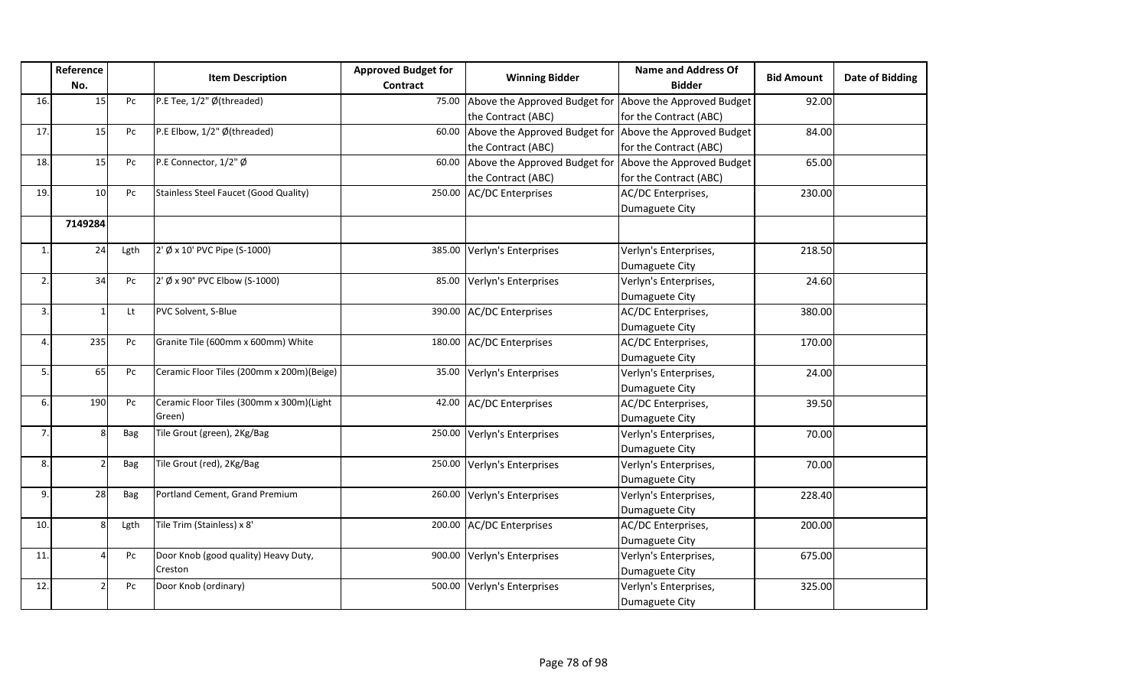|                | Reference<br>No. |      | <b>Item Description</b>                      | <b>Approved Budget for</b><br><b>Contract</b> | <b>Winning Bidder</b>                                   | <b>Name and Address Of</b><br><b>Bidder</b> | <b>Bid Amount</b> | Date of Bidding |
|----------------|------------------|------|----------------------------------------------|-----------------------------------------------|---------------------------------------------------------|---------------------------------------------|-------------------|-----------------|
| 16.            | 15               | Pc   | P.E Tee, 1/2" Ø(threaded)                    | 75.00                                         | Above the Approved Budget for                           | Above the Approved Budget                   | 92.00             |                 |
|                |                  |      |                                              |                                               | the Contract (ABC)                                      | for the Contract (ABC)                      |                   |                 |
| 17             | 15               | Pc   | P.E Elbow, 1/2" Ø(threaded)                  | 60.00                                         | Above the Approved Budget for Above the Approved Budget |                                             | 84.00             |                 |
|                |                  |      |                                              |                                               | the Contract (ABC)                                      | for the Contract (ABC)                      |                   |                 |
| 18.            | 15               | Pc   | P.E Connector, 1/2" Ø                        | 60.00                                         | Above the Approved Budget for                           | Above the Approved Budget                   | 65.00             |                 |
|                |                  |      |                                              |                                               | the Contract (ABC)                                      | for the Contract (ABC)                      |                   |                 |
| 19.            | 10               | Pc   | <b>Stainless Steel Faucet (Good Quality)</b> | 250.00                                        | <b>AC/DC Enterprises</b>                                | AC/DC Enterprises,                          | 230.00            |                 |
|                |                  |      |                                              |                                               |                                                         | Dumaguete City                              |                   |                 |
|                | 7149284          |      |                                              |                                               |                                                         |                                             |                   |                 |
| $\mathbf{1}$   | 24               | Lgth | 2' Ø x 10' PVC Pipe (S-1000)                 | 385.00                                        | Verlyn's Enterprises                                    | Verlyn's Enterprises,                       | 218.50            |                 |
|                |                  |      |                                              |                                               |                                                         | Dumaguete City                              |                   |                 |
| $\mathfrak{p}$ | 34               | Pc   | 2' Ø x 90° PVC Elbow (S-1000)                | 85.00                                         | Verlyn's Enterprises                                    | Verlyn's Enterprises,                       | 24.60             |                 |
|                |                  |      |                                              |                                               |                                                         | Dumaguete City                              |                   |                 |
| 3.             |                  | Lt   | PVC Solvent, S-Blue                          | 390.00                                        | <b>AC/DC Enterprises</b>                                | AC/DC Enterprises,                          | 380.00            |                 |
|                |                  |      |                                              |                                               |                                                         | Dumaguete City                              |                   |                 |
| 4              | 235              | Pc   | Granite Tile (600mm x 600mm) White           | 180.00                                        | <b>AC/DC Enterprises</b>                                | AC/DC Enterprises,                          | 170.00            |                 |
|                |                  |      |                                              |                                               |                                                         | Dumaguete City                              |                   |                 |
| 5              | 65               | Pc   | Ceramic Floor Tiles (200mm x 200m)(Beige)    | 35.00                                         | Verlyn's Enterprises                                    | Verlyn's Enterprises,                       | 24.00             |                 |
|                |                  |      |                                              |                                               |                                                         | Dumaguete City                              |                   |                 |
| 6              | 190              | Pc   | Ceramic Floor Tiles (300mm x 300m)(Light     | 42.00                                         | <b>AC/DC Enterprises</b>                                | AC/DC Enterprises,                          | 39.50             |                 |
|                |                  |      | Green)                                       |                                               |                                                         | Dumaguete City                              |                   |                 |
| 7.             | 8                | Bag  | Tile Grout (green), 2Kg/Bag                  | 250.00                                        | Verlyn's Enterprises                                    | Verlyn's Enterprises,                       | 70.00             |                 |
|                |                  |      |                                              |                                               |                                                         | Dumaguete City                              |                   |                 |
| 8.             |                  | Bag  | Tile Grout (red), 2Kg/Bag                    | 250.00                                        | Verlyn's Enterprises                                    | Verlyn's Enterprises,                       | 70.00             |                 |
|                |                  |      |                                              |                                               |                                                         | Dumaguete City                              |                   |                 |
| 9.             | 28               | Bag  | Portland Cement, Grand Premium               | 260.00                                        | Verlyn's Enterprises                                    | Verlyn's Enterprises,                       | 228.40            |                 |
|                |                  |      |                                              |                                               |                                                         | Dumaguete City                              |                   |                 |
| 10.            | 8                | Lgth | Tile Trim (Stainless) x 8'                   | 200.00                                        | <b>AC/DC Enterprises</b>                                | AC/DC Enterprises,                          | 200.00            |                 |
|                |                  |      |                                              |                                               |                                                         | Dumaguete City                              |                   |                 |
| 11.            | 4                | Pc   | Door Knob (good quality) Heavy Duty,         | 900.00                                        | Verlyn's Enterprises                                    | Verlyn's Enterprises,                       | 675.00            |                 |
|                |                  |      | Creston                                      |                                               |                                                         | Dumaguete City                              |                   |                 |
| 12.            |                  | Pc   | Door Knob (ordinary)                         | 500.00                                        | Verlyn's Enterprises                                    | Verlyn's Enterprises,                       | 325.00            |                 |
|                |                  |      |                                              |                                               |                                                         | Dumaguete City                              |                   |                 |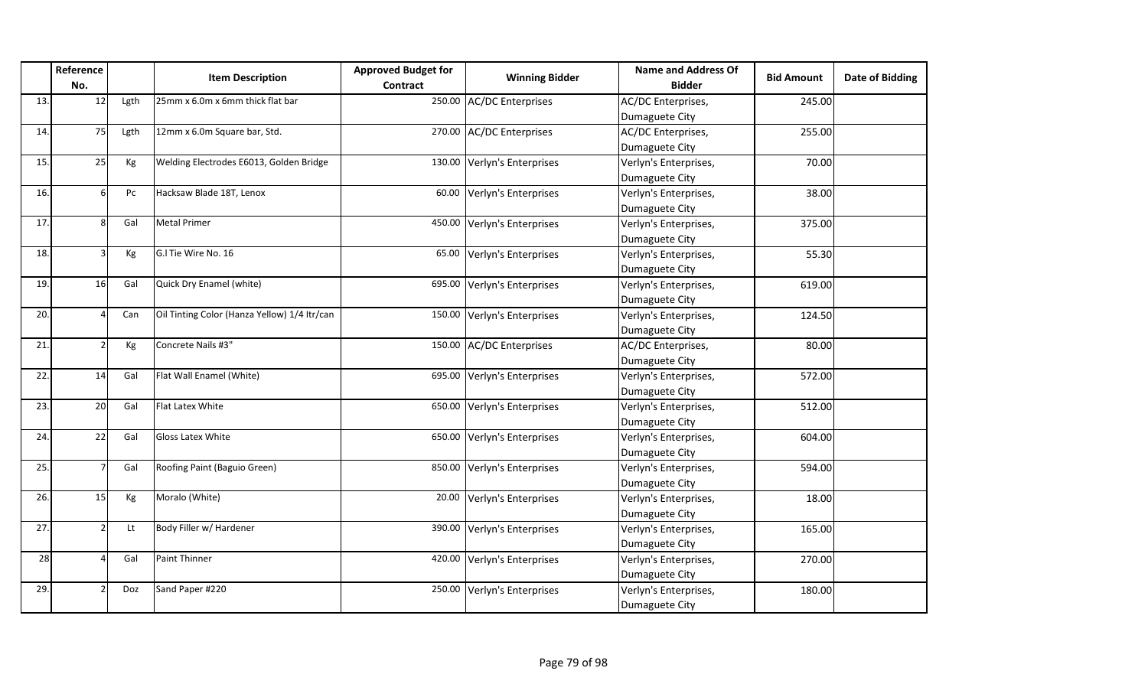|     | Reference<br>No. |      | <b>Item Description</b>                      | <b>Approved Budget for</b><br><b>Contract</b> | <b>Winning Bidder</b>    | <b>Name and Address Of</b><br><b>Bidder</b> | <b>Bid Amount</b> | Date of Bidding |
|-----|------------------|------|----------------------------------------------|-----------------------------------------------|--------------------------|---------------------------------------------|-------------------|-----------------|
| 13. | 12               | Lgth | 25mm x 6.0m x 6mm thick flat bar             |                                               | 250.00 AC/DC Enterprises | AC/DC Enterprises,                          | 245.00            |                 |
|     |                  |      |                                              |                                               |                          | Dumaguete City                              |                   |                 |
| 14. | 75               | Lgth | 12mm x 6.0m Square bar, Std.                 |                                               | 270.00 AC/DC Enterprises | AC/DC Enterprises,                          | 255.00            |                 |
|     |                  |      |                                              |                                               |                          | Dumaguete City                              |                   |                 |
| 15. | 25               | Kg   | Welding Electrodes E6013, Golden Bridge      | 130.00                                        | Verlyn's Enterprises     | Verlyn's Enterprises,                       | 70.00             |                 |
|     |                  |      |                                              |                                               |                          | Dumaguete City                              |                   |                 |
| 16. |                  | Pc   | Hacksaw Blade 18T, Lenox                     | 60.00                                         | Verlyn's Enterprises     | Verlyn's Enterprises,                       | 38.00             |                 |
|     |                  |      |                                              |                                               |                          | Dumaguete City                              |                   |                 |
| 17. |                  | Gal  | <b>Metal Primer</b>                          | 450.00                                        | Verlyn's Enterprises     | Verlyn's Enterprises,                       | 375.00            |                 |
|     |                  |      |                                              |                                               |                          | Dumaguete City                              |                   |                 |
| 18. |                  | Kg   | G.I Tie Wire No. 16                          | 65.00                                         | Verlyn's Enterprises     | Verlyn's Enterprises,                       | 55.30             |                 |
|     |                  |      |                                              |                                               |                          | Dumaguete City                              |                   |                 |
| 19. | 16               | Gal  | Quick Dry Enamel (white)                     | 695.00                                        | Verlyn's Enterprises     | Verlyn's Enterprises,                       | 619.00            |                 |
|     |                  |      |                                              |                                               |                          | Dumaguete City                              |                   |                 |
| 20. |                  | Can  | Oil Tinting Color (Hanza Yellow) 1/4 Itr/can | 150.00                                        | Verlyn's Enterprises     | Verlyn's Enterprises,                       | 124.50            |                 |
|     |                  |      |                                              |                                               |                          | Dumaguete City                              |                   |                 |
| 21. |                  | Kg   | Concrete Nails #3"                           |                                               | 150.00 AC/DC Enterprises | AC/DC Enterprises,                          | 80.00             |                 |
|     |                  |      |                                              |                                               |                          | Dumaguete City                              |                   |                 |
| 22. | 14               | Gal  | Flat Wall Enamel (White)                     | 695.00                                        | Verlyn's Enterprises     | Verlyn's Enterprises,                       | 572.00            |                 |
|     |                  |      |                                              |                                               |                          | Dumaguete City                              |                   |                 |
| 23. | 20               | Gal  | <b>Flat Latex White</b>                      | 650.00                                        | Verlyn's Enterprises     | Verlyn's Enterprises,                       | 512.00            |                 |
|     |                  |      |                                              |                                               |                          | Dumaguete City                              |                   |                 |
| 24. | 22               | Gal  | <b>Gloss Latex White</b>                     | 650.00                                        | Verlyn's Enterprises     | Verlyn's Enterprises,                       | 604.00            |                 |
|     |                  |      |                                              |                                               |                          | Dumaguete City                              |                   |                 |
| 25. |                  | Gal  | Roofing Paint (Baguio Green)                 | 850.00                                        | Verlyn's Enterprises     | Verlyn's Enterprises,                       | 594.00            |                 |
|     |                  |      |                                              |                                               |                          | Dumaguete City                              |                   |                 |
| 26. | 15               | Kg   | Moralo (White)                               | 20.00                                         | Verlyn's Enterprises     | Verlyn's Enterprises,                       | 18.00             |                 |
|     |                  |      |                                              |                                               |                          | Dumaguete City                              |                   |                 |
| 27. |                  | Lt   | Body Filler w/ Hardener                      | 390.00                                        | Verlyn's Enterprises     | Verlyn's Enterprises,                       | 165.00            |                 |
|     |                  |      |                                              |                                               |                          | Dumaguete City                              |                   |                 |
| 28  |                  | Gal  | <b>Paint Thinner</b>                         | 420.00                                        | Verlyn's Enterprises     | Verlyn's Enterprises,                       | 270.00            |                 |
|     |                  |      |                                              |                                               |                          | Dumaguete City                              |                   |                 |
| 29. |                  | Doz  | Sand Paper #220                              | 250.00                                        | Verlyn's Enterprises     | Verlyn's Enterprises,                       | 180.00            |                 |
|     |                  |      |                                              |                                               |                          | Dumaguete City                              |                   |                 |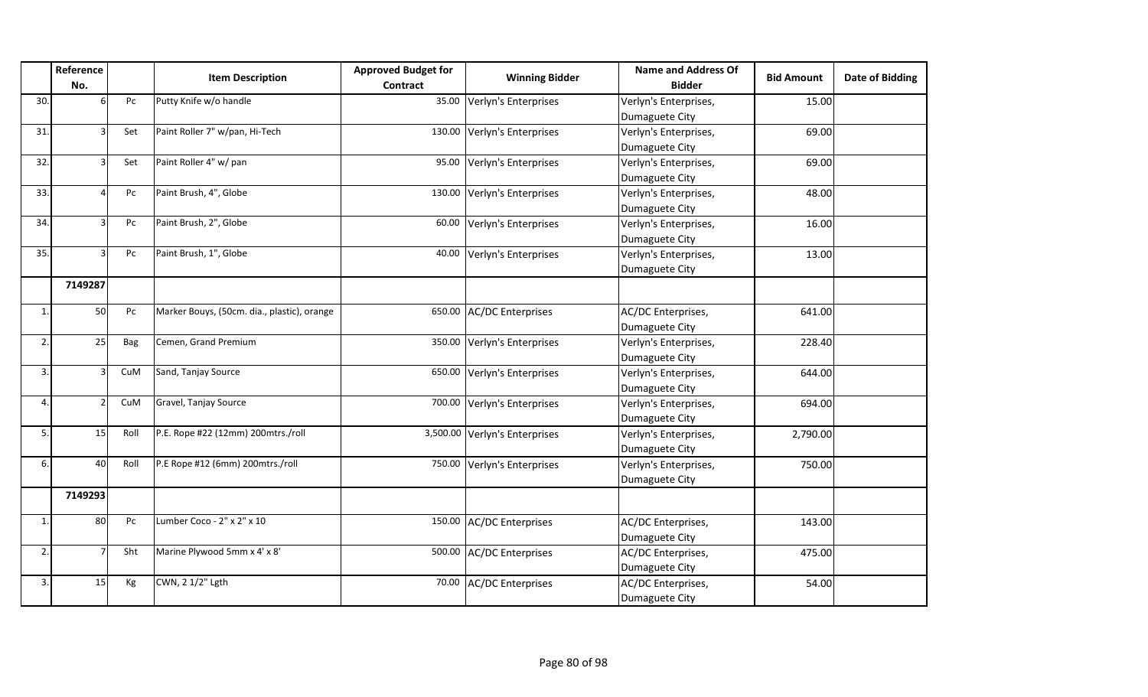|                | Reference |      | <b>Item Description</b>                     | <b>Approved Budget for</b> | <b>Winning Bidder</b>         | <b>Name and Address Of</b> | <b>Bid Amount</b> | <b>Date of Bidding</b> |
|----------------|-----------|------|---------------------------------------------|----------------------------|-------------------------------|----------------------------|-------------------|------------------------|
|                | No.       |      |                                             | <b>Contract</b>            |                               | <b>Bidder</b>              |                   |                        |
| 30.            | 6         | Pc   | Putty Knife w/o handle                      |                            | 35.00 Verlyn's Enterprises    | Verlyn's Enterprises,      | 15.00             |                        |
|                |           |      |                                             |                            |                               | Dumaguete City             |                   |                        |
| 31.            |           | Set  | Paint Roller 7" w/pan, Hi-Tech              |                            | 130.00 Verlyn's Enterprises   | Verlyn's Enterprises,      | 69.00             |                        |
|                |           |      |                                             |                            |                               | Dumaguete City             |                   |                        |
| 32.            |           | Set  | Paint Roller 4" w/ pan                      |                            | 95.00 Verlyn's Enterprises    | Verlyn's Enterprises,      | 69.00             |                        |
|                |           |      |                                             |                            |                               | Dumaguete City             |                   |                        |
| 33.            |           | Pc   | Paint Brush, 4", Globe                      |                            | 130.00 Verlyn's Enterprises   | Verlyn's Enterprises,      | 48.00             |                        |
|                |           |      |                                             |                            |                               | Dumaguete City             |                   |                        |
| 34.            |           | Pc   | Paint Brush, 2", Globe                      |                            | 60.00 Verlyn's Enterprises    | Verlyn's Enterprises,      | 16.00             |                        |
|                |           |      |                                             |                            |                               | Dumaguete City             |                   |                        |
| 35.            | ς         | Pc   | Paint Brush, 1", Globe                      |                            | 40.00 Verlyn's Enterprises    | Verlyn's Enterprises,      | 13.00             |                        |
|                |           |      |                                             |                            |                               | Dumaguete City             |                   |                        |
|                | 7149287   |      |                                             |                            |                               |                            |                   |                        |
| $\mathbf{1}$   | 50        | Pc   | Marker Bouys, (50cm. dia., plastic), orange |                            | 650.00 AC/DC Enterprises      | AC/DC Enterprises,         | 641.00            |                        |
|                |           |      |                                             |                            |                               | Dumaguete City             |                   |                        |
| $\mathfrak{p}$ | 25        | Bag  | Cemen, Grand Premium                        |                            | 350.00 Verlyn's Enterprises   | Verlyn's Enterprises,      | 228.40            |                        |
|                |           |      |                                             |                            |                               | Dumaguete City             |                   |                        |
| 3.             |           | CuM  | Sand, Tanjay Source                         |                            | 650.00 Verlyn's Enterprises   | Verlyn's Enterprises,      | 644.00            |                        |
|                |           |      |                                             |                            |                               | Dumaguete City             |                   |                        |
| 4              |           | CuM  | Gravel, Tanjay Source                       |                            | 700.00 Verlyn's Enterprises   | Verlyn's Enterprises,      | 694.00            |                        |
|                |           |      |                                             |                            |                               | Dumaguete City             |                   |                        |
| 5.             | 15        | Roll | P.E. Rope #22 (12mm) 200mtrs./roll          |                            | 3,500.00 Verlyn's Enterprises | Verlyn's Enterprises,      | 2,790.00          |                        |
|                |           |      |                                             |                            |                               | Dumaguete City             |                   |                        |
| 6.             | 40        | Roll | P.E Rope #12 (6mm) 200mtrs./roll            |                            | 750.00 Verlyn's Enterprises   | Verlyn's Enterprises,      | 750.00            |                        |
|                |           |      |                                             |                            |                               | Dumaguete City             |                   |                        |
|                | 7149293   |      |                                             |                            |                               |                            |                   |                        |
| $\mathbf{1}$   | 80        | Pc   | Lumber Coco - 2" x 2" x 10                  |                            | 150.00 AC/DC Enterprises      | AC/DC Enterprises,         | 143.00            |                        |
|                |           |      |                                             |                            |                               | Dumaguete City             |                   |                        |
| 2.             |           | Sht  | Marine Plywood 5mm x 4' x 8'                |                            | 500.00 AC/DC Enterprises      | AC/DC Enterprises,         | 475.00            |                        |
|                |           |      |                                             |                            |                               | Dumaguete City             |                   |                        |
| 3.             | 15        | Kg   | CWN, 2 1/2" Lgth                            |                            | 70.00 AC/DC Enterprises       | AC/DC Enterprises,         | 54.00             |                        |
|                |           |      |                                             |                            |                               | Dumaguete City             |                   |                        |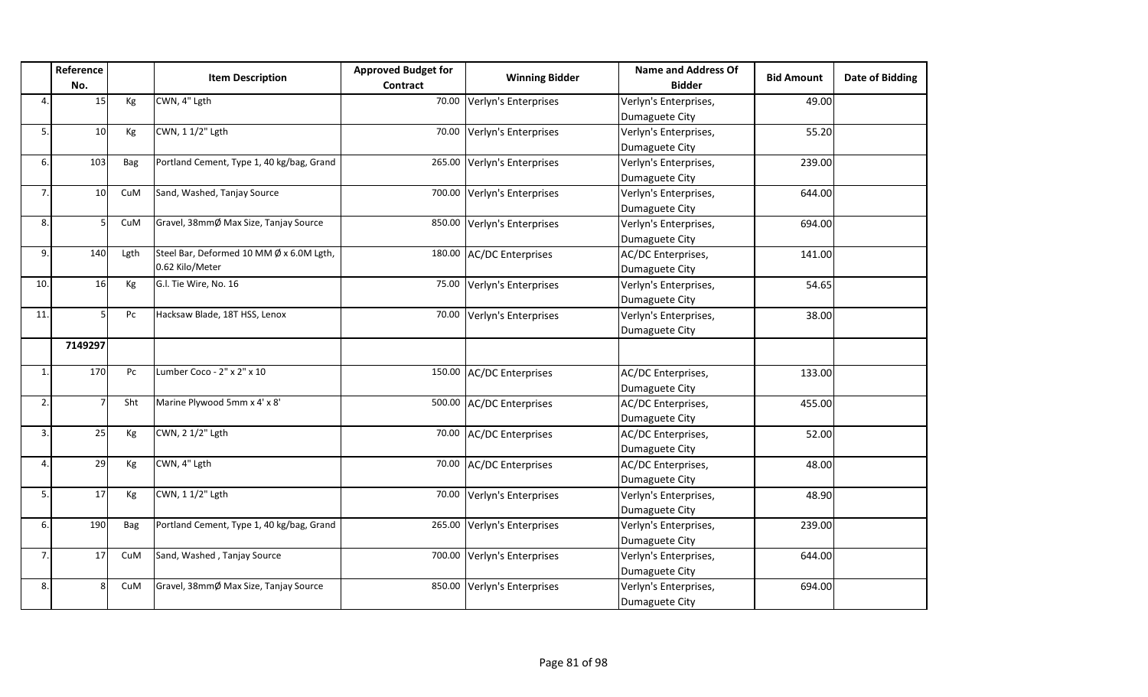|              | Reference       |      | <b>Item Description</b>                   | <b>Approved Budget for</b> | <b>Winning Bidder</b>       | <b>Name and Address Of</b> | <b>Bid Amount</b> | Date of Bidding |
|--------------|-----------------|------|-------------------------------------------|----------------------------|-----------------------------|----------------------------|-------------------|-----------------|
|              | No.             |      |                                           | Contract                   |                             | <b>Bidder</b>              |                   |                 |
| $\Delta$     | 15              | Kg   | CWN, 4" Lgth                              |                            | 70.00 Verlyn's Enterprises  | Verlyn's Enterprises,      | 49.00             |                 |
|              |                 |      |                                           |                            |                             | Dumaguete City             |                   |                 |
| 5.           | 10              | Kg   | CWN, 1 1/2" Lgth                          |                            | 70.00 Verlyn's Enterprises  | Verlyn's Enterprises,      | 55.20             |                 |
|              |                 |      |                                           |                            |                             | Dumaguete City             |                   |                 |
| 6.           | 103             | Bag  | Portland Cement, Type 1, 40 kg/bag, Grand |                            | 265.00 Verlyn's Enterprises | Verlyn's Enterprises,      | 239.00            |                 |
|              |                 |      |                                           |                            |                             | Dumaguete City             |                   |                 |
| 7.           | 10 <sup>1</sup> | CuM  | Sand, Washed, Tanjay Source               |                            | 700.00 Verlyn's Enterprises | Verlyn's Enterprises,      | 644.00            |                 |
|              |                 |      |                                           |                            |                             | Dumaguete City             |                   |                 |
| 8.           |                 | CuM  | Gravel, 38mmØ Max Size, Tanjay Source     |                            | 850.00 Verlyn's Enterprises | Verlyn's Enterprises,      | 694.00            |                 |
|              |                 |      |                                           |                            |                             | Dumaguete City             |                   |                 |
| 9.           | 140             | Lgth | Steel Bar, Deformed 10 MM Ø x 6.0M Lgth,  |                            | 180.00 AC/DC Enterprises    | AC/DC Enterprises,         | 141.00            |                 |
|              |                 |      | 0.62 Kilo/Meter                           |                            |                             | Dumaguete City             |                   |                 |
| 10.          | 16              | Kg   | G.l. Tie Wire, No. 16                     |                            | 75.00 Verlyn's Enterprises  | Verlyn's Enterprises,      | 54.65             |                 |
|              |                 |      |                                           |                            |                             | Dumaguete City             |                   |                 |
| 11.          |                 | Pc   | Hacksaw Blade, 18T HSS, Lenox             |                            | 70.00 Verlyn's Enterprises  | Verlyn's Enterprises,      | 38.00             |                 |
|              |                 |      |                                           |                            |                             | Dumaguete City             |                   |                 |
|              | 7149297         |      |                                           |                            |                             |                            |                   |                 |
| $\mathbf{1}$ | 170             | Pc   | Lumber Coco - 2" x 2" x 10                |                            | 150.00 AC/DC Enterprises    | AC/DC Enterprises,         | 133.00            |                 |
|              |                 |      |                                           |                            |                             | Dumaguete City             |                   |                 |
| 2.           |                 | Sht  | Marine Plywood 5mm x 4' x 8'              |                            | 500.00 AC/DC Enterprises    | AC/DC Enterprises,         | 455.00            |                 |
|              |                 |      |                                           |                            |                             | Dumaguete City             |                   |                 |
| 3.           | 25              | Kg   | CWN, 2 1/2" Lgth                          |                            | 70.00 AC/DC Enterprises     | AC/DC Enterprises,         | 52.00             |                 |
|              |                 |      |                                           |                            |                             | Dumaguete City             |                   |                 |
| 4            | 29              | Kg   | CWN, 4" Lgth                              |                            | 70.00 AC/DC Enterprises     | AC/DC Enterprises,         | 48.00             |                 |
|              |                 |      |                                           |                            |                             | Dumaguete City             |                   |                 |
| 5.           | 17              | Kg   | CWN, 1 1/2" Lgth                          |                            | 70.00 Verlyn's Enterprises  | Verlyn's Enterprises,      | 48.90             |                 |
|              |                 |      |                                           |                            |                             | Dumaguete City             |                   |                 |
| 6.           | 190             | Bag  | Portland Cement, Type 1, 40 kg/bag, Grand |                            | 265.00 Verlyn's Enterprises | Verlyn's Enterprises,      | 239.00            |                 |
|              |                 |      |                                           |                            |                             | Dumaguete City             |                   |                 |
| 7.           | 17              | CuM  | Sand, Washed, Tanjay Source               |                            | 700.00 Verlyn's Enterprises | Verlyn's Enterprises,      | 644.00            |                 |
|              |                 |      |                                           |                            |                             | Dumaguete City             |                   |                 |
| 8.           | $\mathbf{R}$    | CuM  | Gravel, 38mmØ Max Size, Tanjay Source     |                            | 850.00 Verlyn's Enterprises | Verlyn's Enterprises,      | 694.00            |                 |
|              |                 |      |                                           |                            |                             | Dumaguete City             |                   |                 |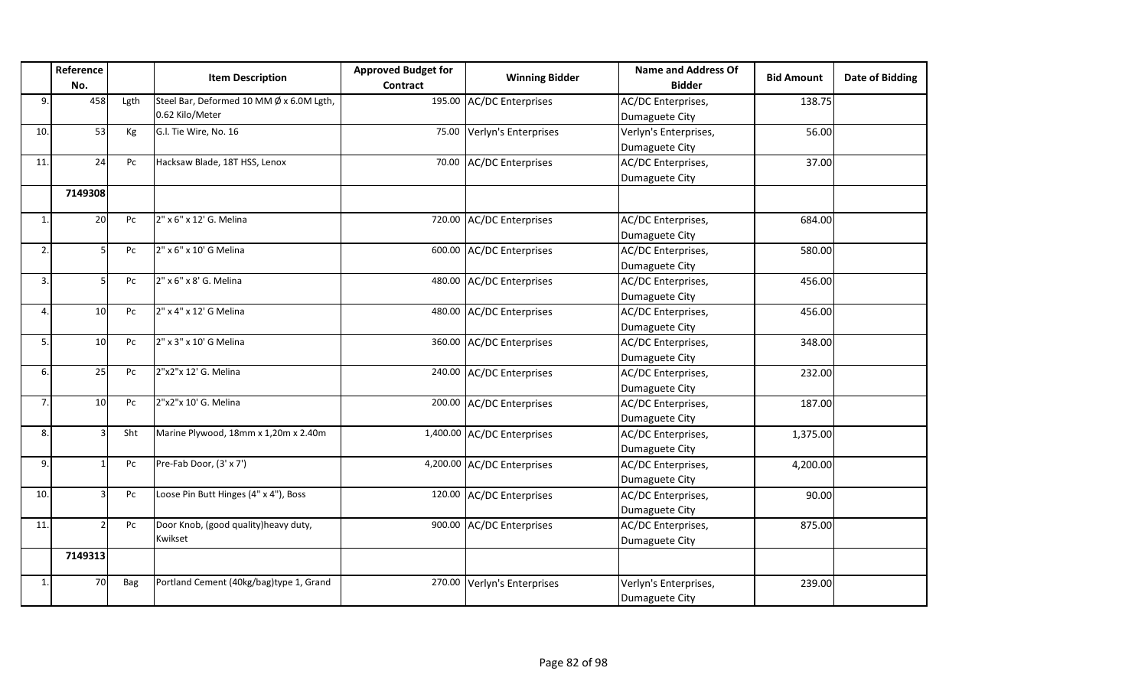|              | Reference |      | <b>Item Description</b>                  | <b>Approved Budget for</b> | <b>Winning Bidder</b>       | <b>Name and Address Of</b> | <b>Bid Amount</b> | <b>Date of Bidding</b> |
|--------------|-----------|------|------------------------------------------|----------------------------|-----------------------------|----------------------------|-------------------|------------------------|
|              | No.       |      |                                          | <b>Contract</b>            |                             | <b>Bidder</b>              |                   |                        |
| 9.           | 458       | Lgth | Steel Bar, Deformed 10 MM Ø x 6.0M Lgth, |                            | 195.00 AC/DC Enterprises    | AC/DC Enterprises,         | 138.75            |                        |
|              |           |      | 0.62 Kilo/Meter                          |                            |                             | Dumaguete City             |                   |                        |
| 10.          | 53        | Kg   | G.I. Tie Wire, No. 16                    |                            | 75.00 Verlyn's Enterprises  | Verlyn's Enterprises,      | 56.00             |                        |
|              |           |      |                                          |                            |                             | Dumaguete City             |                   |                        |
| 11.          | 24        | Pc   | Hacksaw Blade, 18T HSS, Lenox            |                            | 70.00 AC/DC Enterprises     | AC/DC Enterprises,         | 37.00             |                        |
|              |           |      |                                          |                            |                             | Dumaguete City             |                   |                        |
|              | 7149308   |      |                                          |                            |                             |                            |                   |                        |
| 1            | 20        | Pc   | 2" x 6" x 12' G. Melina                  |                            | 720.00 AC/DC Enterprises    | AC/DC Enterprises,         | 684.00            |                        |
|              |           |      |                                          |                            |                             | Dumaguete City             |                   |                        |
| 2.           |           | Pc   | 2" x 6" x 10' G Melina                   |                            | 600.00 AC/DC Enterprises    | AC/DC Enterprises,         | 580.00            |                        |
|              |           |      |                                          |                            |                             | Dumaguete City             |                   |                        |
| 3.           | 5         | Pc   | 2" x 6" x 8' G. Melina                   |                            | 480.00 AC/DC Enterprises    | AC/DC Enterprises,         | 456.00            |                        |
|              |           |      |                                          |                            |                             | Dumaguete City             |                   |                        |
| 4            | 10        | Pc   | 2" x 4" x 12' G Melina                   |                            | 480.00 AC/DC Enterprises    | AC/DC Enterprises,         | 456.00            |                        |
|              |           |      |                                          |                            |                             | Dumaguete City             |                   |                        |
| 5            | 10        | Pc   | 2" x 3" x 10' G Melina                   |                            | 360.00 AC/DC Enterprises    | AC/DC Enterprises,         | 348.00            |                        |
|              |           |      |                                          |                            |                             | Dumaguete City             |                   |                        |
| 6.           | 25        | Pc   | 2"x2"x 12' G. Melina                     |                            | 240.00 AC/DC Enterprises    | AC/DC Enterprises,         | 232.00            |                        |
|              |           |      |                                          |                            |                             | Dumaguete City             |                   |                        |
| 7.           | 10        | Pc   | 2"x2"x 10' G. Melina                     |                            | 200.00 AC/DC Enterprises    | AC/DC Enterprises,         | 187.00            |                        |
|              |           |      |                                          |                            |                             | Dumaguete City             |                   |                        |
| 8.           |           | Sht  | Marine Plywood, 18mm x 1,20m x 2.40m     |                            | 1,400.00 AC/DC Enterprises  | AC/DC Enterprises,         | 1,375.00          |                        |
|              |           |      |                                          |                            |                             | Dumaguete City             |                   |                        |
| 9.           |           | Pc   | Pre-Fab Door, (3' x 7')                  |                            | 4,200.00 AC/DC Enterprises  | AC/DC Enterprises,         | 4,200.00          |                        |
|              |           |      |                                          |                            |                             | Dumaguete City             |                   |                        |
| 10.          |           | Pc   | Loose Pin Butt Hinges (4" x 4"), Boss    |                            | 120.00 AC/DC Enterprises    | AC/DC Enterprises,         | 90.00             |                        |
|              |           |      |                                          |                            |                             | Dumaguete City             |                   |                        |
| 11.          |           | Pc   | Door Knob, (good quality) heavy duty,    |                            | 900.00 AC/DC Enterprises    | AC/DC Enterprises,         | 875.00            |                        |
|              |           |      | Kwikset                                  |                            |                             | Dumaguete City             |                   |                        |
|              | 7149313   |      |                                          |                            |                             |                            |                   |                        |
| $\mathbf{1}$ | 70        | Bag  | Portland Cement (40kg/bag)type 1, Grand  |                            | 270.00 Verlyn's Enterprises | Verlyn's Enterprises,      | 239.00            |                        |
|              |           |      |                                          |                            |                             | Dumaguete City             |                   |                        |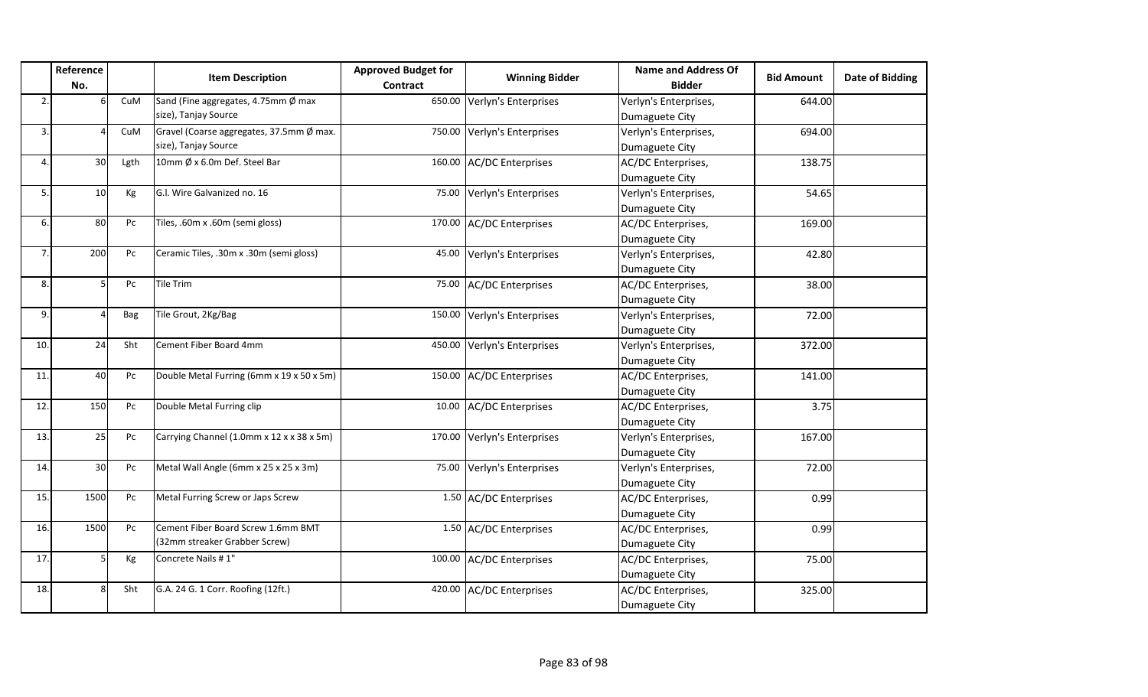|                | Reference       |            | <b>Item Description</b>                   | <b>Approved Budget for</b> | <b>Winning Bidder</b>       | <b>Name and Address Of</b> | <b>Bid Amount</b> | <b>Date of Bidding</b> |
|----------------|-----------------|------------|-------------------------------------------|----------------------------|-----------------------------|----------------------------|-------------------|------------------------|
|                | No.             |            |                                           | <b>Contract</b>            |                             | <b>Bidder</b>              |                   |                        |
| 2              |                 | CuM        | Sand (Fine aggregates, 4.75mm Ø max       |                            | 650.00 Verlyn's Enterprises | Verlyn's Enterprises,      | 644.00            |                        |
|                |                 |            | size), Tanjay Source                      |                            |                             | Dumaguete City             |                   |                        |
| 3.             |                 | CuM        | Gravel (Coarse aggregates, 37.5mm Ø max.  |                            | 750.00 Verlyn's Enterprises | Verlyn's Enterprises,      | 694.00            |                        |
|                |                 |            | size), Tanjay Source                      |                            |                             | Dumaguete City             |                   |                        |
| 4              | 30 <sup>1</sup> | Lgth       | 10mm Ø x 6.0m Def. Steel Bar              |                            | 160.00 AC/DC Enterprises    | AC/DC Enterprises,         | 138.75            |                        |
|                |                 |            |                                           |                            |                             | Dumaguete City             |                   |                        |
| 5.             | 10              | Кg         | G.I. Wire Galvanized no. 16               |                            | 75.00 Verlyn's Enterprises  | Verlyn's Enterprises,      | 54.65             |                        |
|                |                 |            |                                           |                            |                             | Dumaguete City             |                   |                        |
| 6.             | 80              | Pc         | Tiles, .60m x .60m (semi gloss)           |                            | 170.00 AC/DC Enterprises    | AC/DC Enterprises,         | 169.00            |                        |
|                |                 |            |                                           |                            |                             | Dumaguete City             |                   |                        |
| $\overline{7}$ | 200             | Pc         | Ceramic Tiles, .30m x .30m (semi gloss)   | 45.00                      | Verlyn's Enterprises        | Verlyn's Enterprises,      | 42.80             |                        |
|                |                 |            |                                           |                            |                             | Dumaguete City             |                   |                        |
| 8.             |                 | Pc         | Tile Trim                                 |                            | 75.00 AC/DC Enterprises     | AC/DC Enterprises,         | 38.00             |                        |
|                |                 |            |                                           |                            |                             | Dumaguete City             |                   |                        |
| 9.             |                 | <b>Bag</b> | Tile Grout, 2Kg/Bag                       |                            | 150.00 Verlyn's Enterprises | Verlyn's Enterprises,      | 72.00             |                        |
|                |                 |            |                                           |                            |                             | Dumaguete City             |                   |                        |
| 10.            | 24              | Sht        | Cement Fiber Board 4mm                    |                            | 450.00 Verlyn's Enterprises | Verlyn's Enterprises,      | 372.00            |                        |
|                |                 |            |                                           |                            |                             | Dumaguete City             |                   |                        |
| 11.            | 40              | Pc         | Double Metal Furring (6mm x 19 x 50 x 5m) |                            | 150.00 AC/DC Enterprises    | AC/DC Enterprises,         | 141.00            |                        |
|                |                 |            |                                           |                            |                             | Dumaguete City             |                   |                        |
| 12.            | 150             | Pc         | Double Metal Furring clip                 |                            | 10.00 AC/DC Enterprises     | AC/DC Enterprises,         | 3.75              |                        |
|                |                 |            |                                           |                            |                             | Dumaguete City             |                   |                        |
| 13.            | 25              | Pc         | Carrying Channel (1.0mm x 12 x x 38 x 5m) |                            | 170.00 Verlyn's Enterprises | Verlyn's Enterprises,      | 167.00            |                        |
|                |                 |            |                                           |                            |                             | Dumaguete City             |                   |                        |
| 14.            | 30 <sup>1</sup> | Pc         | Metal Wall Angle (6mm x 25 x 25 x 3m)     |                            | 75.00 Verlyn's Enterprises  | Verlyn's Enterprises,      | 72.00             |                        |
|                |                 |            |                                           |                            |                             | Dumaguete City             |                   |                        |
| 15.            | 1500            | Pc         | Metal Furring Screw or Japs Screw         |                            | 1.50 AC/DC Enterprises      | AC/DC Enterprises,         | 0.99              |                        |
|                |                 |            |                                           |                            |                             | Dumaguete City             |                   |                        |
| 16.            | 1500            | Pc         | Cement Fiber Board Screw 1.6mm BMT        |                            | 1.50 AC/DC Enterprises      | AC/DC Enterprises,         | 0.99              |                        |
|                |                 |            | (32mm streaker Grabber Screw)             |                            |                             | Dumaguete City             |                   |                        |
| 17.            | 5               | Kg         | Concrete Nails #1"                        |                            | 100.00 AC/DC Enterprises    | AC/DC Enterprises,         | 75.00             |                        |
|                |                 |            |                                           |                            |                             | Dumaguete City             |                   |                        |
| 18.            | $\mathsf{R}$    | Sht        | G.A. 24 G. 1 Corr. Roofing (12ft.)        |                            | 420.00 AC/DC Enterprises    | AC/DC Enterprises,         | 325.00            |                        |
|                |                 |            |                                           |                            |                             | Dumaguete City             |                   |                        |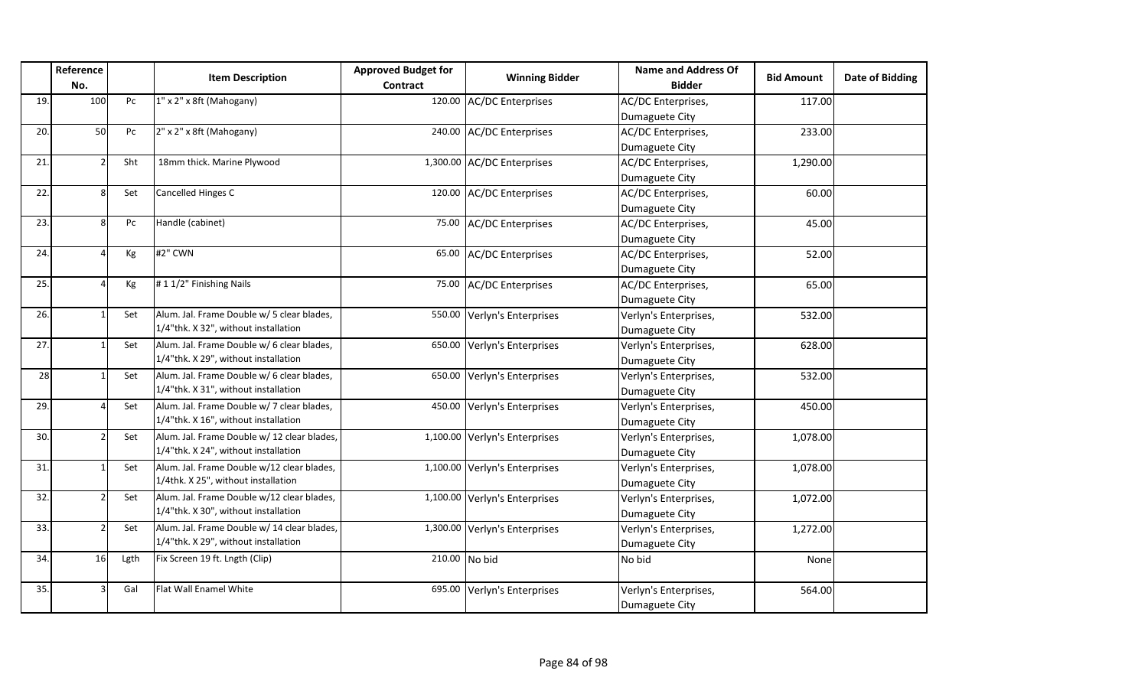|     | Reference<br>No. |                  | <b>Item Description</b>                     | <b>Approved Budget for</b><br><b>Contract</b> | <b>Winning Bidder</b>         | <b>Name and Address Of</b><br><b>Bidder</b> | <b>Bid Amount</b> | <b>Date of Bidding</b> |
|-----|------------------|------------------|---------------------------------------------|-----------------------------------------------|-------------------------------|---------------------------------------------|-------------------|------------------------|
| 19. | 100              | ${\sf P}{\sf C}$ | 1" x 2" x 8ft (Mahogany)                    |                                               | 120.00 AC/DC Enterprises      | AC/DC Enterprises,                          | 117.00            |                        |
|     |                  |                  |                                             |                                               |                               | Dumaguete City                              |                   |                        |
| 20. | 50               | Pc               | 2" x 2" x 8ft (Mahogany)                    |                                               | 240.00 AC/DC Enterprises      | AC/DC Enterprises,                          | 233.00            |                        |
|     |                  |                  |                                             |                                               |                               | Dumaguete City                              |                   |                        |
| 21. |                  | Sht              | 18mm thick. Marine Plywood                  |                                               | 1,300.00 AC/DC Enterprises    | AC/DC Enterprises,                          | 1,290.00          |                        |
|     |                  |                  |                                             |                                               |                               | Dumaguete City                              |                   |                        |
| 22. | 8                | Set              | Cancelled Hinges C                          |                                               | 120.00 AC/DC Enterprises      | AC/DC Enterprises,                          | 60.00             |                        |
|     |                  |                  |                                             |                                               |                               | Dumaguete City                              |                   |                        |
| 23. |                  | Pc               | Handle (cabinet)                            | 75.00                                         | <b>AC/DC Enterprises</b>      | AC/DC Enterprises,                          | 45.00             |                        |
|     |                  |                  |                                             |                                               |                               | Dumaguete City                              |                   |                        |
| 24. |                  | Kg               | #2" CWN                                     | 65.00                                         | <b>AC/DC Enterprises</b>      | AC/DC Enterprises,                          | 52.00             |                        |
|     |                  |                  |                                             |                                               |                               | Dumaguete City                              |                   |                        |
| 25. |                  | Kg               | #11/2" Finishing Nails                      | 75.00                                         | <b>AC/DC Enterprises</b>      | AC/DC Enterprises,                          | 65.00             |                        |
|     |                  |                  |                                             |                                               |                               | Dumaguete City                              |                   |                        |
| 26. |                  | Set              | Alum. Jal. Frame Double w/ 5 clear blades,  | 550.00                                        | Verlyn's Enterprises          | Verlyn's Enterprises,                       | 532.00            |                        |
|     |                  |                  | 1/4"thk. X 32", without installation        |                                               |                               | Dumaguete City                              |                   |                        |
| 27. |                  | Set              | Alum. Jal. Frame Double w/ 6 clear blades,  | 650.00                                        | Verlyn's Enterprises          | Verlyn's Enterprises,                       | 628.00            |                        |
|     |                  |                  | 1/4"thk. X 29", without installation        |                                               |                               | Dumaguete City                              |                   |                        |
| 28  |                  | Set              | Alum. Jal. Frame Double w/ 6 clear blades,  | 650.00                                        | Verlyn's Enterprises          | Verlyn's Enterprises,                       | 532.00            |                        |
|     |                  |                  | 1/4"thk. X 31", without installation        |                                               |                               | Dumaguete City                              |                   |                        |
| 29. |                  | Set              | Alum. Jal. Frame Double w/ 7 clear blades,  | 450.00                                        | Verlyn's Enterprises          | Verlyn's Enterprises,                       | 450.00            |                        |
|     |                  |                  | 1/4"thk. X 16", without installation        |                                               |                               | Dumaguete City                              |                   |                        |
| 30. |                  | Set              | Alum. Jal. Frame Double w/ 12 clear blades, |                                               | 1,100.00 Verlyn's Enterprises | Verlyn's Enterprises,                       | 1,078.00          |                        |
|     |                  |                  | 1/4"thk. X 24", without installation        |                                               |                               | Dumaguete City                              |                   |                        |
| 31. |                  | Set              | Alum. Jal. Frame Double w/12 clear blades,  | 1,100.00                                      | Verlyn's Enterprises          | Verlyn's Enterprises,                       | 1,078.00          |                        |
|     |                  |                  | 1/4thk. X 25", without installation         |                                               |                               | Dumaguete City                              |                   |                        |
| 32. |                  | Set              | Alum. Jal. Frame Double w/12 clear blades,  | 1,100.00                                      | Verlyn's Enterprises          | Verlyn's Enterprises,                       | 1,072.00          |                        |
|     |                  |                  | 1/4"thk. X 30", without installation        |                                               |                               | Dumaguete City                              |                   |                        |
| 33. |                  | Set              | Alum. Jal. Frame Double w/ 14 clear blades, | 1,300.00                                      | Verlyn's Enterprises          | Verlyn's Enterprises,                       | 1,272.00          |                        |
|     |                  |                  | 1/4"thk. X 29", without installation        |                                               |                               | Dumaguete City                              |                   |                        |
| 34. | 16               | Lgth             | Fix Screen 19 ft. Lngth (Clip)              |                                               | 210.00 No bid                 | No bid                                      | None              |                        |
|     |                  |                  |                                             |                                               |                               |                                             |                   |                        |
| 35. |                  | Gal              | Flat Wall Enamel White                      | 695.00                                        | Verlyn's Enterprises          | Verlyn's Enterprises,                       | 564.00            |                        |
|     |                  |                  |                                             |                                               |                               | Dumaguete City                              |                   |                        |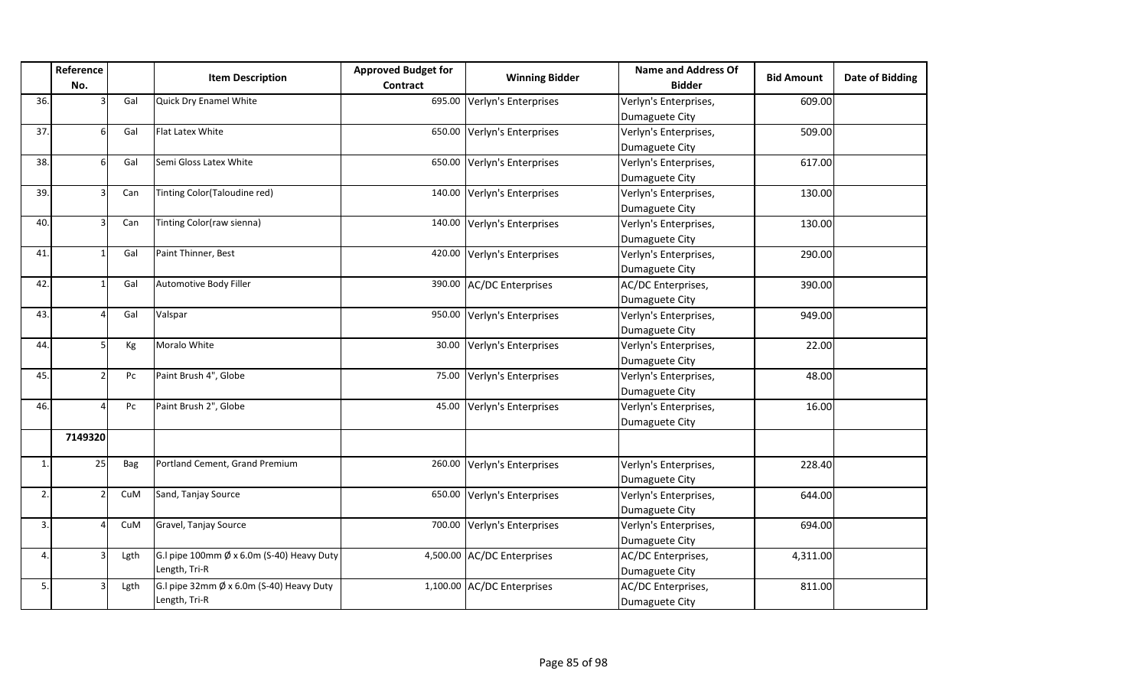|             | Reference |      | <b>Item Description</b>                             | <b>Approved Budget for</b> | <b>Winning Bidder</b>       | <b>Name and Address Of</b> | <b>Bid Amount</b> | <b>Date of Bidding</b> |
|-------------|-----------|------|-----------------------------------------------------|----------------------------|-----------------------------|----------------------------|-------------------|------------------------|
|             | No.       |      |                                                     | Contract                   |                             | <b>Bidder</b>              |                   |                        |
| 36.         |           | Gal  | Quick Dry Enamel White                              |                            | 695.00 Verlyn's Enterprises | Verlyn's Enterprises,      | 609.00            |                        |
|             |           |      |                                                     |                            |                             | Dumaguete City             |                   |                        |
| 37.         | 61        | Gal  | <b>Flat Latex White</b>                             |                            | 650.00 Verlyn's Enterprises | Verlyn's Enterprises,      | 509.00            |                        |
|             |           |      |                                                     |                            |                             | Dumaguete City             |                   |                        |
| 38.         | 61        | Gal  | Semi Gloss Latex White                              |                            | 650.00 Verlyn's Enterprises | Verlyn's Enterprises,      | 617.00            |                        |
|             |           |      |                                                     |                            |                             | Dumaguete City             |                   |                        |
| 39.         |           | Can  | Tinting Color(Taloudine red)                        |                            | 140.00 Verlyn's Enterprises | Verlyn's Enterprises,      | 130.00            |                        |
|             |           |      |                                                     |                            |                             | Dumaguete City             |                   |                        |
| 40.         |           | Can  | Tinting Color(raw sienna)                           |                            | 140.00 Verlyn's Enterprises | Verlyn's Enterprises,      | 130.00            |                        |
|             |           |      |                                                     |                            |                             | Dumaguete City             |                   |                        |
| 41.         |           | Gal  | Paint Thinner, Best                                 |                            | 420.00 Verlyn's Enterprises | Verlyn's Enterprises,      | 290.00            |                        |
|             |           |      |                                                     |                            |                             | Dumaguete City             |                   |                        |
| 42.         |           | Gal  | Automotive Body Filler                              |                            | 390.00 AC/DC Enterprises    | AC/DC Enterprises,         | 390.00            |                        |
|             |           |      |                                                     |                            |                             | Dumaguete City             |                   |                        |
| 43.         |           | Gal  | Valspar                                             |                            | 950.00 Verlyn's Enterprises | Verlyn's Enterprises,      | 949.00            |                        |
|             |           |      |                                                     |                            |                             | Dumaguete City             |                   |                        |
| 44.         | 51        | Kg   | Moralo White                                        |                            | 30.00 Verlyn's Enterprises  | Verlyn's Enterprises,      | 22.00             |                        |
|             |           |      |                                                     |                            |                             | Dumaguete City             |                   |                        |
| 45.         |           | Pc   | Paint Brush 4", Globe                               |                            | 75.00 Verlyn's Enterprises  | Verlyn's Enterprises,      | 48.00             |                        |
|             |           |      |                                                     |                            |                             | Dumaguete City             |                   |                        |
| 46.         |           | Pc   | Paint Brush 2", Globe                               |                            | 45.00 Verlyn's Enterprises  | Verlyn's Enterprises,      | 16.00             |                        |
|             |           |      |                                                     |                            |                             | Dumaguete City             |                   |                        |
|             | 7149320   |      |                                                     |                            |                             |                            |                   |                        |
| $\mathbf 1$ | 25        | Bag  | Portland Cement, Grand Premium                      |                            | 260.00 Verlyn's Enterprises | Verlyn's Enterprises,      | 228.40            |                        |
|             |           |      |                                                     |                            |                             | Dumaguete City             |                   |                        |
| 2.          |           | CuM  | Sand, Tanjay Source                                 |                            | 650.00 Verlyn's Enterprises | Verlyn's Enterprises,      | 644.00            |                        |
|             |           |      |                                                     |                            |                             | Dumaguete City             |                   |                        |
| 3.          |           | CuM  | Gravel, Tanjay Source                               |                            | 700.00 Verlyn's Enterprises | Verlyn's Enterprises,      | 694.00            |                        |
|             |           |      |                                                     |                            |                             | Dumaguete City             |                   |                        |
| 4.          |           | Lgth | G.I pipe 100mm $\emptyset$ x 6.0m (S-40) Heavy Duty |                            | 4,500.00 AC/DC Enterprises  | AC/DC Enterprises,         | 4,311.00          |                        |
|             |           |      | Length, Tri-R                                       |                            |                             | Dumaguete City             |                   |                        |
| 5.          |           | Lgth | G.I pipe 32mm Ø x 6.0m (S-40) Heavy Duty            |                            | 1,100.00 AC/DC Enterprises  | AC/DC Enterprises,         | 811.00            |                        |
|             |           |      | Length, Tri-R                                       |                            |                             | Dumaguete City             |                   |                        |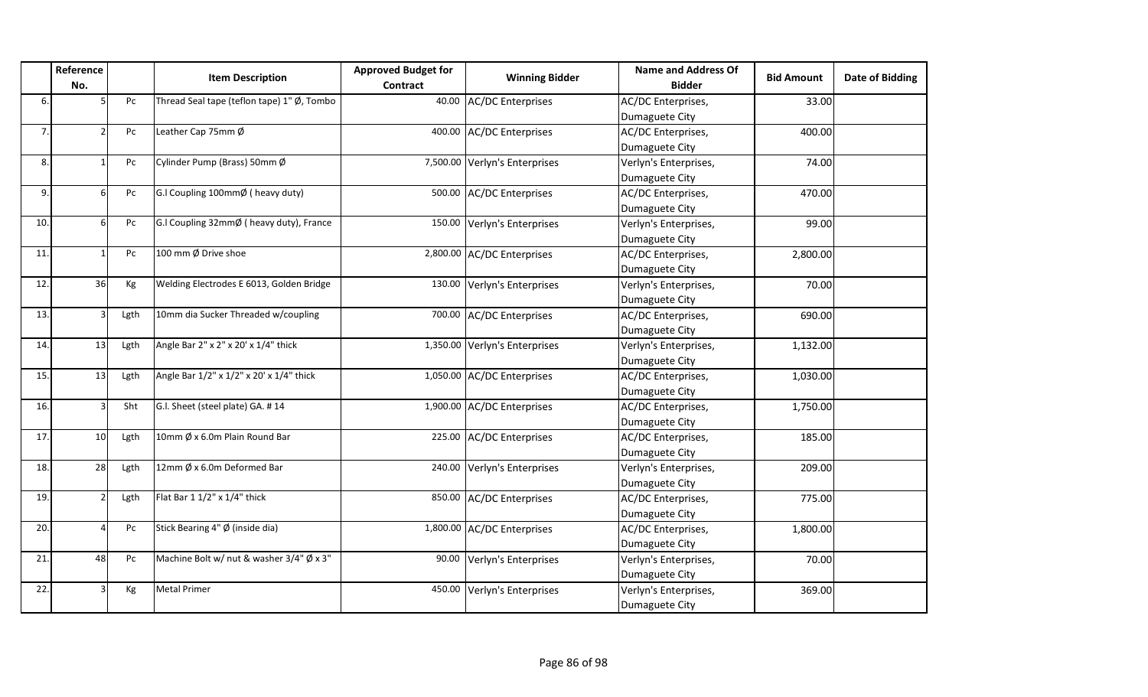|     | Reference<br>No.         |      | <b>Item Description</b>                    | <b>Approved Budget for</b><br><b>Contract</b> | <b>Winning Bidder</b>         | <b>Name and Address Of</b><br><b>Bidder</b> | <b>Bid Amount</b> | <b>Date of Bidding</b> |
|-----|--------------------------|------|--------------------------------------------|-----------------------------------------------|-------------------------------|---------------------------------------------|-------------------|------------------------|
| 6.  |                          | Pc   | Thread Seal tape (teflon tape) 1" Ø, Tombo | 40.00                                         | <b>AC/DC Enterprises</b>      | AC/DC Enterprises,                          | 33.00             |                        |
|     |                          |      |                                            |                                               |                               | Dumaguete City                              |                   |                        |
| 7.  |                          | Pc   | Leather Cap 75mm Ø                         | 400.00                                        | <b>AC/DC Enterprises</b>      | AC/DC Enterprises,                          | 400.00            |                        |
|     |                          |      |                                            |                                               |                               | Dumaguete City                              |                   |                        |
| 8.  |                          | Pc   | Cylinder Pump (Brass) 50mm Ø               |                                               | 7,500.00 Verlyn's Enterprises | Verlyn's Enterprises,                       | 74.00             |                        |
|     |                          |      |                                            |                                               |                               | Dumaguete City                              |                   |                        |
| 9.  | ĥ                        | Pc   | G.I Coupling 100mmØ ( heavy duty)          | 500.00                                        | <b>AC/DC</b> Enterprises      | AC/DC Enterprises,                          | 470.00            |                        |
|     |                          |      |                                            |                                               |                               | Dumaguete City                              |                   |                        |
| 10. | 6                        | Pc   | G.I Coupling 32mmØ ( heavy duty), France   | 150.00                                        | Verlyn's Enterprises          | Verlyn's Enterprises,                       | 99.00             |                        |
|     |                          |      |                                            |                                               |                               | Dumaguete City                              |                   |                        |
| 11. |                          | Pc   | 100 mm Ø Drive shoe                        |                                               | 2,800.00 AC/DC Enterprises    | AC/DC Enterprises,                          | 2,800.00          |                        |
|     |                          |      |                                            |                                               |                               | Dumaguete City                              |                   |                        |
| 12. | 36                       | Kg   | Welding Electrodes E 6013, Golden Bridge   | 130.00                                        | Verlyn's Enterprises          | Verlyn's Enterprises,                       | 70.00             |                        |
|     |                          |      |                                            |                                               |                               | Dumaguete City                              |                   |                        |
| 13. |                          | Lgth | 10mm dia Sucker Threaded w/coupling        |                                               | 700.00 AC/DC Enterprises      | AC/DC Enterprises,                          | 690.00            |                        |
|     |                          |      |                                            |                                               |                               | Dumaguete City                              |                   |                        |
| 14. | 13                       | Lgth | Angle Bar 2" x 2" x 20' x 1/4" thick       |                                               | 1,350.00 Verlyn's Enterprises | Verlyn's Enterprises,                       | 1,132.00          |                        |
|     |                          |      |                                            |                                               |                               | Dumaguete City                              |                   |                        |
| 15. | 13                       | Lgth | Angle Bar 1/2" x 1/2" x 20' x 1/4" thick   |                                               | 1,050.00 AC/DC Enterprises    | AC/DC Enterprises,                          | 1,030.00          |                        |
|     |                          |      |                                            |                                               |                               | Dumaguete City                              |                   |                        |
| 16. | Α                        | Sht  | G.I. Sheet (steel plate) GA. #14           |                                               | 1,900.00 AC/DC Enterprises    | AC/DC Enterprises,                          | 1,750.00          |                        |
|     |                          |      |                                            |                                               |                               | Dumaguete City                              |                   |                        |
| 17. | 10                       | Lgth | 10mm Ø x 6.0m Plain Round Bar              |                                               | 225.00 AC/DC Enterprises      | AC/DC Enterprises,                          | 185.00            |                        |
|     |                          |      |                                            |                                               |                               | Dumaguete City                              |                   |                        |
| 18. | 28                       | Lgth | 12mm Ø x 6.0m Deformed Bar                 | 240.00                                        | Verlyn's Enterprises          | Verlyn's Enterprises,                       | 209.00            |                        |
|     |                          |      |                                            |                                               |                               | Dumaguete City                              |                   |                        |
| 19. |                          | Lgth | Flat Bar 1 1/2" x 1/4" thick               | 850.00                                        | <b>AC/DC</b> Enterprises      | AC/DC Enterprises,                          | 775.00            |                        |
|     |                          |      |                                            |                                               |                               | Dumaguete City                              |                   |                        |
| 20. | $\overline{\mathcal{L}}$ | Pc   | Stick Bearing 4" Ø (inside dia)            |                                               | 1,800.00 AC/DC Enterprises    | AC/DC Enterprises,                          | 1,800.00          |                        |
|     |                          |      |                                            |                                               |                               | Dumaguete City                              |                   |                        |
| 21. | 48                       | Pc   | Machine Bolt w/ nut & washer 3/4" Ø x 3"   | 90.00                                         | Verlyn's Enterprises          | Verlyn's Enterprises,                       | 70.00             |                        |
|     |                          |      |                                            |                                               |                               | Dumaguete City                              |                   |                        |
| 22. |                          | Kg   | <b>Metal Primer</b>                        | 450.00                                        | Verlyn's Enterprises          | Verlyn's Enterprises,                       | 369.00            |                        |
|     |                          |      |                                            |                                               |                               | Dumaguete City                              |                   |                        |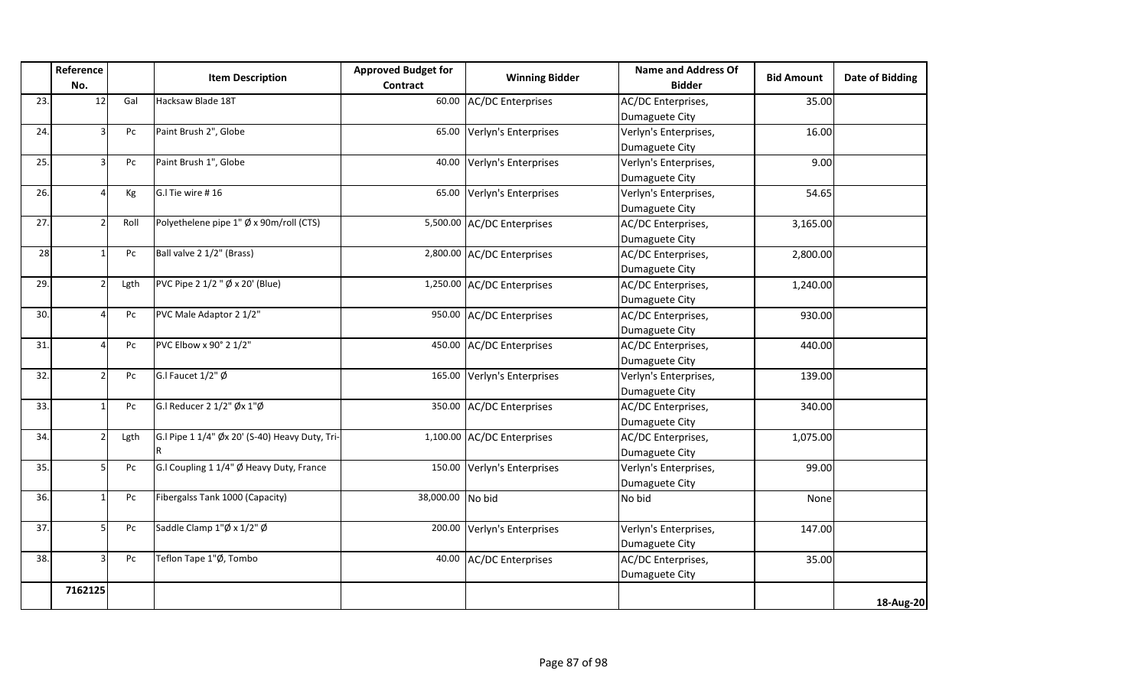|     | Reference<br>No. |      | <b>Item Description</b>                        | <b>Approved Budget for</b><br>Contract | <b>Winning Bidder</b>      | <b>Name and Address Of</b><br><b>Bidder</b> | <b>Bid Amount</b> | <b>Date of Bidding</b> |
|-----|------------------|------|------------------------------------------------|----------------------------------------|----------------------------|---------------------------------------------|-------------------|------------------------|
| 23. | 12               | Gal  | Hacksaw Blade 18T                              | 60.00                                  | <b>AC/DC Enterprises</b>   | AC/DC Enterprises,                          | 35.00             |                        |
|     |                  |      |                                                |                                        |                            | Dumaguete City                              |                   |                        |
| 24. |                  | Pc   | Paint Brush 2", Globe                          | 65.00                                  | Verlyn's Enterprises       | Verlyn's Enterprises,                       | 16.00             |                        |
|     |                  |      |                                                |                                        |                            | Dumaguete City                              |                   |                        |
| 25. |                  | Pc   | Paint Brush 1", Globe                          | 40.00                                  | Verlyn's Enterprises       | Verlyn's Enterprises,                       | 9.00              |                        |
|     |                  |      |                                                |                                        |                            | Dumaguete City                              |                   |                        |
| 26. |                  | Kg   | G.I Tie wire #16                               | 65.00                                  | Verlyn's Enterprises       | Verlyn's Enterprises,                       | 54.65             |                        |
|     |                  |      |                                                |                                        |                            | Dumaguete City                              |                   |                        |
| 27. |                  | Roll | Polyethelene pipe 1" Ø x 90m/roll (CTS)        |                                        | 5,500.00 AC/DC Enterprises | AC/DC Enterprises,                          | 3,165.00          |                        |
|     |                  |      |                                                |                                        |                            | Dumaguete City                              |                   |                        |
| 28  |                  | Pc   | Ball valve 2 1/2" (Brass)                      |                                        | 2,800.00 AC/DC Enterprises | AC/DC Enterprises,                          | 2,800.00          |                        |
|     |                  |      |                                                |                                        |                            | Dumaguete City                              |                   |                        |
| 29. |                  | Lgth | PVC Pipe 2 1/2 " Ø x 20' (Blue)                |                                        | 1,250.00 AC/DC Enterprises | AC/DC Enterprises,                          | 1,240.00          |                        |
|     |                  |      |                                                |                                        |                            | Dumaguete City                              |                   |                        |
| 30. |                  | Pc   | PVC Male Adaptor 2 1/2"                        |                                        | 950.00 AC/DC Enterprises   | AC/DC Enterprises,                          | 930.00            |                        |
|     |                  |      |                                                |                                        |                            | Dumaguete City                              |                   |                        |
| 31. |                  | Pc   | PVC Elbow x 90° 2 1/2"                         | 450.00                                 | <b>AC/DC Enterprises</b>   | AC/DC Enterprises,                          | 440.00            |                        |
|     |                  |      |                                                |                                        |                            | Dumaguete City                              |                   |                        |
| 32. |                  | Pc   | G.I Faucet $1/2$ " Ø                           | 165.00                                 | Verlyn's Enterprises       | Verlyn's Enterprises,                       | 139.00            |                        |
|     |                  |      |                                                |                                        |                            | Dumaguete City                              |                   |                        |
| 33. |                  | Pc   | G.I Reducer 2 1/2" Øx 1"Ø                      |                                        | 350.00 AC/DC Enterprises   | AC/DC Enterprises,                          | 340.00            |                        |
|     |                  |      |                                                |                                        |                            | Dumaguete City                              |                   |                        |
| 34. |                  | Lgth | G.I Pipe 1 1/4" Øx 20' (S-40) Heavy Duty, Tri- |                                        | 1,100.00 AC/DC Enterprises | AC/DC Enterprises,                          | 1,075.00          |                        |
|     |                  |      |                                                |                                        |                            | Dumaguete City                              |                   |                        |
| 35. |                  | Pc   | G.I Coupling 1 1/4" Ø Heavy Duty, France       | 150.00                                 | Verlyn's Enterprises       | Verlyn's Enterprises,                       | 99.00             |                        |
|     |                  |      |                                                |                                        |                            | Dumaguete City                              |                   |                        |
| 36. |                  | Pc   | Fibergalss Tank 1000 (Capacity)                | 38,000.00                              | No bid                     | No bid                                      | None              |                        |
| 37. |                  | Pc   | Saddle Clamp 1"Ø x 1/2" Ø                      | 200.00                                 | Verlyn's Enterprises       | Verlyn's Enterprises,                       | 147.00            |                        |
|     |                  |      |                                                |                                        |                            | Dumaguete City                              |                   |                        |
| 38. |                  | Pc   | Teflon Tape 1"Ø, Tombo                         | 40.00                                  | <b>AC/DC Enterprises</b>   | AC/DC Enterprises,                          | 35.00             |                        |
|     |                  |      |                                                |                                        |                            | Dumaguete City                              |                   |                        |
|     | 7162125          |      |                                                |                                        |                            |                                             |                   |                        |
|     |                  |      |                                                |                                        |                            |                                             |                   | 18-Aug-20              |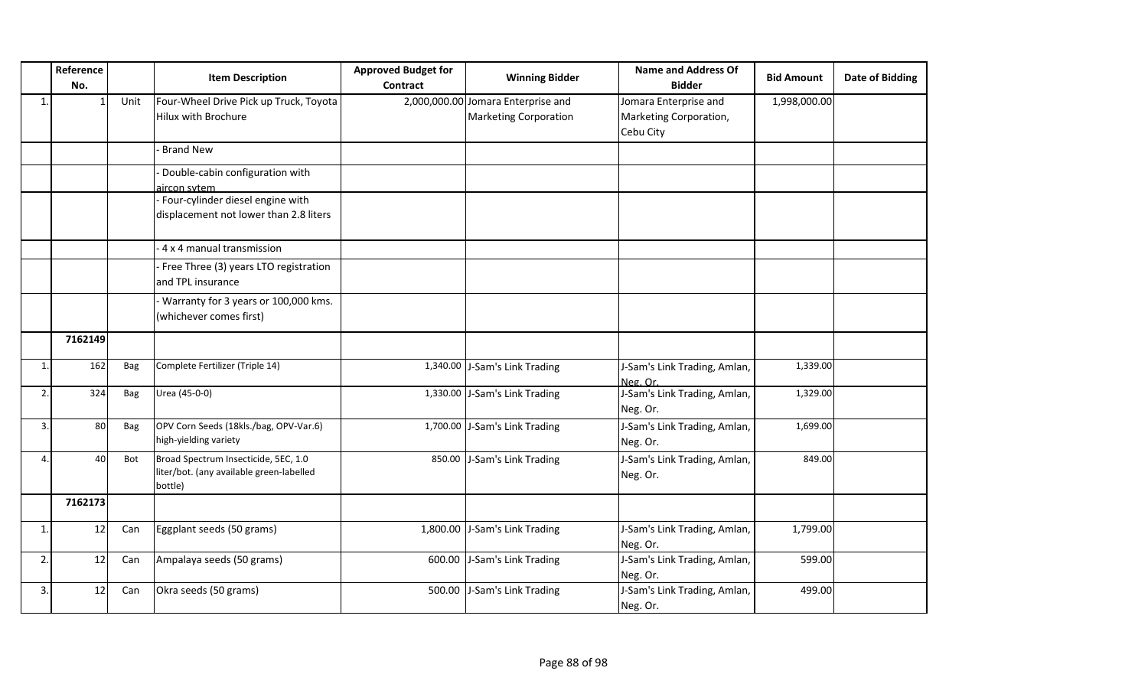|    | Reference<br>No. |      | <b>Item Description</b>                                                                     | <b>Approved Budget for</b><br><b>Contract</b> | <b>Winning Bidder</b>                                              | <b>Name and Address Of</b><br><b>Bidder</b>                  | <b>Bid Amount</b> | Date of Bidding |
|----|------------------|------|---------------------------------------------------------------------------------------------|-----------------------------------------------|--------------------------------------------------------------------|--------------------------------------------------------------|-------------------|-----------------|
| 1. |                  | Unit | Four-Wheel Drive Pick up Truck, Toyota<br><b>Hilux with Brochure</b>                        |                                               | 2,000,000.00 Jomara Enterprise and<br><b>Marketing Corporation</b> | Jomara Enterprise and<br>Marketing Corporation,<br>Cebu City | 1,998,000.00      |                 |
|    |                  |      | <b>Brand New</b>                                                                            |                                               |                                                                    |                                                              |                   |                 |
|    |                  |      | Double-cabin configuration with<br>aircon sytem                                             |                                               |                                                                    |                                                              |                   |                 |
|    |                  |      | Four-cylinder diesel engine with<br>displacement not lower than 2.8 liters                  |                                               |                                                                    |                                                              |                   |                 |
|    |                  |      | 4 x 4 manual transmission                                                                   |                                               |                                                                    |                                                              |                   |                 |
|    |                  |      | Free Three (3) years LTO registration<br>and TPL insurance                                  |                                               |                                                                    |                                                              |                   |                 |
|    |                  |      | Warranty for 3 years or 100,000 kms.<br>(whichever comes first)                             |                                               |                                                                    |                                                              |                   |                 |
|    | 7162149          |      |                                                                                             |                                               |                                                                    |                                                              |                   |                 |
| 1. | 162              | Bag  | Complete Fertilizer (Triple 14)                                                             |                                               | 1,340.00 J-Sam's Link Trading                                      | J-Sam's Link Trading, Amlan,<br>Neg. Or.                     | 1,339.00          |                 |
| 2. | 324              | Bag  | Urea (45-0-0)                                                                               |                                               | 1,330.00 J-Sam's Link Trading                                      | J-Sam's Link Trading, Amlan,<br>Neg. Or.                     | 1,329.00          |                 |
| 3. | 80               | Bag  | OPV Corn Seeds (18kls./bag, OPV-Var.6)<br>high-yielding variety                             |                                               | 1,700.00 J-Sam's Link Trading                                      | J-Sam's Link Trading, Amlan,<br>Neg. Or.                     | 1,699.00          |                 |
| 4. | 40               | Bot  | Broad Spectrum Insecticide, 5EC, 1.0<br>liter/bot. (any available green-labelled<br>bottle) | 850.00                                        | J-Sam's Link Trading                                               | J-Sam's Link Trading, Amlan,<br>Neg. Or.                     | 849.00            |                 |
|    | 7162173          |      |                                                                                             |                                               |                                                                    |                                                              |                   |                 |
| 1. | 12               | Can  | Eggplant seeds (50 grams)                                                                   |                                               | 1,800.00 J-Sam's Link Trading                                      | J-Sam's Link Trading, Amlan,<br>Neg. Or.                     | 1,799.00          |                 |
| 2. | 12               | Can  | Ampalaya seeds (50 grams)                                                                   | 600.00                                        | J-Sam's Link Trading                                               | J-Sam's Link Trading, Amlan,<br>Neg. Or.                     | 599.00            |                 |
| 3. | 12               | Can  | Okra seeds (50 grams)                                                                       | 500.00                                        | J-Sam's Link Trading                                               | J-Sam's Link Trading, Amlan,<br>Neg. Or.                     | 499.00            |                 |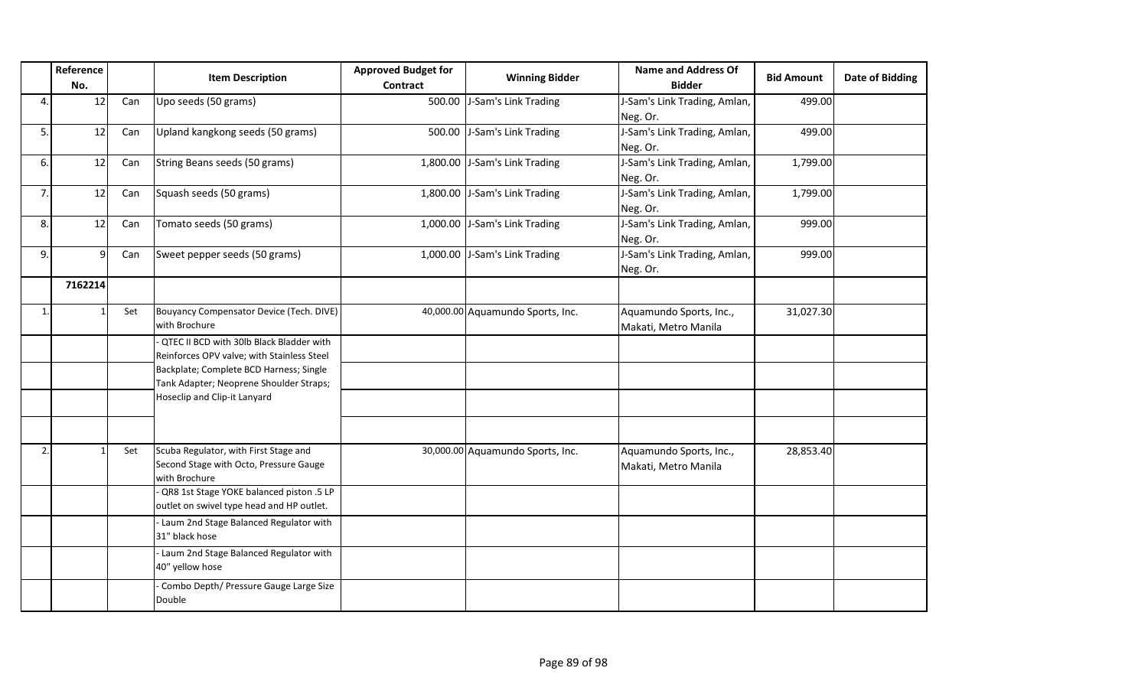|    | Reference<br>No. |     | <b>Item Description</b>                    | <b>Approved Budget for</b><br>Contract | <b>Winning Bidder</b>            | <b>Name and Address Of</b><br><b>Bidder</b> | <b>Bid Amount</b> | Date of Bidding |
|----|------------------|-----|--------------------------------------------|----------------------------------------|----------------------------------|---------------------------------------------|-------------------|-----------------|
| 4. | 12               | Can | Upo seeds (50 grams)                       | 500.00                                 | J-Sam's Link Trading             | J-Sam's Link Trading, Amlan,                | 499.00            |                 |
|    |                  |     |                                            |                                        |                                  | Neg. Or.                                    |                   |                 |
| 5. | 12               | Can | Upland kangkong seeds (50 grams)           | 500.00                                 | J-Sam's Link Trading             | J-Sam's Link Trading, Amlan,                | 499.00            |                 |
|    |                  |     |                                            |                                        |                                  | Neg. Or.                                    |                   |                 |
| 6. | 12               | Can | String Beans seeds (50 grams)              |                                        | 1,800.00 J-Sam's Link Trading    | J-Sam's Link Trading, Amlan,                | 1,799.00          |                 |
|    |                  |     |                                            |                                        |                                  | Neg. Or.                                    |                   |                 |
| 7. | 12               | Can | Squash seeds (50 grams)                    |                                        | 1,800.00 J-Sam's Link Trading    | J-Sam's Link Trading, Amlan,                | 1,799.00          |                 |
|    |                  |     |                                            |                                        |                                  | Neg. Or.                                    |                   |                 |
| 8. | 12               | Can | Tomato seeds (50 grams)                    |                                        | 1,000.00 J-Sam's Link Trading    | J-Sam's Link Trading, Amlan,                | 999.00            |                 |
|    |                  |     |                                            |                                        |                                  | Neg. Or.                                    |                   |                 |
| 9. | 9                | Can | Sweet pepper seeds (50 grams)              |                                        | 1,000.00 J-Sam's Link Trading    | J-Sam's Link Trading, Amlan,                | 999.00            |                 |
|    |                  |     |                                            |                                        |                                  | Neg. Or.                                    |                   |                 |
|    | 7162214          |     |                                            |                                        |                                  |                                             |                   |                 |
|    |                  |     |                                            |                                        |                                  |                                             |                   |                 |
|    |                  | Set | Bouyancy Compensator Device (Tech. DIVE)   |                                        | 40,000.00 Aquamundo Sports, Inc. | Aquamundo Sports, Inc.,                     | 31,027.30         |                 |
|    |                  |     | with Brochure                              |                                        |                                  | Makati, Metro Manila                        |                   |                 |
|    |                  |     | QTEC II BCD with 30lb Black Bladder with   |                                        |                                  |                                             |                   |                 |
|    |                  |     | Reinforces OPV valve; with Stainless Steel |                                        |                                  |                                             |                   |                 |
|    |                  |     | Backplate; Complete BCD Harness; Single    |                                        |                                  |                                             |                   |                 |
|    |                  |     | Tank Adapter; Neoprene Shoulder Straps;    |                                        |                                  |                                             |                   |                 |
|    |                  |     | Hoseclip and Clip-it Lanyard               |                                        |                                  |                                             |                   |                 |
|    |                  |     |                                            |                                        |                                  |                                             |                   |                 |
|    |                  |     |                                            |                                        |                                  |                                             |                   |                 |
| 2. |                  | Set | Scuba Regulator, with First Stage and      |                                        | 30,000.00 Aquamundo Sports, Inc. | Aquamundo Sports, Inc.,                     | 28,853.40         |                 |
|    |                  |     | Second Stage with Octo, Pressure Gauge     |                                        |                                  | Makati, Metro Manila                        |                   |                 |
|    |                  |     | with Brochure                              |                                        |                                  |                                             |                   |                 |
|    |                  |     | QR8 1st Stage YOKE balanced piston .5 LP   |                                        |                                  |                                             |                   |                 |
|    |                  |     | outlet on swivel type head and HP outlet.  |                                        |                                  |                                             |                   |                 |
|    |                  |     | - Laum 2nd Stage Balanced Regulator with   |                                        |                                  |                                             |                   |                 |
|    |                  |     | 31" black hose                             |                                        |                                  |                                             |                   |                 |
|    |                  |     | - Laum 2nd Stage Balanced Regulator with   |                                        |                                  |                                             |                   |                 |
|    |                  |     | 40" yellow hose                            |                                        |                                  |                                             |                   |                 |
|    |                  |     | - Combo Depth/ Pressure Gauge Large Size   |                                        |                                  |                                             |                   |                 |
|    |                  |     | Double                                     |                                        |                                  |                                             |                   |                 |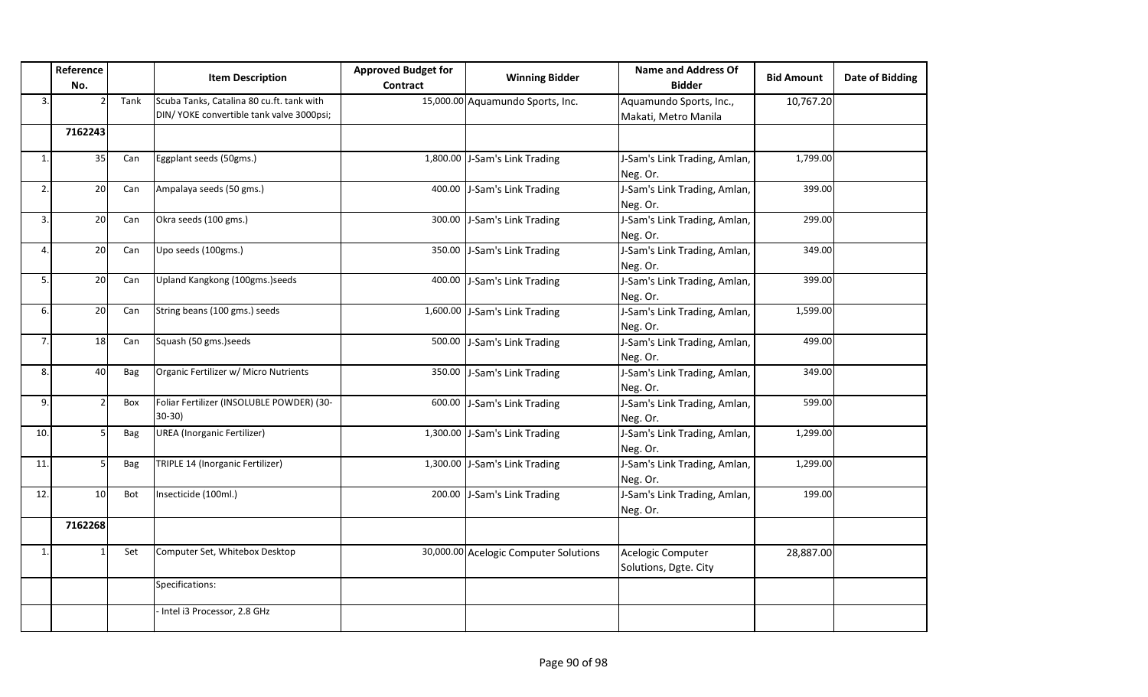|              | Reference<br>No.         |      | <b>Item Description</b>                                                                | <b>Approved Budget for</b><br>Contract | <b>Winning Bidder</b>                 | <b>Name and Address Of</b><br><b>Bidder</b>     | <b>Bid Amount</b> | <b>Date of Bidding</b> |
|--------------|--------------------------|------|----------------------------------------------------------------------------------------|----------------------------------------|---------------------------------------|-------------------------------------------------|-------------------|------------------------|
| 3.           |                          | Tank | Scuba Tanks, Catalina 80 cu.ft. tank with<br>DIN/ YOKE convertible tank valve 3000psi; |                                        | 15,000.00 Aquamundo Sports, Inc.      | Aquamundo Sports, Inc.,<br>Makati, Metro Manila | 10,767.20         |                        |
|              | 7162243                  |      |                                                                                        |                                        |                                       |                                                 |                   |                        |
| $\mathbf{1}$ | 35                       | Can  | Eggplant seeds (50gms.)                                                                |                                        | 1,800.00 J-Sam's Link Trading         | J-Sam's Link Trading, Amlan,<br>Neg. Or.        | 1,799.00          |                        |
| 2.           | 20                       | Can  | Ampalaya seeds (50 gms.)                                                               | 400.00                                 | J-Sam's Link Trading                  | J-Sam's Link Trading, Amlan,<br>Neg. Or.        | 399.00            |                        |
| 3.           | 20                       | Can  | Okra seeds (100 gms.)                                                                  | 300.00                                 | J-Sam's Link Trading                  | J-Sam's Link Trading, Amlan,<br>Neg. Or.        | 299.00            |                        |
| 4            | 20                       | Can  | Upo seeds (100gms.)                                                                    | 350.00                                 | J-Sam's Link Trading                  | J-Sam's Link Trading, Amlan,<br>Neg. Or.        | 349.00            |                        |
| 5.           | 20                       | Can  | Upland Kangkong (100gms.)seeds                                                         | 400.00                                 | J-Sam's Link Trading                  | J-Sam's Link Trading, Amlan,<br>Neg. Or.        | 399.00            |                        |
| 6.           | 20                       | Can  | String beans (100 gms.) seeds                                                          |                                        | 1,600.00 J-Sam's Link Trading         | J-Sam's Link Trading, Amlan,<br>Neg. Or.        | 1,599.00          |                        |
| 7.           | 18                       | Can  | Squash (50 gms.) seeds                                                                 | 500.00                                 | J-Sam's Link Trading                  | J-Sam's Link Trading, Amlan,<br>Neg. Or.        | 499.00            |                        |
| 8.           | 40                       | Bag  | Organic Fertilizer w/ Micro Nutrients                                                  | 350.00                                 | J-Sam's Link Trading                  | J-Sam's Link Trading, Amlan,<br>Neg. Or.        | 349.00            |                        |
| 9.           | $\overline{\phantom{a}}$ | Box  | Foliar Fertilizer (INSOLUBLE POWDER) (30-<br>$30-30$                                   | 600.00                                 | J-Sam's Link Trading                  | J-Sam's Link Trading, Amlan,<br>Neg. Or.        | 599.00            |                        |
| 10.          | 5                        | Bag  | <b>UREA</b> (Inorganic Fertilizer)                                                     |                                        | 1,300.00 J-Sam's Link Trading         | J-Sam's Link Trading, Amlan,<br>Neg. Or.        | 1,299.00          |                        |
| 11.          | 5                        | Bag  | TRIPLE 14 (Inorganic Fertilizer)                                                       |                                        | 1,300.00 J-Sam's Link Trading         | J-Sam's Link Trading, Amlan,<br>Neg. Or.        | 1,299.00          |                        |
| 12.          | 10                       | Bot  | Insecticide (100ml.)                                                                   | 200.00                                 | J-Sam's Link Trading                  | J-Sam's Link Trading, Amlan,<br>Neg. Or.        | 199.00            |                        |
|              | 7162268                  |      |                                                                                        |                                        |                                       |                                                 |                   |                        |
| $\mathbf{1}$ |                          | Set  | Computer Set, Whitebox Desktop                                                         |                                        | 30,000.00 Acelogic Computer Solutions | Acelogic Computer<br>Solutions, Dgte. City      | 28,887.00         |                        |
|              |                          |      | Specifications:                                                                        |                                        |                                       |                                                 |                   |                        |
|              |                          |      | Intel i3 Processor, 2.8 GHz                                                            |                                        |                                       |                                                 |                   |                        |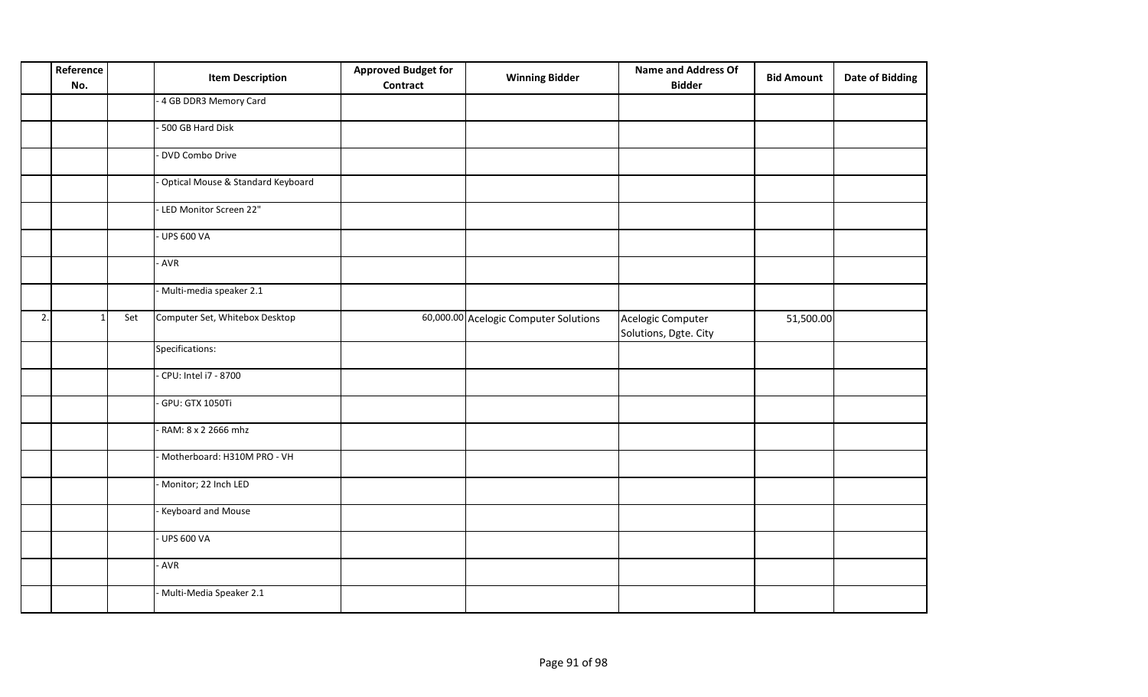|    | Reference<br>No. |     | <b>Item Description</b>             | <b>Approved Budget for</b><br><b>Contract</b> | <b>Winning Bidder</b>                 | <b>Name and Address Of</b><br><b>Bidder</b> | <b>Bid Amount</b> | <b>Date of Bidding</b> |
|----|------------------|-----|-------------------------------------|-----------------------------------------------|---------------------------------------|---------------------------------------------|-------------------|------------------------|
|    |                  |     | - 4 GB DDR3 Memory Card             |                                               |                                       |                                             |                   |                        |
|    |                  |     | 500 GB Hard Disk                    |                                               |                                       |                                             |                   |                        |
|    |                  |     | DVD Combo Drive                     |                                               |                                       |                                             |                   |                        |
|    |                  |     | - Optical Mouse & Standard Keyboard |                                               |                                       |                                             |                   |                        |
|    |                  |     | - LED Monitor Screen 22"            |                                               |                                       |                                             |                   |                        |
|    |                  |     | <b>UPS 600 VA</b>                   |                                               |                                       |                                             |                   |                        |
|    |                  |     | - AVR                               |                                               |                                       |                                             |                   |                        |
|    |                  |     | Multi-media speaker 2.1             |                                               |                                       |                                             |                   |                        |
| 2. | $\mathbf{1}$     | Set | Computer Set, Whitebox Desktop      |                                               | 60,000.00 Acelogic Computer Solutions | Acelogic Computer<br>Solutions, Dgte. City  | 51,500.00         |                        |
|    |                  |     | Specifications:                     |                                               |                                       |                                             |                   |                        |
|    |                  |     | CPU: Intel i7 - 8700                |                                               |                                       |                                             |                   |                        |
|    |                  |     | GPU: GTX 1050Ti                     |                                               |                                       |                                             |                   |                        |
|    |                  |     | - RAM: 8 x 2 2666 mhz               |                                               |                                       |                                             |                   |                        |
|    |                  |     | Motherboard: H310M PRO - VH         |                                               |                                       |                                             |                   |                        |
|    |                  |     | Monitor; 22 Inch LED                |                                               |                                       |                                             |                   |                        |
|    |                  |     | Keyboard and Mouse                  |                                               |                                       |                                             |                   |                        |
|    |                  |     | <b>UPS 600 VA</b>                   |                                               |                                       |                                             |                   |                        |
|    |                  |     | - AVR                               |                                               |                                       |                                             |                   |                        |
|    |                  |     | Multi-Media Speaker 2.1             |                                               |                                       |                                             |                   |                        |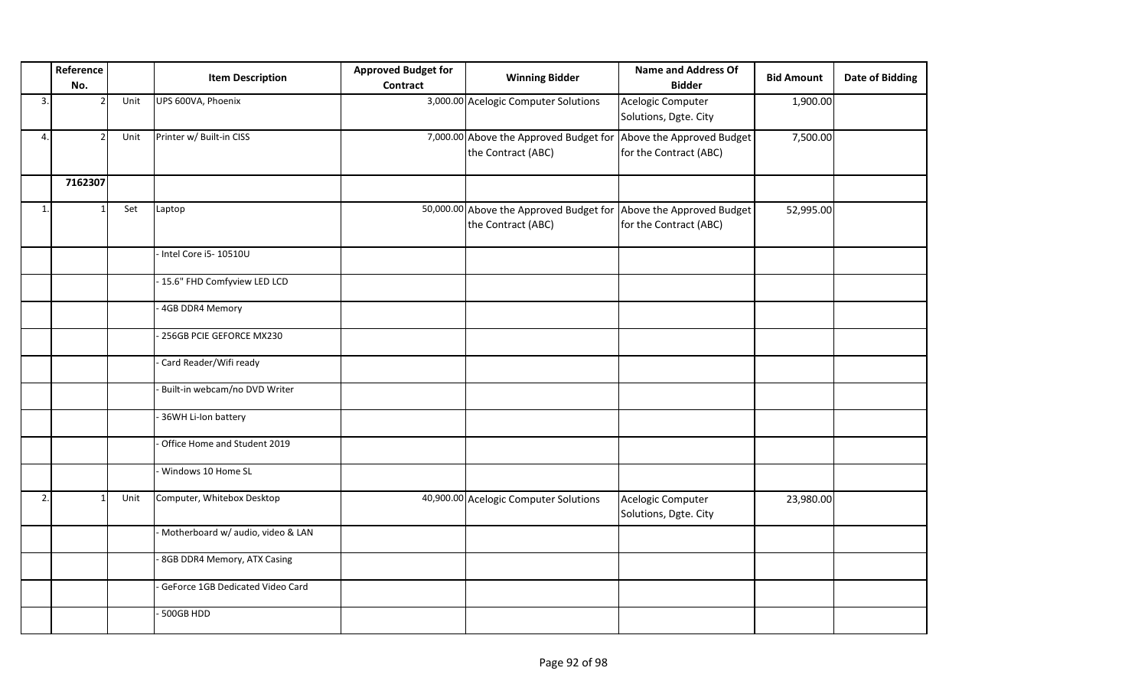|    | Reference<br>No. |      | <b>Item Description</b>           | <b>Approved Budget for</b><br><b>Contract</b> | <b>Winning Bidder</b>                                                                   | <b>Name and Address Of</b><br><b>Bidder</b> | <b>Bid Amount</b> | <b>Date of Bidding</b> |
|----|------------------|------|-----------------------------------|-----------------------------------------------|-----------------------------------------------------------------------------------------|---------------------------------------------|-------------------|------------------------|
| 3. | $\overline{2}$   | Unit | UPS 600VA, Phoenix                |                                               | 3,000.00 Acelogic Computer Solutions                                                    | Acelogic Computer<br>Solutions, Dgte. City  | 1,900.00          |                        |
| 4. | $\overline{2}$   | Unit | Printer w/ Built-in CISS          |                                               | 7,000.00 Above the Approved Budget for Above the Approved Budget<br>the Contract (ABC)  | for the Contract (ABC)                      | 7,500.00          |                        |
|    | 7162307          |      |                                   |                                               |                                                                                         |                                             |                   |                        |
| 1. |                  | Set  | Laptop                            |                                               | 50,000.00 Above the Approved Budget for Above the Approved Budget<br>the Contract (ABC) | for the Contract (ABC)                      | 52,995.00         |                        |
|    |                  |      | Intel Core i5-10510U              |                                               |                                                                                         |                                             |                   |                        |
|    |                  |      | - 15.6" FHD Comfyview LED LCD     |                                               |                                                                                         |                                             |                   |                        |
|    |                  |      | 4GB DDR4 Memory                   |                                               |                                                                                         |                                             |                   |                        |
|    |                  |      | 256GB PCIE GEFORCE MX230          |                                               |                                                                                         |                                             |                   |                        |
|    |                  |      | Card Reader/Wifi ready            |                                               |                                                                                         |                                             |                   |                        |
|    |                  |      | Built-in webcam/no DVD Writer     |                                               |                                                                                         |                                             |                   |                        |
|    |                  |      | 36WH Li-Ion battery               |                                               |                                                                                         |                                             |                   |                        |
|    |                  |      | Office Home and Student 2019      |                                               |                                                                                         |                                             |                   |                        |
|    |                  |      | Windows 10 Home SL                |                                               |                                                                                         |                                             |                   |                        |
| 2. |                  | Unit | Computer, Whitebox Desktop        |                                               | 40,900.00 Acelogic Computer Solutions                                                   | Acelogic Computer<br>Solutions, Dgte. City  | 23,980.00         |                        |
|    |                  |      | Motherboard w/ audio, video & LAN |                                               |                                                                                         |                                             |                   |                        |
|    |                  |      | 8GB DDR4 Memory, ATX Casing       |                                               |                                                                                         |                                             |                   |                        |
|    |                  |      | GeForce 1GB Dedicated Video Card  |                                               |                                                                                         |                                             |                   |                        |
|    |                  |      | 500GB HDD                         |                                               |                                                                                         |                                             |                   |                        |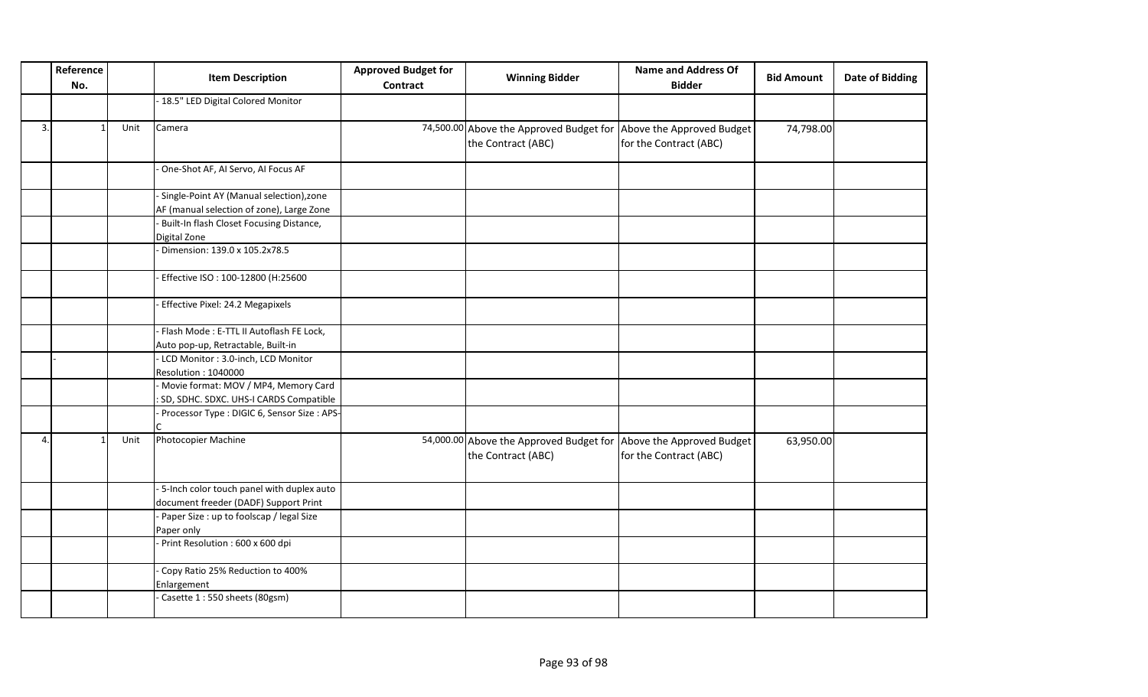|    | Reference<br>No. |      | <b>Item Description</b>                         | <b>Approved Budget for</b><br><b>Contract</b> | <b>Winning Bidder</b>                                             | <b>Name and Address Of</b><br><b>Bidder</b> | <b>Bid Amount</b> | <b>Date of Bidding</b> |
|----|------------------|------|-------------------------------------------------|-----------------------------------------------|-------------------------------------------------------------------|---------------------------------------------|-------------------|------------------------|
|    |                  |      | - 18.5" LED Digital Colored Monitor             |                                               |                                                                   |                                             |                   |                        |
| 3. |                  | Unit | Camera                                          |                                               | 74,500.00 Above the Approved Budget for Above the Approved Budget |                                             | 74,798.00         |                        |
|    |                  |      |                                                 |                                               | the Contract (ABC)                                                | for the Contract (ABC)                      |                   |                        |
|    |                  |      | One-Shot AF, AI Servo, AI Focus AF              |                                               |                                                                   |                                             |                   |                        |
|    |                  |      | Single-Point AY (Manual selection), zone        |                                               |                                                                   |                                             |                   |                        |
|    |                  |      | AF (manual selection of zone), Large Zone       |                                               |                                                                   |                                             |                   |                        |
|    |                  |      | Built-In flash Closet Focusing Distance,        |                                               |                                                                   |                                             |                   |                        |
|    |                  |      | Digital Zone                                    |                                               |                                                                   |                                             |                   |                        |
|    |                  |      | Dimension: 139.0 x 105.2x78.5                   |                                               |                                                                   |                                             |                   |                        |
|    |                  |      | Effective ISO: 100-12800 (H:25600               |                                               |                                                                   |                                             |                   |                        |
|    |                  |      | Effective Pixel: 24.2 Megapixels                |                                               |                                                                   |                                             |                   |                        |
|    |                  |      | Flash Mode: E-TTL II Autoflash FE Lock,         |                                               |                                                                   |                                             |                   |                        |
|    |                  |      | Auto pop-up, Retractable, Built-in              |                                               |                                                                   |                                             |                   |                        |
|    |                  |      | LCD Monitor: 3.0-inch, LCD Monitor              |                                               |                                                                   |                                             |                   |                        |
|    |                  |      | Resolution: 1040000                             |                                               |                                                                   |                                             |                   |                        |
|    |                  |      | - Movie format: MOV / MP4, Memory Card          |                                               |                                                                   |                                             |                   |                        |
|    |                  |      | : SD, SDHC. SDXC. UHS-I CARDS Compatible        |                                               |                                                                   |                                             |                   |                        |
|    |                  |      | Processor Type : DIGIC 6, Sensor Size : APS-    |                                               |                                                                   |                                             |                   |                        |
| 4. |                  | Unit | Photocopier Machine                             |                                               | 54,000.00 Above the Approved Budget for Above the Approved Budget |                                             | 63,950.00         |                        |
|    |                  |      |                                                 |                                               | the Contract (ABC)                                                | for the Contract (ABC)                      |                   |                        |
|    |                  |      | -5-Inch color touch panel with duplex auto      |                                               |                                                                   |                                             |                   |                        |
|    |                  |      | document freeder (DADF) Support Print           |                                               |                                                                   |                                             |                   |                        |
|    |                  |      | Paper Size : up to foolscap / legal Size        |                                               |                                                                   |                                             |                   |                        |
|    |                  |      | Paper only                                      |                                               |                                                                   |                                             |                   |                        |
|    |                  |      | Print Resolution: 600 x 600 dpi                 |                                               |                                                                   |                                             |                   |                        |
|    |                  |      | Copy Ratio 25% Reduction to 400%<br>Enlargement |                                               |                                                                   |                                             |                   |                        |
|    |                  |      | Casette 1:550 sheets (80gsm)                    |                                               |                                                                   |                                             |                   |                        |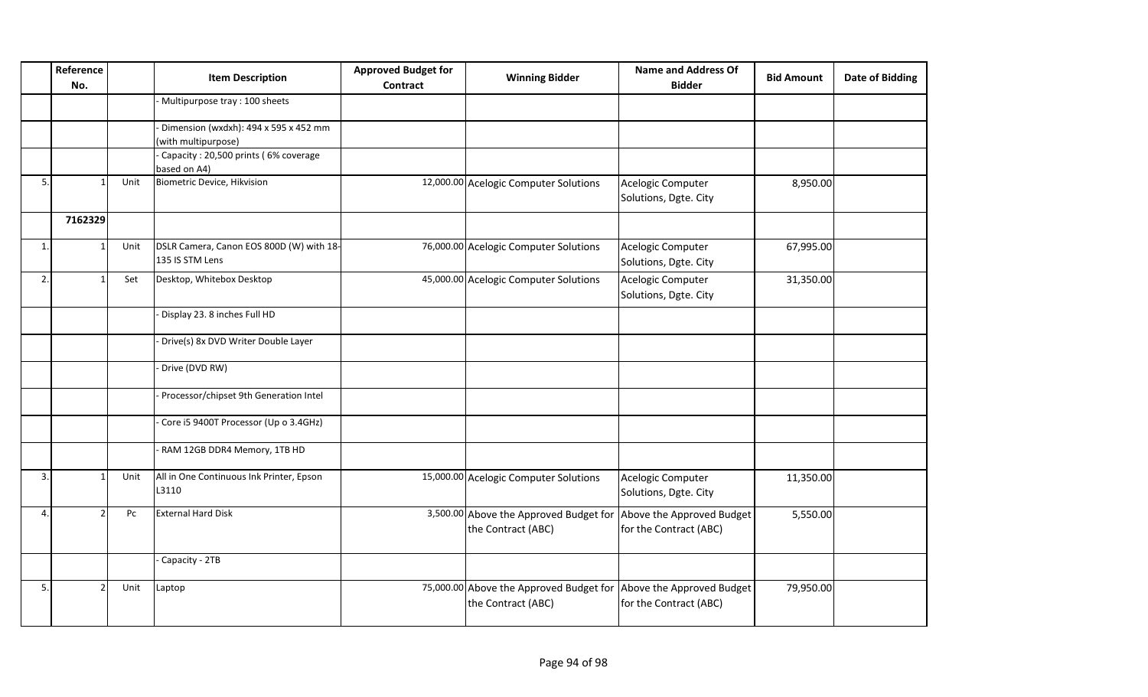|    | Reference<br>No. |      | <b>Item Description</b>                                      | <b>Approved Budget for</b><br><b>Contract</b> | <b>Winning Bidder</b>                                                                   | <b>Name and Address Of</b><br><b>Bidder</b> | <b>Bid Amount</b> | <b>Date of Bidding</b> |
|----|------------------|------|--------------------------------------------------------------|-----------------------------------------------|-----------------------------------------------------------------------------------------|---------------------------------------------|-------------------|------------------------|
|    |                  |      | Multipurpose tray: 100 sheets                                |                                               |                                                                                         |                                             |                   |                        |
|    |                  |      | Dimension (wxdxh): 494 x 595 x 452 mm<br>(with multipurpose) |                                               |                                                                                         |                                             |                   |                        |
|    |                  |      | Capacity: 20,500 prints (6% coverage<br>based on A4)         |                                               |                                                                                         |                                             |                   |                        |
| 5. |                  | Unit | Biometric Device, Hikvision                                  |                                               | 12,000.00 Acelogic Computer Solutions                                                   | Acelogic Computer<br>Solutions, Dgte. City  | 8,950.00          |                        |
|    | 7162329          |      |                                                              |                                               |                                                                                         |                                             |                   |                        |
| 1. |                  | Unit | DSLR Camera, Canon EOS 800D (W) with 18-<br>135 IS STM Lens  |                                               | 76,000.00 Acelogic Computer Solutions                                                   | Acelogic Computer<br>Solutions, Dgte. City  | 67,995.00         |                        |
| 2. |                  | Set  | Desktop, Whitebox Desktop                                    |                                               | 45,000.00 Acelogic Computer Solutions                                                   | Acelogic Computer<br>Solutions, Dgte. City  | 31,350.00         |                        |
|    |                  |      | Display 23. 8 inches Full HD                                 |                                               |                                                                                         |                                             |                   |                        |
|    |                  |      | Drive(s) 8x DVD Writer Double Layer                          |                                               |                                                                                         |                                             |                   |                        |
|    |                  |      | Drive (DVD RW)                                               |                                               |                                                                                         |                                             |                   |                        |
|    |                  |      | Processor/chipset 9th Generation Intel                       |                                               |                                                                                         |                                             |                   |                        |
|    |                  |      | Core i5 9400T Processor (Up o 3.4GHz)                        |                                               |                                                                                         |                                             |                   |                        |
|    |                  |      | RAM 12GB DDR4 Memory, 1TB HD                                 |                                               |                                                                                         |                                             |                   |                        |
| 3. |                  | Unit | All in One Continuous Ink Printer, Epson<br>L3110            |                                               | 15,000.00 Acelogic Computer Solutions                                                   | Acelogic Computer<br>Solutions, Dgte. City  | 11,350.00         |                        |
| 4. |                  | Pc   | <b>External Hard Disk</b>                                    |                                               | 3,500.00 Above the Approved Budget for Above the Approved Budget<br>the Contract (ABC)  | for the Contract (ABC)                      | 5,550.00          |                        |
|    |                  |      | Capacity - 2TB                                               |                                               |                                                                                         |                                             |                   |                        |
| 5. |                  | Unit | Laptop                                                       |                                               | 75,000.00 Above the Approved Budget for Above the Approved Budget<br>the Contract (ABC) | for the Contract (ABC)                      | 79,950.00         |                        |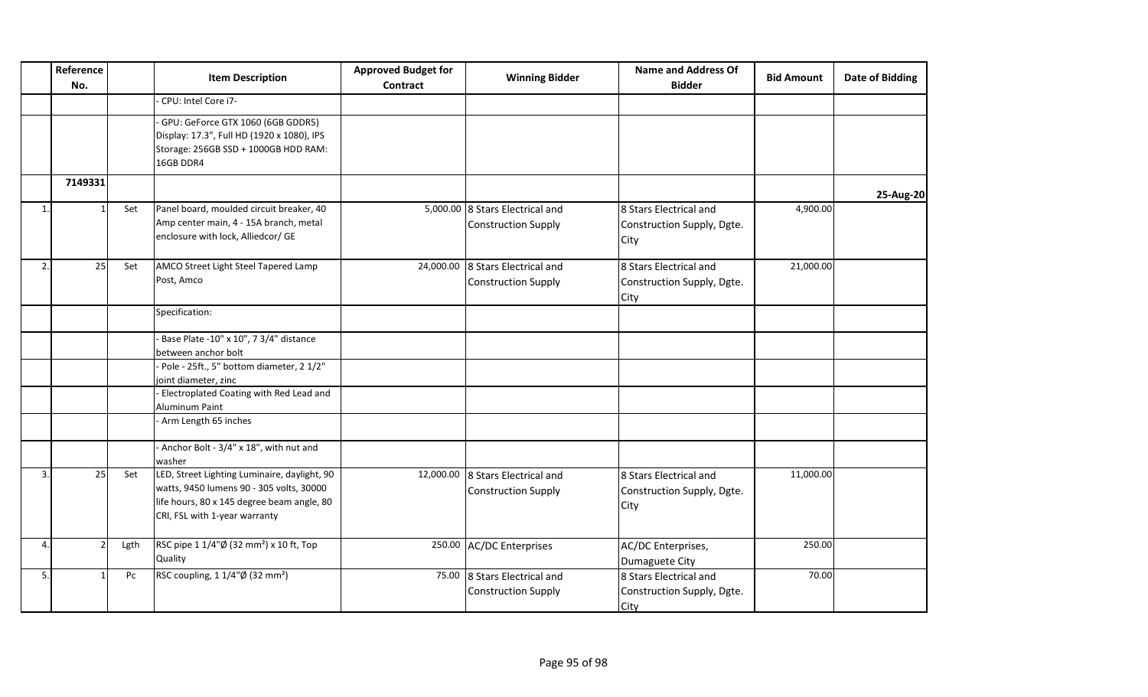| Reference<br>No.     |      | <b>Item Description</b>                                                                                                                                                 | <b>Approved Budget for</b><br>Contract | <b>Winning Bidder</b>                                          | <b>Name and Address Of</b><br><b>Bidder</b>                  | <b>Bid Amount</b> | Date of Bidding |
|----------------------|------|-------------------------------------------------------------------------------------------------------------------------------------------------------------------------|----------------------------------------|----------------------------------------------------------------|--------------------------------------------------------------|-------------------|-----------------|
|                      |      | CPU: Intel Core i7-                                                                                                                                                     |                                        |                                                                |                                                              |                   |                 |
|                      |      | GPU: GeForce GTX 1060 (6GB GDDR5)<br>Display: 17.3", Full HD (1920 x 1080), IPS<br>Storage: 256GB SSD + 1000GB HDD RAM:<br>16GB DDR4                                    |                                        |                                                                |                                                              |                   |                 |
| 7149331              |      |                                                                                                                                                                         |                                        |                                                                |                                                              |                   | 25-Aug-20       |
| 1.                   | Set  | Panel board, moulded circuit breaker, 40<br>Amp center main, 4 - 15A branch, metal<br>enclosure with lock, Alliedcor/ GE                                                |                                        | 5,000.00 8 Stars Electrical and<br><b>Construction Supply</b>  | 8 Stars Electrical and<br>Construction Supply, Dgte.<br>City | 4,900.00          |                 |
| 25<br>2.             | Set  | AMCO Street Light Steel Tapered Lamp<br>Post, Amco                                                                                                                      | 24,000.00                              | 8 Stars Electrical and<br><b>Construction Supply</b>           | 8 Stars Electrical and<br>Construction Supply, Dgte.<br>City | 21,000.00         |                 |
|                      |      | Specification:                                                                                                                                                          |                                        |                                                                |                                                              |                   |                 |
|                      |      | Base Plate -10" x 10", 7 3/4" distance<br>between anchor bolt<br>Pole - 25ft., 5" bottom diameter, 2 1/2"                                                               |                                        |                                                                |                                                              |                   |                 |
|                      |      | joint diameter, zinc                                                                                                                                                    |                                        |                                                                |                                                              |                   |                 |
|                      |      | - Electroplated Coating with Red Lead and<br>Aluminum Paint                                                                                                             |                                        |                                                                |                                                              |                   |                 |
|                      |      | - Arm Length 65 inches                                                                                                                                                  |                                        |                                                                |                                                              |                   |                 |
|                      |      | - Anchor Bolt - 3/4" x 18", with nut and<br>washer                                                                                                                      |                                        |                                                                |                                                              |                   |                 |
| 25<br>3.             | Set  | LED, Street Lighting Luminaire, daylight, 90<br>watts, 9450 lumens 90 - 305 volts, 30000<br>life hours, 80 x 145 degree beam angle, 80<br>CRI, FSL with 1-year warranty |                                        | 12,000.00 8 Stars Electrical and<br><b>Construction Supply</b> | 8 Stars Electrical and<br>Construction Supply, Dgte.<br>City | 11,000.00         |                 |
| 4.<br>$\overline{2}$ | Lgth | RSC pipe 1 1/4"Ø (32 mm <sup>2</sup> ) x 10 ft, Top<br>Quality                                                                                                          |                                        | 250.00 AC/DC Enterprises                                       | AC/DC Enterprises,<br>Dumaguete City                         | 250.00            |                 |
| 5.<br>$\mathbf{1}$   | Pc   | RSC coupling, 1 1/4"Ø (32 mm <sup>2</sup> )                                                                                                                             |                                        | 75.00 8 Stars Electrical and<br><b>Construction Supply</b>     | 8 Stars Electrical and<br>Construction Supply, Dgte.<br>City | 70.00             |                 |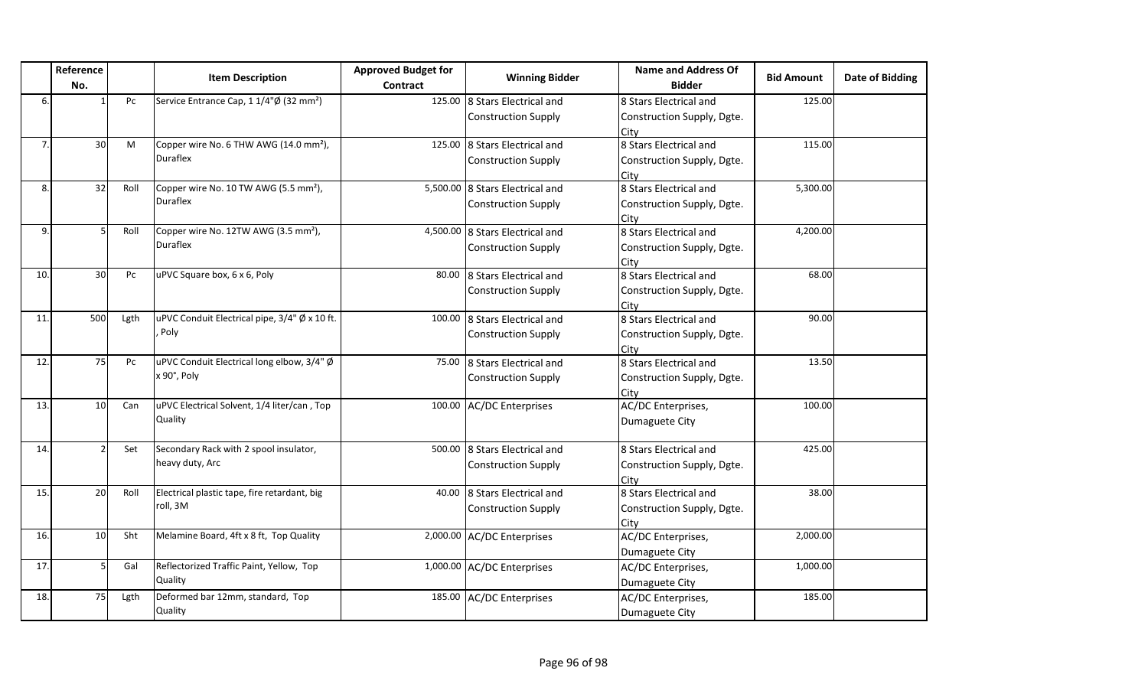|     | Reference<br>No. |      | <b>Item Description</b>                             | <b>Approved Budget for</b><br>Contract | <b>Winning Bidder</b>           | Name and Address Of<br><b>Bidder</b> | <b>Bid Amount</b> | <b>Date of Bidding</b> |
|-----|------------------|------|-----------------------------------------------------|----------------------------------------|---------------------------------|--------------------------------------|-------------------|------------------------|
| 6.  |                  | Pc   | Service Entrance Cap, 1 1/4"Ø (32 mm <sup>2</sup> ) | 125.00                                 | 8 Stars Electrical and          | 8 Stars Electrical and               | 125.00            |                        |
|     |                  |      |                                                     |                                        | <b>Construction Supply</b>      | Construction Supply, Dgte.           |                   |                        |
|     |                  |      |                                                     |                                        |                                 | City                                 |                   |                        |
| 7.  | 30               | M    | Copper wire No. 6 THW AWG (14.0 mm <sup>2</sup> ),  | 125.00                                 | 8 Stars Electrical and          | 8 Stars Electrical and               | 115.00            |                        |
|     |                  |      | Duraflex                                            |                                        | <b>Construction Supply</b>      | Construction Supply, Dgte.           |                   |                        |
|     |                  |      |                                                     |                                        |                                 | City                                 |                   |                        |
| 8.  | 32               | Roll | Copper wire No. 10 TW AWG (5.5 mm <sup>2</sup> ),   | 5,500.00                               | 8 Stars Electrical and          | 8 Stars Electrical and               | 5,300.00          |                        |
|     |                  |      | <b>Duraflex</b>                                     |                                        | <b>Construction Supply</b>      | Construction Supply, Dgte.           |                   |                        |
|     |                  |      |                                                     |                                        |                                 | City                                 |                   |                        |
| 9.  | 5                | Roll | Copper wire No. 12TW AWG (3.5 mm <sup>2</sup> ),    |                                        | 4,500.00 8 Stars Electrical and | 8 Stars Electrical and               | 4,200.00          |                        |
|     |                  |      | <b>Duraflex</b>                                     |                                        | <b>Construction Supply</b>      | Construction Supply, Dgte.           |                   |                        |
|     |                  |      |                                                     |                                        |                                 | City                                 |                   |                        |
| 10. | 30               | Pc   | uPVC Square box, 6 x 6, Poly                        | 80.00                                  | 8 Stars Electrical and          | 8 Stars Electrical and               | 68.00             |                        |
|     |                  |      |                                                     |                                        | <b>Construction Supply</b>      | Construction Supply, Dgte.           |                   |                        |
|     |                  |      |                                                     |                                        |                                 | City                                 |                   |                        |
| 11. | 500              | Lgth | uPVC Conduit Electrical pipe, 3/4" Ø x 10 ft.       | 100.00                                 | 8 Stars Electrical and          | 8 Stars Electrical and               | 90.00             |                        |
|     |                  |      | , Poly                                              |                                        | <b>Construction Supply</b>      | Construction Supply, Dgte.           |                   |                        |
|     |                  |      |                                                     |                                        |                                 | City                                 |                   |                        |
| 12. | 75               | Pc   | uPVC Conduit Electrical long elbow, 3/4" Ø          | 75.00                                  | 8 Stars Electrical and          | 8 Stars Electrical and               | 13.50             |                        |
|     |                  |      | x 90°, Poly                                         |                                        | <b>Construction Supply</b>      | Construction Supply, Dgte.           |                   |                        |
|     |                  |      |                                                     |                                        |                                 | City                                 |                   |                        |
| 13. | 10               | Can  | uPVC Electrical Solvent, 1/4 liter/can, Top         | 100.00                                 | <b>AC/DC Enterprises</b>        | AC/DC Enterprises,                   | 100.00            |                        |
|     |                  |      | Quality                                             |                                        |                                 | Dumaguete City                       |                   |                        |
|     |                  |      |                                                     |                                        |                                 |                                      |                   |                        |
| 14. |                  | Set  | Secondary Rack with 2 spool insulator,              | 500.00                                 | 8 Stars Electrical and          | 8 Stars Electrical and               | 425.00            |                        |
|     |                  |      | heavy duty, Arc                                     |                                        | <b>Construction Supply</b>      | Construction Supply, Dgte.           |                   |                        |
|     |                  |      |                                                     |                                        |                                 | City                                 |                   |                        |
| 15. | 20               | Roll | Electrical plastic tape, fire retardant, big        | 40.00                                  | 8 Stars Electrical and          | 8 Stars Electrical and               | 38.00             |                        |
|     |                  |      | roll, 3M                                            |                                        | <b>Construction Supply</b>      | Construction Supply, Dgte.           |                   |                        |
|     |                  |      |                                                     |                                        |                                 | City                                 |                   |                        |
| 16. | 10               | Sht  | Melamine Board, 4ft x 8 ft, Top Quality             |                                        | 2,000.00 AC/DC Enterprises      | AC/DC Enterprises,                   | 2,000.00          |                        |
|     |                  |      |                                                     |                                        |                                 | Dumaguete City                       |                   |                        |
| 17. | 5                | Gal  | Reflectorized Traffic Paint, Yellow, Top            |                                        | 1,000.00 AC/DC Enterprises      | AC/DC Enterprises,                   | 1,000.00          |                        |
|     |                  |      | Quality                                             |                                        |                                 | Dumaguete City                       |                   |                        |
| 18. | 75               | Lgth | Deformed bar 12mm, standard, Top                    | 185.00                                 | <b>AC/DC Enterprises</b>        | AC/DC Enterprises,                   | 185.00            |                        |
|     |                  |      | Quality                                             |                                        |                                 | Dumaguete City                       |                   |                        |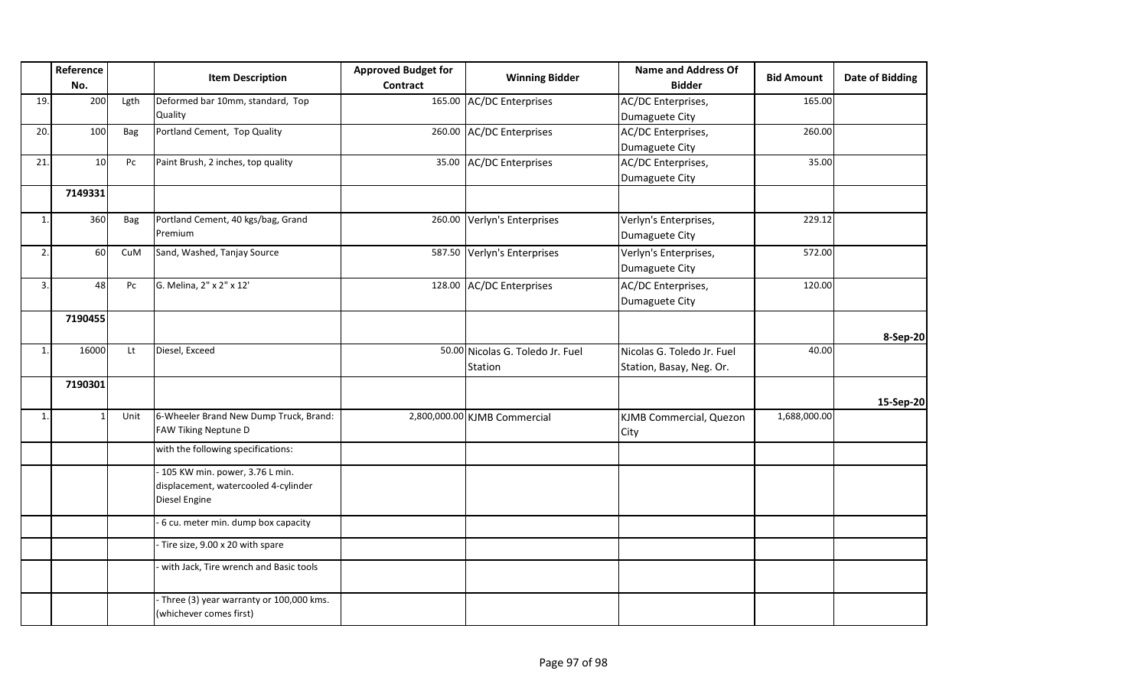|              | Reference<br>No. |      | <b>Item Description</b>                                                                   | <b>Approved Budget for</b><br><b>Contract</b> | <b>Winning Bidder</b>                       | <b>Name and Address Of</b><br><b>Bidder</b>            | <b>Bid Amount</b> | <b>Date of Bidding</b> |
|--------------|------------------|------|-------------------------------------------------------------------------------------------|-----------------------------------------------|---------------------------------------------|--------------------------------------------------------|-------------------|------------------------|
| 19.          | 200              | Lgth | Deformed bar 10mm, standard, Top<br>Quality                                               |                                               | 165.00 AC/DC Enterprises                    | AC/DC Enterprises,<br>Dumaguete City                   | 165.00            |                        |
| 20.          | 100              | Bag  | Portland Cement, Top Quality                                                              |                                               | 260.00 AC/DC Enterprises                    | AC/DC Enterprises,<br>Dumaguete City                   | 260.00            |                        |
| 21.          | 10               | Pc   | Paint Brush, 2 inches, top quality                                                        | 35.00                                         | AC/DC Enterprises                           | AC/DC Enterprises,<br>Dumaguete City                   | 35.00             |                        |
|              | 7149331          |      |                                                                                           |                                               |                                             |                                                        |                   |                        |
| $\mathbf{1}$ | 360              | Bag  | Portland Cement, 40 kgs/bag, Grand<br>Premium                                             | 260.00                                        | Verlyn's Enterprises                        | Verlyn's Enterprises,<br>Dumaguete City                | 229.12            |                        |
| 2.           | 60               | CuM  | Sand, Washed, Tanjay Source                                                               |                                               | 587.50 Verlyn's Enterprises                 | Verlyn's Enterprises,<br>Dumaguete City                | 572.00            |                        |
| 3.           | 48               | Pc   | G. Melina, 2" x 2" x 12'                                                                  | 128.00                                        | <b>AC/DC</b> Enterprises                    | AC/DC Enterprises,<br>Dumaguete City                   | 120.00            |                        |
|              | 7190455          |      |                                                                                           |                                               |                                             |                                                        |                   | 8-Sep-20               |
| 1.           | 16000            | Lt   | Diesel, Exceed                                                                            |                                               | 50.00 Nicolas G. Toledo Jr. Fuel<br>Station | Nicolas G. Toledo Jr. Fuel<br>Station, Basay, Neg. Or. | 40.00             |                        |
|              | 7190301          |      |                                                                                           |                                               |                                             |                                                        |                   | 15-Sep-20              |
| 1.           | $\mathbf{1}$     | Unit | 6-Wheeler Brand New Dump Truck, Brand:<br>FAW Tiking Neptune D                            |                                               | 2,800,000.00 KJMB Commercial                | KJMB Commercial, Quezon<br>City                        | 1,688,000.00      |                        |
|              |                  |      | with the following specifications:                                                        |                                               |                                             |                                                        |                   |                        |
|              |                  |      | - 105 KW min. power, 3.76 L min.<br>displacement, watercooled 4-cylinder<br>Diesel Engine |                                               |                                             |                                                        |                   |                        |
|              |                  |      | 6 cu. meter min. dump box capacity                                                        |                                               |                                             |                                                        |                   |                        |
|              |                  |      | Tire size, 9.00 x 20 with spare                                                           |                                               |                                             |                                                        |                   |                        |
|              |                  |      | with Jack, Tire wrench and Basic tools                                                    |                                               |                                             |                                                        |                   |                        |
|              |                  |      | - Three (3) year warranty or 100,000 kms.<br>(whichever comes first)                      |                                               |                                             |                                                        |                   |                        |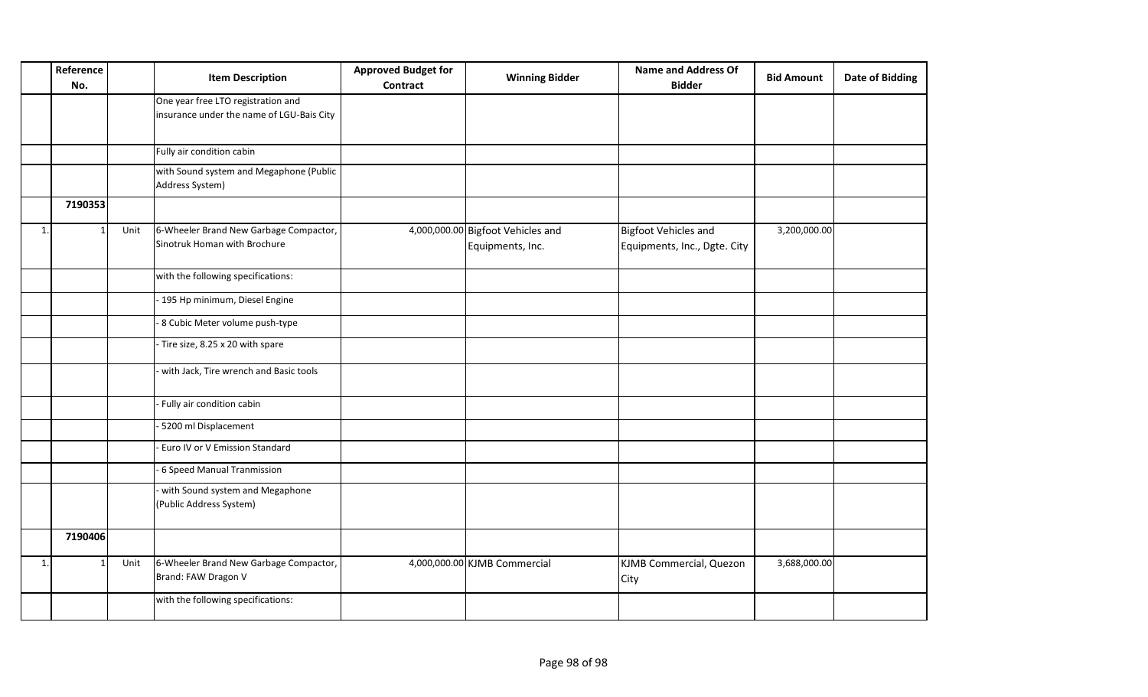|    | Reference<br>No. |      | <b>Item Description</b>                                                         | <b>Approved Budget for</b><br><b>Contract</b> | <b>Winning Bidder</b>                                 | <b>Name and Address Of</b><br><b>Bidder</b>                 | <b>Bid Amount</b> | <b>Date of Bidding</b> |
|----|------------------|------|---------------------------------------------------------------------------------|-----------------------------------------------|-------------------------------------------------------|-------------------------------------------------------------|-------------------|------------------------|
|    |                  |      | One year free LTO registration and<br>insurance under the name of LGU-Bais City |                                               |                                                       |                                                             |                   |                        |
|    |                  |      | Fully air condition cabin                                                       |                                               |                                                       |                                                             |                   |                        |
|    |                  |      | with Sound system and Megaphone (Public<br>Address System)                      |                                               |                                                       |                                                             |                   |                        |
|    | 7190353          |      |                                                                                 |                                               |                                                       |                                                             |                   |                        |
| 1. | -1               | Unit | 6-Wheeler Brand New Garbage Compactor,<br>Sinotruk Homan with Brochure          |                                               | 4,000,000.00 Bigfoot Vehicles and<br>Equipments, Inc. | <b>Bigfoot Vehicles and</b><br>Equipments, Inc., Dgte. City | 3,200,000.00      |                        |
|    |                  |      | with the following specifications:                                              |                                               |                                                       |                                                             |                   |                        |
|    |                  |      | 195 Hp minimum, Diesel Engine                                                   |                                               |                                                       |                                                             |                   |                        |
|    |                  |      | 8 Cubic Meter volume push-type                                                  |                                               |                                                       |                                                             |                   |                        |
|    |                  |      | Tire size, 8.25 x 20 with spare                                                 |                                               |                                                       |                                                             |                   |                        |
|    |                  |      | with Jack, Tire wrench and Basic tools                                          |                                               |                                                       |                                                             |                   |                        |
|    |                  |      | Fully air condition cabin                                                       |                                               |                                                       |                                                             |                   |                        |
|    |                  |      | 5200 ml Displacement                                                            |                                               |                                                       |                                                             |                   |                        |
|    |                  |      | Euro IV or V Emission Standard                                                  |                                               |                                                       |                                                             |                   |                        |
|    |                  |      | 6 Speed Manual Tranmission                                                      |                                               |                                                       |                                                             |                   |                        |
|    |                  |      | with Sound system and Megaphone<br>(Public Address System)                      |                                               |                                                       |                                                             |                   |                        |
|    | 7190406          |      |                                                                                 |                                               |                                                       |                                                             |                   |                        |
| 1. | $\overline{1}$   | Unit | 6-Wheeler Brand New Garbage Compactor,<br>Brand: FAW Dragon V                   |                                               | 4,000,000.00 KJMB Commercial                          | KJMB Commercial, Quezon<br>City                             | 3,688,000.00      |                        |
|    |                  |      | with the following specifications:                                              |                                               |                                                       |                                                             |                   |                        |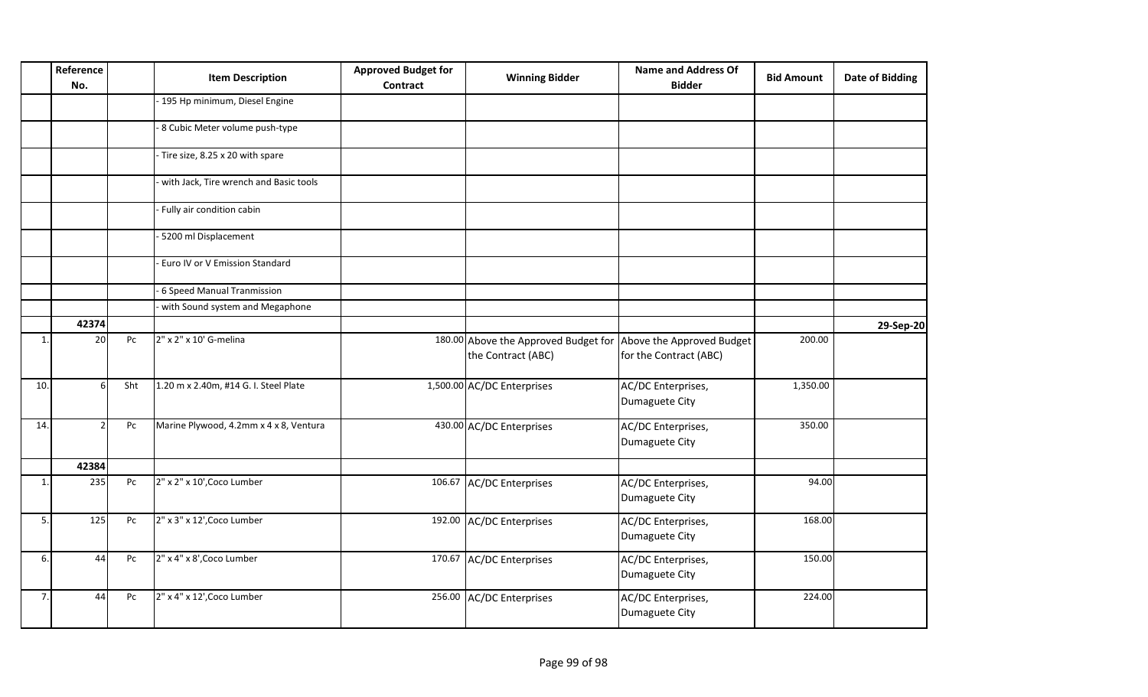|     | Reference<br>No. |     | <b>Item Description</b>                | <b>Approved Budget for</b><br><b>Contract</b> | <b>Winning Bidder</b>                                                                | <b>Name and Address Of</b><br><b>Bidder</b> | <b>Bid Amount</b> | <b>Date of Bidding</b> |
|-----|------------------|-----|----------------------------------------|-----------------------------------------------|--------------------------------------------------------------------------------------|---------------------------------------------|-------------------|------------------------|
|     |                  |     | 195 Hp minimum, Diesel Engine          |                                               |                                                                                      |                                             |                   |                        |
|     |                  |     | 8 Cubic Meter volume push-type         |                                               |                                                                                      |                                             |                   |                        |
|     |                  |     | Tire size, 8.25 x 20 with spare        |                                               |                                                                                      |                                             |                   |                        |
|     |                  |     | with Jack, Tire wrench and Basic tools |                                               |                                                                                      |                                             |                   |                        |
|     |                  |     | Fully air condition cabin              |                                               |                                                                                      |                                             |                   |                        |
|     |                  |     | 5200 ml Displacement                   |                                               |                                                                                      |                                             |                   |                        |
|     |                  |     | Euro IV or V Emission Standard         |                                               |                                                                                      |                                             |                   |                        |
|     |                  |     | 6 Speed Manual Tranmission             |                                               |                                                                                      |                                             |                   |                        |
|     |                  |     | with Sound system and Megaphone        |                                               |                                                                                      |                                             |                   |                        |
|     | 42374            |     |                                        |                                               |                                                                                      |                                             |                   | 29-Sep-20              |
| 1.  | 20               | Pc  | 2" x 2" x 10' G-melina                 |                                               | 180.00 Above the Approved Budget for Above the Approved Budget<br>the Contract (ABC) | for the Contract (ABC)                      | 200.00            |                        |
| 10. | $6 \mid$         | Sht | 1.20 m x 2.40m, #14 G. I. Steel Plate  |                                               | 1,500.00 AC/DC Enterprises                                                           | AC/DC Enterprises,<br>Dumaguete City        | 1,350.00          |                        |
| 14. | $\mathcal{P}$    | Pc  | Marine Plywood, 4.2mm x 4 x 8, Ventura |                                               | 430.00 AC/DC Enterprises                                                             | AC/DC Enterprises,<br>Dumaguete City        | 350.00            |                        |
|     | 42384            |     |                                        |                                               |                                                                                      |                                             |                   |                        |
| 1.  | 235              | Pc  | 2" x 2" x 10', Coco Lumber             |                                               | 106.67 AC/DC Enterprises                                                             | AC/DC Enterprises,<br>Dumaguete City        | 94.00             |                        |
| 5.  | 125              | Pc  | 2" x 3" x 12', Coco Lumber             |                                               | 192.00 AC/DC Enterprises                                                             | AC/DC Enterprises,<br>Dumaguete City        | 168.00            |                        |
| 6.  | 44               | Pc  | 2" x 4" x 8', Coco Lumber              |                                               | 170.67 AC/DC Enterprises                                                             | AC/DC Enterprises,<br>Dumaguete City        | 150.00            |                        |
| 7.  | 44               | Pc  | 2" x 4" x 12', Coco Lumber             |                                               | 256.00 AC/DC Enterprises                                                             | AC/DC Enterprises,<br>Dumaguete City        | 224.00            |                        |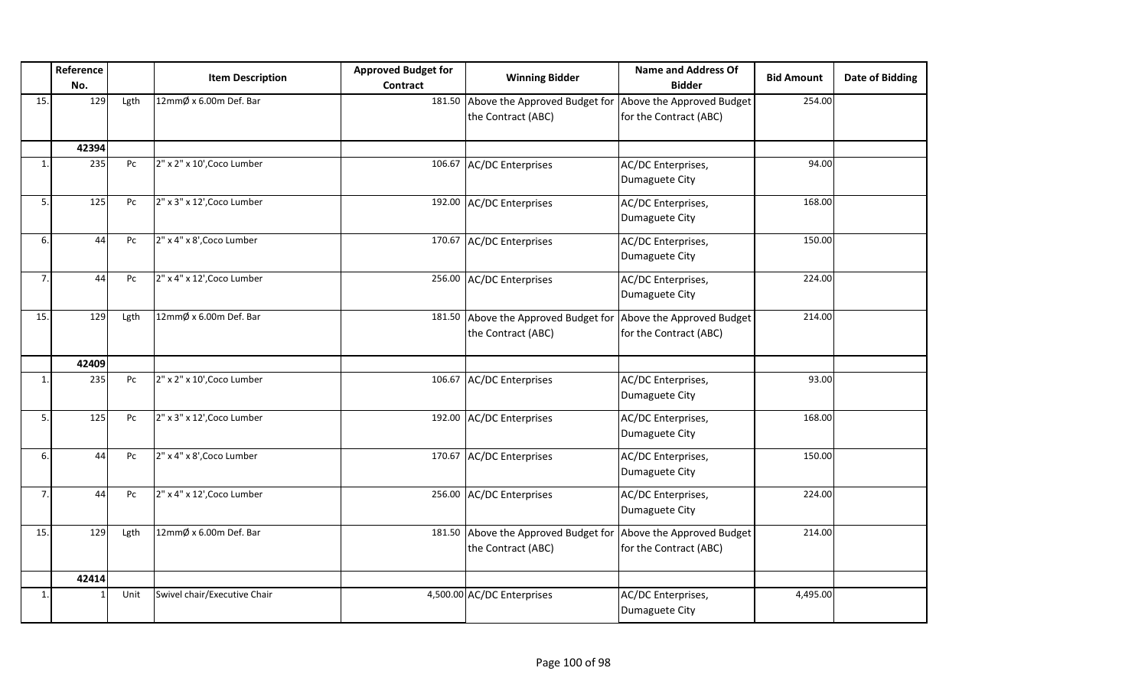|                | Reference |      | <b>Item Description</b>      | <b>Approved Budget for</b> | <b>Winning Bidder</b>                                      | <b>Name and Address Of</b>                          | <b>Bid Amount</b> | <b>Date of Bidding</b> |
|----------------|-----------|------|------------------------------|----------------------------|------------------------------------------------------------|-----------------------------------------------------|-------------------|------------------------|
|                | No.       |      |                              | Contract                   |                                                            | <b>Bidder</b>                                       |                   |                        |
| 15.            | 129       | Lgth | 12mmØ x 6.00m Def. Bar       |                            | 181.50 Above the Approved Budget for<br>the Contract (ABC) | Above the Approved Budget<br>for the Contract (ABC) | 254.00            |                        |
|                | 42394     |      |                              |                            |                                                            |                                                     |                   |                        |
| $\mathbf{1}$   | 235       | Pc   | 2" x 2" x 10', Coco Lumber   | 106.67                     | <b>AC/DC Enterprises</b>                                   | AC/DC Enterprises,<br>Dumaguete City                | 94.00             |                        |
| 5.             | 125       | Pc   | 2" x 3" x 12', Coco Lumber   |                            | 192.00 AC/DC Enterprises                                   | AC/DC Enterprises,<br>Dumaguete City                | 168.00            |                        |
| 6.             | 44        | Pc   | 2" x 4" x 8', Coco Lumber    | 170.67                     | <b>AC/DC</b> Enterprises                                   | AC/DC Enterprises,<br>Dumaguete City                | 150.00            |                        |
| $\overline{7}$ | 44        | Pc   | 2" x 4" x 12', Coco Lumber   |                            | 256.00 AC/DC Enterprises                                   | AC/DC Enterprises,<br>Dumaguete City                | 224.00            |                        |
| 15.            | 129       | Lgth | 12mmØ x 6.00m Def. Bar       |                            | 181.50 Above the Approved Budget for<br>the Contract (ABC) | Above the Approved Budget<br>for the Contract (ABC) | 214.00            |                        |
|                | 42409     |      |                              |                            |                                                            |                                                     |                   |                        |
| $\mathbf{1}$   | 235       | Pc   | 2" x 2" x 10', Coco Lumber   | 106.67                     | <b>AC/DC</b> Enterprises                                   | AC/DC Enterprises,<br>Dumaguete City                | 93.00             |                        |
| 5.             | 125       | Pc   | 2" x 3" x 12', Coco Lumber   |                            | 192.00 AC/DC Enterprises                                   | AC/DC Enterprises,<br>Dumaguete City                | 168.00            |                        |
| 6.             | 44        | Pc   | 2" x 4" x 8', Coco Lumber    |                            | 170.67 AC/DC Enterprises                                   | AC/DC Enterprises,<br>Dumaguete City                | 150.00            |                        |
| 7.             | 44        | Pc   | 2" x 4" x 12', Coco Lumber   |                            | 256.00 AC/DC Enterprises                                   | AC/DC Enterprises,<br>Dumaguete City                | 224.00            |                        |
| 15.            | 129       | Lgth | 12mmØ x 6.00m Def. Bar       |                            | 181.50 Above the Approved Budget for<br>the Contract (ABC) | Above the Approved Budget<br>for the Contract (ABC) | 214.00            |                        |
|                | 42414     |      |                              |                            |                                                            |                                                     |                   |                        |
| 1.             | 1         | Unit | Swivel chair/Executive Chair |                            | 4,500.00 AC/DC Enterprises                                 | AC/DC Enterprises,<br>Dumaguete City                | 4,495.00          |                        |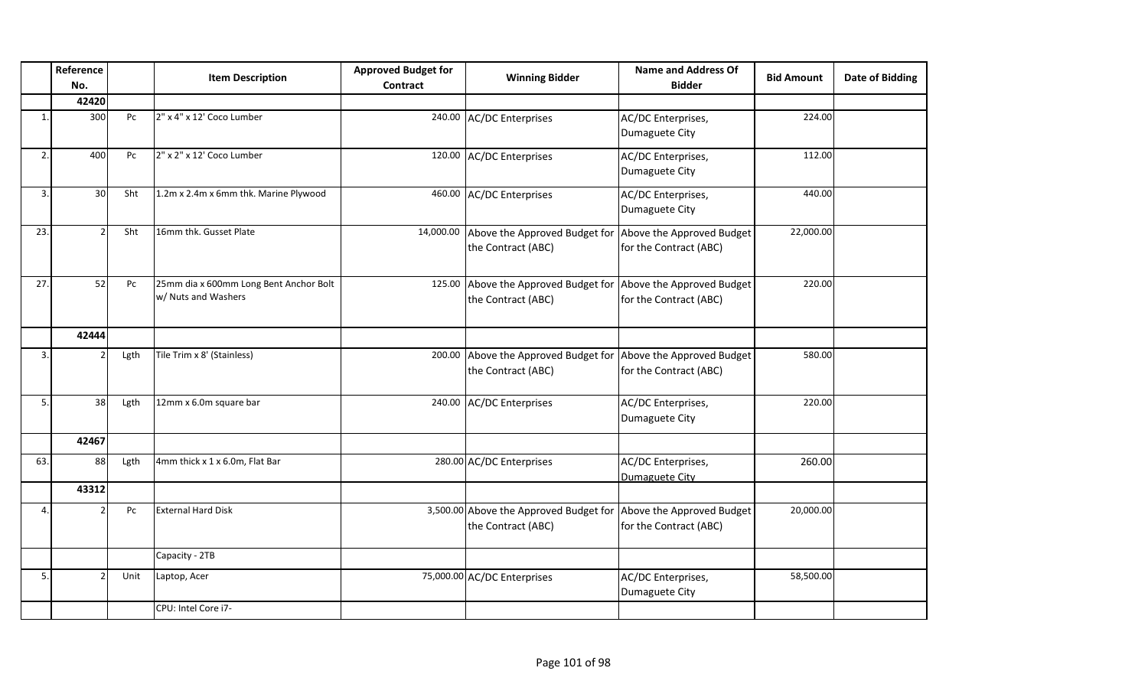|              | Reference<br>No. |      | <b>Item Description</b>                                       | <b>Approved Budget for</b><br><b>Contract</b> | <b>Winning Bidder</b>                                                         | <b>Name and Address Of</b><br><b>Bidder</b>         | <b>Bid Amount</b> | <b>Date of Bidding</b> |
|--------------|------------------|------|---------------------------------------------------------------|-----------------------------------------------|-------------------------------------------------------------------------------|-----------------------------------------------------|-------------------|------------------------|
|              | 42420            |      |                                                               |                                               |                                                                               |                                                     |                   |                        |
|              | 300              | Pc   | 2" x 4" x 12' Coco Lumber                                     |                                               | 240.00 AC/DC Enterprises                                                      | AC/DC Enterprises,<br>Dumaguete City                | 224.00            |                        |
| 2.           | 400              | Pc   | 2" x 2" x 12' Coco Lumber                                     |                                               | 120.00 AC/DC Enterprises                                                      | AC/DC Enterprises,<br>Dumaguete City                | 112.00            |                        |
| 3.           | 30               | Sht  | 1.2m x 2.4m x 6mm thk. Marine Plywood                         |                                               | 460.00 AC/DC Enterprises                                                      | AC/DC Enterprises,<br>Dumaguete City                | 440.00            |                        |
| 23.          | $\mathcal{P}$    | Sht  | 16mm thk. Gusset Plate                                        | 14,000.00                                     | Above the Approved Budget for<br>the Contract (ABC)                           | Above the Approved Budget<br>for the Contract (ABC) | 22,000.00         |                        |
| 27.          | 52               | Pc   | 25mm dia x 600mm Long Bent Anchor Bolt<br>w/ Nuts and Washers |                                               | 125.00 Above the Approved Budget for<br>the Contract (ABC)                    | Above the Approved Budget<br>for the Contract (ABC) | 220.00            |                        |
|              | 42444            |      |                                                               |                                               |                                                                               |                                                     |                   |                        |
| 3.           |                  | Lgth | Tile Trim x 8' (Stainless)                                    | 200.00                                        | Above the Approved Budget for Above the Approved Budget<br>the Contract (ABC) | for the Contract (ABC)                              | 580.00            |                        |
| 5.           | 38               | Lgth | 12mm x 6.0m square bar                                        |                                               | 240.00 AC/DC Enterprises                                                      | AC/DC Enterprises,<br>Dumaguete City                | 220.00            |                        |
|              | 42467            |      |                                                               |                                               |                                                                               |                                                     |                   |                        |
| 63.          | 88               | Lgth | 4mm thick x 1 x 6.0m, Flat Bar                                |                                               | 280.00 AC/DC Enterprises                                                      | AC/DC Enterprises,<br>Dumaguete City                | 260.00            |                        |
|              | 43312            |      |                                                               |                                               |                                                                               |                                                     |                   |                        |
| $\mathbf{A}$ |                  | Pc   | <b>External Hard Disk</b>                                     |                                               | 3,500.00 Above the Approved Budget for<br>the Contract (ABC)                  | Above the Approved Budget<br>for the Contract (ABC) | 20,000.00         |                        |
|              |                  |      | Capacity - 2TB                                                |                                               |                                                                               |                                                     |                   |                        |
| 5.           |                  | Unit | Laptop, Acer                                                  |                                               | 75,000.00 AC/DC Enterprises                                                   | AC/DC Enterprises,<br>Dumaguete City                | 58,500.00         |                        |
|              |                  |      | CPU: Intel Core i7-                                           |                                               |                                                                               |                                                     |                   |                        |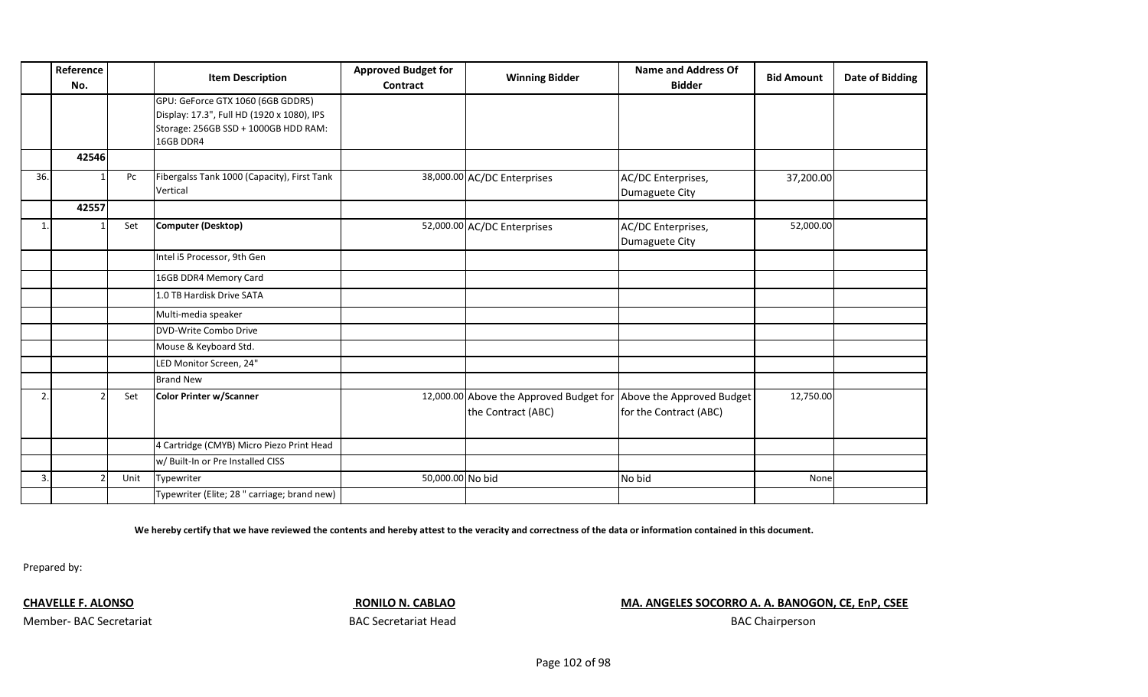|                | Reference<br>No. |      | <b>Item Description</b>                                                                                                              | <b>Approved Budget for</b><br>Contract | <b>Winning Bidder</b>                                                                   | <b>Name and Address Of</b><br><b>Bidder</b> | <b>Bid Amount</b> | <b>Date of Bidding</b> |
|----------------|------------------|------|--------------------------------------------------------------------------------------------------------------------------------------|----------------------------------------|-----------------------------------------------------------------------------------------|---------------------------------------------|-------------------|------------------------|
|                |                  |      | GPU: GeForce GTX 1060 (6GB GDDR5)<br>Display: 17.3", Full HD (1920 x 1080), IPS<br>Storage: 256GB SSD + 1000GB HDD RAM:<br>16GB DDR4 |                                        |                                                                                         |                                             |                   |                        |
|                | 42546            |      |                                                                                                                                      |                                        |                                                                                         |                                             |                   |                        |
| 36.            |                  | Pc   | Fibergalss Tank 1000 (Capacity), First Tank<br>Vertical                                                                              |                                        | 38,000.00 AC/DC Enterprises                                                             | AC/DC Enterprises,<br>Dumaguete City        | 37,200.00         |                        |
|                | 42557            |      |                                                                                                                                      |                                        |                                                                                         |                                             |                   |                        |
| $\mathbf{1}$   |                  | Set  | <b>Computer (Desktop)</b>                                                                                                            |                                        | 52,000.00 AC/DC Enterprises                                                             | AC/DC Enterprises,<br>Dumaguete City        | 52,000.00         |                        |
|                |                  |      | Intel i5 Processor, 9th Gen                                                                                                          |                                        |                                                                                         |                                             |                   |                        |
|                |                  |      | 16GB DDR4 Memory Card                                                                                                                |                                        |                                                                                         |                                             |                   |                        |
|                |                  |      | 1.0 TB Hardisk Drive SATA                                                                                                            |                                        |                                                                                         |                                             |                   |                        |
|                |                  |      | Multi-media speaker                                                                                                                  |                                        |                                                                                         |                                             |                   |                        |
|                |                  |      | DVD-Write Combo Drive                                                                                                                |                                        |                                                                                         |                                             |                   |                        |
|                |                  |      | Mouse & Keyboard Std.                                                                                                                |                                        |                                                                                         |                                             |                   |                        |
|                |                  |      | LED Monitor Screen, 24"                                                                                                              |                                        |                                                                                         |                                             |                   |                        |
|                |                  |      | <b>Brand New</b>                                                                                                                     |                                        |                                                                                         |                                             |                   |                        |
| $\overline{2}$ |                  | Set  | <b>Color Printer w/Scanner</b>                                                                                                       |                                        | 12,000.00 Above the Approved Budget for Above the Approved Budget<br>the Contract (ABC) | for the Contract (ABC)                      | 12,750.00         |                        |
|                |                  |      | 4 Cartridge (CMYB) Micro Piezo Print Head                                                                                            |                                        |                                                                                         |                                             |                   |                        |
|                |                  |      | w/ Built-In or Pre Installed CISS                                                                                                    |                                        |                                                                                         |                                             |                   |                        |
| 3.             |                  | Unit | Typewriter                                                                                                                           | 50,000.00 No bid                       |                                                                                         | No bid                                      | None              |                        |
|                |                  |      | Typewriter (Elite; 28" carriage; brand new)                                                                                          |                                        |                                                                                         |                                             |                   |                        |

**We hereby certify that we have reviewed the contents and hereby attest to the veracity and correctness of the data or information contained in this document.**

Prepared by:

**CHAVELLE F. ALONSO RONILO N. CABLAO MA. ANGELES SOCORRO A. A. BANOGON, CE, EnP, CSEE** 

Member- BAC Secretariat **BAC Secretariat Head** 

BAC Chairperson